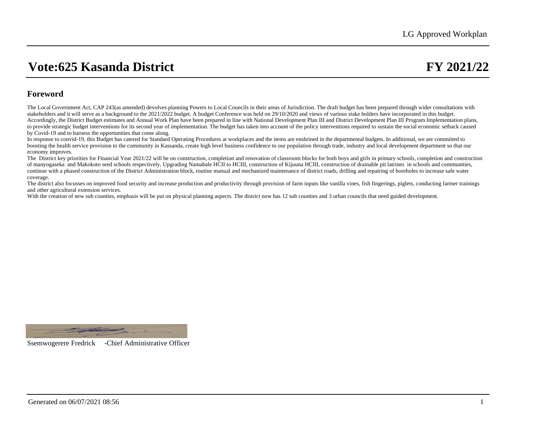## **Foreword**

The Local Government Act, CAP 243(as amended) devolves planning Powers to Local Councils in their areas of Jurisdiction. The draft budget has been prepared through wider consultations with stakeholders and it will serve as a background to the 2021/2022 budget. A budget Conference was held on 29/10/2020 and views of various stake holders have incorporated in this budget. Accordingly, the District Budget estimates and Annual Work Plan have been prepared in line with National Development Plan III and District Development Plan III Program Implementation plans, to provide strategic budget interventions for its second year of implementation. The budget has taken into account of the policy interventions required to sustain the social economic setback caused by Covid-19 and to harness the opportunities that come along.

In response to convid-19, this Budget has catered for Standard Operating Procedures at workplaces and the items are enshrined in the departmental budgets. In additional, we are committed to boosting the health service provision to the community in Kassanda, create high level business confidence to our population through trade, industry and local development department so that our economy improves.

The District key priorities for Financial Year 2021/22 will be on construction, completion and renovation of classroom blocks for both boys and girls in primary schools, completion and construction of manyogaseka and Makokoto seed schools respectively, Upgrading Namabale HCII to HCIII, construction of Kijuuna HCIII, construction of drainable pit latrines in schools and communities, continue with a phased construction of the District Administration block, routine manual and mechanized maintenance of district roads, drilling and repairing of boreholes to increase safe water coverage.

The district also focusses on improved food security and increase production and productivity through provision of farm inputs like vanilla vines, fish fingerings, piglets, conducting farmer trainings and other agricultural extension services.

With the creation of new sub counties, emphasis will be put on physical planning aspects. The district now has 12 sub counties and 3 urban councils that need guided development.



Ssemwogerere Fredrick -Chief Administrative Officer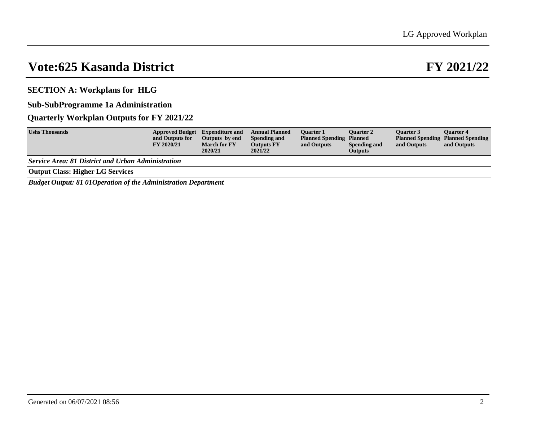**SECTION A: Workplans for HLG**

**Sub-SubProgramme 1a Administration**

## **Quarterly Workplan Outputs for FY 2021/22**

| <b>Ushs Thousands</b>                                                  | Approved Budget Expenditure and<br>and Outputs for<br>FY 2020/21 | Outputs by end<br><b>March for FY</b> | <b>Annual Planned</b><br>Spending and<br><b>Outputs FY</b> | <b>Ouarter 1</b><br><b>Planned Spending Planned</b><br>and Outputs | <b>Ouarter 2</b><br>Spending and | <b>Ouarter 3</b><br>and Outputs | <b>Ouarter 4</b><br><b>Planned Spending Planned Spending</b><br>and Outputs |
|------------------------------------------------------------------------|------------------------------------------------------------------|---------------------------------------|------------------------------------------------------------|--------------------------------------------------------------------|----------------------------------|---------------------------------|-----------------------------------------------------------------------------|
|                                                                        |                                                                  | 2020/21                               | 2021/22                                                    |                                                                    | <b>Outputs</b>                   |                                 |                                                                             |
| <b>Service Area: 81 District and Urban Administration</b>              |                                                                  |                                       |                                                            |                                                                    |                                  |                                 |                                                                             |
| <b>Output Class: Higher LG Services</b>                                |                                                                  |                                       |                                                            |                                                                    |                                  |                                 |                                                                             |
| <b>Rudget Output: 81 01 Operation of the Administration Department</b> |                                                                  |                                       |                                                            |                                                                    |                                  |                                 |                                                                             |

*Budget Output: 81 01Operation of the Administration Department*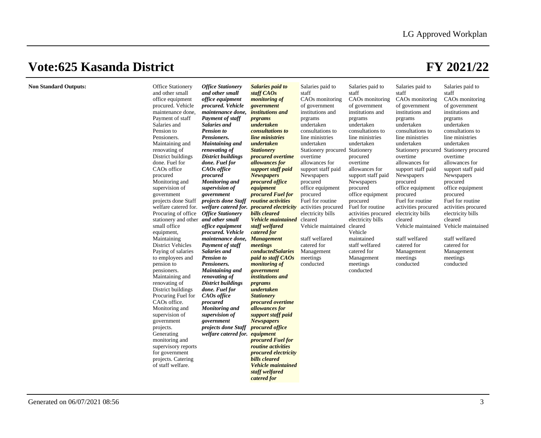| <b>Non Standard Outputs:</b> | <b>Office Stationery</b><br>and other small<br>office equipment<br>procured. Vehicle<br>maintenance done,<br>Payment of staff<br>Salaries and<br>Pension to<br>Pensioners.<br>Maintaining and<br>renovating of<br>District buildings<br>done. Fuel for<br>CAOs office<br>procured<br>Monitoring and<br>supervision of<br>government<br>projects done Staff<br>Procuring of office Office Stationery<br>stationery and other and other small<br>small office<br>equipment,<br>Maintaining<br><b>District Vehicles</b><br>Paying of salaries<br>to employees and<br>pension to<br>pensioners.<br>Maintaining and<br>renovating of<br>District buildings<br>Procuring Fuel for<br>CAOs office.<br>Monitoring and<br>supervision of<br>government<br>projects.<br>Generating<br>monitoring and<br>supervisory reports<br>for government<br>projects. Catering<br>of staff welfare. | <b>Office Stationery</b><br>and other small<br>office equipment<br>procured. Vehicle<br>maintenance done,<br><b>Payment of staff</b><br>Salaries and<br><b>Pension to</b><br>Pensioners.<br><b>Maintaining and</b><br>renovating of<br><b>District buildings</b><br>done. Fuel for<br>CAOs office<br>procured<br><b>Monitoring and</b><br>supervision of<br>government<br>projects done Staff<br>office equipment<br>procured. Vehicle<br>maintenance done,<br><b>Payment of staff</b><br>Salaries and<br><b>Pension to</b><br>Pensioners.<br><b>Maintaining and</b><br>renovating of<br><b>District buildings</b><br>done. Fuel for<br>CAOs office<br>procured<br><b>Monitoring and</b><br>supervision of<br>government<br>projects done Staff<br>welfare catered for. equipment | Salaries paid to<br>staff CAOs<br><i>monitoring of</i><br>government<br><i>institutions and</i><br><i>prgrams</i><br>undertaken<br>consultations to<br>line ministries<br>undertaken<br><b>Stationery</b><br>procured overtime<br>allowances for<br>support staff paid<br><b>Newspapers</b><br><i>procured office</i><br>equipment<br>procured Fuel for<br><i>routine activities</i><br>welfare catered for. <i>welfare catered for.</i> <b>procured electricity</b><br>bills cleared<br><b>Vehicle maintained</b> cleared<br>staff welfared<br>catered for<br><b>Management</b><br>meetings<br>conductedSalaries<br>paid to staff CAOs<br><i>monitoring of</i><br>government<br>institutions and<br><i>prgrams</i><br>undertaken<br><b>Stationery</b><br>procured overtime<br>allowances for<br>support staff paid<br><b>Newspapers</b><br><i>procured office</i><br>procured Fuel for<br><i>routine</i> activities<br><i>procured electricity</i><br><b>bills</b> cleared<br><b>Vehicle maintained</b><br>staff welfared | Salaries paid to<br>staff<br>CAOs monitoring<br>of government<br>institutions and<br>prgrams<br>undertaken<br>consultations to<br>line ministries<br>undertaken<br>Stationery procured Stationery<br>overtime<br>allowances for<br>support staff paid<br>Newspapers<br>procured<br>office equipment<br>procured<br>Fuel for routine<br>activities procured<br>electricity bills<br>Vehicle maintained<br>staff welfared<br>catered for<br>Management<br>meetings<br>conducted | Salaries paid to<br>staff<br>CAOs monitoring<br>of government<br>institutions and<br>prgrams<br>undertaken<br>consultations to<br>line ministries<br>undertaken<br>procured<br>overtime<br>allowances for<br>support staff paid<br>Newspapers<br>procured<br>office equipment<br>procured<br>Fuel for routine<br>activities procured<br>electricity bills<br>cleared<br>Vehicle<br>maintained<br>staff welfared<br>catered for<br>Management<br>meetings<br>conducted | Salaries paid to<br>staff<br>CAOs monitoring<br>of government<br>institutions and<br>prgrams<br>undertaken<br>consultations to<br>line ministries<br>undertaken<br>overtime<br>allowances for<br>support staff paid<br>Newspapers<br>procured<br>office equipment<br>procured<br>Fuel for routine<br>activities procured<br>electricity bills<br>cleared<br>Vehicle maintained Vehicle maintained<br>staff welfared<br>catered for<br>Management<br>meetings<br>conducted | Salaries paid to<br>staff<br>CAOs monitoring<br>of government<br>institutions and<br>prgrams<br>undertaken<br>consultations to<br>line ministries<br>undertaken<br>Stationery procured Stationery procured<br>overtime<br>allowances for<br>support staff paid<br>Newspapers<br>procured<br>office equipment<br>procured<br>Fuel for routine<br>activities procured<br>electricity bills<br>cleared<br>staff welfared<br>catered for<br>Management<br>meetings<br>conducted |
|------------------------------|--------------------------------------------------------------------------------------------------------------------------------------------------------------------------------------------------------------------------------------------------------------------------------------------------------------------------------------------------------------------------------------------------------------------------------------------------------------------------------------------------------------------------------------------------------------------------------------------------------------------------------------------------------------------------------------------------------------------------------------------------------------------------------------------------------------------------------------------------------------------------------|-----------------------------------------------------------------------------------------------------------------------------------------------------------------------------------------------------------------------------------------------------------------------------------------------------------------------------------------------------------------------------------------------------------------------------------------------------------------------------------------------------------------------------------------------------------------------------------------------------------------------------------------------------------------------------------------------------------------------------------------------------------------------------------|----------------------------------------------------------------------------------------------------------------------------------------------------------------------------------------------------------------------------------------------------------------------------------------------------------------------------------------------------------------------------------------------------------------------------------------------------------------------------------------------------------------------------------------------------------------------------------------------------------------------------------------------------------------------------------------------------------------------------------------------------------------------------------------------------------------------------------------------------------------------------------------------------------------------------------------------------------------------------------------------------------------------------|-------------------------------------------------------------------------------------------------------------------------------------------------------------------------------------------------------------------------------------------------------------------------------------------------------------------------------------------------------------------------------------------------------------------------------------------------------------------------------|-----------------------------------------------------------------------------------------------------------------------------------------------------------------------------------------------------------------------------------------------------------------------------------------------------------------------------------------------------------------------------------------------------------------------------------------------------------------------|---------------------------------------------------------------------------------------------------------------------------------------------------------------------------------------------------------------------------------------------------------------------------------------------------------------------------------------------------------------------------------------------------------------------------------------------------------------------------|-----------------------------------------------------------------------------------------------------------------------------------------------------------------------------------------------------------------------------------------------------------------------------------------------------------------------------------------------------------------------------------------------------------------------------------------------------------------------------|
|                              |                                                                                                                                                                                                                                                                                                                                                                                                                                                                                                                                                                                                                                                                                                                                                                                                                                                                                |                                                                                                                                                                                                                                                                                                                                                                                                                                                                                                                                                                                                                                                                                                                                                                                   | catered for                                                                                                                                                                                                                                                                                                                                                                                                                                                                                                                                                                                                                                                                                                                                                                                                                                                                                                                                                                                                                |                                                                                                                                                                                                                                                                                                                                                                                                                                                                               |                                                                                                                                                                                                                                                                                                                                                                                                                                                                       |                                                                                                                                                                                                                                                                                                                                                                                                                                                                           |                                                                                                                                                                                                                                                                                                                                                                                                                                                                             |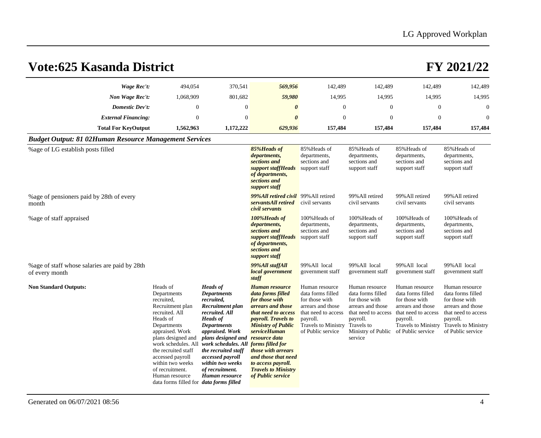| <b>Vote:625 Kasanda District</b>                                 |                                                                                                                                                                                                                                                                                                                              |                                                                                                                                                                                                                                                                                                                                       |                                                                                                                                                                                                                                                                                                           |                                                                                                                                                                  |                                                                                                                                                              |                                                                                                                                                                  | FY 2021/22                                                                                                                                                       |
|------------------------------------------------------------------|------------------------------------------------------------------------------------------------------------------------------------------------------------------------------------------------------------------------------------------------------------------------------------------------------------------------------|---------------------------------------------------------------------------------------------------------------------------------------------------------------------------------------------------------------------------------------------------------------------------------------------------------------------------------------|-----------------------------------------------------------------------------------------------------------------------------------------------------------------------------------------------------------------------------------------------------------------------------------------------------------|------------------------------------------------------------------------------------------------------------------------------------------------------------------|--------------------------------------------------------------------------------------------------------------------------------------------------------------|------------------------------------------------------------------------------------------------------------------------------------------------------------------|------------------------------------------------------------------------------------------------------------------------------------------------------------------|
| Wage Rec't:                                                      | 494,054                                                                                                                                                                                                                                                                                                                      | 370,541                                                                                                                                                                                                                                                                                                                               | 569,956                                                                                                                                                                                                                                                                                                   | 142,489                                                                                                                                                          | 142,489                                                                                                                                                      | 142,489                                                                                                                                                          | 142,489                                                                                                                                                          |
| Non Wage Rec't:                                                  | 1,068,909                                                                                                                                                                                                                                                                                                                    | 801,682                                                                                                                                                                                                                                                                                                                               | 59,980                                                                                                                                                                                                                                                                                                    | 14,995                                                                                                                                                           | 14,995                                                                                                                                                       | 14,995                                                                                                                                                           | 14,995                                                                                                                                                           |
| <b>Domestic Dev't:</b>                                           | $\mathbf{0}$                                                                                                                                                                                                                                                                                                                 | $\theta$                                                                                                                                                                                                                                                                                                                              | $\boldsymbol{\theta}$                                                                                                                                                                                                                                                                                     | $\theta$                                                                                                                                                         | $\theta$                                                                                                                                                     | $\mathbf{0}$                                                                                                                                                     | $\Omega$                                                                                                                                                         |
| <b>External Financing:</b>                                       | $\mathbf{0}$                                                                                                                                                                                                                                                                                                                 | $\overline{0}$                                                                                                                                                                                                                                                                                                                        | $\boldsymbol{\theta}$                                                                                                                                                                                                                                                                                     | $\boldsymbol{0}$                                                                                                                                                 | $\theta$                                                                                                                                                     | $\boldsymbol{0}$                                                                                                                                                 | $\overline{0}$                                                                                                                                                   |
| <b>Total For KeyOutput</b>                                       | 1,562,963                                                                                                                                                                                                                                                                                                                    | 1,172,222                                                                                                                                                                                                                                                                                                                             | 629,936                                                                                                                                                                                                                                                                                                   | 157,484                                                                                                                                                          | 157,484                                                                                                                                                      | 157,484                                                                                                                                                          | 157,484                                                                                                                                                          |
| <b>Budget Output: 81 02Human Resource Management Services</b>    |                                                                                                                                                                                                                                                                                                                              |                                                                                                                                                                                                                                                                                                                                       |                                                                                                                                                                                                                                                                                                           |                                                                                                                                                                  |                                                                                                                                                              |                                                                                                                                                                  |                                                                                                                                                                  |
| % age of LG establish posts filled                               |                                                                                                                                                                                                                                                                                                                              |                                                                                                                                                                                                                                                                                                                                       | 85%Heads of<br>departments,<br>sections and<br>support staffHeads<br>of departments,<br>sections and<br>support staff                                                                                                                                                                                     | 85% Heads of<br>departments,<br>sections and<br>support staff                                                                                                    | 85% Heads of<br>departments,<br>sections and<br>support staff                                                                                                | 85% Heads of<br>departments,<br>sections and<br>support staff                                                                                                    | 85% Heads of<br>departments,<br>sections and<br>support staff                                                                                                    |
| % age of pensioners paid by 28th of every<br>month               |                                                                                                                                                                                                                                                                                                                              |                                                                                                                                                                                                                                                                                                                                       | 99%All retired civil 99% All retired<br>servantsAll retired<br>civil servants                                                                                                                                                                                                                             | civil servants                                                                                                                                                   | 99% All retired<br>civil servants                                                                                                                            | 99% All retired<br>civil servants                                                                                                                                | 99% All retired<br>civil servants                                                                                                                                |
| % age of staff appraised                                         |                                                                                                                                                                                                                                                                                                                              |                                                                                                                                                                                                                                                                                                                                       | 100%Heads of<br>departments,<br>sections and<br>support staffHeads<br>of departments,<br>sections and<br>support staff                                                                                                                                                                                    | 100% Heads of<br>departments,<br>sections and<br>support staff                                                                                                   | 100% Heads of<br>departments,<br>sections and<br>support staff                                                                                               | 100% Heads of<br>departments,<br>sections and<br>support staff                                                                                                   | 100% Heads of<br>departments,<br>sections and<br>support staff                                                                                                   |
| % age of staff whose salaries are paid by 28th<br>of every month |                                                                                                                                                                                                                                                                                                                              |                                                                                                                                                                                                                                                                                                                                       | 99%All staffAll<br>local government<br>staff                                                                                                                                                                                                                                                              | 99% All local<br>government staff                                                                                                                                | 99% All local<br>government staff                                                                                                                            | 99%All local<br>government staff                                                                                                                                 | 99% All local<br>government staff                                                                                                                                |
| <b>Non Standard Outputs:</b>                                     | Heads of<br>Departments<br>recruited,<br>Recruitment plan<br>recruited. All<br>Heads of<br>Departments<br>appraised. Work<br>plans designed and<br>work schedules. All<br>the recruited staff<br>accessed payroll<br>within two weeks<br>of recruitment.<br>Human resource<br>data forms filled for <i>data forms filled</i> | <b>Heads</b> of<br><b>Departments</b><br>recruited,<br>Recruitment plan<br>recruited. All<br><b>Heads</b> of<br><b>Departments</b><br>appraised. Work<br>plans designed and resource data<br>work schedules. All forms filled for<br>the recruited staff<br>accessed payroll<br>within two weeks<br>of recruitment.<br>Human resource | Human resource<br>data forms filled<br>for those with<br>arrears and those<br>that need to access<br><i>payroll. Travels to</i><br><b>Ministry of Public</b><br><i>serviceHuman</i><br>those with arrears<br>and those that need<br>to access payroll.<br><b>Travels to Ministry</b><br>of Public service | Human resource<br>data forms filled<br>for those with<br>arrears and those<br>that need to access<br>payroll.<br><b>Travels to Ministry</b><br>of Public service | Human resource<br>data forms filled<br>for those with<br>arrears and those<br>that need to access<br>payroll.<br>Travels to<br>Ministry of Public<br>service | Human resource<br>data forms filled<br>for those with<br>arrears and those<br>that need to access<br>payroll.<br><b>Travels to Ministry</b><br>of Public service | Human resource<br>data forms filled<br>for those with<br>arrears and those<br>that need to access<br>payroll.<br><b>Travels to Ministry</b><br>of Public service |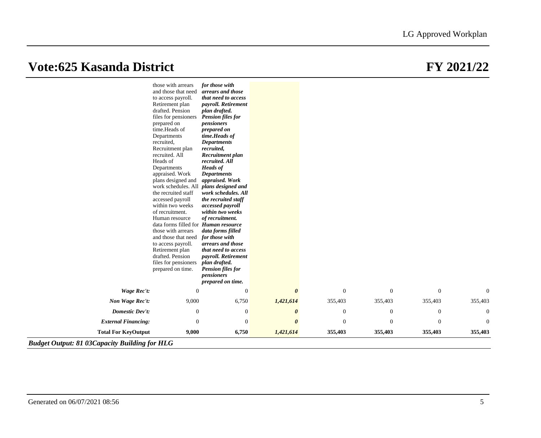|                                                       | those with arrears                                            | for those with                             |                       |                  |              |                  |                |
|-------------------------------------------------------|---------------------------------------------------------------|--------------------------------------------|-----------------------|------------------|--------------|------------------|----------------|
|                                                       | and those that need<br>to access payroll.                     | arrears and those<br>that need to access   |                       |                  |              |                  |                |
|                                                       | Retirement plan                                               | payroll. Retirement                        |                       |                  |              |                  |                |
|                                                       | drafted. Pension<br>files for pensioners                      | plan drafted.<br><b>Pension files for</b>  |                       |                  |              |                  |                |
|                                                       | prepared on                                                   | pensioners                                 |                       |                  |              |                  |                |
|                                                       | time.Heads of                                                 | prepared on                                |                       |                  |              |                  |                |
|                                                       | Departments                                                   | time.Heads of                              |                       |                  |              |                  |                |
|                                                       | recruited,                                                    | <b>Departments</b><br>recruited,           |                       |                  |              |                  |                |
|                                                       | Recruitment plan<br>recruited. All                            | Recruitment plan                           |                       |                  |              |                  |                |
|                                                       | Heads of                                                      | recruited. All                             |                       |                  |              |                  |                |
|                                                       | Departments                                                   | <b>Heads</b> of                            |                       |                  |              |                  |                |
|                                                       | appraised. Work                                               | <b>Departments</b>                         |                       |                  |              |                  |                |
|                                                       | plans designed and<br>work schedules. All                     | appraised. Work<br>plans designed and      |                       |                  |              |                  |                |
|                                                       | the recruited staff                                           | work schedules. All                        |                       |                  |              |                  |                |
|                                                       | accessed payroll                                              | the recruited staff                        |                       |                  |              |                  |                |
|                                                       | within two weeks                                              | accessed payroll                           |                       |                  |              |                  |                |
|                                                       | of recruitment.                                               | within two weeks                           |                       |                  |              |                  |                |
|                                                       | Human resource<br>data forms filled for <i>Human resource</i> | of recruitment.                            |                       |                  |              |                  |                |
|                                                       | those with arrears                                            | data forms filled                          |                       |                  |              |                  |                |
|                                                       | and those that need                                           | for those with                             |                       |                  |              |                  |                |
|                                                       | to access payroll.                                            | arrears and those                          |                       |                  |              |                  |                |
|                                                       | Retirement plan<br>drafted. Pension                           | that need to access<br>payroll. Retirement |                       |                  |              |                  |                |
|                                                       | files for pensioners                                          | plan drafted.                              |                       |                  |              |                  |                |
|                                                       | prepared on time.                                             | <b>Pension files for</b>                   |                       |                  |              |                  |                |
|                                                       |                                                               | pensioners                                 |                       |                  |              |                  |                |
|                                                       |                                                               | prepared on time.                          |                       |                  |              |                  |                |
| Wage Rec't:                                           | $\overline{0}$                                                | $\mathbf{0}$                               | $\boldsymbol{\theta}$ | $\mathbf{0}$     | $\mathbf{0}$ | $\theta$         | $\theta$       |
| Non Wage Rec't:                                       | 9,000                                                         | 6,750                                      | 1,421,614             | 355,403          | 355,403      | 355,403          | 355,403        |
| <b>Domestic Dev't:</b>                                | $\mathbf{0}$                                                  | $\mathbf{0}$                               | $\boldsymbol{\theta}$ | $\theta$         | $\theta$     | $\theta$         | $\overline{0}$ |
| <b>External Financing:</b>                            | $\boldsymbol{0}$                                              | $\mathbf{0}$                               | $\boldsymbol{\theta}$ | $\boldsymbol{0}$ | $\theta$     | $\boldsymbol{0}$ | $\overline{0}$ |
| <b>Total For KeyOutput</b>                            | 9,000                                                         | 6,750                                      | 1,421,614             | 355,403          | 355,403      | 355,403          | 355,403        |
| <b>Budget Output: 81 03 Capacity Building for HLG</b> |                                                               |                                            |                       |                  |              |                  |                |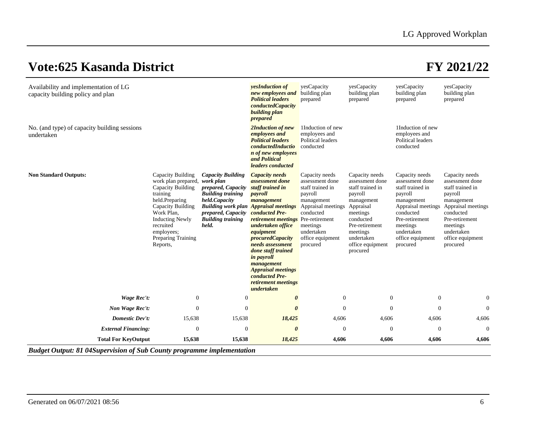| Availability and implementation of LG<br>capacity building policy and plan    |                                                                                                                                                                                                                       |                                                                                                                                                                                                                     | <b>yesInduction</b> of<br>new employees and<br><b>Political leaders</b><br>conductedCapacity<br>building plan<br>prepared                                                                                                                                                                                                                                                          | yesCapacity<br>building plan<br>prepared                                                                                                                                    | yesCapacity<br>building plan<br>prepared                                                                                                                                                         | yesCapacity<br>building plan<br>prepared                                                                                                                                                      | yesCapacity<br>building plan<br>prepared                                                                                                                                                      |
|-------------------------------------------------------------------------------|-----------------------------------------------------------------------------------------------------------------------------------------------------------------------------------------------------------------------|---------------------------------------------------------------------------------------------------------------------------------------------------------------------------------------------------------------------|------------------------------------------------------------------------------------------------------------------------------------------------------------------------------------------------------------------------------------------------------------------------------------------------------------------------------------------------------------------------------------|-----------------------------------------------------------------------------------------------------------------------------------------------------------------------------|--------------------------------------------------------------------------------------------------------------------------------------------------------------------------------------------------|-----------------------------------------------------------------------------------------------------------------------------------------------------------------------------------------------|-----------------------------------------------------------------------------------------------------------------------------------------------------------------------------------------------|
| No. (and type) of capacity building sessions<br>undertaken                    |                                                                                                                                                                                                                       |                                                                                                                                                                                                                     | 2Induction of new<br>employees and<br><b>Political leaders</b><br>conductedInductio<br><i>n</i> of new employees<br>and Political<br>leaders conducted                                                                                                                                                                                                                             | 1Induction of new<br>employees and<br>Political leaders<br>conducted                                                                                                        |                                                                                                                                                                                                  | 1Induction of new<br>employees and<br>Political leaders<br>conducted                                                                                                                          |                                                                                                                                                                                               |
| <b>Non Standard Outputs:</b>                                                  | Capacity Building<br>work plan prepared,<br>Capacity Building<br>training<br>held.Preparing<br>Capacity Building<br>Work Plan,<br><b>Inducting Newly</b><br>recruited<br>employees;<br>Preparing Training<br>Reports, | <b>Capacity Building</b><br>work plan<br>prepared, Capacity<br><b>Building training</b><br>held.Capacity<br><b>Building work plan Appraisal meetings</b><br>prepared, Capacity<br><b>Building training</b><br>held. | <b>Capacity needs</b><br><i>assessment done</i><br>staff trained in<br>payroll<br>management<br>conducted Pre-<br><i>retirement meetings</i> Pre-retirement<br>undertaken office<br>equipment<br><i>procuredCapacity</i><br>needs assessment<br>done staff trained<br>in payroll<br>management<br><b>Appraisal meetings</b><br>conducted Pre-<br>retirement meetings<br>undertaken | Capacity needs<br>assessment done<br>staff trained in<br>payroll<br>management<br>Appraisal meetings<br>conducted<br>meetings<br>undertaken<br>office equipment<br>procured | Capacity needs<br>assessment done<br>staff trained in<br>payroll<br>management<br>Appraisal<br>meetings<br>conducted<br>Pre-retirement<br>meetings<br>undertaken<br>office equipment<br>procured | Capacity needs<br>assessment done<br>staff trained in<br>payroll<br>management<br>Appraisal meetings<br>conducted<br>Pre-retirement<br>meetings<br>undertaken<br>office equipment<br>procured | Capacity needs<br>assessment done<br>staff trained in<br>payroll<br>management<br>Appraisal meetings<br>conducted<br>Pre-retirement<br>meetings<br>undertaken<br>office equipment<br>procured |
| <b>Wage Rec't:</b>                                                            | $\mathbf{0}$                                                                                                                                                                                                          | $\mathbf{0}$                                                                                                                                                                                                        | $\boldsymbol{\theta}$                                                                                                                                                                                                                                                                                                                                                              | $\boldsymbol{0}$                                                                                                                                                            | $\theta$                                                                                                                                                                                         | $\mathbf{0}$                                                                                                                                                                                  | $\overline{0}$                                                                                                                                                                                |
| Non Wage Rec't:                                                               | $\Omega$                                                                                                                                                                                                              | $\overline{0}$                                                                                                                                                                                                      | $\boldsymbol{\theta}$                                                                                                                                                                                                                                                                                                                                                              | $\mathbf{0}$                                                                                                                                                                | $\Omega$                                                                                                                                                                                         | $\Omega$                                                                                                                                                                                      | $\overline{0}$                                                                                                                                                                                |
| <b>Domestic Dev't:</b>                                                        | 15,638                                                                                                                                                                                                                | 15,638                                                                                                                                                                                                              | 18,425                                                                                                                                                                                                                                                                                                                                                                             | 4,606                                                                                                                                                                       | 4,606                                                                                                                                                                                            | 4,606                                                                                                                                                                                         | 4,606                                                                                                                                                                                         |
| <b>External Financing:</b>                                                    | $\boldsymbol{0}$                                                                                                                                                                                                      | $\boldsymbol{0}$                                                                                                                                                                                                    | $\boldsymbol{\theta}$                                                                                                                                                                                                                                                                                                                                                              | $\boldsymbol{0}$                                                                                                                                                            | $\Omega$                                                                                                                                                                                         | $\overline{0}$                                                                                                                                                                                | $\theta$                                                                                                                                                                                      |
| <b>Total For KeyOutput</b>                                                    | 15,638                                                                                                                                                                                                                | 15,638                                                                                                                                                                                                              | 18,425                                                                                                                                                                                                                                                                                                                                                                             | 4,606                                                                                                                                                                       | 4,606                                                                                                                                                                                            | 4,606                                                                                                                                                                                         | 4,606                                                                                                                                                                                         |
| <b>Budget Output: 81 04Supervision of Sub County programme implementation</b> |                                                                                                                                                                                                                       |                                                                                                                                                                                                                     |                                                                                                                                                                                                                                                                                                                                                                                    |                                                                                                                                                                             |                                                                                                                                                                                                  |                                                                                                                                                                                               |                                                                                                                                                                                               |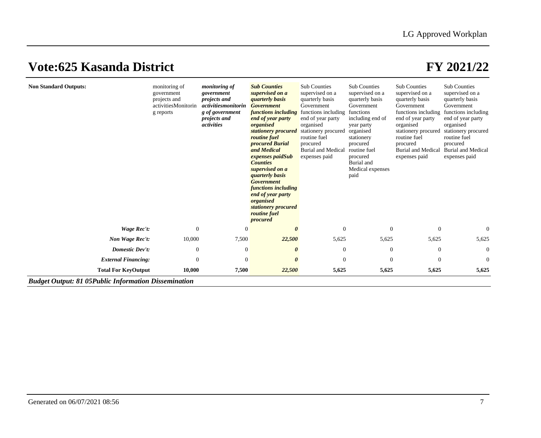| <b>Non Standard Outputs:</b> | monitoring of<br>government<br>projects and<br>activitiesMonitorin<br>g reports | <i>monitoring of</i><br>government<br><i>projects and</i><br>activitiesmonitorin<br>g of government<br><i>projects and</i><br>activities | <b>Sub Counties</b><br>supervised on a<br><i><b>quarterly basis</b></i><br><b>Government</b><br>functions including<br>end of year party<br>organised<br>stationery procured<br><i>routine fuel</i><br>procured Burial<br>and Medical<br><i>expenses paidSub</i><br><b>Counties</b><br>supervised on a<br><i>quarterly basis</i><br><b>Government</b><br>functions including<br>end of year party<br>organised<br>stationery procured<br>routine fuel<br>procured | <b>Sub Counties</b><br>supervised on a<br>quarterly basis<br>Government<br>functions including<br>end of year party<br>organised<br>stationery procured<br>routine fuel<br>procured<br><b>Burial and Medical</b><br>expenses paid | <b>Sub Counties</b><br>supervised on a<br>quarterly basis<br>Government<br>functions<br>including end of<br>year party<br>organised<br>stationery<br>procured<br>routine fuel<br>procured<br>Burial and<br>Medical expenses<br>paid | <b>Sub Counties</b><br>supervised on a<br>quarterly basis<br>Government<br>functions including<br>end of year party<br>organised<br>stationery procured<br>routine fuel<br>procured<br><b>Burial and Medical</b><br>expenses paid | Sub Counties<br>supervised on a<br>quarterly basis<br>Government<br>functions including<br>end of year party<br>organised<br>stationery procured<br>routine fuel<br>procured<br><b>Burial and Medical</b><br>expenses paid |
|------------------------------|---------------------------------------------------------------------------------|------------------------------------------------------------------------------------------------------------------------------------------|-------------------------------------------------------------------------------------------------------------------------------------------------------------------------------------------------------------------------------------------------------------------------------------------------------------------------------------------------------------------------------------------------------------------------------------------------------------------|-----------------------------------------------------------------------------------------------------------------------------------------------------------------------------------------------------------------------------------|-------------------------------------------------------------------------------------------------------------------------------------------------------------------------------------------------------------------------------------|-----------------------------------------------------------------------------------------------------------------------------------------------------------------------------------------------------------------------------------|----------------------------------------------------------------------------------------------------------------------------------------------------------------------------------------------------------------------------|
| Wage Rec't:                  | $\mathbf{0}$                                                                    | $\Omega$                                                                                                                                 | $\theta$                                                                                                                                                                                                                                                                                                                                                                                                                                                          | $\Omega$                                                                                                                                                                                                                          | $\overline{0}$                                                                                                                                                                                                                      | $\theta$                                                                                                                                                                                                                          | $\Omega$                                                                                                                                                                                                                   |
| Non Wage Rec't:              | 10,000                                                                          | 7,500                                                                                                                                    | 22,500                                                                                                                                                                                                                                                                                                                                                                                                                                                            | 5,625                                                                                                                                                                                                                             | 5,625                                                                                                                                                                                                                               | 5,625                                                                                                                                                                                                                             | 5,625                                                                                                                                                                                                                      |
| <b>Domestic Dev't:</b>       | $\mathbf{0}$                                                                    | $\theta$                                                                                                                                 | 0                                                                                                                                                                                                                                                                                                                                                                                                                                                                 | $\overline{0}$                                                                                                                                                                                                                    | $\overline{0}$                                                                                                                                                                                                                      | $\overline{0}$                                                                                                                                                                                                                    | $\theta$                                                                                                                                                                                                                   |
| <b>External Financing:</b>   | $\Omega$                                                                        | $\Omega$                                                                                                                                 | 0                                                                                                                                                                                                                                                                                                                                                                                                                                                                 | $\Omega$                                                                                                                                                                                                                          | $\Omega$                                                                                                                                                                                                                            | $\Omega$                                                                                                                                                                                                                          | $\Omega$                                                                                                                                                                                                                   |
| <b>Total For KeyOutput</b>   | 10,000                                                                          | 7,500                                                                                                                                    | 22,500                                                                                                                                                                                                                                                                                                                                                                                                                                                            | 5,625                                                                                                                                                                                                                             | 5,625                                                                                                                                                                                                                               | 5,625                                                                                                                                                                                                                             | 5,625                                                                                                                                                                                                                      |

*Budget Output: 81 05Public Information Dissemination*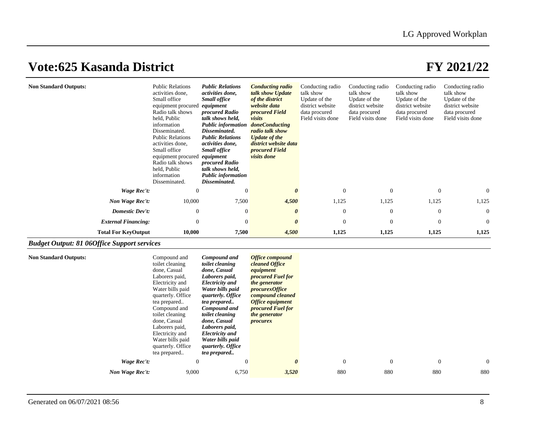| <b>Non Standard Outputs:</b> | <b>Public Relations</b><br>activities done.<br>Small office<br>equipment procured<br>Radio talk shows<br>held, Public<br>information<br>Disseminated.<br><b>Public Relations</b><br>activities done,<br>Small office<br>equipment procured<br>Radio talk shows<br>held, Public<br>information<br>Disseminated. | <b>Public Relations</b><br>activities done,<br><b>Small office</b><br>equipment<br>procured Radio<br>talk shows held,<br>Public information<br>Disseminated.<br><b>Public Relations</b><br>activities done,<br><b>Small office</b><br>equipment<br>procured Radio<br>talk shows held,<br>Public information<br>Disseminated. | <b>Conducting radio</b><br>talk show Update<br>of the district<br>website data<br><i>procured Field</i><br>visits<br><i>doneConducting</i><br>radio talk show<br><b>Update of the</b><br>district website data<br><i>procured Field</i><br><i>visits done</i> | Conducting radio<br>talk show<br>Update of the<br>district website<br>data procured<br>Field visits done | Conducting radio<br>talk show<br>Update of the<br>district website<br>data procured<br>Field visits done | Conducting radio<br>talk show<br>Update of the<br>district website<br>data procured<br>Field visits done | Conducting radio<br>talk show<br>Update of the<br>district website<br>data procured<br>Field visits done |
|------------------------------|----------------------------------------------------------------------------------------------------------------------------------------------------------------------------------------------------------------------------------------------------------------------------------------------------------------|------------------------------------------------------------------------------------------------------------------------------------------------------------------------------------------------------------------------------------------------------------------------------------------------------------------------------|---------------------------------------------------------------------------------------------------------------------------------------------------------------------------------------------------------------------------------------------------------------|----------------------------------------------------------------------------------------------------------|----------------------------------------------------------------------------------------------------------|----------------------------------------------------------------------------------------------------------|----------------------------------------------------------------------------------------------------------|
| Wage Rec't:                  | $\Omega$                                                                                                                                                                                                                                                                                                       | $\Omega$                                                                                                                                                                                                                                                                                                                     | 0                                                                                                                                                                                                                                                             | $\Omega$                                                                                                 | $\Omega$                                                                                                 | $\Omega$                                                                                                 | 0                                                                                                        |
| Non Wage Rec't:              | 10,000                                                                                                                                                                                                                                                                                                         | 7,500                                                                                                                                                                                                                                                                                                                        | 4,500                                                                                                                                                                                                                                                         | 1,125                                                                                                    | 1,125                                                                                                    | 1,125                                                                                                    | 1,125                                                                                                    |
| <b>Domestic Dev't:</b>       | $\mathbf{0}$                                                                                                                                                                                                                                                                                                   | $\theta$                                                                                                                                                                                                                                                                                                                     | $\boldsymbol{\theta}$                                                                                                                                                                                                                                         | $\overline{0}$                                                                                           | $\Omega$                                                                                                 | $\theta$                                                                                                 | $\overline{0}$                                                                                           |
| <b>External Financing:</b>   | $\Omega$                                                                                                                                                                                                                                                                                                       | $\Omega$                                                                                                                                                                                                                                                                                                                     | $\theta$                                                                                                                                                                                                                                                      | $\Omega$                                                                                                 | $\Omega$                                                                                                 | $\Omega$                                                                                                 | $\overline{0}$                                                                                           |
| <b>Total For KeyOutput</b>   | 10,000                                                                                                                                                                                                                                                                                                         | 7,500                                                                                                                                                                                                                                                                                                                        | 4,500                                                                                                                                                                                                                                                         | 1,125                                                                                                    | 1,125                                                                                                    | 1,125                                                                                                    | 1,125                                                                                                    |

## *Budget Output: 81 06Office Support services*

| <b>Non Standard Outputs:</b> | Compound and<br>toilet cleaning<br>done, Casual<br>Laborers paid,<br>Electricity and<br>Water bills paid<br>quarterly. Office<br>tea prepared<br>Compound and<br>toilet cleaning<br>done, Casual<br>Laborers paid,<br>Electricity and<br>Water bills paid<br>quarterly. Office<br>tea prepared | Compound and<br>toilet cleaning<br>done, Casual<br>Laborers paid,<br><b>Electricity</b> and<br>Water bills paid<br>quarterly. Office<br>tea prepared<br><b>Compound and</b><br>toilet cleaning<br>done, Casual<br>Laborers paid,<br><b>Electricity</b> and<br>Water bills paid<br><i>quarterly. Office</i><br>tea prepared | <b>Office compound</b><br>cleaned Office<br>equipment<br><i>procured Fuel for</i><br>the generator<br>procedurexOffice<br>compound cleaned<br><b>Office equipment</b><br><i>procured Fuel for</i><br>the generator<br>procurex |                |          |              |                |
|------------------------------|------------------------------------------------------------------------------------------------------------------------------------------------------------------------------------------------------------------------------------------------------------------------------------------------|----------------------------------------------------------------------------------------------------------------------------------------------------------------------------------------------------------------------------------------------------------------------------------------------------------------------------|--------------------------------------------------------------------------------------------------------------------------------------------------------------------------------------------------------------------------------|----------------|----------|--------------|----------------|
| Wage Rec't:                  | $\theta$                                                                                                                                                                                                                                                                                       | $\overline{0}$                                                                                                                                                                                                                                                                                                             | $\boldsymbol{\theta}$                                                                                                                                                                                                          | $\overline{0}$ | $\theta$ | $\mathbf{0}$ | $\overline{0}$ |
| Non Wage Rec't:              | 9,000                                                                                                                                                                                                                                                                                          | 6,750                                                                                                                                                                                                                                                                                                                      | 3,520                                                                                                                                                                                                                          | 880            | 880      | 880          | 880            |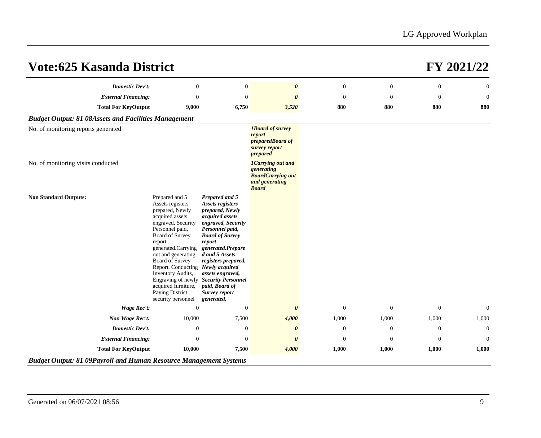| <b>Vote:625 Kasanda District</b>                            |                                                                                                                                                                                                                                                                                                                                                                                         |                                                                                                                                                                                                                                                                                          |                                                                                                      |                  |                  |              | FY 2021/22       |
|-------------------------------------------------------------|-----------------------------------------------------------------------------------------------------------------------------------------------------------------------------------------------------------------------------------------------------------------------------------------------------------------------------------------------------------------------------------------|------------------------------------------------------------------------------------------------------------------------------------------------------------------------------------------------------------------------------------------------------------------------------------------|------------------------------------------------------------------------------------------------------|------------------|------------------|--------------|------------------|
| <b>Domestic Dev't:</b>                                      | $\boldsymbol{0}$                                                                                                                                                                                                                                                                                                                                                                        | $\boldsymbol{0}$                                                                                                                                                                                                                                                                         | $\boldsymbol{\theta}$                                                                                | $\boldsymbol{0}$ | $\boldsymbol{0}$ | $\mathbf{0}$ | $\boldsymbol{0}$ |
| <b>External Financing:</b>                                  | $\mathbf{0}$                                                                                                                                                                                                                                                                                                                                                                            | $\theta$                                                                                                                                                                                                                                                                                 |                                                                                                      | $\overline{0}$   | $\Omega$         | $\Omega$     | $\mathbf{0}$     |
| <b>Total For KeyOutput</b>                                  | 9,000                                                                                                                                                                                                                                                                                                                                                                                   | 6,750                                                                                                                                                                                                                                                                                    | 3,520                                                                                                | 880              | 880              | 880          | 880              |
| <b>Budget Output: 81 08Assets and Facilities Management</b> |                                                                                                                                                                                                                                                                                                                                                                                         |                                                                                                                                                                                                                                                                                          |                                                                                                      |                  |                  |              |                  |
| No. of monitoring reports generated                         |                                                                                                                                                                                                                                                                                                                                                                                         |                                                                                                                                                                                                                                                                                          | <b>IBoard of survey</b><br>report<br>preparedBoard of<br>survey report<br>prepared                   |                  |                  |              |                  |
| No. of monitoring visits conducted                          |                                                                                                                                                                                                                                                                                                                                                                                         |                                                                                                                                                                                                                                                                                          | <b>1Carrying out and</b><br>generating<br><b>BoardCarrying out</b><br>and generating<br><b>Board</b> |                  |                  |              |                  |
| <b>Non Standard Outputs:</b>                                | Prepared and 5<br>Assets registers<br>prepared, Newly<br>acquired assets<br>engraved, Security<br>Personnel paid,<br><b>Board of Survey</b><br>report<br>generated.Carrying<br>out and generating<br>Board of Survey<br>Report, Conducting Newly acquired<br>Inventory Audits,<br>Engraving of newly Security Personnel<br>acquired furniture,<br>Paying District<br>security personnel | Prepared and 5<br>Assets registers<br>prepared, Newly<br>acquired assets<br>engraved, Security<br>Personnel paid,<br><b>Board of Survey</b><br>report<br>generated.Prepare<br>d and 5 Assets<br>registers prepared,<br>assets engraved,<br>paid, Board of<br>Survey report<br>generated. |                                                                                                      |                  |                  |              |                  |
| Wage Rec't:                                                 | $\overline{0}$                                                                                                                                                                                                                                                                                                                                                                          | $\mathbf{0}$                                                                                                                                                                                                                                                                             | $\boldsymbol{\theta}$                                                                                | $\boldsymbol{0}$ | $\theta$         | $\theta$     | $\boldsymbol{0}$ |
| Non Wage Rec't:                                             | 10,000                                                                                                                                                                                                                                                                                                                                                                                  | 7,500                                                                                                                                                                                                                                                                                    | 4,000                                                                                                | 1,000            | 1,000            | 1,000        | 1,000            |
| <b>Domestic Dev't:</b>                                      | $\mathbf{0}$                                                                                                                                                                                                                                                                                                                                                                            | $\boldsymbol{0}$                                                                                                                                                                                                                                                                         | $\boldsymbol{\theta}$                                                                                | $\mathbf{0}$     | $\mathbf{0}$     | $\mathbf{0}$ | $\mathbf{0}$     |
| <b>External Financing:</b>                                  | $\Omega$                                                                                                                                                                                                                                                                                                                                                                                | $\overline{0}$                                                                                                                                                                                                                                                                           | 0                                                                                                    | $\overline{0}$   | $\Omega$         | $\Omega$     | $\Omega$         |
| <b>Total For KeyOutput</b>                                  | 10,000                                                                                                                                                                                                                                                                                                                                                                                  | 7,500                                                                                                                                                                                                                                                                                    | 4,000                                                                                                | 1,000            | 1,000            | 1,000        | 1,000            |

*Budget Output: 81 09Payroll and Human Resource Management Systems*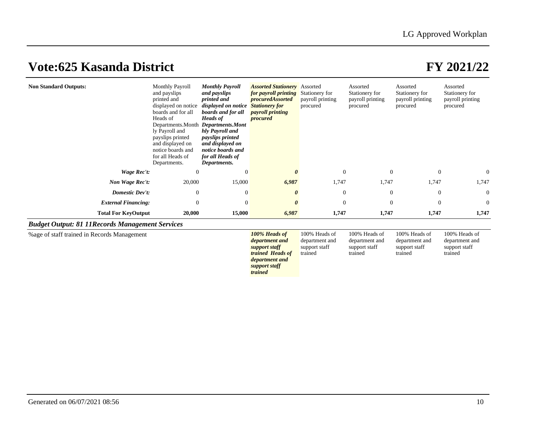100% Heads of department and support staff trained

## **Vote:625 Kasanda District FY 2021/22**

100% Heads of department and support staff trained

| <b>Non Standard Outputs:</b> | <b>Monthly Payroll</b><br>and payslips<br>printed and<br>displayed on notice<br>boards and for all<br>Heads of<br>Departments.Month Departments.Mont<br>ly Payroll and<br>payslips printed<br>and displayed on<br>notice boards and<br>for all Heads of<br>Departments. | <b>Monthly Payroll</b><br>and payslips<br>printed and<br>displayed on notice<br>boards and for all<br>Heads of<br>hly Payroll and<br><i>payslips printed</i><br>and displayed on<br>notice boards and<br>for all Heads of<br>Departments. | <b>Assorted Stationery</b> Assorted<br>for payroll printing<br><i>procuredAssorted</i><br><b>Stationery for</b><br><i>payroll printing</i><br>procured | Stationery for<br>payroll printing<br>procured | Assorted<br>Stationery for<br>payroll printing<br>procured | Assorted<br>Stationery for<br>payroll printing<br>procured | Assorted<br>Stationery for<br>payroll printing<br>procured |
|------------------------------|-------------------------------------------------------------------------------------------------------------------------------------------------------------------------------------------------------------------------------------------------------------------------|-------------------------------------------------------------------------------------------------------------------------------------------------------------------------------------------------------------------------------------------|--------------------------------------------------------------------------------------------------------------------------------------------------------|------------------------------------------------|------------------------------------------------------------|------------------------------------------------------------|------------------------------------------------------------|
| Wage Rec't:                  | $\mathbf{0}$                                                                                                                                                                                                                                                            | $\Omega$                                                                                                                                                                                                                                  | 0                                                                                                                                                      | $\theta$                                       | $\Omega$                                                   | $\mathbf{0}$                                               | $\overline{0}$                                             |
| Non Wage Rec't:              | 20,000                                                                                                                                                                                                                                                                  | 15,000                                                                                                                                                                                                                                    | 6,987                                                                                                                                                  | 1,747                                          | 1,747                                                      | 1,747                                                      | 1,747                                                      |
| Domestic Dev't:              | $\mathbf{0}$                                                                                                                                                                                                                                                            | $\theta$                                                                                                                                                                                                                                  | $\theta$                                                                                                                                               | $\overline{0}$                                 | $\theta$                                                   | $\boldsymbol{0}$                                           | $\overline{0}$                                             |
| <b>External Financing:</b>   | $\Omega$                                                                                                                                                                                                                                                                | $\theta$                                                                                                                                                                                                                                  | $\boldsymbol{\theta}$                                                                                                                                  | $\theta$                                       | $\Omega$                                                   | $\mathbf{0}$                                               | $\overline{0}$                                             |
| <b>Total For KeyOutput</b>   | 20,000                                                                                                                                                                                                                                                                  | 15,000                                                                                                                                                                                                                                    | 6,987                                                                                                                                                  | 1,747                                          | 1,747                                                      | 1,747                                                      | 1,747                                                      |

## *Budget Output: 81 11Records Management Services*

%age of staff trained in Records Management *100% Heads of* 

*department and support staff trained Heads of department and support staff trained*  100% Heads of department and support staff trained 100% Heads of department and support staff trained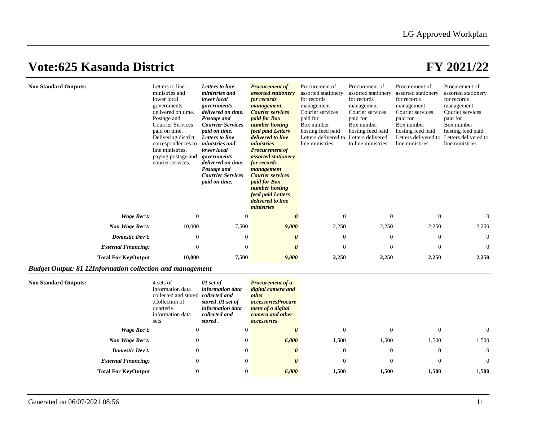|                            |                | <b>Courrier Services</b><br>paid on time. | <b>Courier services</b><br><i>paid for Box</i><br>number hosting<br>feed paid Letters<br>delivered to line<br>ministries |          |          |                |                |
|----------------------------|----------------|-------------------------------------------|--------------------------------------------------------------------------------------------------------------------------|----------|----------|----------------|----------------|
| Wage Rec't:                | $\overline{0}$ |                                           |                                                                                                                          | $\Omega$ | $\Omega$ | $\overline{0}$ | $\Omega$       |
| Non Wage Rec't:            | 10,000         | 7,500                                     | 9,000                                                                                                                    | 2,250    | 2,250    | 2,250          | 2,250          |
| Domestic Dev't:            | $\theta$       | $\overline{0}$                            |                                                                                                                          | $\Omega$ | $\Omega$ | $\theta$       | $\overline{0}$ |
| <b>External Financing:</b> | $\Omega$       | $\Omega$                                  |                                                                                                                          | $\Omega$ | $\Omega$ | $\theta$       | $\overline{0}$ |
| <b>Total For KeyOutput</b> | 10,000         | 7,500                                     | 9,000                                                                                                                    | 2,250    | 2,250    | 2,250          | 2,250          |

## **Non Standard Outputs:** 4 sets of information data collected and stored *collected and*  .Collection of quarterly information data sets *01 set of information data stored .01 set of information data collected and stored . Procurement of a digital camera and other accessoriesProcure ment of a digital camera and other accessories Wage Rec't:* 0 0 *0* 0 0 0 0 *Non Wage Rec't:* 0 0 *6,000* 1,500 1,500 1,500 1,500 *Domestic Dev't:* 0 0 *0* 0 0 0 0 *External Financing:* 0 0 *0* 0 0 0 0 **Total For KeyOutput 0 0** *6,000* **1,500 1,500 1,500 1,500**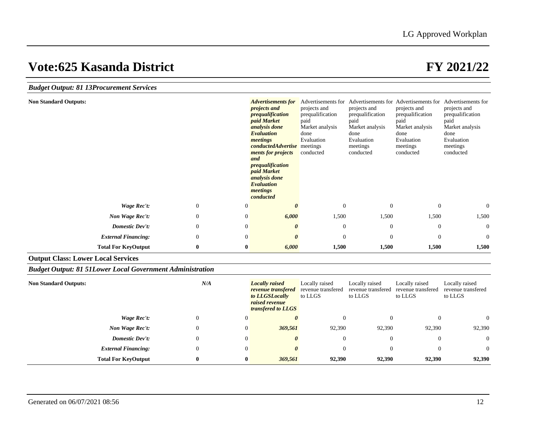| <b>Budget Output: 81 13Procurement Services</b>                  |                |                |                                                                                                                                                                                                                                                                                                            |                                                                                                |                                                                                                            |                                                                                                                                                                                           |                                                                                                            |
|------------------------------------------------------------------|----------------|----------------|------------------------------------------------------------------------------------------------------------------------------------------------------------------------------------------------------------------------------------------------------------------------------------------------------------|------------------------------------------------------------------------------------------------|------------------------------------------------------------------------------------------------------------|-------------------------------------------------------------------------------------------------------------------------------------------------------------------------------------------|------------------------------------------------------------------------------------------------------------|
| <b>Non Standard Outputs:</b>                                     |                |                | <b>Advertisements for</b><br><i>projects and</i><br>prequalification<br>paid Market<br>analysis done<br><b>Evaluation</b><br>meetings<br><b>conductedAdvertise</b> meetings<br>ments for projects<br>and<br>prequalification<br>paid Market<br>analysis done<br><b>Evaluation</b><br>meetings<br>conducted | projects and<br>prequalification<br>paid<br>Market analysis<br>done<br>Evaluation<br>conducted | projects and<br>prequalification<br>paid<br>Market analysis<br>done<br>Evaluation<br>meetings<br>conducted | Advertisements for Advertisements for Advertisements for Advertisements for<br>projects and<br>prequalification<br>paid<br>Market analysis<br>done<br>Evaluation<br>meetings<br>conducted | projects and<br>prequalification<br>paid<br>Market analysis<br>done<br>Evaluation<br>meetings<br>conducted |
| Wage Rec't:                                                      | $\overline{0}$ | $\mathbf{0}$   |                                                                                                                                                                                                                                                                                                            | $\boldsymbol{0}$                                                                               | $\mathbf{0}$                                                                                               | $\mathbf{0}$                                                                                                                                                                              | $\overline{0}$                                                                                             |
| Non Wage Rec't:                                                  | $\Omega$       | $\mathbf{0}$   | 6,000                                                                                                                                                                                                                                                                                                      | 1,500                                                                                          | 1,500                                                                                                      | 1,500                                                                                                                                                                                     | 1,500                                                                                                      |
| <b>Domestic Dev't:</b>                                           | $\mathbf{0}$   | $\overline{0}$ | O                                                                                                                                                                                                                                                                                                          | $\mathbf{0}$                                                                                   | $\theta$                                                                                                   | $\theta$                                                                                                                                                                                  | $\mathbf{0}$                                                                                               |
| <b>External Financing:</b>                                       | $\mathbf{0}$   | $\mathbf{0}$   | $\theta$                                                                                                                                                                                                                                                                                                   | $\overline{0}$                                                                                 | $\Omega$                                                                                                   | $\theta$                                                                                                                                                                                  | $\Omega$                                                                                                   |
| <b>Total For KeyOutput</b>                                       | $\bf{0}$       | $\bf{0}$       | 6,000                                                                                                                                                                                                                                                                                                      | 1,500                                                                                          | 1,500                                                                                                      | 1,500                                                                                                                                                                                     | 1,500                                                                                                      |
| <b>Output Class: Lower Local Services</b>                        |                |                |                                                                                                                                                                                                                                                                                                            |                                                                                                |                                                                                                            |                                                                                                                                                                                           |                                                                                                            |
| <b>Budget Output: 81 51Lower Local Government Administration</b> |                |                |                                                                                                                                                                                                                                                                                                            |                                                                                                |                                                                                                            |                                                                                                                                                                                           |                                                                                                            |
| <b>Non Standard Outputs:</b>                                     | N/A            |                | <b>Locally</b> raised<br>revenue transfered<br>to LLGSLocally<br>raised revenue<br>transfered to LLGS                                                                                                                                                                                                      | Locally raised<br>revenue transfered<br>to LLGS                                                | Locally raised<br>revenue transfered<br>to LLGS                                                            | Locally raised<br>revenue transfered<br>to LLGS                                                                                                                                           | Locally raised<br>revenue transfered<br>to LLGS                                                            |
| Wage Rec't:                                                      | $\overline{0}$ | $\mathbf{0}$   | $\boldsymbol{\theta}$                                                                                                                                                                                                                                                                                      | $\mathbf{0}$                                                                                   | $\theta$                                                                                                   | $\mathbf{0}$                                                                                                                                                                              | $\Omega$                                                                                                   |
| Non Wage Rec't:                                                  | $\mathbf{0}$   | $\overline{0}$ | 369,561                                                                                                                                                                                                                                                                                                    | 92,390                                                                                         | 92,390                                                                                                     | 92,390                                                                                                                                                                                    | 92,390                                                                                                     |
| <b>Domestic Dev't:</b>                                           | $\overline{0}$ | $\overline{0}$ | $\theta$                                                                                                                                                                                                                                                                                                   | $\mathbf{0}$                                                                                   | $\theta$                                                                                                   | $\mathbf{0}$                                                                                                                                                                              | $\boldsymbol{0}$                                                                                           |
| <b>External Financing:</b>                                       | $\mathbf{0}$   | $\overline{0}$ | $\theta$                                                                                                                                                                                                                                                                                                   | $\overline{0}$                                                                                 | $\Omega$                                                                                                   | $\theta$                                                                                                                                                                                  | $\Omega$                                                                                                   |
| <b>Total For KeyOutput</b>                                       | 0              | $\bf{0}$       | 369,561                                                                                                                                                                                                                                                                                                    | 92.390                                                                                         | 92,390                                                                                                     | 92,390                                                                                                                                                                                    | 92,390                                                                                                     |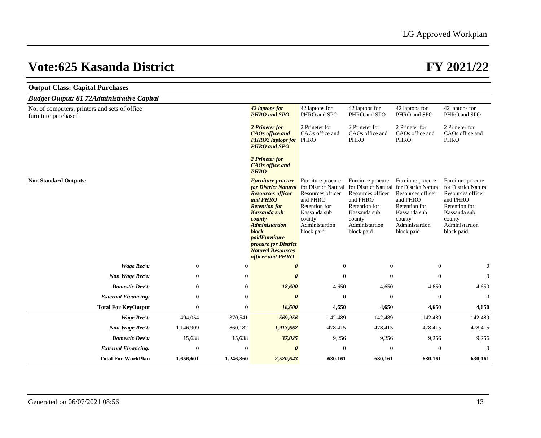| <b>Output Class: Capital Purchases</b>                               |                  |              |                                                                                                                                                                                                                                                                                            |                                                                                                                                                       |                                                                                                                               |                                                                                                                                                                            |                                                                                                                                                       |
|----------------------------------------------------------------------|------------------|--------------|--------------------------------------------------------------------------------------------------------------------------------------------------------------------------------------------------------------------------------------------------------------------------------------------|-------------------------------------------------------------------------------------------------------------------------------------------------------|-------------------------------------------------------------------------------------------------------------------------------|----------------------------------------------------------------------------------------------------------------------------------------------------------------------------|-------------------------------------------------------------------------------------------------------------------------------------------------------|
| <b>Budget Output: 81 72Administrative Capital</b>                    |                  |              |                                                                                                                                                                                                                                                                                            |                                                                                                                                                       |                                                                                                                               |                                                                                                                                                                            |                                                                                                                                                       |
| No. of computers, printers and sets of office<br>furniture purchased |                  |              | 42 laptops for<br><b>PHRO</b> and SPO                                                                                                                                                                                                                                                      | 42 laptops for<br>PHRO and SPO                                                                                                                        | 42 laptops for<br>PHRO and SPO                                                                                                | 42 laptops for<br>PHRO and SPO                                                                                                                                             | 42 laptops for<br>PHRO and SPO                                                                                                                        |
|                                                                      |                  |              | 2 Prineter for<br><b>CAOs</b> office and<br><b>PHRO2</b> laptops for PHRO<br><b>PHRO</b> and SPO                                                                                                                                                                                           | 2 Prineter for<br>CAOs office and                                                                                                                     | 2 Prineter for<br>CAOs office and<br><b>PHRO</b>                                                                              | 2 Prineter for<br>CAOs office and<br><b>PHRO</b>                                                                                                                           | 2 Prineter for<br>CAOs office and<br><b>PHRO</b>                                                                                                      |
|                                                                      |                  |              | 2 Prineter for<br><b>CAOs</b> office and<br><b>PHRO</b>                                                                                                                                                                                                                                    |                                                                                                                                                       |                                                                                                                               |                                                                                                                                                                            |                                                                                                                                                       |
| <b>Non Standard Outputs:</b>                                         |                  |              | <b>Furniture procure</b><br><b>for District Natural</b><br><b>Resources officer</b><br>and PHRO<br><b>Retention for</b><br>Kassanda sub<br>county<br><b>Administartion</b><br>block<br><i>paidFurniture</i><br><i>procure for District</i><br><b>Natural Resources</b><br>officer and PHRO | Furniture procure<br>for District Natural<br>Resources officer<br>and PHRO<br>Retention for<br>Kassanda sub<br>county<br>Administartion<br>block paid | Furniture procure<br>Resources officer<br>and PHRO<br>Retention for<br>Kassanda sub<br>county<br>Administartion<br>block paid | Furniture procure<br>for District Natural for District Natural<br>Resources officer<br>and PHRO<br>Retention for<br>Kassanda sub<br>county<br>Administartion<br>block paid | Furniture procure<br>for District Natural<br>Resources officer<br>and PHRO<br>Retention for<br>Kassanda sub<br>county<br>Administartion<br>block paid |
| <b>Wage Rec't:</b>                                                   | $\mathbf{0}$     | $\mathbf{0}$ | 0                                                                                                                                                                                                                                                                                          | $\mathbf{0}$                                                                                                                                          | $\mathbf{0}$                                                                                                                  | $\boldsymbol{0}$                                                                                                                                                           | $\overline{0}$                                                                                                                                        |
| Non Wage Rec't:                                                      | $\boldsymbol{0}$ | $\mathbf{0}$ | $\theta$                                                                                                                                                                                                                                                                                   | $\overline{0}$                                                                                                                                        | $\boldsymbol{0}$                                                                                                              | $\boldsymbol{0}$                                                                                                                                                           | $\mathbf{0}$                                                                                                                                          |
| Domestic Dev't:                                                      | $\boldsymbol{0}$ | $\mathbf{0}$ | 18,600                                                                                                                                                                                                                                                                                     | 4,650                                                                                                                                                 | 4,650                                                                                                                         | 4,650                                                                                                                                                                      | 4,650                                                                                                                                                 |
| <b>External Financing:</b>                                           | $\mathbf{0}$     | $\theta$     | $\boldsymbol{\theta}$                                                                                                                                                                                                                                                                      | $\Omega$                                                                                                                                              | $\mathbf{0}$                                                                                                                  | $\mathbf{0}$                                                                                                                                                               | $\Omega$                                                                                                                                              |
| <b>Total For KeyOutput</b>                                           | $\bf{0}$         | $\bf{0}$     | 18,600                                                                                                                                                                                                                                                                                     | 4,650                                                                                                                                                 | 4,650                                                                                                                         | 4,650                                                                                                                                                                      | 4,650                                                                                                                                                 |
| Wage Rec't:                                                          | 494,054          | 370,541      | 569,956                                                                                                                                                                                                                                                                                    | 142,489                                                                                                                                               | 142,489                                                                                                                       | 142,489                                                                                                                                                                    | 142,489                                                                                                                                               |
| Non Wage Rec't:                                                      | 1,146,909        | 860,182      | 1,913,662                                                                                                                                                                                                                                                                                  | 478,415                                                                                                                                               | 478,415                                                                                                                       | 478,415                                                                                                                                                                    | 478,415                                                                                                                                               |
| Domestic Dev't:                                                      | 15,638           | 15,638       | 37,025                                                                                                                                                                                                                                                                                     | 9,256                                                                                                                                                 | 9,256                                                                                                                         | 9,256                                                                                                                                                                      | 9,256                                                                                                                                                 |
| <b>External Financing:</b>                                           | $\Omega$         | $\mathbf{0}$ | $\boldsymbol{\theta}$                                                                                                                                                                                                                                                                      | $\overline{0}$                                                                                                                                        | $\mathbf{0}$                                                                                                                  | $\Omega$                                                                                                                                                                   | $\Omega$                                                                                                                                              |
| <b>Total For WorkPlan</b>                                            | 1,656,601        | 1,246,360    | 2,520,643                                                                                                                                                                                                                                                                                  | 630.161                                                                                                                                               | 630.161                                                                                                                       | 630.161                                                                                                                                                                    | 630,161                                                                                                                                               |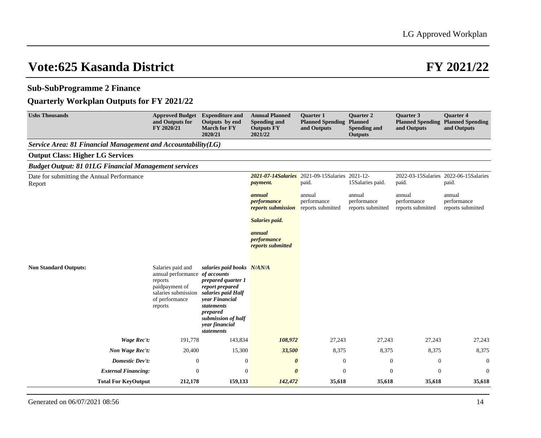## **Sub-SubProgramme 2 Finance**

## **Quarterly Workplan Outputs for FY 2021/22**

| <b>Ushs Thousands</b>                                        | <b>Approved Budget</b><br>and Outputs for<br>FY 2020/21                                                                              | <b>Expenditure and</b><br>Outputs by end<br><b>March for FY</b><br>2020/21                                                                                                                  | <b>Annual Planned</b><br><b>Spending and</b><br><b>Outputs FY</b><br>2021/22 | <b>Ouarter 1</b><br><b>Planned Spending</b><br>and Outputs | <b>Ouarter 2</b><br><b>Planned</b><br><b>Spending and</b><br><b>Outputs</b> | <b>Ouarter 3</b><br><b>Planned Spending</b><br>and Outputs | <b>Ouarter 4</b><br><b>Planned Spending</b><br>and Outputs |
|--------------------------------------------------------------|--------------------------------------------------------------------------------------------------------------------------------------|---------------------------------------------------------------------------------------------------------------------------------------------------------------------------------------------|------------------------------------------------------------------------------|------------------------------------------------------------|-----------------------------------------------------------------------------|------------------------------------------------------------|------------------------------------------------------------|
| Service Area: 81 Financial Management and Accountability(LG) |                                                                                                                                      |                                                                                                                                                                                             |                                                                              |                                                            |                                                                             |                                                            |                                                            |
| <b>Output Class: Higher LG Services</b>                      |                                                                                                                                      |                                                                                                                                                                                             |                                                                              |                                                            |                                                                             |                                                            |                                                            |
| <b>Budget Output: 81 01LG Financial Management services</b>  |                                                                                                                                      |                                                                                                                                                                                             |                                                                              |                                                            |                                                                             |                                                            |                                                            |
| Date for submitting the Annual Performance<br>Report         |                                                                                                                                      |                                                                                                                                                                                             | 2021-07-14Salaries<br><i>payment.</i>                                        | 2021-09-15Salaries 2021-12-<br>paid.                       | 15Salaries paid.                                                            | 2022-03-15Salaries 2022-06-15Salaries<br>paid.             | paid.                                                      |
|                                                              |                                                                                                                                      |                                                                                                                                                                                             | annual<br>performance<br>reports submission                                  | annual<br>performance<br>reports submitted                 | annual<br>performance<br>reports submitted                                  | annual<br>performance<br>reports submitted                 | annual<br>performance<br>reports submitted                 |
|                                                              |                                                                                                                                      |                                                                                                                                                                                             | Salaries paid.                                                               |                                                            |                                                                             |                                                            |                                                            |
|                                                              |                                                                                                                                      |                                                                                                                                                                                             | annual<br>performance<br>reports submitted                                   |                                                            |                                                                             |                                                            |                                                            |
| <b>Non Standard Outputs:</b>                                 | Salaries paid and<br>annual performance of accounts<br>reports<br>paidpayment of<br>salaries submission<br>of performance<br>reports | salaries paid books N/AN/A<br>prepared quarter 1<br>report prepared<br>salaries paid Half<br>vear Financial<br>statements<br>prepared<br>submission of half<br>year financial<br>statements |                                                                              |                                                            |                                                                             |                                                            |                                                            |
| Wage Rec't:                                                  | 191,778                                                                                                                              | 143,834                                                                                                                                                                                     | 108,972                                                                      | 27,243                                                     | 27,243                                                                      | 27,243                                                     | 27,243                                                     |
| Non Wage Rec't:                                              | 20,400                                                                                                                               | 15,300                                                                                                                                                                                      | 33,500                                                                       | 8,375                                                      | 8,375                                                                       | 8,375                                                      | 8,375                                                      |
| Domestic Dev't:                                              | $\mathbf{0}$                                                                                                                         | $\boldsymbol{0}$                                                                                                                                                                            | $\boldsymbol{\theta}$                                                        | $\mathbf{0}$                                               | $\mathbf{0}$                                                                | $\mathbf{0}$                                               | $\theta$                                                   |
| <b>External Financing:</b>                                   | $\boldsymbol{0}$                                                                                                                     | $\boldsymbol{0}$                                                                                                                                                                            | $\boldsymbol{\theta}$                                                        | $\boldsymbol{0}$                                           | $\boldsymbol{0}$                                                            | $\boldsymbol{0}$                                           | $\boldsymbol{0}$                                           |
| <b>Total For KeyOutput</b>                                   | 212,178                                                                                                                              | 159,133                                                                                                                                                                                     | 142,472                                                                      | 35,618                                                     | 35,618                                                                      | 35,618                                                     | 35,618                                                     |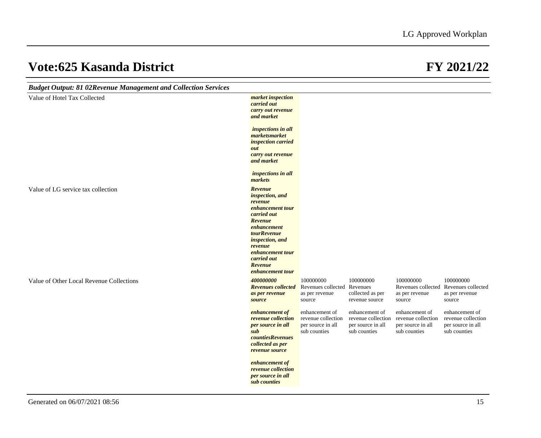| <b>Budget Output: 81 02Revenue Management and Collection Services</b> |                                                                                                                                                                                                                                         |                                                                           |                                                                           |                                                                           |                                                                                |
|-----------------------------------------------------------------------|-----------------------------------------------------------------------------------------------------------------------------------------------------------------------------------------------------------------------------------------|---------------------------------------------------------------------------|---------------------------------------------------------------------------|---------------------------------------------------------------------------|--------------------------------------------------------------------------------|
| Value of Hotel Tax Collected                                          | market inspection<br>carried out<br>carry out revenue<br>and market                                                                                                                                                                     |                                                                           |                                                                           |                                                                           |                                                                                |
|                                                                       | inspections in all<br>marketsmarket<br>inspection carried<br>out                                                                                                                                                                        |                                                                           |                                                                           |                                                                           |                                                                                |
|                                                                       | carry out revenue<br>and market                                                                                                                                                                                                         |                                                                           |                                                                           |                                                                           |                                                                                |
|                                                                       | inspections in all<br>markets                                                                                                                                                                                                           |                                                                           |                                                                           |                                                                           |                                                                                |
| Value of LG service tax collection                                    | Revenue<br><i>inspection</i> , and<br>revenue<br>enhancement tour<br>carried out<br>Revenue<br>enhancement<br><i>tourRevenue</i><br><i>inspection, and</i><br>revenue<br>enhancement tour<br>carried out<br>Revenue<br>enhancement tour |                                                                           |                                                                           |                                                                           |                                                                                |
| Value of Other Local Revenue Collections                              | 400000000<br><b>Revenues collected</b><br>as per revenue<br>source                                                                                                                                                                      | 100000000<br>Revenues collected<br>as per revenue<br>source               | 100000000<br>Revenues<br>collected as per<br>revenue source               | 100000000<br>as per revenue<br>source                                     | 100000000<br>Revenues collected Revenues collected<br>as per revenue<br>source |
|                                                                       | enhancement of<br>revenue collection<br>per source in all<br>sub<br><i>countiesRevenues</i><br>collected as per<br>revenue source                                                                                                       | enhancement of<br>revenue collection<br>per source in all<br>sub counties | enhancement of<br>revenue collection<br>per source in all<br>sub counties | enhancement of<br>revenue collection<br>per source in all<br>sub counties | enhancement of<br>revenue collection<br>per source in all<br>sub counties      |
|                                                                       | enhancement of<br>revenue collection<br>per source in all<br>sub counties                                                                                                                                                               |                                                                           |                                                                           |                                                                           |                                                                                |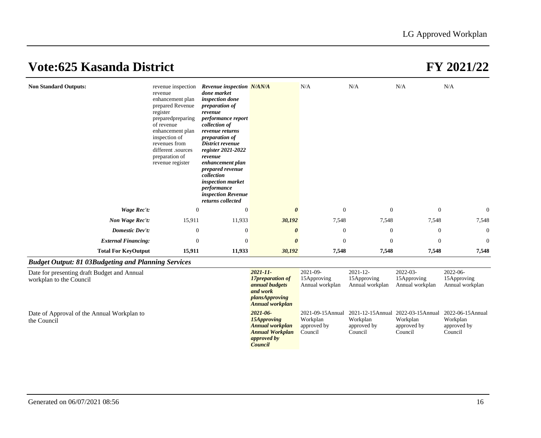| <b>Non Standard Outputs:</b>                                           | revenue<br>enhancement plan<br>prepared Revenue<br>register<br>prepared preparing<br>of revenue<br>enhancement plan<br>inspection of<br>revenues from<br>different .sources<br>preparation of<br>revenue register | revenue inspection Revenue inspection N/AN/A<br>done market<br>inspection done<br>preparation of<br>revenue<br>performance report<br>collection of<br>revenue returns<br><i>preparation of</i><br>District revenue<br>register 2021-2022<br>revenue<br>enhancement plan<br>prepared revenue<br>collection<br>inspection market<br>performance<br>inspection Revenue<br>returns collected |                                                                                                           | N/A                                                    | N/A                                           | N/A                                                                                      | N/A                                        |
|------------------------------------------------------------------------|-------------------------------------------------------------------------------------------------------------------------------------------------------------------------------------------------------------------|------------------------------------------------------------------------------------------------------------------------------------------------------------------------------------------------------------------------------------------------------------------------------------------------------------------------------------------------------------------------------------------|-----------------------------------------------------------------------------------------------------------|--------------------------------------------------------|-----------------------------------------------|------------------------------------------------------------------------------------------|--------------------------------------------|
| Wage Rec't:                                                            | $\theta$                                                                                                                                                                                                          | $\theta$                                                                                                                                                                                                                                                                                                                                                                                 | $\theta$                                                                                                  | $\theta$                                               | $\theta$                                      | $\overline{0}$                                                                           | $\overline{0}$                             |
| Non Wage Rec't:                                                        | 15,911                                                                                                                                                                                                            | 11,933                                                                                                                                                                                                                                                                                                                                                                                   | 30,192                                                                                                    | 7,548                                                  | 7,548                                         | 7,548                                                                                    | 7,548                                      |
| Domestic Dev't:                                                        | $\mathbf{0}$                                                                                                                                                                                                      | $\mathbf{0}$                                                                                                                                                                                                                                                                                                                                                                             | 0                                                                                                         | $\mathbf{0}$                                           | $\mathbf{0}$                                  | $\mathbf{0}$                                                                             | $\mathbf{0}$                               |
| <b>External Financing:</b>                                             | $\mathbf{0}$                                                                                                                                                                                                      | $\mathbf{0}$                                                                                                                                                                                                                                                                                                                                                                             |                                                                                                           | $\theta$                                               | $\theta$                                      | $\theta$                                                                                 | $\mathbf{0}$                               |
| <b>Total For KeyOutput</b>                                             | 15,911                                                                                                                                                                                                            | 11,933                                                                                                                                                                                                                                                                                                                                                                                   | 30,192                                                                                                    | 7,548                                                  | 7,548                                         | 7,548                                                                                    | 7,548                                      |
| <b>Budget Output: 81 03Budgeting and Planning Services</b>             |                                                                                                                                                                                                                   |                                                                                                                                                                                                                                                                                                                                                                                          |                                                                                                           |                                                        |                                               |                                                                                          |                                            |
| Date for presenting draft Budget and Annual<br>workplan to the Council |                                                                                                                                                                                                                   |                                                                                                                                                                                                                                                                                                                                                                                          | $2021 - 11$<br>17preparation of<br>annual budgets<br>and work<br>plansApproving<br><b>Annual workplan</b> | $2021 - 09 -$<br>15Approving<br>Annual workplan        | $2021 - 12$<br>15Approving<br>Annual workplan | 2022-03-<br>15Approving<br>Annual workplan                                               | 2022-06-<br>15Approving<br>Annual workplan |
| Date of Approval of the Annual Workplan to<br>the Council              |                                                                                                                                                                                                                   |                                                                                                                                                                                                                                                                                                                                                                                          | $2021 - 06$<br>15Approving<br><b>Annual workplan</b><br><b>Annual Workplan</b><br>approved by             | 2021-09-15Annual<br>Workplan<br>approved by<br>Council | Workplan<br>approved by<br>Council            | 2021-12-15Annual 2022-03-15Annual 2022-06-15Annual<br>Workplan<br>approved by<br>Council | Workplan<br>approved by<br>Council         |

*Council*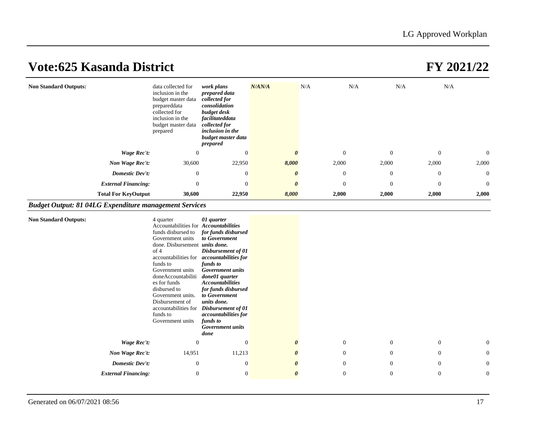| <b>Non Standard Outputs:</b> | data collected for<br>inclusion in the<br>budget master data<br>prepareddata<br>collected for<br>inclusion in the<br>budget master data<br>prepared | work plans<br>prepared data<br>collected for<br>consolidation<br>budget desk<br>facilitateddata<br>collected for<br>inclusion in the<br>budget master data<br>prepared | N/AN/A                | N/A            | N/A<br>N/A     |              | N/A            |
|------------------------------|-----------------------------------------------------------------------------------------------------------------------------------------------------|------------------------------------------------------------------------------------------------------------------------------------------------------------------------|-----------------------|----------------|----------------|--------------|----------------|
| Wage Rec't:                  | $\boldsymbol{0}$                                                                                                                                    | $\theta$                                                                                                                                                               |                       | $\theta$       | $\theta$       | $\mathbf{0}$ | $\overline{0}$ |
| Non Wage Rec't:              | 30,600                                                                                                                                              | 22,950                                                                                                                                                                 | 8,000                 | 2,000          | 2,000          | 2,000        | 2,000          |
| Domestic Dev't:              | $\theta$                                                                                                                                            | $\Omega$                                                                                                                                                               | $\theta$              | $\overline{0}$ | $\overline{0}$ | $\theta$     | $\overline{0}$ |
| <b>External Financing:</b>   | $\mathbf{0}$                                                                                                                                        | $\theta$                                                                                                                                                               | $\boldsymbol{\theta}$ | $\theta$       | $\mathbf{0}$   | $\mathbf{0}$ | $\overline{0}$ |
| <b>Total For KeyOutput</b>   | 30,600                                                                                                                                              | 22,950                                                                                                                                                                 | 8,000                 | 2,000          | 2,000          | 2,000        | 2,000          |

## *Budget Output: 81 04LG Expenditure management Services*

| <b>Non Standard Outputs:</b> | 4 quarter<br>Accountabilities for Accountabilities<br>funds disbursed to<br>Government units<br>done. Disbursement <i>units done</i> .<br>of 4<br>accountabilities for<br>funds to<br>Government units<br>doneAccountabiliti<br>es for funds<br>disbursed to<br>Government units.<br>Disbursement of<br>accountabilities for<br>funds to<br>Government units | 01 quarter<br>for funds disbursed<br>to Government<br>Disbursement of 01<br><i>accountabilities for</i><br>funds to<br><b>Government</b> units<br>done01 quarter<br><b>Accountabilities</b><br>for funds disbursed<br>to Government<br>units done.<br>Disbursement of 01<br>accountabilities for<br>funds to<br><b>Government</b> units<br>done |                       |              |                  |                  |                  |
|------------------------------|--------------------------------------------------------------------------------------------------------------------------------------------------------------------------------------------------------------------------------------------------------------------------------------------------------------------------------------------------------------|-------------------------------------------------------------------------------------------------------------------------------------------------------------------------------------------------------------------------------------------------------------------------------------------------------------------------------------------------|-----------------------|--------------|------------------|------------------|------------------|
| Wage Rec't:                  | $\theta$                                                                                                                                                                                                                                                                                                                                                     | $\overline{0}$                                                                                                                                                                                                                                                                                                                                  | $\boldsymbol{\theta}$ | $\mathbf{0}$ | $\theta$         | $\theta$         | $\overline{0}$   |
| Non Wage Rec't:              | 14,951                                                                                                                                                                                                                                                                                                                                                       | 11,213                                                                                                                                                                                                                                                                                                                                          | $\boldsymbol{\theta}$ | $\theta$     | $\boldsymbol{0}$ | $\boldsymbol{0}$ | $\boldsymbol{0}$ |
| <b>Domestic Dev't:</b>       | $\mathbf{0}$                                                                                                                                                                                                                                                                                                                                                 | $\boldsymbol{0}$                                                                                                                                                                                                                                                                                                                                | $\boldsymbol{\theta}$ | $\theta$     | $\theta$         | $\boldsymbol{0}$ | $\overline{0}$   |
| <b>External Financing:</b>   | $\mathbf{0}$                                                                                                                                                                                                                                                                                                                                                 | $\boldsymbol{0}$                                                                                                                                                                                                                                                                                                                                | $\boldsymbol{\theta}$ | $\theta$     | $\boldsymbol{0}$ | $\mathbf{0}$     | $\boldsymbol{0}$ |
|                              |                                                                                                                                                                                                                                                                                                                                                              |                                                                                                                                                                                                                                                                                                                                                 |                       |              |                  |                  |                  |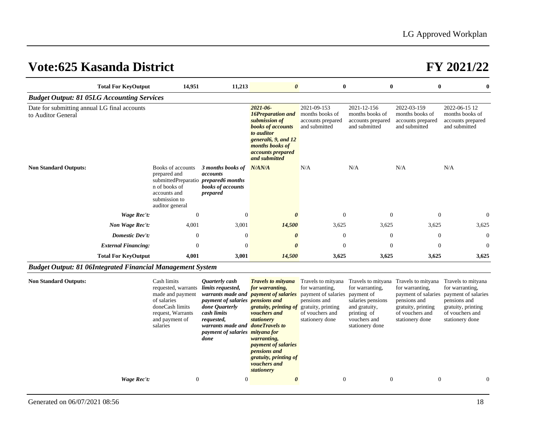|                                                                    | <b>Total For KeyOutput</b> | 14,951                                                                                                                                         | 11,213                                                                                                                                                                                                                                          | $\boldsymbol{\theta}$                                                                                                                                                                                                                                               | $\bf{0}$                                                                                                                      | $\bf{0}$                                                                                                | $\bf{0}$                                                                                                                                                                                                              | $\bf{0}$                                                                                    |
|--------------------------------------------------------------------|----------------------------|------------------------------------------------------------------------------------------------------------------------------------------------|-------------------------------------------------------------------------------------------------------------------------------------------------------------------------------------------------------------------------------------------------|---------------------------------------------------------------------------------------------------------------------------------------------------------------------------------------------------------------------------------------------------------------------|-------------------------------------------------------------------------------------------------------------------------------|---------------------------------------------------------------------------------------------------------|-----------------------------------------------------------------------------------------------------------------------------------------------------------------------------------------------------------------------|---------------------------------------------------------------------------------------------|
| <b>Budget Output: 81 05LG Accounting Services</b>                  |                            |                                                                                                                                                |                                                                                                                                                                                                                                                 |                                                                                                                                                                                                                                                                     |                                                                                                                               |                                                                                                         |                                                                                                                                                                                                                       |                                                                                             |
| Date for submitting annual LG final accounts<br>to Auditor General |                            |                                                                                                                                                |                                                                                                                                                                                                                                                 | $2021 - 06$<br><b>16Preparation and</b><br>submission of<br><b>books</b> of accounts<br>to auditor<br>general6, 9, and 12<br>months books of<br>accounts prepared<br>and submitted                                                                                  | 2021-09-153<br>months books of<br>accounts prepared<br>and submitted                                                          | 2021-12-156<br>months books of<br>accounts prepared<br>and submitted                                    | 2022-03-159<br>months books of<br>accounts prepared<br>and submitted                                                                                                                                                  | 2022-06-15 12<br>months books of<br>accounts prepared<br>and submitted                      |
| <b>Non Standard Outputs:</b>                                       |                            | Books of accounts<br>prepared and<br>submittedPreparatio prepared6 months<br>n of books of<br>accounts and<br>submission to<br>auditor general | 3 months books of<br>accounts<br>books of accounts<br>prepared                                                                                                                                                                                  | N/AN/A                                                                                                                                                                                                                                                              | N/A                                                                                                                           | N/A                                                                                                     | N/A                                                                                                                                                                                                                   | N/A                                                                                         |
|                                                                    | <b>Wage Rec't:</b>         | $\mathbf{0}$                                                                                                                                   | $\boldsymbol{0}$                                                                                                                                                                                                                                | $\boldsymbol{\theta}$                                                                                                                                                                                                                                               | $\mathbf{0}$                                                                                                                  | $\mathbf{0}$                                                                                            | $\boldsymbol{0}$                                                                                                                                                                                                      | $\theta$                                                                                    |
|                                                                    | Non Wage Rec't:            | 4,001                                                                                                                                          | 3,001                                                                                                                                                                                                                                           | 14,500                                                                                                                                                                                                                                                              | 3,625                                                                                                                         | 3,625                                                                                                   | 3,625                                                                                                                                                                                                                 | 3,625                                                                                       |
|                                                                    | <b>Domestic Dev't:</b>     | $\mathbf{0}$                                                                                                                                   | $\theta$                                                                                                                                                                                                                                        | $\boldsymbol{\theta}$                                                                                                                                                                                                                                               | $\mathbf{0}$                                                                                                                  | $\theta$                                                                                                | $\theta$                                                                                                                                                                                                              | $\theta$                                                                                    |
|                                                                    | <b>External Financing:</b> | $\mathbf{0}$                                                                                                                                   | $\mathbf{0}$                                                                                                                                                                                                                                    | $\boldsymbol{\theta}$                                                                                                                                                                                                                                               | $\mathbf{0}$                                                                                                                  | $\theta$                                                                                                | $\mathbf{0}$                                                                                                                                                                                                          | $\mathbf{0}$                                                                                |
|                                                                    | <b>Total For KeyOutput</b> | 4,001                                                                                                                                          | 3,001                                                                                                                                                                                                                                           | 14,500                                                                                                                                                                                                                                                              | 3,625                                                                                                                         | 3,625                                                                                                   | 3,625                                                                                                                                                                                                                 | 3,625                                                                                       |
| <b>Budget Output: 81 06Integrated Financial Management System</b>  |                            |                                                                                                                                                |                                                                                                                                                                                                                                                 |                                                                                                                                                                                                                                                                     |                                                                                                                               |                                                                                                         |                                                                                                                                                                                                                       |                                                                                             |
| <b>Non Standard Outputs:</b>                                       |                            | Cash limits<br>requested, warrants<br>made and payment<br>of salaries<br>doneCash limits<br>request, Warrants<br>and payment of<br>salaries    | <b>Ouarterly</b> cash<br>limits requested,<br>warrants made and<br>payment of salaries <b>pensions and</b><br>done Ouarterly<br>cash limits<br>requested,<br>warrants made and doneTravels to<br>payment of salaries <i>mityana for</i><br>done | <b>Travels to mityana</b><br>for warranting,<br><i>payment of salaries</i><br>gratuity, printing of<br>vouchers and<br>stationery<br>warranting,<br><i>payment of salaries</i><br><i>pensions and</i><br>gratuity, printing of<br><i>vouchers and</i><br>stationery | for warranting,<br>payment of salaries payment of<br>pensions and<br>gratuity, printing<br>of vouchers and<br>stationery done | for warranting,<br>salaries pensions<br>and gratuity,<br>printing of<br>vouchers and<br>stationery done | Travels to mityana Travels to mityana Travels to mityana Travels to mityana<br>for warranting,<br>payment of salaries payment of salaries<br>pensions and<br>gratuity, printing<br>of vouchers and<br>stationery done | for warranting,<br>pensions and<br>gratuity, printing<br>of vouchers and<br>stationery done |
|                                                                    | <b>Wage Rec't:</b>         | $\mathbf{0}$                                                                                                                                   | $\boldsymbol{0}$                                                                                                                                                                                                                                | $\boldsymbol{\theta}$                                                                                                                                                                                                                                               | $\mathbf{0}$                                                                                                                  | $\mathbf{0}$                                                                                            | $\boldsymbol{0}$                                                                                                                                                                                                      | $\theta$                                                                                    |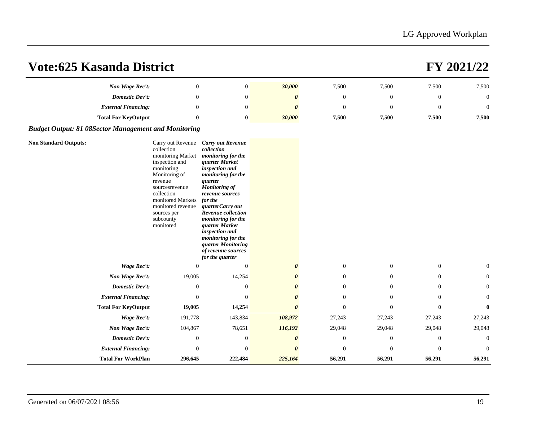| <b>Vote:625 Kasanda District</b>                            |                                                                                                                                                                                                                                     |                                                                                                                                                                                                                                                                                                                                                                                         |                       |                |                |                  | FY 2021/22       |
|-------------------------------------------------------------|-------------------------------------------------------------------------------------------------------------------------------------------------------------------------------------------------------------------------------------|-----------------------------------------------------------------------------------------------------------------------------------------------------------------------------------------------------------------------------------------------------------------------------------------------------------------------------------------------------------------------------------------|-----------------------|----------------|----------------|------------------|------------------|
| Non Wage Rec't:                                             | $\theta$                                                                                                                                                                                                                            | $\overline{0}$                                                                                                                                                                                                                                                                                                                                                                          | 30,000                | 7,500          | 7,500          | 7,500            | 7,500            |
| Domestic Dev't:                                             | $\Omega$                                                                                                                                                                                                                            | $\overline{0}$                                                                                                                                                                                                                                                                                                                                                                          | 0                     | $\mathbf{0}$   | $\overline{0}$ | $\mathbf{0}$     | $\boldsymbol{0}$ |
| <b>External Financing:</b>                                  | $\Omega$                                                                                                                                                                                                                            | $\Omega$                                                                                                                                                                                                                                                                                                                                                                                | $\theta$              | $\overline{0}$ | $\Omega$       | $\theta$         | $\Omega$         |
| <b>Total For KeyOutput</b>                                  | $\bf{0}$                                                                                                                                                                                                                            | $\bf{0}$                                                                                                                                                                                                                                                                                                                                                                                | 30,000                | 7,500          | 7,500          | 7,500            | 7,500            |
| <b>Budget Output: 81 08Sector Management and Monitoring</b> |                                                                                                                                                                                                                                     |                                                                                                                                                                                                                                                                                                                                                                                         |                       |                |                |                  |                  |
| <b>Non Standard Outputs:</b>                                | Carry out Revenue<br>collection<br>monitoring Market<br>inspection and<br>monitoring<br>Monitoring of<br>revenue<br>sourcesrevenue<br>collection<br>monitored Markets<br>monitored revenue<br>sources per<br>subcounty<br>monitored | <b>Carry out Revenue</b><br>collection<br>monitoring for the<br>quarter Market<br>inspection and<br>monitoring for the<br>quarter<br><b>Monitoring of</b><br>revenue sources<br>for the<br>quarterCarry out<br>Revenue collection<br>monitoring for the<br>quarter Market<br>inspection and<br>monitoring for the<br><i>guarter Monitoring</i><br>of revenue sources<br>for the quarter |                       |                |                |                  |                  |
| Wage Rec't:                                                 | $\Omega$                                                                                                                                                                                                                            | $\theta$                                                                                                                                                                                                                                                                                                                                                                                | $\boldsymbol{\theta}$ | $\overline{0}$ | $\overline{0}$ | $\theta$         | $\theta$         |
| Non Wage Rec't:                                             | 19,005                                                                                                                                                                                                                              | 14,254                                                                                                                                                                                                                                                                                                                                                                                  |                       | $\overline{0}$ | $\overline{0}$ | $\Omega$         | $\theta$         |
| Domestic Dev't:                                             | $\mathbf{0}$                                                                                                                                                                                                                        | $\theta$                                                                                                                                                                                                                                                                                                                                                                                |                       | $\overline{0}$ | $\overline{0}$ | $\mathbf{0}$     | $\theta$         |
| <b>External Financing:</b>                                  | $\Omega$                                                                                                                                                                                                                            | $\Omega$                                                                                                                                                                                                                                                                                                                                                                                | $\boldsymbol{\theta}$ | $\overline{0}$ | $\Omega$       | $\overline{0}$   | $\theta$         |
| <b>Total For KeyOutput</b>                                  | 19,005                                                                                                                                                                                                                              | 14,254                                                                                                                                                                                                                                                                                                                                                                                  | $\theta$              | $\mathbf{0}$   | $\mathbf{0}$   | $\bf{0}$         | $\mathbf{0}$     |
| <b>Wage Rec't:</b>                                          | 191,778                                                                                                                                                                                                                             | 143,834                                                                                                                                                                                                                                                                                                                                                                                 | 108,972               | 27,243         | 27,243         | 27,243           | 27,243           |
| Non Wage Rec't:                                             | 104,867                                                                                                                                                                                                                             | 78,651                                                                                                                                                                                                                                                                                                                                                                                  | 116,192               | 29,048         | 29,048         | 29,048           | 29,048           |
| Domestic Dev't:                                             | $\mathbf{0}$                                                                                                                                                                                                                        | $\boldsymbol{0}$                                                                                                                                                                                                                                                                                                                                                                        | 0                     | $\mathbf{0}$   | $\mathbf{0}$   | $\boldsymbol{0}$ | $\theta$         |
| <b>External Financing:</b>                                  | $\Omega$                                                                                                                                                                                                                            | $\Omega$                                                                                                                                                                                                                                                                                                                                                                                |                       | $\Omega$       | $\Omega$       | $\Omega$         | $\Omega$         |
| <b>Total For WorkPlan</b>                                   | 296,645                                                                                                                                                                                                                             | 222,484                                                                                                                                                                                                                                                                                                                                                                                 | 225,164               | 56,291         | 56,291         | 56,291           | 56,291           |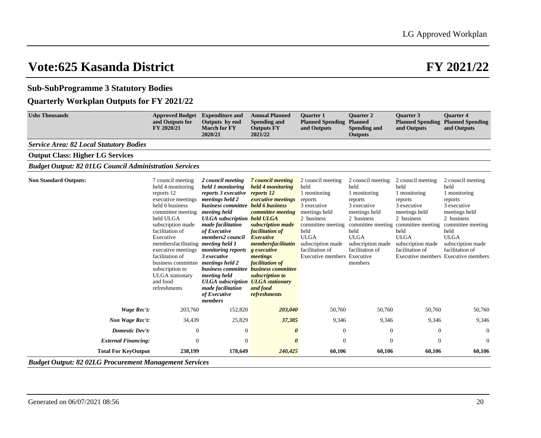## **Sub-SubProgramme 3 Statutory Bodies**

## **Quarterly Workplan Outputs for FY 2021/22**

| <b>Ushs Thousands</b>                                         | <b>Approved Budget</b><br>and Outputs for<br>FY 2020/21                                                                                                                                                                                                                                                                                                                                          | <b>Expenditure and</b><br>Outputs by end<br><b>March for FY</b><br>2020/21                                                                                                                                                                                                                                                                                                                                                                                             | <b>Annual Planned</b><br><b>Spending and</b><br><b>Outputs FY</b><br>2021/22                                                                                                                                                                                     | <b>Ouarter 1</b><br><b>Planned Spending</b><br>and Outputs                                                                                                                                                                   | <b>Quarter 2</b><br><b>Planned</b><br><b>Spending and</b><br><b>Outputs</b>                                                                                                                       | <b>Ouarter 3</b><br>and Outputs                                                                                                                                                        | <b>Ouarter 4</b><br><b>Planned Spending Planned Spending</b><br>and Outputs                                                                                                                                                   |
|---------------------------------------------------------------|--------------------------------------------------------------------------------------------------------------------------------------------------------------------------------------------------------------------------------------------------------------------------------------------------------------------------------------------------------------------------------------------------|------------------------------------------------------------------------------------------------------------------------------------------------------------------------------------------------------------------------------------------------------------------------------------------------------------------------------------------------------------------------------------------------------------------------------------------------------------------------|------------------------------------------------------------------------------------------------------------------------------------------------------------------------------------------------------------------------------------------------------------------|------------------------------------------------------------------------------------------------------------------------------------------------------------------------------------------------------------------------------|---------------------------------------------------------------------------------------------------------------------------------------------------------------------------------------------------|----------------------------------------------------------------------------------------------------------------------------------------------------------------------------------------|-------------------------------------------------------------------------------------------------------------------------------------------------------------------------------------------------------------------------------|
| <b>Service Area: 82 Local Statutory Bodies</b>                |                                                                                                                                                                                                                                                                                                                                                                                                  |                                                                                                                                                                                                                                                                                                                                                                                                                                                                        |                                                                                                                                                                                                                                                                  |                                                                                                                                                                                                                              |                                                                                                                                                                                                   |                                                                                                                                                                                        |                                                                                                                                                                                                                               |
| <b>Output Class: Higher LG Services</b>                       |                                                                                                                                                                                                                                                                                                                                                                                                  |                                                                                                                                                                                                                                                                                                                                                                                                                                                                        |                                                                                                                                                                                                                                                                  |                                                                                                                                                                                                                              |                                                                                                                                                                                                   |                                                                                                                                                                                        |                                                                                                                                                                                                                               |
| <b>Budget Output: 82 01LG Council Administration Services</b> |                                                                                                                                                                                                                                                                                                                                                                                                  |                                                                                                                                                                                                                                                                                                                                                                                                                                                                        |                                                                                                                                                                                                                                                                  |                                                                                                                                                                                                                              |                                                                                                                                                                                                   |                                                                                                                                                                                        |                                                                                                                                                                                                                               |
| <b>Non Standard Outputs:</b>                                  | 7 council meeting<br>held 4 monitoring<br>reports 12<br>executive meetings<br>held 6 business<br>committee meeting<br>held ULGA<br>subscription made<br>facilitation of<br>Executive<br>membersfacilitating <i>meeting held 1</i><br>executive meetings<br>facilitation of<br>business committee <i>meetings held</i> 2<br>subscription to<br><b>ULGA</b> stationary<br>and food<br>refreshments | 2 council meeting<br>held 1 monitoring<br>reports 3 executive reports 12<br>meetings held 2<br>business committee held 6 business<br>meeting held<br><b>ULGA</b> subscription held <b>ULGA</b><br>made facilitation<br>of Executive<br>members2 council<br><i>monitoring reports</i><br>3 executive<br>business committee <b>business committee</b><br>meeting held<br><b>ULGA</b> subscription <b>ULGA</b> stationary<br>made facilitation<br>of Executive<br>members | 7 council meeting<br>held 4 monitoring<br><i>executive meetings</i><br>committee meeting<br>subscription made<br>facilitation of<br>Executive<br>membersfacilitatin<br>g executive<br>meetings<br>facilitation of<br>subscription to<br>and food<br>refreshments | 2 council meeting<br>held<br>1 monitoring<br>reports<br>3 executive<br>meetings held<br>2 business<br>committee meeting<br>held<br><b>ULGA</b><br>subscription made<br>facilitation of<br><b>Executive members Executive</b> | 2 council meeting<br>held<br>1 monitoring<br>reports<br>3 executive<br>meetings held<br>2 business<br>committee meeting<br>held<br><b>ULGA</b><br>subscription made<br>facilitation of<br>members | 2 council meeting<br>held<br>1 monitoring<br>reports<br>3 executive<br>meetings held<br>2 business<br>committee meeting<br>held<br><b>ULGA</b><br>subscription made<br>facilitation of | 2 council meeting<br>held<br>1 monitoring<br>reports<br>3 executive<br>meetings held<br>2 business<br>committee meeting<br>held<br><b>ULGA</b><br>subscription made<br>facilitation of<br>Executive members Executive members |
| <b>Wage Rec't:</b>                                            | 203,760                                                                                                                                                                                                                                                                                                                                                                                          | 152,820                                                                                                                                                                                                                                                                                                                                                                                                                                                                | 203,040                                                                                                                                                                                                                                                          | 50,760                                                                                                                                                                                                                       | 50,760                                                                                                                                                                                            | 50,760                                                                                                                                                                                 | 50,760                                                                                                                                                                                                                        |
| Non Wage Rec't:                                               | 34,439                                                                                                                                                                                                                                                                                                                                                                                           | 25,829                                                                                                                                                                                                                                                                                                                                                                                                                                                                 | 37,385                                                                                                                                                                                                                                                           | 9,346                                                                                                                                                                                                                        | 9,346                                                                                                                                                                                             | 9,346                                                                                                                                                                                  | 9,346                                                                                                                                                                                                                         |
| <b>Domestic Dev't:</b>                                        | $\mathbf{0}$                                                                                                                                                                                                                                                                                                                                                                                     | $\boldsymbol{0}$                                                                                                                                                                                                                                                                                                                                                                                                                                                       |                                                                                                                                                                                                                                                                  | $\boldsymbol{0}$                                                                                                                                                                                                             | $\overline{0}$                                                                                                                                                                                    | $\boldsymbol{0}$                                                                                                                                                                       | $\boldsymbol{0}$                                                                                                                                                                                                              |
| <b>External Financing:</b>                                    | $\mathbf{0}$                                                                                                                                                                                                                                                                                                                                                                                     | $\Omega$                                                                                                                                                                                                                                                                                                                                                                                                                                                               |                                                                                                                                                                                                                                                                  | $\Omega$                                                                                                                                                                                                                     | $\Omega$                                                                                                                                                                                          | $\mathbf{0}$                                                                                                                                                                           | $\Omega$                                                                                                                                                                                                                      |
| <b>Total For KeyOutput</b>                                    | 238,199                                                                                                                                                                                                                                                                                                                                                                                          | 178,649                                                                                                                                                                                                                                                                                                                                                                                                                                                                | 240,425                                                                                                                                                                                                                                                          | 60,106                                                                                                                                                                                                                       | 60,106                                                                                                                                                                                            | 60,106                                                                                                                                                                                 | 60,106                                                                                                                                                                                                                        |

*Budget Output: 82 02LG Procurement Management Services*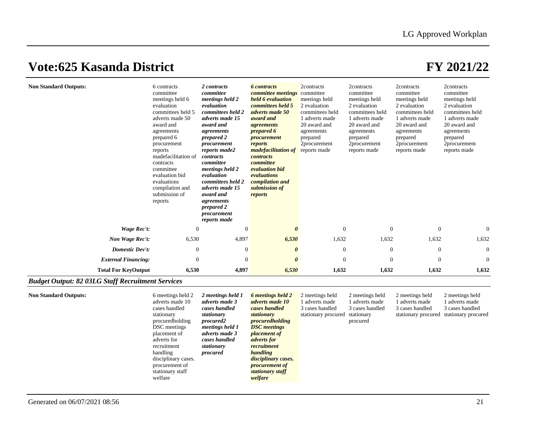| <b>Non Standard Outputs:</b> | 6 contracts<br>committee<br>meetings held 6<br>evaluation<br>committees held 5<br>adverts made 50<br>award and<br>agreements<br>prepared 6<br>procurement<br>reports<br>madefacilitation of<br>contracts<br>committee<br>evaluation bid<br>evaluations<br>compilation and<br>submission of<br>reports | 2 contracts<br>committee<br>meetings held 2<br>evaluation<br>committees held 2<br>adverts made 15<br>award and<br>agreements<br>prepared 2<br>procurement<br>reports made2<br>contracts<br>committee<br>meetings held 2<br>evaluation<br>committees held 2<br>adverts made 15<br>award and<br>agreements<br>prepared 2<br>procurement<br>reports made | <b>6</b> contracts<br>committee meetings<br>held 6 evaluation<br>committees held 5<br>adverts made 50<br>award and<br><i>agreements</i><br>prepared 6<br>procurement<br>reports<br><i>madefacilitation of</i><br>contracts<br>committee<br>evaluation bid<br>evaluations<br>compilation and<br>submission of<br>reports | 2contracts<br>committee<br>meetings held<br>2 evaluation<br>committees held<br>1 adverts made<br>20 award and<br>agreements<br>prepared<br>2procurement<br>reports made | 2contracts<br>committee<br>meetings held<br>2 evaluation<br>committees held<br>1 adverts made<br>20 award and<br>agreements<br>prepared<br>2procurement<br>reports made | 2contracts<br>committee<br>meetings held<br>2 evaluation<br>committees held<br>1 adverts made<br>20 award and<br>agreements<br>prepared<br>2procurement<br>reports made | 2contracts<br>committee<br>meetings held<br>2 evaluation<br>committees held<br>1 adverts made<br>20 award and<br>agreements<br>prepared<br>2procurement<br>reports made |
|------------------------------|-------------------------------------------------------------------------------------------------------------------------------------------------------------------------------------------------------------------------------------------------------------------------------------------------------|-------------------------------------------------------------------------------------------------------------------------------------------------------------------------------------------------------------------------------------------------------------------------------------------------------------------------------------------------------|-------------------------------------------------------------------------------------------------------------------------------------------------------------------------------------------------------------------------------------------------------------------------------------------------------------------------|-------------------------------------------------------------------------------------------------------------------------------------------------------------------------|-------------------------------------------------------------------------------------------------------------------------------------------------------------------------|-------------------------------------------------------------------------------------------------------------------------------------------------------------------------|-------------------------------------------------------------------------------------------------------------------------------------------------------------------------|
| Wage Rec't:                  | 0                                                                                                                                                                                                                                                                                                     | $\Omega$                                                                                                                                                                                                                                                                                                                                              |                                                                                                                                                                                                                                                                                                                         | $\overline{0}$                                                                                                                                                          | $\theta$                                                                                                                                                                | $\theta$                                                                                                                                                                | $\overline{0}$                                                                                                                                                          |
| Non Wage Rec't:              | 6,530                                                                                                                                                                                                                                                                                                 | 4,897                                                                                                                                                                                                                                                                                                                                                 | 6,530                                                                                                                                                                                                                                                                                                                   | 1,632                                                                                                                                                                   | 1,632                                                                                                                                                                   | 1,632                                                                                                                                                                   | 1,632                                                                                                                                                                   |
| <b>Domestic Dev't:</b>       | $\theta$                                                                                                                                                                                                                                                                                              | $\theta$                                                                                                                                                                                                                                                                                                                                              | $\theta$                                                                                                                                                                                                                                                                                                                | 0                                                                                                                                                                       | $\theta$                                                                                                                                                                | $\theta$                                                                                                                                                                | $\overline{0}$                                                                                                                                                          |
| <b>External Financing:</b>   | $\Omega$                                                                                                                                                                                                                                                                                              | $\Omega$                                                                                                                                                                                                                                                                                                                                              | $\theta$                                                                                                                                                                                                                                                                                                                | $\Omega$                                                                                                                                                                | $\Omega$                                                                                                                                                                | $\Omega$                                                                                                                                                                | $\overline{0}$                                                                                                                                                          |
| <b>Total For KeyOutput</b>   | 6,530                                                                                                                                                                                                                                                                                                 | 4,897                                                                                                                                                                                                                                                                                                                                                 | 6,530                                                                                                                                                                                                                                                                                                                   | 1,632                                                                                                                                                                   | 1,632                                                                                                                                                                   | 1,632                                                                                                                                                                   | 1,632                                                                                                                                                                   |

## *Budget Output: 82 03LG Staff Recruitment Services*

| <b>Non Standard Outputs:</b><br>6 meetings held 2<br>adverts made 10<br>cases handled<br>stationary<br>procured holding<br>DSC meetings<br>placement of<br>adverts for<br>recruitment<br>handling<br>disciplinary cases.<br>procurement of<br>stationary staff<br>welfare | 2 meetings held 1<br>adverts made 3<br>cases handled<br>stationary<br>procured2<br>meetings held 1<br>adverts made 3<br>cases handled<br>stationary<br>procured | 6 meetings held 2<br>adverts made 10<br>cases handled<br>stationary<br><i>procuredholding</i><br><b>DSC</b> meetings<br><i>placement of</i><br><i>adverts for</i><br>recruitment<br>handling<br>disciplinary cases.<br><i>procurement of</i><br>stationary staff<br>welfare | 2 meetings held<br>1 adverts made<br>3 cases handled<br>stationary procured | 2 meetings held<br>1 adverts made<br>3 cases handled<br>stationary<br>procured | 2 meetings held<br>l adverts made<br>3 cases handled<br>stationary procured | 2 meetings held<br>l adverts made<br>3 cases handled<br>stationary procured |
|---------------------------------------------------------------------------------------------------------------------------------------------------------------------------------------------------------------------------------------------------------------------------|-----------------------------------------------------------------------------------------------------------------------------------------------------------------|-----------------------------------------------------------------------------------------------------------------------------------------------------------------------------------------------------------------------------------------------------------------------------|-----------------------------------------------------------------------------|--------------------------------------------------------------------------------|-----------------------------------------------------------------------------|-----------------------------------------------------------------------------|
|---------------------------------------------------------------------------------------------------------------------------------------------------------------------------------------------------------------------------------------------------------------------------|-----------------------------------------------------------------------------------------------------------------------------------------------------------------|-----------------------------------------------------------------------------------------------------------------------------------------------------------------------------------------------------------------------------------------------------------------------------|-----------------------------------------------------------------------------|--------------------------------------------------------------------------------|-----------------------------------------------------------------------------|-----------------------------------------------------------------------------|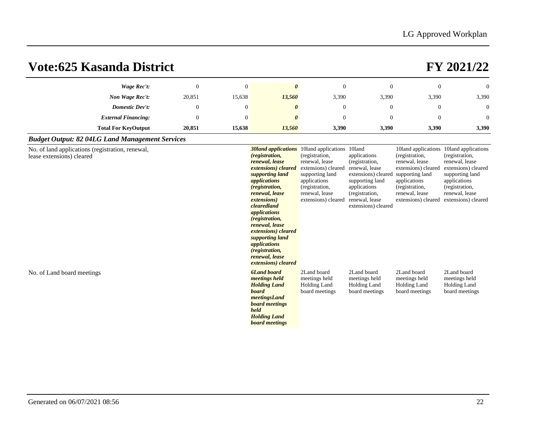| Vote:625 Kasanda District                                                     |                |          |                                                                                                                                                                                                                                                                                                                                                                                                                                    |                                                                                                                                                       |                                                                                                                                                                       |                                                                                                                                                       | FY 2021/22                                                                                                                                                                                       |
|-------------------------------------------------------------------------------|----------------|----------|------------------------------------------------------------------------------------------------------------------------------------------------------------------------------------------------------------------------------------------------------------------------------------------------------------------------------------------------------------------------------------------------------------------------------------|-------------------------------------------------------------------------------------------------------------------------------------------------------|-----------------------------------------------------------------------------------------------------------------------------------------------------------------------|-------------------------------------------------------------------------------------------------------------------------------------------------------|--------------------------------------------------------------------------------------------------------------------------------------------------------------------------------------------------|
| Wage Rec't:                                                                   | $\overline{0}$ | $\theta$ | $\boldsymbol{\theta}$                                                                                                                                                                                                                                                                                                                                                                                                              | $\mathbf{0}$                                                                                                                                          | $\Omega$                                                                                                                                                              | $\overline{0}$                                                                                                                                        | $\mathbf{0}$                                                                                                                                                                                     |
| Non Wage Rec't:                                                               | 20,851         | 15,638   | 13,560                                                                                                                                                                                                                                                                                                                                                                                                                             | 3,390                                                                                                                                                 | 3,390                                                                                                                                                                 | 3,390                                                                                                                                                 | 3,390                                                                                                                                                                                            |
| <b>Domestic Dev't:</b>                                                        | $\mathbf{0}$   | $\theta$ | $\boldsymbol{\theta}$                                                                                                                                                                                                                                                                                                                                                                                                              | $\theta$                                                                                                                                              | $\overline{0}$                                                                                                                                                        | $\mathbf{0}$                                                                                                                                          | $\theta$                                                                                                                                                                                         |
| <b>External Financing:</b>                                                    | $\mathbf{0}$   | $\theta$ | $\theta$                                                                                                                                                                                                                                                                                                                                                                                                                           | $\theta$                                                                                                                                              | $\Omega$                                                                                                                                                              | $\mathbf{0}$                                                                                                                                          | $\theta$                                                                                                                                                                                         |
| <b>Total For KeyOutput</b>                                                    | 20,851         | 15,638   | 13,560                                                                                                                                                                                                                                                                                                                                                                                                                             | 3,390                                                                                                                                                 | 3,390                                                                                                                                                                 | 3,390                                                                                                                                                 | 3,390                                                                                                                                                                                            |
| <b>Budget Output: 82 04LG Land Management Services</b>                        |                |          |                                                                                                                                                                                                                                                                                                                                                                                                                                    |                                                                                                                                                       |                                                                                                                                                                       |                                                                                                                                                       |                                                                                                                                                                                                  |
| No. of land applications (registration, renewal,<br>lease extensions) cleared |                |          | <b>30land applications</b> 10land applications 10land<br><i>(registration,</i><br>renewal, lease<br>extensions) cleared<br>supporting land<br><i>applications</i><br>(registration,<br>renewal, lease<br><i>extensions</i> )<br>clearedland<br>applications<br><i>(registration,</i><br>renewal, lease<br>extensions) cleared<br>supporting land<br>applications<br><i>(registration,</i><br>renewal, lease<br>extensions) cleared | (registration,<br>renewal, lease<br>extensions) cleared<br>supporting land<br>applications<br>(registration,<br>renewal, lease<br>extensions) cleared | applications<br>(registration,<br>renewal, lease<br>extensions) cleared<br>supporting land<br>applications<br>(registration,<br>renewal, lease<br>extensions) cleared | (registration,<br>renewal, lease<br>extensions) cleared<br>supporting land<br>applications<br>(registration,<br>renewal, lease<br>extensions) cleared | 10land applications 10land applications<br>(registration,<br>renewal, lease<br>extensions) cleared<br>supporting land<br>applications<br>(registration,<br>renewal, lease<br>extensions) cleared |
| No. of Land board meetings                                                    |                |          | <b>6Land board</b><br>meetings held<br><b>Holding Land</b><br>board<br>meetingsLand<br>board meetings<br>held<br><b>Holding Land</b><br>board meetings                                                                                                                                                                                                                                                                             | 2Land board<br>meetings held<br>Holding Land<br>board meetings                                                                                        | 2Land board<br>meetings held<br>Holding Land<br>board meetings                                                                                                        | 2Land board<br>meetings held<br>Holding Land<br>board meetings                                                                                        | 2Land board<br>meetings held<br><b>Holding Land</b><br>board meetings                                                                                                                            |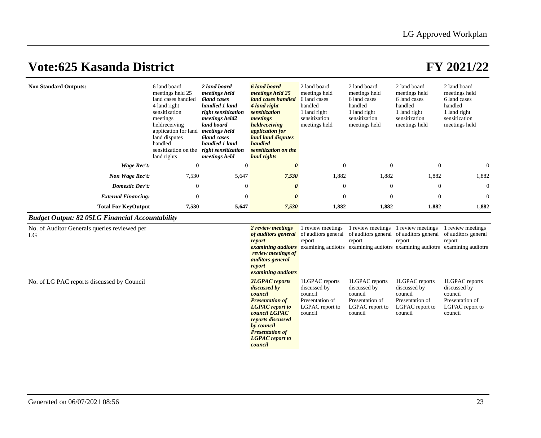|                            | meetings held 25<br>land cases handled<br>4 land right<br>sensitization<br>meetings<br>heldreceiving<br>application for land<br>land disputes<br>handled<br>sensitization on the<br>land rights | meetings held<br>bland cases<br>handled 1 land<br>right sensitization<br>meetings held2<br>land board<br>meetings held<br>bland cases<br>handled 1 land<br>right sensitization<br>meetings held | meetings held 25<br>land cases handled<br>4 land right<br>sensitization<br>meetings<br>heldreceiving<br><i>application for</i><br>land land disputes<br>handled<br>sensitization on the<br>land rights | meetings held<br>6 land cases<br>handled<br>1 land right<br>sensitization<br>meetings held | meetings held<br>6 land cases<br>handled<br>1 land right<br>sensitization<br>meetings held | meetings held<br>6 land cases<br>handled<br>1 land right<br>sensitization<br>meetings held | meetings held<br>6 land cases<br>handled<br>1 land right<br>sensitization<br>meetings held |
|----------------------------|-------------------------------------------------------------------------------------------------------------------------------------------------------------------------------------------------|-------------------------------------------------------------------------------------------------------------------------------------------------------------------------------------------------|--------------------------------------------------------------------------------------------------------------------------------------------------------------------------------------------------------|--------------------------------------------------------------------------------------------|--------------------------------------------------------------------------------------------|--------------------------------------------------------------------------------------------|--------------------------------------------------------------------------------------------|
| Wage Rec't:                | $\Omega$                                                                                                                                                                                        | $\Omega$                                                                                                                                                                                        |                                                                                                                                                                                                        | $\Omega$                                                                                   | $\Omega$                                                                                   | $\Omega$                                                                                   | $\Omega$                                                                                   |
| Non Wage Rec't:            | 7,530                                                                                                                                                                                           | 5,647                                                                                                                                                                                           | 7,530                                                                                                                                                                                                  | 1,882                                                                                      | 1,882                                                                                      | 1,882                                                                                      | 1,882                                                                                      |
| <b>Domestic Dev't:</b>     | $\mathbf{0}$                                                                                                                                                                                    | $\Omega$                                                                                                                                                                                        |                                                                                                                                                                                                        | $\theta$                                                                                   | $\Omega$                                                                                   | $\Omega$                                                                                   | $\theta$                                                                                   |
| <b>External Financing:</b> | $\Omega$                                                                                                                                                                                        | $\Omega$                                                                                                                                                                                        |                                                                                                                                                                                                        | $\Omega$                                                                                   | $\Omega$                                                                                   | $\theta$                                                                                   | $\overline{0}$                                                                             |
| <b>Total For KeyOutput</b> | 7,530                                                                                                                                                                                           | 5,647                                                                                                                                                                                           | 7,530                                                                                                                                                                                                  | 1,882                                                                                      | 1,882                                                                                      | 1,882                                                                                      | 1,882                                                                                      |

## *Budget Output: 82 05LG Financial Accountability*

| No. of Auditor Generals queries reviewed per<br>LG | 2 review meetings<br>of <i>auditors general</i> of auditors general<br>report<br>review meetings of<br><i>auditors</i> general<br>report<br><i>examining audiotrs</i>                                                   | 1 review meetings<br>report<br><b><i>examining audiotrs</i></b> examining audiotrs examining audiotrs examining audiotrs examining audiotrs | review meetings<br>of auditors general of auditors general<br>report                       | review meetings<br>report                                                                  | review meetings<br>of auditors general<br>report                                           |
|----------------------------------------------------|-------------------------------------------------------------------------------------------------------------------------------------------------------------------------------------------------------------------------|---------------------------------------------------------------------------------------------------------------------------------------------|--------------------------------------------------------------------------------------------|--------------------------------------------------------------------------------------------|--------------------------------------------------------------------------------------------|
| No. of LG PAC reports discussed by Council         | <b>2LGPAC</b> reports<br>discussed by<br>council<br><b>Presentation of</b><br><b>LGPAC</b> report to<br>council LGPAC<br>reports discussed<br>by council<br><b>Presentation of</b><br><b>LGPAC</b> report to<br>council | 1LGPAC reports<br>discussed by<br>council<br>Presentation of<br><b>LGPAC</b> report to<br>council                                           | 1LGPAC reports<br>discussed by<br>council<br>Presentation of<br>LGPAC report to<br>council | 1LGPAC reports<br>discussed by<br>council<br>Presentation of<br>LGPAC report to<br>council | 1LGPAC reports<br>discussed by<br>council<br>Presentation of<br>LGPAC report to<br>council |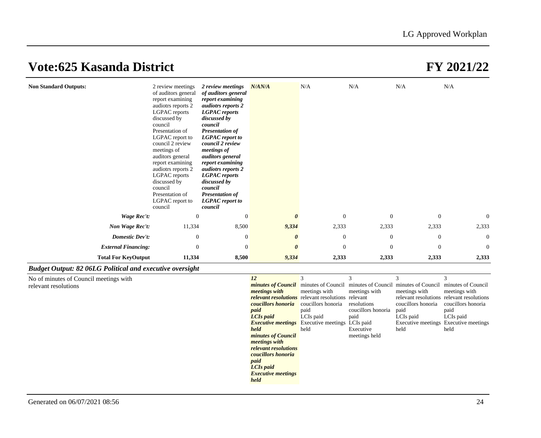| <b>Non Standard Outputs:</b>                                    | 2 review meetings<br>of auditors general<br>report examining<br>audiotrs reports 2<br>LGPAC reports<br>discussed by<br>council<br>Presentation of<br>LGPAC report to<br>council 2 review<br>meetings of<br>auditors general<br>report examining<br>audiotrs reports 2<br>LGPAC reports<br>discussed by<br>council<br>Presentation of<br>LGPAC report to<br>council | 2 review meetings<br>of auditors general<br>report examining<br><i>audiotrs reports 2</i><br><b>LGPAC</b> reports<br>discussed by<br>council<br><b>Presentation of</b><br><b>LGPAC</b> report to<br>council 2 review<br>meetings of<br><i>auditors general</i><br>report examining<br>audiotrs reports 2<br><b>LGPAC</b> reports<br>discussed by<br>council<br><b>Presentation of</b><br><b>LGPAC</b> report to<br>council | N/AN/A   | N/A              | N/A                                                                                                                                                                                                                                                                                                                     | N/A<br>N/A       |                |
|-----------------------------------------------------------------|--------------------------------------------------------------------------------------------------------------------------------------------------------------------------------------------------------------------------------------------------------------------------------------------------------------------------------------------------------------------|----------------------------------------------------------------------------------------------------------------------------------------------------------------------------------------------------------------------------------------------------------------------------------------------------------------------------------------------------------------------------------------------------------------------------|----------|------------------|-------------------------------------------------------------------------------------------------------------------------------------------------------------------------------------------------------------------------------------------------------------------------------------------------------------------------|------------------|----------------|
| Wage Rec't:                                                     | $\mathbf{0}$                                                                                                                                                                                                                                                                                                                                                       | $\overline{0}$                                                                                                                                                                                                                                                                                                                                                                                                             | $\theta$ | $\boldsymbol{0}$ | $\theta$                                                                                                                                                                                                                                                                                                                | $\mathbf{0}$     | $\overline{0}$ |
| Non Wage Rec't:                                                 | 11,334                                                                                                                                                                                                                                                                                                                                                             | 8,500                                                                                                                                                                                                                                                                                                                                                                                                                      | 9,334    | 2,333            | 2,333                                                                                                                                                                                                                                                                                                                   | 2,333            | 2,333          |
| <b>Domestic Dev't:</b>                                          | $\mathbf{0}$                                                                                                                                                                                                                                                                                                                                                       | $\mathbf{0}$                                                                                                                                                                                                                                                                                                                                                                                                               | 0        | $\boldsymbol{0}$ | $\theta$                                                                                                                                                                                                                                                                                                                | $\boldsymbol{0}$ | $\overline{0}$ |
| <b>External Financing:</b>                                      | $\Omega$                                                                                                                                                                                                                                                                                                                                                           | $\Omega$                                                                                                                                                                                                                                                                                                                                                                                                                   | $\theta$ | $\Omega$         | $\Omega$                                                                                                                                                                                                                                                                                                                | $\Omega$         | $\Omega$       |
| <b>Total For KeyOutput</b>                                      | 11,334                                                                                                                                                                                                                                                                                                                                                             | 8,500                                                                                                                                                                                                                                                                                                                                                                                                                      | 9,334    | 2,333            | 2,333                                                                                                                                                                                                                                                                                                                   | 2,333            | 2,333          |
| <b>Budget Output: 82 06LG Political and executive oversight</b> |                                                                                                                                                                                                                                                                                                                                                                    |                                                                                                                                                                                                                                                                                                                                                                                                                            |          |                  |                                                                                                                                                                                                                                                                                                                         |                  |                |
| No of minutes of Council meetings with                          |                                                                                                                                                                                                                                                                                                                                                                    |                                                                                                                                                                                                                                                                                                                                                                                                                            | 12       | 3                | 3<br>3<br>$\mathcal{L}$ . The contract of $\mathcal{L}$ and $\mathcal{L}$ and $\mathcal{L}$ and $\mathcal{L}$ and $\mathcal{L}$ and $\mathcal{L}$ and $\mathcal{L}$ and $\mathcal{L}$ and $\mathcal{L}$ and $\mathcal{L}$ and $\mathcal{L}$ and $\mathcal{L}$ and $\mathcal{L}$ and $\mathcal{L}$ and $\mathcal{L}$ and | 3                |                |

| No of minutes of Council meetings with |                                                                                    |                                                           |                    |                    |                                           |
|----------------------------------------|------------------------------------------------------------------------------------|-----------------------------------------------------------|--------------------|--------------------|-------------------------------------------|
| relevant resolutions                   | <i>minutes of Council</i> minutes of Council minutes of Council minutes of Council |                                                           |                    |                    | minutes of Council                        |
|                                        | <i>meetings with</i>                                                               | meetings with                                             | meetings with      | meetings with      | meetings with                             |
|                                        |                                                                                    | <b>relevant resolutions</b> relevant resolutions relevant |                    |                    | relevant resolutions relevant resolutions |
|                                        | <b><i>coucillors honoria</i></b> coucillors honoria                                |                                                           | resolutions        | coucillors honoria | coucillors honoria                        |
|                                        | paid                                                                               | paid                                                      | coucillors honoria | paid               | paid                                      |
|                                        | LCI <sub>s</sub> paid                                                              | LCIs paid                                                 | paid               | LCIs paid          | LCIs paid                                 |
|                                        |                                                                                    | <b>Executive meetings</b> Executive meetings LCIs paid    |                    |                    | Executive meetings Executive meetings     |
|                                        | held                                                                               | held                                                      | Executive          | held               | held                                      |
|                                        | minutes of Council                                                                 |                                                           | meetings held      |                    |                                           |
|                                        | <i>meetings with</i>                                                               |                                                           |                    |                    |                                           |
|                                        | relevant resolutions                                                               |                                                           |                    |                    |                                           |
|                                        | <i>coucillors honoria</i>                                                          |                                                           |                    |                    |                                           |
|                                        | paid                                                                               |                                                           |                    |                    |                                           |
|                                        | LCI <sub>s</sub> paid                                                              |                                                           |                    |                    |                                           |
|                                        | <b>Executive meetings</b>                                                          |                                                           |                    |                    |                                           |
|                                        | held                                                                               |                                                           |                    |                    |                                           |
|                                        |                                                                                    |                                                           |                    |                    |                                           |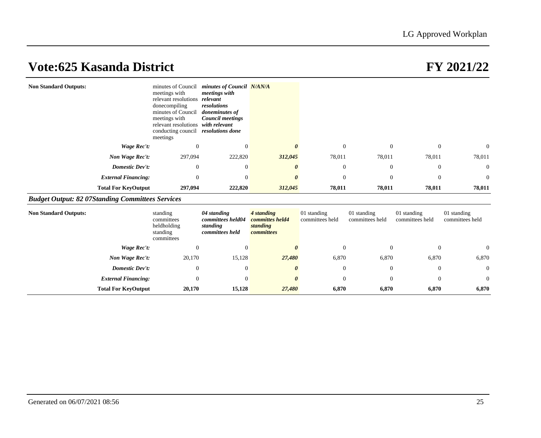| <b>Non Standard Outputs:</b>                            |                            | minutes of Council<br>meetings with<br>relevant resolutions relevant<br>donecompiling<br>minutes of Council<br>meetings with<br>relevant resolutions with relevant<br>conducting council resolutions done<br>meetings | minutes of Council N/AN/A<br>meetings with<br>resolutions<br>doneminutes of<br><b>Council meetings</b> |                                                         |                                |                                |                                |                                |
|---------------------------------------------------------|----------------------------|-----------------------------------------------------------------------------------------------------------------------------------------------------------------------------------------------------------------------|--------------------------------------------------------------------------------------------------------|---------------------------------------------------------|--------------------------------|--------------------------------|--------------------------------|--------------------------------|
|                                                         | Wage Rec't:                | $\mathbf{0}$                                                                                                                                                                                                          | $\mathbf{0}$                                                                                           | $\boldsymbol{\theta}$                                   | $\mathbf{0}$                   | $\mathbf{0}$                   | $\mathbf{0}$                   | $\mathbf{0}$                   |
|                                                         | Non Wage Rec't:            | 297,094                                                                                                                                                                                                               | 222,820                                                                                                | 312,045                                                 | 78,011                         | 78,011                         | 78,011                         | 78,011                         |
|                                                         | Domestic Dev't:            | $\mathbf{0}$                                                                                                                                                                                                          | $\mathbf{0}$                                                                                           |                                                         | $\boldsymbol{0}$               | $\mathbf{0}$                   | $\mathbf{0}$                   | $\mathbf{0}$                   |
|                                                         | <b>External Financing:</b> | $\mathbf{0}$                                                                                                                                                                                                          | $\overline{0}$                                                                                         |                                                         | $\overline{0}$                 | $\mathbf{0}$                   | $\theta$                       | $\mathbf{0}$                   |
|                                                         | <b>Total For KeyOutput</b> | 297,094                                                                                                                                                                                                               | 222,820                                                                                                | 312,045                                                 | 78,011                         | 78,011                         | 78,011                         | 78,011                         |
| <b>Budget Output: 82 07Standing Committees Services</b> |                            |                                                                                                                                                                                                                       |                                                                                                        |                                                         |                                |                                |                                |                                |
| <b>Non Standard Outputs:</b>                            |                            | standing<br>committees<br>heldholding<br>standing<br>committees                                                                                                                                                       | 04 standing<br>committees held04<br>standing<br>committees held                                        | 4 standing<br>committes held4<br>standing<br>committees | 01 standing<br>committees held | 01 standing<br>committees held | 01 standing<br>committees held | 01 standing<br>committees held |
|                                                         | Wage Rec't:                | $\theta$                                                                                                                                                                                                              | $\Omega$                                                                                               |                                                         | $\overline{0}$                 | $\overline{0}$                 | $\theta$                       | $\mathbf{0}$                   |
|                                                         | Non Wage Rec't:            | 20,170                                                                                                                                                                                                                | 15,128                                                                                                 | 27,480                                                  | 6,870                          | 6,870                          | 6,870                          | 6,870                          |
|                                                         | Domestic Dev't:            | $\mathbf{0}$                                                                                                                                                                                                          | $\mathbf{0}$                                                                                           | 0                                                       | $\mathbf{0}$                   | $\mathbf{0}$                   | $\boldsymbol{0}$               | $\mathbf{0}$                   |
|                                                         | <b>External Financing:</b> | $\mathbf{0}$                                                                                                                                                                                                          | $\overline{0}$                                                                                         |                                                         | $\overline{0}$                 | $\overline{0}$                 | $\theta$                       | $\mathbf{0}$                   |
|                                                         | <b>Total For KeyOutput</b> | 20,170                                                                                                                                                                                                                | 15,128                                                                                                 | 27,480                                                  | 6,870                          | 6,870                          | 6,870                          | 6,870                          |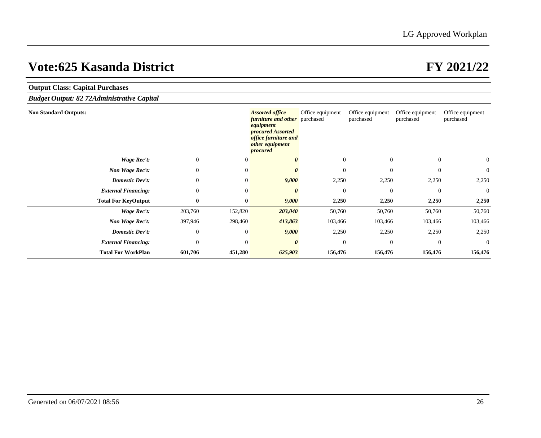| <b>Output Class: Capital Purchases</b>            |                  |                  |                                                                                                                                                         |                  |                               |                               |                               |
|---------------------------------------------------|------------------|------------------|---------------------------------------------------------------------------------------------------------------------------------------------------------|------------------|-------------------------------|-------------------------------|-------------------------------|
| <b>Budget Output: 82 72Administrative Capital</b> |                  |                  |                                                                                                                                                         |                  |                               |                               |                               |
| <b>Non Standard Outputs:</b>                      |                  |                  | <b>Assorted office</b><br><i>furniture and other</i> purchased<br>equipment<br>procured Assorted<br>office furniture and<br>other equipment<br>procured | Office equipment | Office equipment<br>purchased | Office equipment<br>purchased | Office equipment<br>purchased |
| Wage Rec't:                                       | $\overline{0}$   | $\theta$         |                                                                                                                                                         | $\overline{0}$   | $\overline{0}$                | $\overline{0}$                | $\overline{0}$                |
| Non Wage Rec't:                                   | $\overline{0}$   | $\overline{0}$   |                                                                                                                                                         | $\overline{0}$   | $\overline{0}$                | $\theta$                      | $\mathbf{0}$                  |
| Domestic Dev't:                                   | $\mathbf{0}$     | $\overline{0}$   | 9,000                                                                                                                                                   | 2,250            | 2,250                         | 2,250                         | 2,250                         |
| <b>External Financing:</b>                        | $\mathbf{0}$     | $\theta$         |                                                                                                                                                         | $\boldsymbol{0}$ | $\overline{0}$                | $\mathbf{0}$                  | $\overline{0}$                |
| <b>Total For KeyOutput</b>                        | $\bf{0}$         | $\boldsymbol{0}$ | 9,000                                                                                                                                                   | 2,250            | 2,250                         | 2,250                         | 2,250                         |
| Wage Rec't:                                       | 203,760          | 152,820          | 203,040                                                                                                                                                 | 50,760           | 50,760                        | 50,760                        | 50,760                        |
| Non Wage Rec't:                                   | 397,946          | 298,460          | 413,863                                                                                                                                                 | 103,466          | 103,466                       | 103,466                       | 103,466                       |
| Domestic Dev't:                                   | $\boldsymbol{0}$ | $\theta$         | 9,000                                                                                                                                                   | 2,250            | 2,250                         | 2,250                         | 2,250                         |
| <b>External Financing:</b>                        | $\mathbf{0}$     | $\mathbf{0}$     | $\theta$                                                                                                                                                | $\overline{0}$   | $\Omega$                      | $\overline{0}$                | $\theta$                      |
| <b>Total For WorkPlan</b>                         | 601,706          | 451,280          | 625,903                                                                                                                                                 | 156,476          | 156,476                       | 156,476                       | 156,476                       |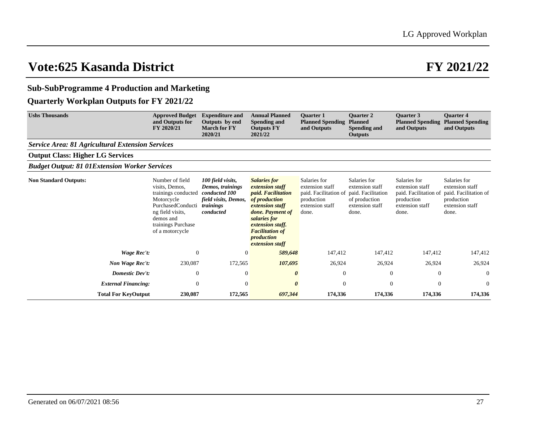## **Sub-SubProgramme 4 Production and Marketing**

## **Quarterly Workplan Outputs for FY 2021/22**

| <b>Ushs Thousands</b>                                   | <b>Approved Budget</b><br>and Outputs for<br>FY 2020/21                                                                                                               | <b>Expenditure and</b><br>Outputs by end<br><b>March for FY</b><br>2020/21                               | <b>Annual Planned</b><br>Spending and<br><b>Outputs FY</b><br>2021/22                                                                                                                                                      | <b>Ouarter 1</b><br><b>Planned Spending</b><br>and Outputs                                         | <b>Ouarter 2</b><br><b>Planned</b><br>Spending and<br><b>Outputs</b>                               | <b>Ouarter 3</b><br><b>Planned Spending</b><br>and Outputs                                         | <b>Ouarter 4</b><br><b>Planned Spending</b><br>and Outputs                                         |
|---------------------------------------------------------|-----------------------------------------------------------------------------------------------------------------------------------------------------------------------|----------------------------------------------------------------------------------------------------------|----------------------------------------------------------------------------------------------------------------------------------------------------------------------------------------------------------------------------|----------------------------------------------------------------------------------------------------|----------------------------------------------------------------------------------------------------|----------------------------------------------------------------------------------------------------|----------------------------------------------------------------------------------------------------|
| <b>Service Area: 81 Agricultural Extension Services</b> |                                                                                                                                                                       |                                                                                                          |                                                                                                                                                                                                                            |                                                                                                    |                                                                                                    |                                                                                                    |                                                                                                    |
| <b>Output Class: Higher LG Services</b>                 |                                                                                                                                                                       |                                                                                                          |                                                                                                                                                                                                                            |                                                                                                    |                                                                                                    |                                                                                                    |                                                                                                    |
| <b>Budget Output: 81 01Extension Worker Services</b>    |                                                                                                                                                                       |                                                                                                          |                                                                                                                                                                                                                            |                                                                                                    |                                                                                                    |                                                                                                    |                                                                                                    |
| <b>Non Standard Outputs:</b>                            | Number of field<br>visits, Demos,<br>trainings conducted<br>Motorcycle<br>PurchasedConducti<br>ng field visits,<br>demos and<br>trainings Purchase<br>of a motorcycle | 100 field visits,<br>Demos, trainings<br>conducted 100<br>field visits, Demos,<br>trainings<br>conducted | <b>Salaries for</b><br>extension staff<br><i>paid. Facilitation</i><br>of production<br>extension staff<br>done. Payment of<br>salaries for<br>extension staff.<br><b>Facilitation of</b><br>production<br>extension staff | Salaries for<br>extension staff<br>paid. Facilitation of<br>production<br>extension staff<br>done. | Salaries for<br>extension staff<br>paid. Facilitation<br>of production<br>extension staff<br>done. | Salaries for<br>extension staff<br>paid. Facilitation of<br>production<br>extension staff<br>done. | Salaries for<br>extension staff<br>paid. Facilitation of<br>production<br>extension staff<br>done. |
| Wage Rec't:                                             | $\theta$                                                                                                                                                              | $\mathbf{0}$                                                                                             | 589,648                                                                                                                                                                                                                    | 147,412                                                                                            | 147,412                                                                                            | 147,412                                                                                            | 147,412                                                                                            |
| Non Wage Rec't:                                         | 230,087                                                                                                                                                               | 172,565                                                                                                  | 107,695                                                                                                                                                                                                                    | 26,924                                                                                             | 26,924                                                                                             | 26,924                                                                                             | 26,924                                                                                             |
| <b>Domestic Dev't:</b>                                  | $\theta$                                                                                                                                                              | $\theta$                                                                                                 | 0                                                                                                                                                                                                                          | $\mathbf{0}$                                                                                       | $\overline{0}$                                                                                     | $\mathbf{0}$                                                                                       | $\overline{0}$                                                                                     |
| <b>External Financing:</b>                              | $\Omega$                                                                                                                                                              | $\Omega$                                                                                                 | 0                                                                                                                                                                                                                          | $\Omega$                                                                                           | $\Omega$                                                                                           | $\Omega$                                                                                           | $\Omega$                                                                                           |
| <b>Total For KeyOutput</b>                              | 230,087                                                                                                                                                               | 172,565                                                                                                  | 697,344                                                                                                                                                                                                                    | 174,336                                                                                            | 174,336                                                                                            | 174,336                                                                                            | 174,336                                                                                            |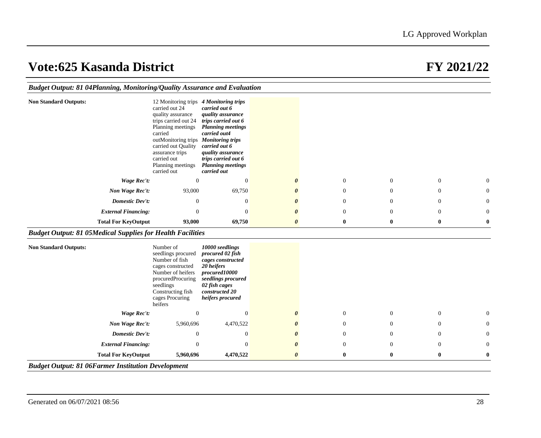|                                                                   | Budget Output: 81 04Planning, Monitoring/Quality Assurance and Evaluation |                                                                                                                                                                                                                                                           |                                                                                                                                                                                                                                          |                       |                  |                |                  |          |  |  |
|-------------------------------------------------------------------|---------------------------------------------------------------------------|-----------------------------------------------------------------------------------------------------------------------------------------------------------------------------------------------------------------------------------------------------------|------------------------------------------------------------------------------------------------------------------------------------------------------------------------------------------------------------------------------------------|-----------------------|------------------|----------------|------------------|----------|--|--|
| <b>Non Standard Outputs:</b>                                      |                                                                           | 12 Monitoring trips 4 Monitoring trips<br>carried out 24<br>quality assurance<br>trips carried out 24<br>Planning meetings<br>carried<br>outMonitoring trips<br>carried out Quality<br>assurance trips<br>carried out<br>Planning meetings<br>carried out | carried out 6<br>quality assurance<br>trips carried out 6<br><b>Planning meetings</b><br>carried out4<br><b>Monitoring trips</b><br>carried out 6<br>quality assurance<br>trips carried out 6<br><b>Planning meetings</b><br>carried out |                       |                  |                |                  |          |  |  |
|                                                                   | Wage Rec't:                                                               | $\mathbf{0}$                                                                                                                                                                                                                                              | $\overline{0}$                                                                                                                                                                                                                           | 0                     | $\theta$         | $\theta$       | $\overline{0}$   | $\theta$ |  |  |
|                                                                   | Non Wage Rec't:                                                           | 93,000                                                                                                                                                                                                                                                    | 69,750                                                                                                                                                                                                                                   |                       | $\boldsymbol{0}$ | $\overline{0}$ | $\mathbf{0}$     | 0        |  |  |
|                                                                   | <b>Domestic Dev't:</b>                                                    | $\Omega$                                                                                                                                                                                                                                                  | $\overline{0}$                                                                                                                                                                                                                           |                       | $\theta$         | $\Omega$       | $\Omega$         | $\Omega$ |  |  |
|                                                                   | <b>External Financing:</b>                                                | $\Omega$                                                                                                                                                                                                                                                  | $\overline{0}$                                                                                                                                                                                                                           | O                     | $\theta$         | $\Omega$       | $\mathbf{0}$     | $\theta$ |  |  |
|                                                                   |                                                                           |                                                                                                                                                                                                                                                           |                                                                                                                                                                                                                                          |                       |                  |                |                  |          |  |  |
|                                                                   | <b>Total For KeyOutput</b>                                                | 93,000                                                                                                                                                                                                                                                    | 69,750                                                                                                                                                                                                                                   | $\boldsymbol{\theta}$ | $\bf{0}$         | $\bf{0}$       | $\bf{0}$         | $\bf{0}$ |  |  |
| <b>Budget Output: 81 05Medical Supplies for Health Facilities</b> |                                                                           |                                                                                                                                                                                                                                                           |                                                                                                                                                                                                                                          |                       |                  |                |                  |          |  |  |
| <b>Non Standard Outputs:</b>                                      |                                                                           | Number of<br>seedlings procured<br>Number of fish<br>cages constructed<br>Number of heifers<br>procuredProcuring<br>seedlings<br>Constructing fish<br>cages Procuring<br>heifers                                                                          | 10000 seedlings<br>procured 02 fish<br>cages constructed<br>20 heifers<br>procured10000<br>seedlings procured<br>02 fish cages<br>constructed 20<br>heifers procured                                                                     |                       |                  |                |                  |          |  |  |
|                                                                   | Wage Rec't:                                                               | $\overline{0}$                                                                                                                                                                                                                                            | $\mathbf{0}$                                                                                                                                                                                                                             | 0                     | $\boldsymbol{0}$ | $\theta$       | $\boldsymbol{0}$ | $\theta$ |  |  |
|                                                                   | Non Wage Rec't:                                                           | 5,960,696                                                                                                                                                                                                                                                 | 4,470,522                                                                                                                                                                                                                                |                       | $\theta$         | $\Omega$       | $\Omega$         | $\Omega$ |  |  |
|                                                                   | <b>Domestic Dev't:</b>                                                    | $\mathbf{0}$                                                                                                                                                                                                                                              | $\mathbf{0}$                                                                                                                                                                                                                             |                       | $\mathbf{0}$     | $\theta$       | $\mathbf{0}$     | $\theta$ |  |  |
|                                                                   | <b>External Financing:</b>                                                | $\mathbf{0}$                                                                                                                                                                                                                                              | $\overline{0}$                                                                                                                                                                                                                           |                       | $\theta$         | $\Omega$       | $\Omega$         | $\Omega$ |  |  |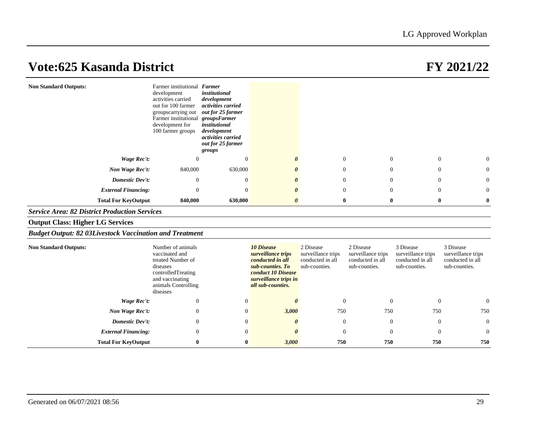| <b>Non Standard Outputs:</b>                                   | Farmer institutional Farmer<br>development<br>activities carried<br>out for 100 farmer<br>groupscarrying out<br>Farmer institutional<br>development for<br>100 farmer groups | institutional<br>development<br>activities carried<br>out for 25 farmer<br>groupsFamer<br>institutional<br>development<br>activities carried<br>out for 25 farmer<br>groups |                                                                                                                                                     |                                                                      |                                                                      |                                                                      |                                                                      |
|----------------------------------------------------------------|------------------------------------------------------------------------------------------------------------------------------------------------------------------------------|-----------------------------------------------------------------------------------------------------------------------------------------------------------------------------|-----------------------------------------------------------------------------------------------------------------------------------------------------|----------------------------------------------------------------------|----------------------------------------------------------------------|----------------------------------------------------------------------|----------------------------------------------------------------------|
| <b>Wage Rec't:</b>                                             | 0                                                                                                                                                                            | $\theta$                                                                                                                                                                    | $\boldsymbol{\theta}$                                                                                                                               | $\boldsymbol{0}$                                                     | $\mathbf{0}$                                                         | $\mathbf{0}$                                                         | 0                                                                    |
| Non Wage Rec't:                                                | 840,000                                                                                                                                                                      | 630,000                                                                                                                                                                     | 0                                                                                                                                                   | $\overline{0}$                                                       | $\theta$                                                             | $\overline{0}$                                                       | 0                                                                    |
| <b>Domestic Dev't:</b>                                         | $\overline{0}$                                                                                                                                                               | $\theta$                                                                                                                                                                    | 0                                                                                                                                                   | $\overline{0}$                                                       | $\overline{0}$                                                       | $\overline{0}$                                                       | 0                                                                    |
| <b>External Financing:</b>                                     | $\mathbf{0}$                                                                                                                                                                 | $\theta$                                                                                                                                                                    | 0                                                                                                                                                   | $\Omega$                                                             | $\Omega$                                                             | $\Omega$                                                             | $\Omega$                                                             |
| <b>Total For KeyOutput</b>                                     | 840,000                                                                                                                                                                      | 630,000                                                                                                                                                                     | $\theta$                                                                                                                                            | $\bf{0}$                                                             | $\bf{0}$                                                             | $\bf{0}$                                                             | $\bf{0}$                                                             |
| <b>Service Area: 82 District Production Services</b>           |                                                                                                                                                                              |                                                                                                                                                                             |                                                                                                                                                     |                                                                      |                                                                      |                                                                      |                                                                      |
| <b>Output Class: Higher LG Services</b>                        |                                                                                                                                                                              |                                                                                                                                                                             |                                                                                                                                                     |                                                                      |                                                                      |                                                                      |                                                                      |
| <b>Budget Output: 82 03Livestock Vaccination and Treatment</b> |                                                                                                                                                                              |                                                                                                                                                                             |                                                                                                                                                     |                                                                      |                                                                      |                                                                      |                                                                      |
| <b>Non Standard Outputs:</b>                                   | Number of animals<br>vaccinated and<br>treated Number of<br>diseases<br>controlledTreating<br>and vaccinating<br>animals Controlling<br>diseases                             |                                                                                                                                                                             | <b>10 Disease</b><br>surveillance trips<br>conducted in all<br>sub-counties. To<br>conduct 10 Disease<br>surveillance trips in<br>all sub-counties. | 2 Disease<br>surveillance trips<br>conducted in all<br>sub-counties. | 2 Disease<br>surveillance trips<br>conducted in all<br>sub-counties. | 3 Disease<br>surveillance trips<br>conducted in all<br>sub-counties. | 3 Disease<br>surveillance trips<br>conducted in all<br>sub-counties. |
| Wage Rec't:                                                    | $\overline{0}$                                                                                                                                                               | $\boldsymbol{0}$                                                                                                                                                            | $\theta$                                                                                                                                            | $\overline{0}$                                                       | $\theta$                                                             | $\mathbf{0}$                                                         | $\theta$                                                             |
| Non Wage Rec't:                                                | $\overline{0}$                                                                                                                                                               | $\mathbf{0}$                                                                                                                                                                | 3,000                                                                                                                                               | 750                                                                  | 750                                                                  | 750                                                                  | 750                                                                  |
| <b>Domestic Dev't:</b>                                         | $\mathbf{0}$                                                                                                                                                                 | $\theta$                                                                                                                                                                    | 0                                                                                                                                                   | $\overline{0}$                                                       | $\theta$                                                             | $\mathbf{0}$                                                         | $\theta$                                                             |
| <b>External Financing:</b>                                     | $\mathbf{0}$                                                                                                                                                                 | $\theta$                                                                                                                                                                    | $\theta$                                                                                                                                            | $\overline{0}$                                                       | $\overline{0}$                                                       | $\mathbf{0}$                                                         | $\theta$                                                             |
| <b>Total For KeyOutput</b>                                     | $\bf{0}$                                                                                                                                                                     | 0                                                                                                                                                                           | 3,000                                                                                                                                               | 750                                                                  | 750                                                                  | 750                                                                  | 750                                                                  |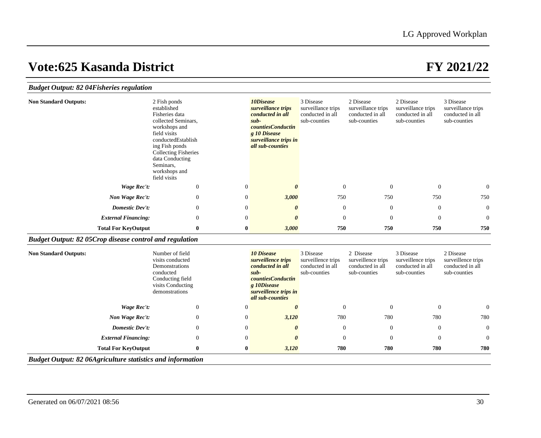## *Budget Output: 82 04Fisheries regulation*

| <b>Non Standard Outputs:</b> | 2 Fish ponds<br>established<br>Fisheries data<br>collected Seminars,<br>workshops and<br>field visits<br>conductedEstablish<br>ing Fish ponds<br><b>Collecting Fisheries</b><br>data Conducting<br>Seminars,<br>workshops and<br>field visits |          | 10Disease<br>surveillance trips<br>conducted in all<br>$sub-$<br><i>countiesConductin</i><br>g 10 Disease<br>surveillance trips in<br>all sub-counties | 3 Disease<br>surveillance trips<br>conducted in all<br>sub-counties | 2 Disease<br>surveillance trips<br>conducted in all<br>sub-counties | 2 Disease<br>surveillance trips<br>conducted in all<br>sub-counties | 3 Disease<br>surveillance trips<br>conducted in all<br>sub-counties |
|------------------------------|-----------------------------------------------------------------------------------------------------------------------------------------------------------------------------------------------------------------------------------------------|----------|--------------------------------------------------------------------------------------------------------------------------------------------------------|---------------------------------------------------------------------|---------------------------------------------------------------------|---------------------------------------------------------------------|---------------------------------------------------------------------|
| Wage Rec't:                  | $\boldsymbol{0}$                                                                                                                                                                                                                              | $\theta$ | 0                                                                                                                                                      | $\overline{0}$                                                      | $\theta$                                                            | $\overline{0}$                                                      | $\overline{0}$                                                      |
| Non Wage Rec't:              | $\mathbf{0}$                                                                                                                                                                                                                                  | $\theta$ | 3,000                                                                                                                                                  | 750                                                                 | 750                                                                 | 750                                                                 | 750                                                                 |
| Domestic Dev't:              | $\overline{0}$                                                                                                                                                                                                                                | $\theta$ | $\boldsymbol{\theta}$                                                                                                                                  | $\theta$                                                            | $\theta$                                                            | $\overline{0}$                                                      | $\overline{0}$                                                      |
| <b>External Financing:</b>   | $\mathbf{0}$                                                                                                                                                                                                                                  | $\theta$ | $\theta$                                                                                                                                               | $\theta$                                                            | $\theta$                                                            | $\theta$                                                            | $\overline{0}$                                                      |
| <b>Total For KeyOutput</b>   | $\bf{0}$                                                                                                                                                                                                                                      | $\bf{0}$ | 3,000                                                                                                                                                  | 750                                                                 | 750                                                                 | 750                                                                 | 750                                                                 |

## *Budget Output: 82 05Crop disease control and regulation*

| <b>Non Standard Outputs:</b>                                      | Number of field<br>visits conducted<br>Demonstrations<br>conducted<br>Conducting field<br>visits Conducting<br>demonstrations | <b>10 Disease</b><br>surveillence trips<br>conducted in all<br>$sub-$<br><i>countiesConductin</i><br>g 10Disease<br>surveillence trips in<br>all sub-counties | 3 Disease<br>surveillence trips<br>conducted in all<br>sub-counties | 2 Disease<br>surveillence trips<br>conducted in all<br>sub-counties | 3 Disease<br>surveillence trips<br>conducted in all<br>sub-counties | 2 Disease<br>surveillence trips<br>conducted in all<br>sub-counties |
|-------------------------------------------------------------------|-------------------------------------------------------------------------------------------------------------------------------|---------------------------------------------------------------------------------------------------------------------------------------------------------------|---------------------------------------------------------------------|---------------------------------------------------------------------|---------------------------------------------------------------------|---------------------------------------------------------------------|
| Wage Rec't:                                                       | $\mathbf{0}$<br>$\theta$                                                                                                      | $\boldsymbol{\theta}$                                                                                                                                         | $\Omega$                                                            | $\Omega$                                                            | $\overline{0}$                                                      | $\overline{0}$                                                      |
| Non Wage Rec't:                                                   | $\overline{0}$<br>$\mathbf{0}$                                                                                                | 3,120                                                                                                                                                         | 780                                                                 | 780                                                                 | 780                                                                 | 780                                                                 |
| Domestic Dev't:                                                   | $\overline{0}$<br>$\mathbf{0}$                                                                                                | 0                                                                                                                                                             | $\theta$                                                            | $\theta$                                                            | $\mathbf{0}$                                                        | $\overline{0}$                                                      |
| <b>External Financing:</b>                                        | $\overline{0}$<br>$\mathbf{0}$                                                                                                | 0                                                                                                                                                             | $\overline{0}$                                                      | $\Omega$                                                            | $\overline{0}$                                                      | $\overline{0}$                                                      |
| <b>Total For KeyOutput</b>                                        | $\bf{0}$<br>0                                                                                                                 | 3,120                                                                                                                                                         | 780                                                                 | 780                                                                 | 780                                                                 | 780                                                                 |
| <b>Budget Output: 82 06Agriculture statistics and information</b> |                                                                                                                               |                                                                                                                                                               |                                                                     |                                                                     |                                                                     |                                                                     |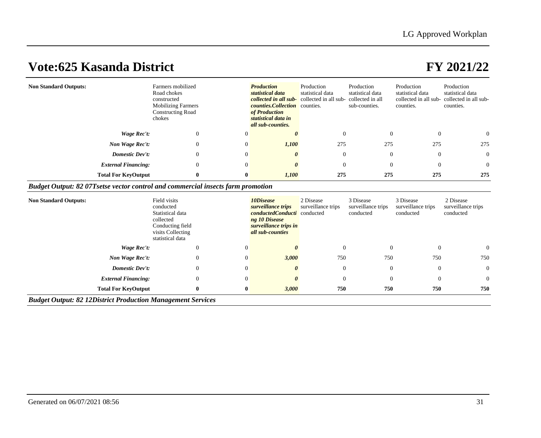| <b>Non Standard Outputs:</b>                                                     | Farmers mobilized<br>Road chokes<br>constructed<br><b>Mobilizing Farmers</b><br><b>Constructing Road</b><br>chokes |          | <b>Production</b><br>statistical data<br><b>collected in all sub-</b> collected in all sub- collected in all<br><i>counties.Collection</i> counties.<br>of Production<br>statistical data in<br>all sub-counties. | Production<br>statistical data | Production<br>statistical data<br>sub-counties. | Production<br>statistical data<br>collected in all sub-<br>counties. | Production<br>statistical data<br>collected in all sub-<br>counties. |
|----------------------------------------------------------------------------------|--------------------------------------------------------------------------------------------------------------------|----------|-------------------------------------------------------------------------------------------------------------------------------------------------------------------------------------------------------------------|--------------------------------|-------------------------------------------------|----------------------------------------------------------------------|----------------------------------------------------------------------|
| Wage Rec't:                                                                      | $\theta$                                                                                                           |          |                                                                                                                                                                                                                   |                                |                                                 | $\Omega$                                                             | $\overline{0}$                                                       |
| Non Wage Rec't:                                                                  | $\overline{0}$                                                                                                     | $\Omega$ | 1,100                                                                                                                                                                                                             | 275                            | 275                                             | 275                                                                  | 275                                                                  |
| <b>Domestic Dev't:</b>                                                           | $\theta$                                                                                                           | $\Omega$ | $\theta$                                                                                                                                                                                                          | $\Omega$                       | $\Omega$                                        | $\theta$                                                             | $\overline{0}$                                                       |
| <b>External Financing:</b>                                                       | $\overline{0}$                                                                                                     | $\Omega$ | 0                                                                                                                                                                                                                 | $\Omega$                       | $\Omega$                                        | $\Omega$                                                             | $\overline{0}$                                                       |
| <b>Total For KeyOutput</b>                                                       | $\mathbf{0}$                                                                                                       | 0        | 1,100                                                                                                                                                                                                             | 275                            | 275                                             | 275                                                                  | 275                                                                  |
| Budget Output: 82 07T setse vector control and commercial insects farm promotion |                                                                                                                    |          |                                                                                                                                                                                                                   |                                |                                                 |                                                                      |                                                                      |

| <b>Non Standard Outputs:</b>                                       | Field visits<br>conducted<br>Statistical data<br>collected<br>Conducting field<br>visits Collecting<br>statistical data |                | 10Disease<br>surveillance trips<br>conductedConducti conducted<br>ng 10 Disease<br>surveillance trips in<br>all sub-counties | 2 Disease<br>surveillance trips | 3 Disease<br>surveillance trips<br>conducted | 3 Disease<br>surveillance trips<br>conducted | 2 Disease<br>surveillance trips<br>conducted |  |  |
|--------------------------------------------------------------------|-------------------------------------------------------------------------------------------------------------------------|----------------|------------------------------------------------------------------------------------------------------------------------------|---------------------------------|----------------------------------------------|----------------------------------------------|----------------------------------------------|--|--|
| Wage Rec't:                                                        | 0                                                                                                                       | $^{(1)}$       |                                                                                                                              | $\overline{0}$                  | $\theta$                                     | 0                                            | $\overline{0}$                               |  |  |
| Non Wage Rec't:                                                    | 0                                                                                                                       | $\overline{0}$ | 3,000                                                                                                                        | 750                             | 750                                          | 750                                          | 750                                          |  |  |
| Domestic Dev't:                                                    | 0                                                                                                                       | $\overline{0}$ | 0                                                                                                                            | $\theta$                        | $\overline{0}$                               | $\theta$                                     | $\overline{0}$                               |  |  |
| <b>External Financing:</b>                                         | $\mathbf{0}$                                                                                                            | $\overline{0}$ | 0                                                                                                                            | $\overline{0}$                  | $\theta$                                     | $\theta$                                     | $\overline{0}$                               |  |  |
| <b>Total For KeyOutput</b>                                         | $\bf{0}$                                                                                                                | $\bf{0}$       | 3,000                                                                                                                        | 750                             | 750                                          | 750                                          | 750                                          |  |  |
| <b>Budget Output: 82 12District Production Management Services</b> |                                                                                                                         |                |                                                                                                                              |                                 |                                              |                                              |                                              |  |  |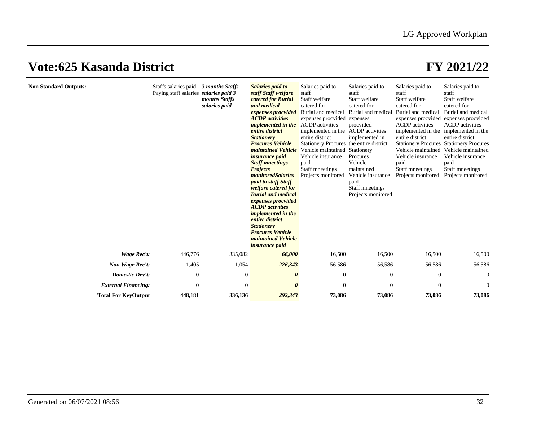| <b>Non Standard Outputs:</b> | Staffs salaries paid 3 months Staffs<br>Paying staff salaries salaries paid 3 | months Staffs<br>salaries paid | Salaries paid to<br>staff Staff welfare<br>catered for Burial<br>and medical<br>expenses procvided<br><b>ACDP</b> activities<br><i>implemented in the</i><br>entire district<br><b>Stationery</b><br><b>Procures Vehicle</b><br>maintained Vehicle<br><i>insurance paid</i><br><b>Staff mneetings</b><br><b>Projects</b><br>monitoredSalaries<br><i>paid to staff Staff</i><br><i>welfare catered for</i><br><b>Burial and medical</b><br>expenses procvided<br><b>ACDP</b> activities<br><i>implemented in the</i><br>entire district<br><b>Stationery</b><br><b>Procures Vehicle</b><br>maintained Vehicle<br><i>insurance paid</i> | Salaries paid to<br>staff<br>Staff welfare<br>catered for<br>Burial and medical<br>expenses procvided<br><b>ACDP</b> activities<br>implemented in the<br>entire district<br>Stationery Procures the entire district<br>Vehicle maintained<br>Vehicle insurance<br>paid<br>Staff mneetings<br>Projects monitored | Salaries paid to<br>staff<br>Staff welfare<br>catered for<br>Burial and medical<br>expenses<br>procvided<br><b>ACDP</b> activities<br>implemented in<br>Stationery<br>Procures<br>Vehicle<br>maintained<br>Vehicle insurance<br>paid<br>Staff mneetings<br>Projects monitored | Salaries paid to<br>staff<br>Staff welfare<br>catered for<br>Burial and medical<br><b>ACDP</b> activities<br>implemented in the implemented in the<br>entire district<br>Vehicle maintained<br>Vehicle insurance<br>paid<br>Staff mneetings<br>Projects monitored | Salaries paid to<br>staff<br>Staff welfare<br>catered for<br>Burial and medical<br>expenses procvided expenses procvided<br><b>ACDP</b> activities<br>entire district<br><b>Stationery Procures Stationery Procures</b><br>Vehicle maintained<br>Vehicle insurance<br>paid<br>Staff mneetings<br>Projects monitored |
|------------------------------|-------------------------------------------------------------------------------|--------------------------------|---------------------------------------------------------------------------------------------------------------------------------------------------------------------------------------------------------------------------------------------------------------------------------------------------------------------------------------------------------------------------------------------------------------------------------------------------------------------------------------------------------------------------------------------------------------------------------------------------------------------------------------|-----------------------------------------------------------------------------------------------------------------------------------------------------------------------------------------------------------------------------------------------------------------------------------------------------------------|-------------------------------------------------------------------------------------------------------------------------------------------------------------------------------------------------------------------------------------------------------------------------------|-------------------------------------------------------------------------------------------------------------------------------------------------------------------------------------------------------------------------------------------------------------------|---------------------------------------------------------------------------------------------------------------------------------------------------------------------------------------------------------------------------------------------------------------------------------------------------------------------|
| <b>Wage Rec't:</b>           | 446,776                                                                       | 335,082                        | 66,000                                                                                                                                                                                                                                                                                                                                                                                                                                                                                                                                                                                                                                | 16,500                                                                                                                                                                                                                                                                                                          | 16,500                                                                                                                                                                                                                                                                        | 16,500                                                                                                                                                                                                                                                            | 16,500                                                                                                                                                                                                                                                                                                              |
| Non Wage Rec't:              | 1,405                                                                         | 1,054                          | 226,343                                                                                                                                                                                                                                                                                                                                                                                                                                                                                                                                                                                                                               | 56,586                                                                                                                                                                                                                                                                                                          | 56,586                                                                                                                                                                                                                                                                        | 56,586                                                                                                                                                                                                                                                            | 56,586                                                                                                                                                                                                                                                                                                              |
| Domestic Dev't:              | $\mathbf{0}$                                                                  | $\theta$                       | 0                                                                                                                                                                                                                                                                                                                                                                                                                                                                                                                                                                                                                                     | $\overline{0}$                                                                                                                                                                                                                                                                                                  | $\overline{0}$                                                                                                                                                                                                                                                                | $\mathbf{0}$                                                                                                                                                                                                                                                      | $\mathbf{0}$                                                                                                                                                                                                                                                                                                        |
| <b>External Financing:</b>   | $\mathbf{0}$                                                                  | $\Omega$                       | $\theta$                                                                                                                                                                                                                                                                                                                                                                                                                                                                                                                                                                                                                              | $\theta$                                                                                                                                                                                                                                                                                                        | $\overline{0}$                                                                                                                                                                                                                                                                | $\Omega$                                                                                                                                                                                                                                                          | $\mathbf{0}$                                                                                                                                                                                                                                                                                                        |
| <b>Total For KeyOutput</b>   | 448,181                                                                       | 336,136                        | 292,343                                                                                                                                                                                                                                                                                                                                                                                                                                                                                                                                                                                                                               | 73,086                                                                                                                                                                                                                                                                                                          | 73,086                                                                                                                                                                                                                                                                        | 73,086                                                                                                                                                                                                                                                            | 73,086                                                                                                                                                                                                                                                                                                              |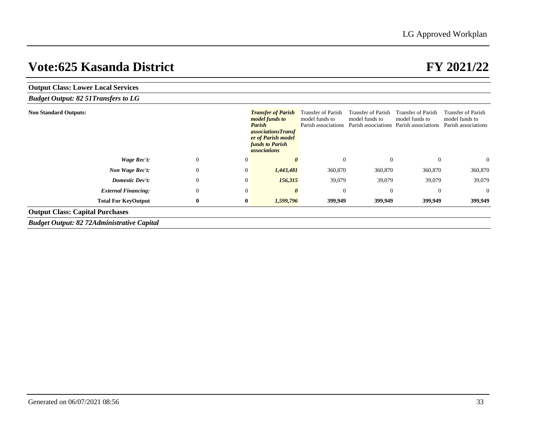| <b>Output Class: Lower Local Services</b>         |              |                |                                                                                                                                                                  |                                                                    |                                                                    |                                                             |                                                                    |  |  |  |  |
|---------------------------------------------------|--------------|----------------|------------------------------------------------------------------------------------------------------------------------------------------------------------------|--------------------------------------------------------------------|--------------------------------------------------------------------|-------------------------------------------------------------|--------------------------------------------------------------------|--|--|--|--|
| <b>Budget Output: 82 51Transfers to LG</b>        |              |                |                                                                                                                                                                  |                                                                    |                                                                    |                                                             |                                                                    |  |  |  |  |
| <b>Non Standard Outputs:</b>                      |              |                | <b>Transfer of Parish</b><br><i>model funds to</i><br>Parish<br><i>associationsTransf</i><br>er of Parish model<br><b>funds to Parish</b><br><i>associations</i> | <b>Transfer of Parish</b><br>model funds to<br>Parish associations | <b>Transfer of Parish</b><br>model funds to<br>Parish associations | Transfer of Parish<br>model funds to<br>Parish associations | <b>Transfer of Parish</b><br>model funds to<br>Parish associations |  |  |  |  |
| Wage Rec't:                                       | $\mathbf{0}$ | 0              | 0                                                                                                                                                                | $\overline{0}$                                                     | $\mathbf{0}$                                                       | $\overline{0}$                                              | $\overline{0}$                                                     |  |  |  |  |
| Non Wage Rec't:                                   | $\mathbf{0}$ | 0              | 1,443,481                                                                                                                                                        | 360,870                                                            | 360,870                                                            | 360,870                                                     | 360,870                                                            |  |  |  |  |
| <b>Domestic Dev't:</b>                            | $\mathbf{0}$ | $\theta$       | 156,315                                                                                                                                                          | 39,079                                                             | 39,079                                                             | 39,079                                                      | 39,079                                                             |  |  |  |  |
| <b>External Financing:</b>                        | $\mathbf{0}$ | $\overline{0}$ | 0                                                                                                                                                                | $\theta$                                                           | $\overline{0}$                                                     | $\overline{0}$                                              | $\overline{0}$                                                     |  |  |  |  |
| <b>Total For KeyOutput</b>                        | $\bf{0}$     | $\bf{0}$       | 1,599,796                                                                                                                                                        | 399,949                                                            | 399,949                                                            | 399,949                                                     | 399,949                                                            |  |  |  |  |
| <b>Output Class: Capital Purchases</b>            |              |                |                                                                                                                                                                  |                                                                    |                                                                    |                                                             |                                                                    |  |  |  |  |
| <b>Budget Output: 82 72Administrative Capital</b> |              |                |                                                                                                                                                                  |                                                                    |                                                                    |                                                             |                                                                    |  |  |  |  |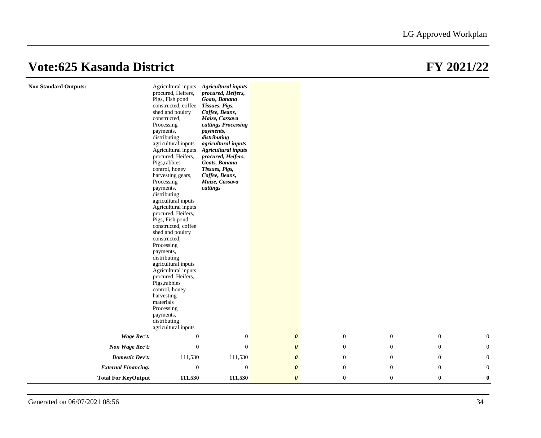| <b>Non Standard Outputs:</b> | procured, Heifers,<br>Pigs, Fish pond<br>constructed, coffee<br>shed and poultry<br>constructed,<br>Processing<br>payments,<br>distributing<br>agricultural inputs<br>Agricultural inputs<br>procured, Heifers,<br>Pigs, rabbies<br>control, honey<br>harvesting gears,<br>Processing<br>payments,<br>distributing<br>agricultural inputs<br>Agricultural inputs<br>procured, Heifers,<br>Pigs, Fish pond<br>constructed, coffee<br>shed and poultry<br>constructed,<br>Processing<br>payments,<br>distributing<br>agricultural inputs<br>Agricultural inputs<br>procured, Heifers,<br>Pigs, rabbies<br>control, honey<br>harvesting<br>materials<br>Processing<br>payments,<br>distributing<br>agricultural inputs<br>$\theta$ | Agricultural inputs Agricultural inputs<br>procured, Heifers,<br>Goats, Banana<br>Tissues, Pigs,<br>Coffee, Beans,<br>Maize, Cassava<br>cuttings Processing<br>payments,<br>distributing<br>agricultural inputs<br><b>Agricultural</b> inputs<br>procured, Heifers,<br>Goats, Banana<br>Tissues, Pigs,<br>Coffee, Beans,<br>Maize, Cassava<br>cuttings |                       |                  |              |                  |                  |
|------------------------------|---------------------------------------------------------------------------------------------------------------------------------------------------------------------------------------------------------------------------------------------------------------------------------------------------------------------------------------------------------------------------------------------------------------------------------------------------------------------------------------------------------------------------------------------------------------------------------------------------------------------------------------------------------------------------------------------------------------------------------|--------------------------------------------------------------------------------------------------------------------------------------------------------------------------------------------------------------------------------------------------------------------------------------------------------------------------------------------------------|-----------------------|------------------|--------------|------------------|------------------|
| <b>Wage Rec't:</b>           |                                                                                                                                                                                                                                                                                                                                                                                                                                                                                                                                                                                                                                                                                                                                 | $\mathbf{0}$                                                                                                                                                                                                                                                                                                                                           | $\boldsymbol{\theta}$ | $\mathbf{0}$     | $\mathbf{0}$ | $\boldsymbol{0}$ | $\mathbf{0}$     |
| Non Wage Rec't:              | $\boldsymbol{0}$                                                                                                                                                                                                                                                                                                                                                                                                                                                                                                                                                                                                                                                                                                                | $\boldsymbol{0}$                                                                                                                                                                                                                                                                                                                                       | $\boldsymbol{\theta}$ | $\boldsymbol{0}$ | $\mathbf{0}$ | $\boldsymbol{0}$ | $\boldsymbol{0}$ |
| <b>Domestic Dev't:</b>       | 111,530                                                                                                                                                                                                                                                                                                                                                                                                                                                                                                                                                                                                                                                                                                                         | 111,530                                                                                                                                                                                                                                                                                                                                                | $\boldsymbol{\theta}$ | $\boldsymbol{0}$ | $\mathbf{0}$ | $\boldsymbol{0}$ | $\mathbf{0}$     |
| <b>External Financing:</b>   | $\mathbf{0}$                                                                                                                                                                                                                                                                                                                                                                                                                                                                                                                                                                                                                                                                                                                    | $\mathbf{0}$                                                                                                                                                                                                                                                                                                                                           | $\boldsymbol{\theta}$ | $\mathbf{0}$     | $\mathbf{0}$ | $\boldsymbol{0}$ | $\overline{0}$   |
| <b>Total For KeyOutput</b>   | 111,530                                                                                                                                                                                                                                                                                                                                                                                                                                                                                                                                                                                                                                                                                                                         | 111,530                                                                                                                                                                                                                                                                                                                                                | $\boldsymbol{\theta}$ | $\bf{0}$         | $\bf{0}$     | $\bf{0}$         | $\bf{0}$         |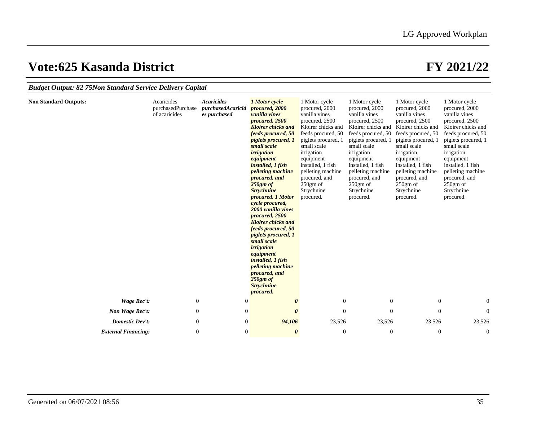| <b>Budget Output: 82 75Non Standard Service Delivery Capital</b> |                                                  |                                                        |                                                                                                                                                                                                                                                                                                                                                                                                                                                                                                                                                                                                                                               |                                                                                                                                                                                                                                                                                     |                                                                                                                                                                                                                                                                                     |                                                                                                                                                                                                                                                                                     |                                                                                                                                                                                                                                                                                     |  |  |  |
|------------------------------------------------------------------|--------------------------------------------------|--------------------------------------------------------|-----------------------------------------------------------------------------------------------------------------------------------------------------------------------------------------------------------------------------------------------------------------------------------------------------------------------------------------------------------------------------------------------------------------------------------------------------------------------------------------------------------------------------------------------------------------------------------------------------------------------------------------------|-------------------------------------------------------------------------------------------------------------------------------------------------------------------------------------------------------------------------------------------------------------------------------------|-------------------------------------------------------------------------------------------------------------------------------------------------------------------------------------------------------------------------------------------------------------------------------------|-------------------------------------------------------------------------------------------------------------------------------------------------------------------------------------------------------------------------------------------------------------------------------------|-------------------------------------------------------------------------------------------------------------------------------------------------------------------------------------------------------------------------------------------------------------------------------------|--|--|--|
| <b>Non Standard Outputs:</b>                                     | Acaricides<br>purchasedPurchase<br>of acaricides | <b>Acaricides</b><br>purchasedAcaricid<br>es purchased | 1 Motor cycle<br>procured, 2000<br>vanilla vines<br>procured, 2500<br><b>Kloirer chicks and</b><br>feeds procured, 50<br><i>piglets procured, 1</i><br>small scale<br><i>irrigation</i><br>equipment<br><i>installed, 1 fish</i><br><i>pelleting machine</i><br>procured, and<br>$250gm$ of<br><b>Strychnine</b><br>procured. 1 Motor<br>cycle procured,<br>2000 vanilla vines<br>procured, 2500<br><b>Kloirer chicks and</b><br>feeds procured, 50<br>piglets procured, 1<br>small scale<br><i>irrigation</i><br>equipment<br>installed, 1 fish<br><i>pelleting machine</i><br>procured, and<br>$250gm$ of<br><b>Strychnine</b><br>procured. | 1 Motor cycle<br>procured, 2000<br>vanilla vines<br>procured, 2500<br>Kloirer chicks and<br>feeds procured, 50<br>piglets procured, 1<br>small scale<br>irrigation<br>equipment<br>installed, 1 fish<br>pelleting machine<br>procured, and<br>$250gm$ of<br>Strychnine<br>procured. | 1 Motor cycle<br>procured, 2000<br>vanilla vines<br>procured, 2500<br>Kloirer chicks and<br>feeds procured, 50<br>piglets procured, 1<br>small scale<br>irrigation<br>equipment<br>installed, 1 fish<br>pelleting machine<br>procured, and<br>$250gm$ of<br>Strychnine<br>procured. | 1 Motor cycle<br>procured, 2000<br>vanilla vines<br>procured, 2500<br>Kloirer chicks and<br>feeds procured, 50<br>piglets procured, 1<br>small scale<br>irrigation<br>equipment<br>installed, 1 fish<br>pelleting machine<br>procured, and<br>$250gm$ of<br>Strychnine<br>procured. | 1 Motor cycle<br>procured, 2000<br>vanilla vines<br>procured, 2500<br>Kloirer chicks and<br>feeds procured, 50<br>piglets procured, 1<br>small scale<br>irrigation<br>equipment<br>installed, 1 fish<br>pelleting machine<br>procured, and<br>$250gm$ of<br>Strychnine<br>procured. |  |  |  |
| <b>Wage Rec't:</b>                                               | $\mathbf{0}$                                     | $\mathbf{0}$                                           | $\boldsymbol{\theta}$                                                                                                                                                                                                                                                                                                                                                                                                                                                                                                                                                                                                                         | $\boldsymbol{0}$                                                                                                                                                                                                                                                                    | $\mathbf{0}$                                                                                                                                                                                                                                                                        | $\mathbf{0}$                                                                                                                                                                                                                                                                        | $\boldsymbol{0}$                                                                                                                                                                                                                                                                    |  |  |  |
| Non Wage Rec't:                                                  | $\mathbf{0}$                                     | $\boldsymbol{0}$                                       | $\theta$                                                                                                                                                                                                                                                                                                                                                                                                                                                                                                                                                                                                                                      | $\theta$                                                                                                                                                                                                                                                                            | $\Omega$                                                                                                                                                                                                                                                                            | $\mathbf{0}$                                                                                                                                                                                                                                                                        | $\boldsymbol{0}$                                                                                                                                                                                                                                                                    |  |  |  |
| Domestic Dev't:                                                  | $\mathbf{0}$                                     | $\boldsymbol{0}$                                       | 94,106                                                                                                                                                                                                                                                                                                                                                                                                                                                                                                                                                                                                                                        | 23,526                                                                                                                                                                                                                                                                              | 23,526                                                                                                                                                                                                                                                                              | 23,526                                                                                                                                                                                                                                                                              | 23,526                                                                                                                                                                                                                                                                              |  |  |  |
| <b>External Financing:</b>                                       | $\boldsymbol{0}$                                 | $\boldsymbol{0}$                                       | $\boldsymbol{\theta}$                                                                                                                                                                                                                                                                                                                                                                                                                                                                                                                                                                                                                         | $\boldsymbol{0}$                                                                                                                                                                                                                                                                    | $\boldsymbol{0}$                                                                                                                                                                                                                                                                    | $\boldsymbol{0}$                                                                                                                                                                                                                                                                    | $\boldsymbol{0}$                                                                                                                                                                                                                                                                    |  |  |  |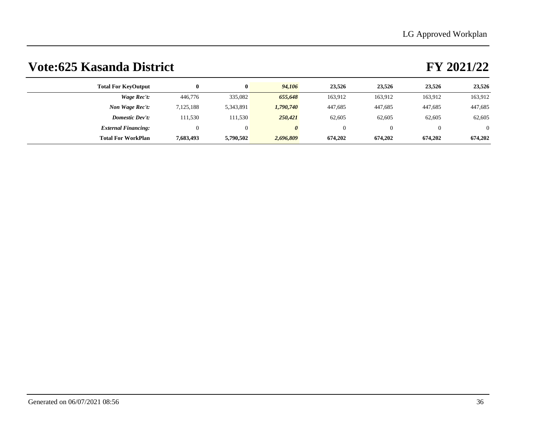| <b>Total For KeyOutput</b> |           | 0         | 94,106    | 23.526  | 23,526   | 23,526  | 23,526   |
|----------------------------|-----------|-----------|-----------|---------|----------|---------|----------|
| Wage Rec't:                | 446,776   | 335,082   | 655,648   | 163,912 | 163,912  | 163,912 | 163,912  |
| Non Wage Rec't:            | 7,125,188 | 5,343,891 | 1,790,740 | 447,685 | 447,685  | 447,685 | 447,685  |
| <b>Domestic Dev't:</b>     | 111,530   | 111.530   | 250,421   | 62,605  | 62,605   | 62,605  | 62,605   |
| <b>External Financing:</b> |           | $\theta$  | 0         | 0       | $\Omega$ |         | $\Omega$ |
| <b>Total For WorkPlan</b>  | 7,683,493 | 5,790,502 | 2,696,809 | 674,202 | 674,202  | 674,202 | 674,202  |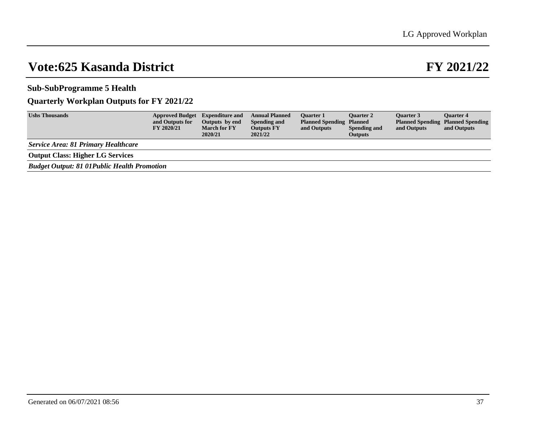**Sub-SubProgramme 5 Health**

## **Quarterly Workplan Outputs for FY 2021/22**

| <b>Ushs Thousands</b>                              | <b>Approved Budget</b><br>and Outputs for<br><b>FY 2020/21</b> | <b>Expenditure and</b><br>Outputs by end<br><b>March for FY</b><br>2020/21 | <b>Annual Planned</b><br>Spending and<br><b>Outputs FY</b><br>2021/22 | <b>Ouarter 1</b><br><b>Planned Spending Planned</b><br>and Outputs | <b>Ouarter 2</b><br><b>Spending and</b><br><b>Outputs</b> | <b>Ouarter 3</b><br>and Outputs | <b>Ouarter 4</b><br><b>Planned Spending Planned Spending</b><br>and Outputs |
|----------------------------------------------------|----------------------------------------------------------------|----------------------------------------------------------------------------|-----------------------------------------------------------------------|--------------------------------------------------------------------|-----------------------------------------------------------|---------------------------------|-----------------------------------------------------------------------------|
| Service Area: 81 Primary Healthcare                |                                                                |                                                                            |                                                                       |                                                                    |                                                           |                                 |                                                                             |
| <b>Output Class: Higher LG Services</b>            |                                                                |                                                                            |                                                                       |                                                                    |                                                           |                                 |                                                                             |
| <b>Budget Output: 81 01Public Health Promotion</b> |                                                                |                                                                            |                                                                       |                                                                    |                                                           |                                 |                                                                             |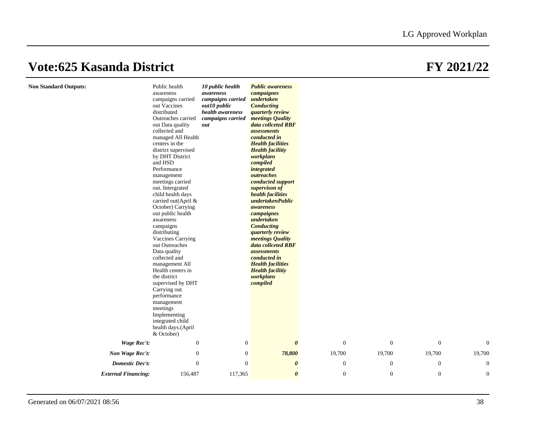## **Non Standard Outputs:**

|                            | Public health<br>awareness<br>campaigns carried<br>out Vaccines<br>distributed<br>Outreaches carried<br>out Data quality<br>collected and<br>managed All Health<br>centers in the<br>district supervised<br>by DHT District<br>and HSD<br>Performance<br>management<br>meetings carried<br>out. Intergrated<br>child health days<br>carried out(April &<br>October) Carrying<br>out public health<br>awareness<br>campaigns<br>distributing<br><b>Vaccines Carrying</b><br>out Outreaches<br>Data quality<br>collected and<br>management All<br>Health centers in<br>the district<br>supervised by DHT<br>Carrying out<br>performance<br>management<br>meetings | 10 public health<br>awareness<br>campaigns carried<br>out10 public<br>health awareness<br>campaigns carried<br>out | <b>Public awareness</b><br>campaignes<br>undertaken<br><b>Conducting</b><br><i>quarterly review</i><br>meetings Quality<br>data collceted RBF<br><i>assessments</i><br>conducted in<br><b>Health facilities</b><br><b>Health facilitiy</b><br>workplans<br>compiled<br><i>integrated</i><br>outreaches<br>conducted support<br>supervison of<br>health facilities<br>undertakenPublic<br>awareness<br>campaignes<br>undertaken<br><b>Conducting</b><br>quarterly review<br>meetings Quality<br>data collceted RBF<br><i>assessments</i><br>conducted in<br><b>Health facilities</b><br><b>Health facilitiy</b><br>workplans<br>compiled |                  |                  |                  |              |  |
|----------------------------|-----------------------------------------------------------------------------------------------------------------------------------------------------------------------------------------------------------------------------------------------------------------------------------------------------------------------------------------------------------------------------------------------------------------------------------------------------------------------------------------------------------------------------------------------------------------------------------------------------------------------------------------------------------------|--------------------------------------------------------------------------------------------------------------------|-----------------------------------------------------------------------------------------------------------------------------------------------------------------------------------------------------------------------------------------------------------------------------------------------------------------------------------------------------------------------------------------------------------------------------------------------------------------------------------------------------------------------------------------------------------------------------------------------------------------------------------------|------------------|------------------|------------------|--------------|--|
|                            | Implementing<br>integrated child<br>health days.(April<br>& October)                                                                                                                                                                                                                                                                                                                                                                                                                                                                                                                                                                                            |                                                                                                                    |                                                                                                                                                                                                                                                                                                                                                                                                                                                                                                                                                                                                                                         |                  |                  |                  |              |  |
| Wage Rec't:                | $\boldsymbol{0}$                                                                                                                                                                                                                                                                                                                                                                                                                                                                                                                                                                                                                                                | $\mathbf{0}$                                                                                                       | $\boldsymbol{\theta}$                                                                                                                                                                                                                                                                                                                                                                                                                                                                                                                                                                                                                   | $\mathbf{0}$     | $\theta$         | $\overline{0}$   | $\Omega$     |  |
| Non Wage Rec't:            | $\mathbf{0}$                                                                                                                                                                                                                                                                                                                                                                                                                                                                                                                                                                                                                                                    | $\mathbf{0}$                                                                                                       | 78,800                                                                                                                                                                                                                                                                                                                                                                                                                                                                                                                                                                                                                                  | 19,700           | 19,700           | 19,700           | 19,700       |  |
| <b>Domestic Dev't:</b>     | $\mathbf{0}$                                                                                                                                                                                                                                                                                                                                                                                                                                                                                                                                                                                                                                                    | $\overline{0}$                                                                                                     | $\boldsymbol{\theta}$                                                                                                                                                                                                                                                                                                                                                                                                                                                                                                                                                                                                                   | $\boldsymbol{0}$ | $\mathbf{0}$     | $\boldsymbol{0}$ | $\theta$     |  |
| <b>External Financing:</b> | 156,487                                                                                                                                                                                                                                                                                                                                                                                                                                                                                                                                                                                                                                                         | 117,365                                                                                                            | $\boldsymbol{\theta}$                                                                                                                                                                                                                                                                                                                                                                                                                                                                                                                                                                                                                   | $\boldsymbol{0}$ | $\boldsymbol{0}$ | $\boldsymbol{0}$ | $\mathbf{0}$ |  |
|                            |                                                                                                                                                                                                                                                                                                                                                                                                                                                                                                                                                                                                                                                                 |                                                                                                                    |                                                                                                                                                                                                                                                                                                                                                                                                                                                                                                                                                                                                                                         |                  |                  |                  |              |  |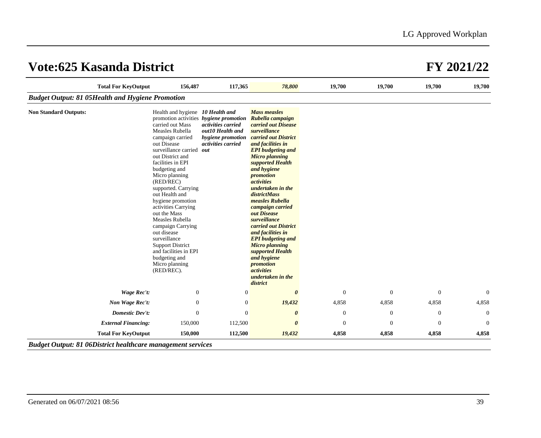|                                                          | <b>Total For KeyOutput</b> | 156,487                                                                                                                                                                                                                                                                                                                                                                                                                                                                                                                                                    | 117,365                                                                           | 78,800                                                                                                                                                                                                                                                                                                                                                                                                                                                                                                                                                                          | 19,700           | 19,700           | 19,700       | 19,700         |
|----------------------------------------------------------|----------------------------|------------------------------------------------------------------------------------------------------------------------------------------------------------------------------------------------------------------------------------------------------------------------------------------------------------------------------------------------------------------------------------------------------------------------------------------------------------------------------------------------------------------------------------------------------------|-----------------------------------------------------------------------------------|---------------------------------------------------------------------------------------------------------------------------------------------------------------------------------------------------------------------------------------------------------------------------------------------------------------------------------------------------------------------------------------------------------------------------------------------------------------------------------------------------------------------------------------------------------------------------------|------------------|------------------|--------------|----------------|
| <b>Budget Output: 81 05 Health and Hygiene Promotion</b> |                            |                                                                                                                                                                                                                                                                                                                                                                                                                                                                                                                                                            |                                                                                   |                                                                                                                                                                                                                                                                                                                                                                                                                                                                                                                                                                                 |                  |                  |              |                |
| <b>Non Standard Outputs:</b>                             |                            | Health and hygiene 10 Health and<br>promotion activities hygiene promotion<br>carried out Mass<br>Measles Rubella<br>campaign carried<br>out Disease<br>surveillance carried out<br>out District and<br>facilities in EPI<br>budgeting and<br>Micro planning<br>(RED/REC)<br>supported. Carrying<br>out Health and<br>hygiene promotion<br>activities Carrying<br>out the Mass<br>Measles Rubella<br>campaign Carrying<br>out disease<br>surveillance<br><b>Support District</b><br>and facilities in EPI<br>budgeting and<br>Micro planning<br>(RED/REC). | activities carried<br>out10 Health and<br>hygiene promotion<br>activities carried | <b>Mass measles</b><br>Rubella campaign<br>carried out Disease<br>surveillance<br>carried out District<br>and facilities in<br><b>EPI</b> budgeting and<br><b>Micro planning</b><br>supported Health<br>and hygiene<br>promotion<br><i>activities</i><br>undertaken in the<br><i>districtMass</i><br>measles Rubella<br>campaign carried<br>out Disease<br>surveillance<br>carried out District<br>and facilities in<br><b>EPI</b> budgeting and<br><b>Micro planning</b><br>supported Health<br>and hygiene<br>promotion<br><i>activities</i><br>undertaken in the<br>district |                  |                  |              |                |
|                                                          | Wage Rec't:                | $\mathbf{0}$                                                                                                                                                                                                                                                                                                                                                                                                                                                                                                                                               | $\theta$                                                                          | $\theta$                                                                                                                                                                                                                                                                                                                                                                                                                                                                                                                                                                        | $\boldsymbol{0}$ | $\boldsymbol{0}$ | $\mathbf{0}$ | $\overline{0}$ |
|                                                          | Non Wage Rec't:            | $\mathbf{0}$                                                                                                                                                                                                                                                                                                                                                                                                                                                                                                                                               | $\mathbf{0}$                                                                      | 19,432                                                                                                                                                                                                                                                                                                                                                                                                                                                                                                                                                                          | 4,858            | 4,858            | 4,858        | 4,858          |
|                                                          | <b>Domestic Dev't:</b>     | $\overline{0}$                                                                                                                                                                                                                                                                                                                                                                                                                                                                                                                                             | $\theta$                                                                          | $\boldsymbol{\theta}$                                                                                                                                                                                                                                                                                                                                                                                                                                                                                                                                                           | $\mathbf{0}$     | $\boldsymbol{0}$ | $\mathbf{0}$ | $\mathbf{0}$   |
|                                                          | <b>External Financing:</b> | 150,000                                                                                                                                                                                                                                                                                                                                                                                                                                                                                                                                                    | 112,500                                                                           | $\boldsymbol{\theta}$                                                                                                                                                                                                                                                                                                                                                                                                                                                                                                                                                           | $\theta$         | $\overline{0}$   | $\theta$     | $\theta$       |
|                                                          | <b>Total For KeyOutput</b> | 150,000                                                                                                                                                                                                                                                                                                                                                                                                                                                                                                                                                    | 112,500                                                                           | 19,432                                                                                                                                                                                                                                                                                                                                                                                                                                                                                                                                                                          | 4,858            | 4,858            | 4,858        | 4,858          |

*Budget Output: 81 06District healthcare management services*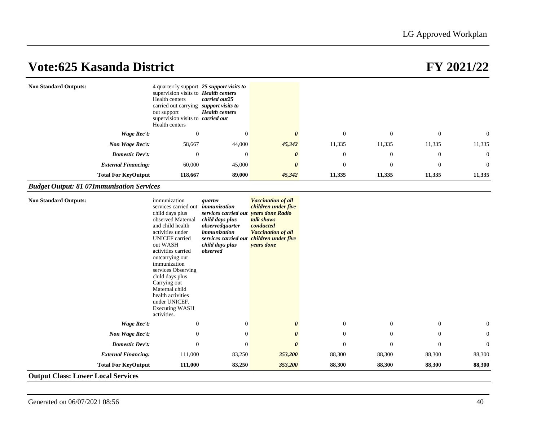| <b>Non Standard Outputs:</b> | 4 quarterrly support 25 support visits to<br>supervision visits to <b>Health centers</b><br>Health centers<br>carried out25<br>carried out carrying <i>support visits to</i><br><b>Health centers</b><br>out support<br>supervision visits to <i>carried out</i><br>Health centers |                |                       |                |          |                |                |
|------------------------------|------------------------------------------------------------------------------------------------------------------------------------------------------------------------------------------------------------------------------------------------------------------------------------|----------------|-----------------------|----------------|----------|----------------|----------------|
| Wage Rec't:                  | $\theta$                                                                                                                                                                                                                                                                           | $\overline{0}$ | 0                     | $\Omega$       | $\Omega$ | $\overline{0}$ | $\overline{0}$ |
| Non Wage Rec't:              | 58,667                                                                                                                                                                                                                                                                             | 44,000         | 45,342                | 11,335         | 11,335   | 11,335         | 11,335         |
| Domestic Dev't:              | $\theta$                                                                                                                                                                                                                                                                           | $\overline{0}$ | $\boldsymbol{\theta}$ | $\overline{0}$ | $\theta$ | $\mathbf{0}$   | $\overline{0}$ |
| <b>External Financing:</b>   | 60,000                                                                                                                                                                                                                                                                             | 45,000         | $\theta$              | $\overline{0}$ | $\Omega$ | $\theta$       | $\overline{0}$ |
| <b>Total For KeyOutput</b>   | 118,667                                                                                                                                                                                                                                                                            | 89,000         | 45,342                | 11,335         | 11,335   | 11,335         | 11,335         |

## *Budget Output: 81 07Immunisation Services*

| <b>Non Standard Outputs:</b>              | immunization<br>services carried out<br>child days plus<br>observed Maternal<br>and child health<br>activities under<br><b>UNICEF</b> carried<br>out WASH<br>activities carried<br>outcarrying out<br>immunization<br>services Observing<br>child days plus<br>Carrying out<br>Maternal child<br>health activities<br>under UNICEF.<br><b>Executing WASH</b><br>activities. | quarter<br>immunization<br>services carried out<br>child days plus<br>observedquarter<br>immunization<br>services carried out<br>child days plus<br>observed | <b>Vaccination of all</b><br>children under five<br>vears done Radio<br>talk shows<br>conducted<br><b>Vaccination of all</b><br>children under five<br>years done |                |                |                |              |
|-------------------------------------------|-----------------------------------------------------------------------------------------------------------------------------------------------------------------------------------------------------------------------------------------------------------------------------------------------------------------------------------------------------------------------------|--------------------------------------------------------------------------------------------------------------------------------------------------------------|-------------------------------------------------------------------------------------------------------------------------------------------------------------------|----------------|----------------|----------------|--------------|
| Wage Rec't:                               | $\boldsymbol{0}$                                                                                                                                                                                                                                                                                                                                                            | $\mathbf{0}$                                                                                                                                                 | $\boldsymbol{\theta}$                                                                                                                                             | $\mathbf{0}$   | $\mathbf{0}$   | $\mathbf{0}$   | $\mathbf{0}$ |
| Non Wage Rec't:                           | $\mathbf{0}$                                                                                                                                                                                                                                                                                                                                                                | $\theta$                                                                                                                                                     | $\boldsymbol{\theta}$                                                                                                                                             | $\theta$       | $\theta$       | $\mathbf{0}$   | $\mathbf{0}$ |
| Domestic Dev't:                           | $\mathbf{0}$                                                                                                                                                                                                                                                                                                                                                                | $\theta$                                                                                                                                                     | $\boldsymbol{\theta}$                                                                                                                                             | $\overline{0}$ | $\overline{0}$ | $\overline{0}$ | $\theta$     |
| <b>External Financing:</b>                | 111,000                                                                                                                                                                                                                                                                                                                                                                     | 83,250                                                                                                                                                       | 353,200                                                                                                                                                           | 88,300         | 88,300         | 88,300         | 88,300       |
| <b>Total For KeyOutput</b>                | 111,000                                                                                                                                                                                                                                                                                                                                                                     | 83,250                                                                                                                                                       | 353,200                                                                                                                                                           | 88,300         | 88,300         | 88,300         | 88,300       |
| <b>Output Class: Lower Local Services</b> |                                                                                                                                                                                                                                                                                                                                                                             |                                                                                                                                                              |                                                                                                                                                                   |                |                |                |              |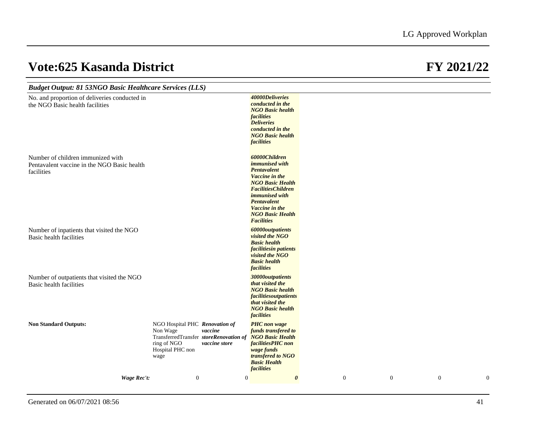| <b>Budget Output: 81 53NGO Basic Healthcare Services (LLS)</b>                                 |                                                                                                                                 |                          |                                                                                                                                                                                                                                           |                |              |              |                  |
|------------------------------------------------------------------------------------------------|---------------------------------------------------------------------------------------------------------------------------------|--------------------------|-------------------------------------------------------------------------------------------------------------------------------------------------------------------------------------------------------------------------------------------|----------------|--------------|--------------|------------------|
| No. and proportion of deliveries conducted in<br>the NGO Basic health facilities               |                                                                                                                                 |                          | 40000Deliveries<br>conducted in the<br><b>NGO Basic health</b><br><i>facilities</i><br><b>Deliveries</b><br>conducted in the<br><b>NGO Basic health</b><br><i>facilities</i>                                                              |                |              |              |                  |
| Number of children immunized with<br>Pentavalent vaccine in the NGO Basic health<br>facilities |                                                                                                                                 |                          | 60000Children<br><i>immunised</i> with<br>Pentavalent<br>Vaccine in the<br><b>NGO Basic Health</b><br><b>FacilitiesChildren</b><br><i>immunised</i> with<br>Pentavalent<br>Vaccine in the<br><b>NGO Basic Health</b><br><b>Facilities</b> |                |              |              |                  |
| Number of inpatients that visited the NGO<br>Basic health facilities                           |                                                                                                                                 |                          | <b>60000outpatients</b><br>visited the NGO<br><b>Basic health</b><br>facilitiesin patients<br>visited the NGO<br><b>Basic health</b><br><i>facilities</i>                                                                                 |                |              |              |                  |
| Number of outpatients that visited the NGO<br><b>Basic health facilities</b>                   |                                                                                                                                 |                          | 30000outpatients<br>that visited the<br><b>NGO Basic health</b><br><i>facilitiesoutpatients</i><br>that visited the<br><b>NGO Basic health</b><br><i>facilities</i>                                                                       |                |              |              |                  |
| <b>Non Standard Outputs:</b>                                                                   | NGO Hospital PHC Renovation of<br>Non Wage<br>TransferredTransfer storeRenovation of<br>ring of NGO<br>Hospital PHC non<br>wage | vaccine<br>vaccine store | <b>PHC</b> non wage<br>funds transfered to<br><b>NGO Basic Health</b><br>facilitiesPHC non<br>wage funds<br>transfered to NGO<br><b>Basic Health</b><br><i>facilities</i>                                                                 |                |              |              |                  |
| Wage Rec't:                                                                                    | $\boldsymbol{0}$                                                                                                                | $\mathbf{0}$             | $\boldsymbol{\theta}$                                                                                                                                                                                                                     | $\overline{0}$ | $\mathbf{0}$ | $\mathbf{0}$ | $\boldsymbol{0}$ |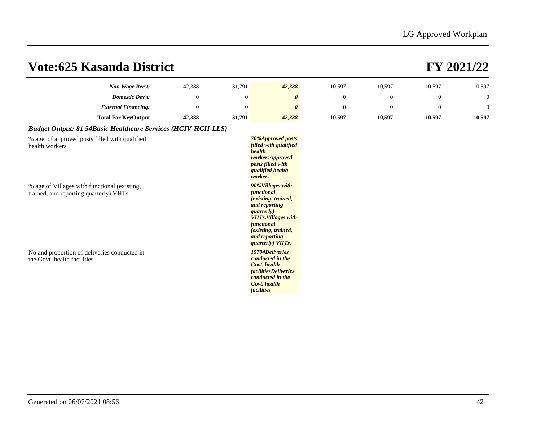| <b>Vote:625 Kasanda District</b>                                                                                                                           |              |              |                                                                                                                                                                                                                                                                           |              |              |              | FY 2021/22     |
|------------------------------------------------------------------------------------------------------------------------------------------------------------|--------------|--------------|---------------------------------------------------------------------------------------------------------------------------------------------------------------------------------------------------------------------------------------------------------------------------|--------------|--------------|--------------|----------------|
| Non Wage Rec't:                                                                                                                                            | 42,388       | 31,791       | 42,388                                                                                                                                                                                                                                                                    | 10,597       | 10,597       | 10,597       | 10,597         |
| <b>Domestic Dev't:</b>                                                                                                                                     | $\mathbf{0}$ | $\mathbf{0}$ | $\boldsymbol{\theta}$                                                                                                                                                                                                                                                     | $\mathbf{0}$ | $\mathbf{0}$ | $\mathbf{0}$ | $\mathbf{0}$   |
| <b>External Financing:</b>                                                                                                                                 | $\theta$     | $\theta$     | $\boldsymbol{\theta}$                                                                                                                                                                                                                                                     | $\mathbf{0}$ | $\theta$     | $\theta$     | $\overline{0}$ |
| <b>Total For KeyOutput</b>                                                                                                                                 | 42,388       | 31,791       | 42,388                                                                                                                                                                                                                                                                    | 10,597       | 10,597       | 10,597       | 10,597         |
| <b>Budget Output: 81 54Basic Healthcare Services (HCIV-HCII-LLS)</b>                                                                                       |              |              |                                                                                                                                                                                                                                                                           |              |              |              |                |
| % age of approved posts filled with qualified<br>health workers<br>% age of Villages with functional (existing,<br>trained, and reporting quarterly) VHTs. |              |              | 70%Approved posts<br>filled with qualified<br>health<br>workersApproved<br>posts filled with<br><i>qualified health</i><br>workers<br>90%Villages with<br>functional<br>(existing, trained,<br>and reporting                                                              |              |              |              |                |
| No and proportion of deliveries conducted in<br>the Govt. health facilities                                                                                |              |              | <i>guarterly</i> )<br><b>VHTs. Villages with</b><br>functional<br>(existing, trained,<br>and reporting<br>quarterly) VHTs.<br>15704Deliveries<br>conducted in the<br>Govt. health<br><i>facilitiesDeliveries</i><br>conducted in the<br>Govt. health<br><i>facilities</i> |              |              |              |                |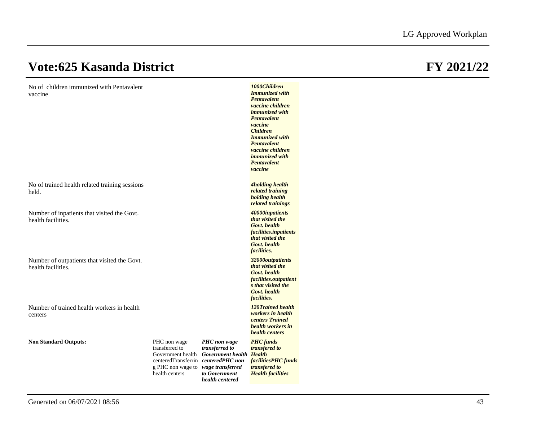No of children immunized with Pentavalent vaccine

| vaccine                                                            |                                                                                                                                                    |                                                                                                | <b>Immunized with</b><br>Pentavalent<br>vaccine children<br><i>immunized</i> with<br>Pentavalent<br>vaccine<br><b>Children</b><br><b>Immunized</b> with<br><b>Pentavalent</b><br>vaccine children<br><i>immunized</i> with<br>Pentavalent<br>vaccine |
|--------------------------------------------------------------------|----------------------------------------------------------------------------------------------------------------------------------------------------|------------------------------------------------------------------------------------------------|------------------------------------------------------------------------------------------------------------------------------------------------------------------------------------------------------------------------------------------------------|
| No of trained health related training sessions<br>held.            |                                                                                                                                                    |                                                                                                | <b>4holding health</b><br>related training<br>holding health<br>related trainings                                                                                                                                                                    |
| Number of inpatients that visited the Govt.<br>health facilities.  |                                                                                                                                                    |                                                                                                | 40000inpatients<br>that visited the<br>Govt. health<br>facilities.inpatients<br>that visited the<br>Govt. health<br><i>facilities.</i>                                                                                                               |
| Number of outpatients that visited the Govt.<br>health facilities. |                                                                                                                                                    |                                                                                                | 32000outpatients<br>that visited the<br>Govt. health<br>facilities.outpatient<br>s that visited the<br>Govt. health<br><i>facilities.</i>                                                                                                            |
| Number of trained health workers in health<br>centers              |                                                                                                                                                    |                                                                                                | 120Trained health<br>workers in health<br>centers Trained<br>health workers in<br>health centers                                                                                                                                                     |
| <b>Non Standard Outputs:</b>                                       | PHC non wage<br>transferred to<br>Government health<br>centeredTransferrin centeredPHC non<br>g PHC non wage to wage transferred<br>health centers | PHC non wage<br>transferred to<br>Government health Health<br>to Government<br>health centered | <b>PHC</b> funds<br>transfered to<br>facilitiesPHC funds<br>transfered to<br><b>Health facilities</b>                                                                                                                                                |

*1000Children*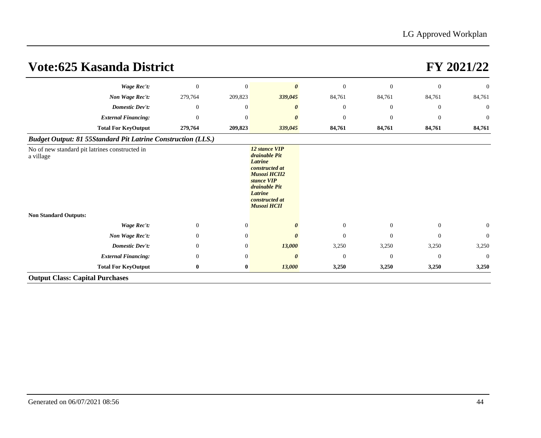| <b>Vote:625 Kasanda District</b>                                    |              |                |                                                                                                                                                                             |                  |                  |                | FY 2021/22     |
|---------------------------------------------------------------------|--------------|----------------|-----------------------------------------------------------------------------------------------------------------------------------------------------------------------------|------------------|------------------|----------------|----------------|
| Wage Rec't:                                                         | $\theta$     | $\mathbf{0}$   | $\boldsymbol{\theta}$                                                                                                                                                       | $\boldsymbol{0}$ | $\mathbf{0}$     | $\overline{0}$ | $\theta$       |
| Non Wage Rec't:                                                     | 279,764      | 209,823        | 339,045                                                                                                                                                                     | 84,761           | 84,761           | 84,761         | 84,761         |
| <b>Domestic Dev't:</b>                                              | $\theta$     | $\mathbf{0}$   |                                                                                                                                                                             | $\mathbf{0}$     | $\theta$         | $\overline{0}$ | $\mathbf{0}$   |
| <b>External Financing:</b>                                          | $\theta$     | $\mathbf{0}$   |                                                                                                                                                                             | $\theta$         | $\mathbf{0}$     | $\theta$       | $\theta$       |
| <b>Total For KeyOutput</b>                                          | 279,764      | 209,823        | 339,045                                                                                                                                                                     | 84,761           | 84,761           | 84,761         | 84,761         |
| <b>Budget Output: 81 55Standard Pit Latrine Construction (LLS.)</b> |              |                |                                                                                                                                                                             |                  |                  |                |                |
| No of new standard pit latrines constructed in<br>a village         |              |                | 12 stance VIP<br>drainable Pit<br><b>Latrine</b><br>constructed at<br><b>Musozi HCII2</b><br>stance VIP<br>drainable Pit<br>Latrine<br>constructed at<br><b>Musozi HCII</b> |                  |                  |                |                |
| <b>Non Standard Outputs:</b>                                        |              |                |                                                                                                                                                                             |                  |                  |                |                |
| <b>Wage Rec't:</b>                                                  | $\mathbf{0}$ | $\mathbf{0}$   |                                                                                                                                                                             | $\mathbf{0}$     | $\boldsymbol{0}$ | $\mathbf{0}$   | $\mathbf{0}$   |
| Non Wage Rec't:                                                     | $\theta$     | $\overline{0}$ |                                                                                                                                                                             | $\Omega$         | $\mathbf{0}$     | $\overline{0}$ | $\theta$       |
| <b>Domestic Dev't:</b>                                              | $\theta$     | $\mathbf{0}$   | 13,000                                                                                                                                                                      | 3,250            | 3,250            | 3,250          | 3,250          |
| <b>External Financing:</b>                                          | $\theta$     | $\overline{0}$ | 0                                                                                                                                                                           | $\overline{0}$   | $\overline{0}$   | $\theta$       | $\overline{0}$ |
| <b>Total For KeyOutput</b>                                          | $\bf{0}$     | $\bf{0}$       | 13,000                                                                                                                                                                      | 3,250            | 3,250            | 3,250          | 3,250          |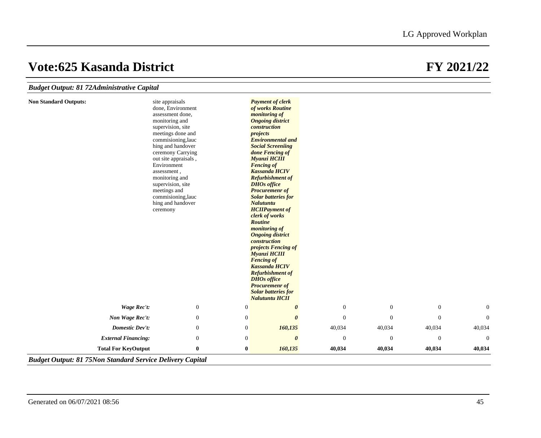## *Budget C*

**Non Stand** 

| dard Outputs:              | site appraisals                              |                  | <b>Payment of clerk</b>                              |              |                  |                  |              |
|----------------------------|----------------------------------------------|------------------|------------------------------------------------------|--------------|------------------|------------------|--------------|
|                            | done, Environment                            |                  | of works Routine                                     |              |                  |                  |              |
|                            | assessment done,                             |                  | monitoring of                                        |              |                  |                  |              |
|                            | monitoring and                               |                  | <b>Ongoing district</b>                              |              |                  |                  |              |
|                            | supervision, site                            |                  | construction                                         |              |                  |                  |              |
|                            | meetings done and                            |                  | projects                                             |              |                  |                  |              |
|                            | commisioning, lauc                           |                  | <b>Environmental and</b><br><b>Social Screeniing</b> |              |                  |                  |              |
|                            | hing and handover<br>ceremony Carrying       |                  | done Fencing of                                      |              |                  |                  |              |
|                            | out site appraisals,                         |                  | <b>Myanzi HCIII</b>                                  |              |                  |                  |              |
|                            | Environment<br>assessment,<br>monitoring and |                  | <b>Fencing of</b>                                    |              |                  |                  |              |
|                            |                                              |                  | <b>Kassanda HCIV</b>                                 |              |                  |                  |              |
|                            |                                              |                  | <b>Refurbishment of</b>                              |              |                  |                  |              |
|                            | supervision, site                            |                  | <b>DHOs office</b>                                   |              |                  |                  |              |
|                            | meetings and                                 |                  | <b>Procuremenr</b> of                                |              |                  |                  |              |
|                            | commisioning, lauc<br>hing and handover      |                  | <b>Solar batteries for</b>                           |              |                  |                  |              |
|                            |                                              |                  | Nalutuntu                                            |              |                  |                  |              |
|                            | ceremony                                     |                  | <b>HCIIPayment of</b><br>clerk of works              |              |                  |                  |              |
|                            |                                              |                  | <b>Routine</b>                                       |              |                  |                  |              |
|                            |                                              |                  | <i>monitoring of</i>                                 |              |                  |                  |              |
|                            |                                              |                  | <b>Ongoing district</b>                              |              |                  |                  |              |
|                            |                                              |                  | construction                                         |              |                  |                  |              |
|                            |                                              |                  | <i>projects Fencing of</i>                           |              |                  |                  |              |
|                            |                                              |                  | <b>Myanzi HCIII</b>                                  |              |                  |                  |              |
|                            |                                              |                  | <b>Fencing of</b>                                    |              |                  |                  |              |
|                            |                                              |                  | <b>Kassanda HCIV</b>                                 |              |                  |                  |              |
|                            |                                              |                  | <b>Refurbishment of</b><br><b>DHOs</b> office        |              |                  |                  |              |
|                            |                                              |                  | <b>Procuremenr</b> of                                |              |                  |                  |              |
|                            |                                              |                  | <b>Solar batteries for</b>                           |              |                  |                  |              |
|                            |                                              |                  | <b>Nalutuntu HCII</b>                                |              |                  |                  |              |
| Wage Rec't:                | $\mathbf{0}$                                 | $\boldsymbol{0}$ | 0                                                    | $\mathbf{0}$ | $\mathbf{0}$     | $\mathbf{0}$     | $\mathbf{0}$ |
| Non Wage Rec't:            | $\mathbf{0}$                                 | $\boldsymbol{0}$ | $\boldsymbol{\theta}$                                | $\mathbf{0}$ | $\overline{0}$   | $\mathbf{0}$     | $\Omega$     |
| <b>Domestic Dev't:</b>     | $\overline{0}$                               | $\boldsymbol{0}$ | 160,135                                              | 40,034       | 40,034           | 40,034           | 40,034       |
| <b>External Financing:</b> | $\boldsymbol{0}$                             | $\boldsymbol{0}$ | $\boldsymbol{\theta}$                                | $\mathbf{0}$ | $\boldsymbol{0}$ | $\boldsymbol{0}$ | $\mathbf{0}$ |
| <b>Total For KeyOutput</b> | $\bf{0}$                                     | $\bf{0}$         | 160,135                                              | 40,034       | 40,034           | 40,034           | 40,034       |

## *Budget Output: 81 75Non Standard Service Delivery Capital*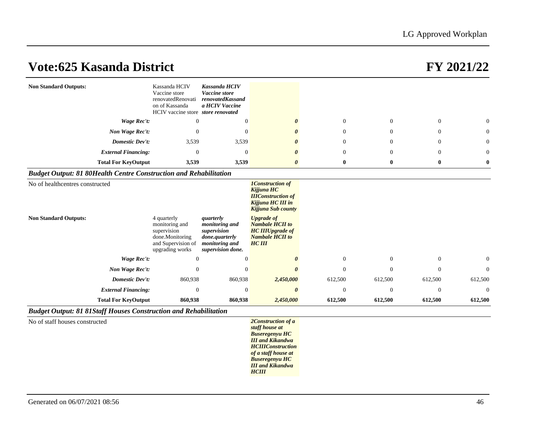| <b>Non Standard Outputs:</b>                                             | Kassanda HCIV<br>Vaccine store<br>renovatedRenovati<br>on of Kassanda<br>HCIV vaccine store store renovated | Kassanda HCIV<br>Vaccine store<br>renovatedKassand<br>a HCIV Vaccine                                |                                                                                                                   |                |                |                |                |
|--------------------------------------------------------------------------|-------------------------------------------------------------------------------------------------------------|-----------------------------------------------------------------------------------------------------|-------------------------------------------------------------------------------------------------------------------|----------------|----------------|----------------|----------------|
| Wage Rec't:                                                              | $\overline{0}$                                                                                              | $\mathbf{0}$                                                                                        |                                                                                                                   | $\mathbf{0}$   | $\overline{0}$ | $\overline{0}$ | $\Omega$       |
| Non Wage Rec't:                                                          | $\mathbf{0}$                                                                                                | $\overline{0}$                                                                                      |                                                                                                                   | $\theta$       | $\Omega$       | $\mathbf{0}$   | $\theta$       |
| Domestic Dev't:                                                          | 3,539                                                                                                       | 3,539                                                                                               |                                                                                                                   | $\overline{0}$ | $\Omega$       | $\mathbf{0}$   | $\Omega$       |
| <b>External Financing:</b>                                               | $\mathbf{0}$                                                                                                | $\theta$                                                                                            |                                                                                                                   | $\theta$       | $\Omega$       | $\Omega$       | $\Omega$       |
| <b>Total For KeyOutput</b>                                               | 3,539                                                                                                       | 3,539                                                                                               | $\boldsymbol{\theta}$                                                                                             | $\bf{0}$       | $\bf{0}$       | $\bf{0}$       | $\bf{0}$       |
| <b>Budget Output: 81 80Health Centre Construction and Rehabilitation</b> |                                                                                                             |                                                                                                     |                                                                                                                   |                |                |                |                |
| No of healthcentres constructed                                          |                                                                                                             |                                                                                                     | <b>1Construction of</b><br>Kijjuna HC<br><b>IIIConstruction of</b><br>Kijjuna HC III in<br>Kijjuna Sub county     |                |                |                |                |
| <b>Non Standard Outputs:</b>                                             | 4 quarterly<br>monitoring and<br>supervision<br>done.Monitoring<br>and Supervision of<br>upgrading works    | quarterly<br>monitoring and<br>supervision<br>done.quarterly<br>monitoring and<br>supervision done. | <b>Upgrade of</b><br><b>Nambale HCII to</b><br><b>HC IIIUpgrade</b> of<br><b>Nambale HCII to</b><br><b>HC III</b> |                |                |                |                |
| Wage Rec't:                                                              | $\mathbf{0}$                                                                                                | $\theta$                                                                                            |                                                                                                                   | $\mathbf{0}$   | $\overline{0}$ | $\overline{0}$ | $\overline{0}$ |
| Non Wage Rec't:                                                          | $\Omega$                                                                                                    | $\theta$                                                                                            |                                                                                                                   | $\mathbf{0}$   | $\Omega$       | $\Omega$       | $\Omega$       |
| Domestic Dev't:                                                          | 860,938                                                                                                     | 860,938                                                                                             | 2,450,000                                                                                                         | 612,500        | 612,500        | 612,500        | 612,500        |
| <b>External Financing:</b>                                               | $\theta$                                                                                                    | $\mathbf{0}$                                                                                        | $\theta$                                                                                                          | $\overline{0}$ | $\Omega$       | $\Omega$       | $\Omega$       |
| <b>Total For KeyOutput</b>                                               | 860,938                                                                                                     | 860,938                                                                                             | 2,450,000                                                                                                         | 612,500        | 612,500        | 612,500        | 612,500        |
| <b>Budget Output: 81 81 Staff Houses Construction and Rehabilitation</b> |                                                                                                             |                                                                                                     |                                                                                                                   |                |                |                |                |
| No of staff houses constructed                                           |                                                                                                             |                                                                                                     | 2Construction of a<br>staff house at<br><b>Buseregenyu HC</b>                                                     |                |                |                |                |

*III and Kikandwa HCIIIConstruction of a staff house at Buseregenyu HC III and Kikandwa HCIII*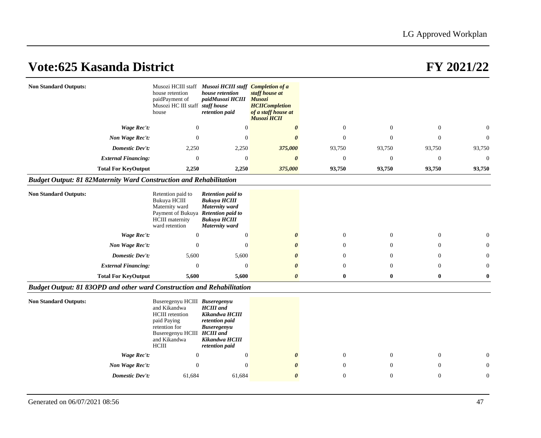| <b>Non Standard Outputs:</b>                                              | house retention<br>paidPayment of<br>Musozi HC III staff staff house<br>house                                                                                   | Musozi HCIII staff Musozi HCIII staff Completion of a<br>house retention<br>paidMusozi HCIII Musozi<br>retention paid | staff house at<br><b>HCIICompletion</b><br>of a staff house at<br>Musozi HCII |                  |              |                  |                |
|---------------------------------------------------------------------------|-----------------------------------------------------------------------------------------------------------------------------------------------------------------|-----------------------------------------------------------------------------------------------------------------------|-------------------------------------------------------------------------------|------------------|--------------|------------------|----------------|
| <b>Wage Rec't:</b>                                                        | $\mathbf{0}$                                                                                                                                                    | $\overline{0}$                                                                                                        | $\theta$                                                                      | $\mathbf{0}$     | $\mathbf{0}$ | $\mathbf{0}$     | $\Omega$       |
| Non Wage Rec't:                                                           | $\mathbf{0}$                                                                                                                                                    | $\overline{0}$                                                                                                        | $\boldsymbol{\theta}$                                                         | $\mathbf{0}$     | $\theta$     | $\theta$         | $\overline{0}$ |
| <b>Domestic Dev't:</b>                                                    | 2,250                                                                                                                                                           | 2,250                                                                                                                 | 375,000                                                                       | 93,750           | 93,750       | 93,750           | 93,750         |
| <b>External Financing:</b>                                                | $\mathbf{0}$                                                                                                                                                    | $\mathbf{0}$                                                                                                          | $\boldsymbol{\theta}$                                                         | $\boldsymbol{0}$ | $\theta$     | $\boldsymbol{0}$ | $\theta$       |
| <b>Total For KeyOutput</b>                                                | 2,250                                                                                                                                                           | 2,250                                                                                                                 | 375,000                                                                       | 93,750           | 93,750       | 93,750           | 93,750         |
| <b>Budget Output: 81 82Maternity Ward Construction and Rehabilitation</b> |                                                                                                                                                                 |                                                                                                                       |                                                                               |                  |              |                  |                |
| <b>Non Standard Outputs:</b>                                              | Retention paid to<br>Bukuya HCIII<br>Maternity ward<br>Payment of Bukuya Retention paid to<br><b>HCIII</b> maternity<br>ward retention                          | <b>Retention paid to</b><br><b>Bukuya HCIII</b><br>Maternity ward<br><b>Bukuya HCIII</b><br>Maternity ward            |                                                                               |                  |              |                  |                |
| <b>Wage Rec't:</b>                                                        | $\overline{0}$                                                                                                                                                  | $\mathbf{0}$                                                                                                          | 0                                                                             | $\mathbf{0}$     | $\mathbf{0}$ | $\mathbf{0}$     | $\Omega$       |
| Non Wage Rec't:                                                           | $\mathbf{0}$                                                                                                                                                    | $\overline{0}$                                                                                                        |                                                                               | $\mathbf{0}$     | $\Omega$     | $\Omega$         | $\Omega$       |
| <b>Domestic Dev't:</b>                                                    | 5,600                                                                                                                                                           | 5,600                                                                                                                 |                                                                               | $\Omega$         | $\Omega$     | $\Omega$         | $\Omega$       |
| <b>External Financing:</b>                                                | $\mathbf{0}$                                                                                                                                                    | $\overline{0}$                                                                                                        |                                                                               | $\theta$         | $\theta$     | $\mathbf{0}$     | $\Omega$       |
| <b>Total For KeyOutput</b>                                                | 5,600                                                                                                                                                           | 5,600                                                                                                                 | 0                                                                             | $\bf{0}$         | $\bf{0}$     | $\bf{0}$         | $\mathbf{0}$   |
| Budget Output: 81 830PD and other ward Construction and Rehabilitation    |                                                                                                                                                                 |                                                                                                                       |                                                                               |                  |              |                  |                |
| <b>Non Standard Outputs:</b>                                              | Buseregenyu HCIII Buseregenyu<br>and Kikandwa<br><b>HCIII</b> retention<br>paid Paying<br>retention for<br>Buseregenyu HCIII HCIII and<br>and Kikandwa<br>HClII | <b>HCIII</b> and<br>Kikandwa HCIII<br>retention paid<br><b>Buseregenyu</b><br>Kikandwa HCIII<br>retention paid        |                                                                               |                  |              |                  |                |
| Wage Rec't:                                                               | $\mathbf{0}$                                                                                                                                                    | $\theta$                                                                                                              | 0                                                                             | $\mathbf{0}$     | $\theta$     | $\mathbf{0}$     |                |
| Non Wage Rec't:                                                           | $\Omega$                                                                                                                                                        | $\Omega$                                                                                                              |                                                                               | $\overline{0}$   | $\Omega$     | $\Omega$         | $\Omega$       |
| <b>Domestic Dev't:</b>                                                    | 61,684                                                                                                                                                          | 61,684                                                                                                                | 0                                                                             | $\mathbf{0}$     | $\theta$     | $\mathbf{0}$     | $\mathbf{0}$   |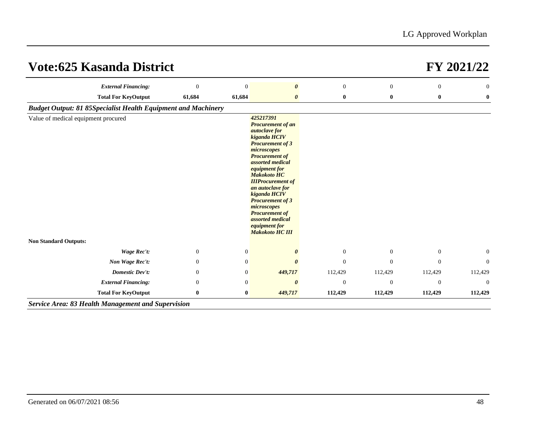| <b>Vote:625 Kasanda District</b>                                     |                |                |                                                                                                                                                                                                                                                                                                                                                                                                               |                |                |              | FY 2021/22     |
|----------------------------------------------------------------------|----------------|----------------|---------------------------------------------------------------------------------------------------------------------------------------------------------------------------------------------------------------------------------------------------------------------------------------------------------------------------------------------------------------------------------------------------------------|----------------|----------------|--------------|----------------|
| <b>External Financing:</b>                                           | $\overline{0}$ | $\Omega$       | $\boldsymbol{\theta}$                                                                                                                                                                                                                                                                                                                                                                                         | $\overline{0}$ | $\overline{0}$ | $\theta$     | $\overline{0}$ |
| <b>Total For KeyOutput</b>                                           | 61,684         | 61,684         | 0                                                                                                                                                                                                                                                                                                                                                                                                             | $\bf{0}$       | $\bf{0}$       | $\bf{0}$     | $\bf{0}$       |
| <b>Budget Output: 81 85Specialist Health Equipment and Machinery</b> |                |                |                                                                                                                                                                                                                                                                                                                                                                                                               |                |                |              |                |
| Value of medical equipment procured                                  |                |                | 425217391<br><b>Procurement of an</b><br><i>autoclave for</i><br>kiganda HCIV<br><b>Procurement of 3</b><br>microscopes<br><b>Procurement of</b><br>assorted medical<br>equipment for<br><b>Makokoto HC</b><br><b>IIIProcurement of</b><br>an autoclave for<br>kiganda HCIV<br><b>Procurement of 3</b><br>microscopes<br><b>Procurement of</b><br>assorted medical<br>equipment for<br><b>Makokoto HC III</b> |                |                |              |                |
| <b>Non Standard Outputs:</b>                                         |                |                |                                                                                                                                                                                                                                                                                                                                                                                                               |                |                |              |                |
| Wage Rec't:                                                          | $\theta$       | $\mathbf{0}$   |                                                                                                                                                                                                                                                                                                                                                                                                               | $\mathbf{0}$   | $\theta$       | $\mathbf{0}$ | $\overline{0}$ |
| Non Wage Rec't:                                                      | $\mathbf{0}$   | $\mathbf{0}$   |                                                                                                                                                                                                                                                                                                                                                                                                               | $\Omega$       | $\Omega$       | $\Omega$     | $\Omega$       |
| <b>Domestic Dev't:</b>                                               | $\mathbf{0}$   | $\mathbf{0}$   | 449,717                                                                                                                                                                                                                                                                                                                                                                                                       | 112,429        | 112,429        | 112,429      | 112,429        |
| <b>External Financing:</b>                                           | $\Omega$       | $\overline{0}$ | $\theta$                                                                                                                                                                                                                                                                                                                                                                                                      | $\mathbf{0}$   | $\mathbf{0}$   | $\theta$     | $\Omega$       |
| <b>Total For KeyOutput</b>                                           | $\bf{0}$       | $\bf{0}$       | 449,717                                                                                                                                                                                                                                                                                                                                                                                                       | 112,429        | 112,429        | 112,429      | 112,429        |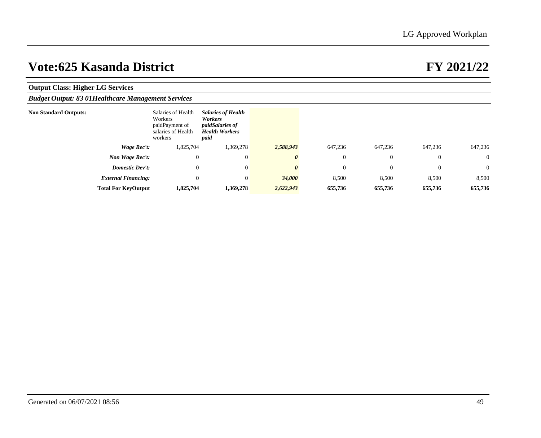| <b>Output Class: Higher LG Services</b>                    |             |                                                                                  |                                                                                                 |           |                |                |                  |                |
|------------------------------------------------------------|-------------|----------------------------------------------------------------------------------|-------------------------------------------------------------------------------------------------|-----------|----------------|----------------|------------------|----------------|
| <b>Budget Output: 83 01 Healthcare Management Services</b> |             |                                                                                  |                                                                                                 |           |                |                |                  |                |
| <b>Non Standard Outputs:</b>                               |             | Salaries of Health<br>Workers<br>paidPayment of<br>salaries of Health<br>workers | <b>Salaries of Health</b><br>Workers<br><i>paidSalaries of</i><br><b>Health Workers</b><br>paid |           |                |                |                  |                |
|                                                            | Wage Rec't: | 1,825,704                                                                        | 1,369,278                                                                                       | 2,588,943 | 647,236        | 647,236        | 647,236          | 647,236        |
| Non Wage Rec't:                                            |             | $\mathbf{0}$                                                                     |                                                                                                 |           | $\overline{0}$ | $\overline{0}$ | $\theta$         | $\overline{0}$ |
| Domestic Dev't:                                            |             | $\mathbf{0}$                                                                     | $\overline{0}$                                                                                  |           | $\overline{0}$ | $\overline{0}$ | $\boldsymbol{0}$ | $\overline{0}$ |
| <b>External Financing:</b>                                 |             | $\mathbf{0}$                                                                     | $\Omega$                                                                                        | 34,000    | 8,500          | 8,500          | 8,500            | 8,500          |
| <b>Total For KeyOutput</b>                                 |             | 1,825,704                                                                        | 1,369,278                                                                                       | 2,622,943 | 655,736        | 655,736        | 655,736          | 655,736        |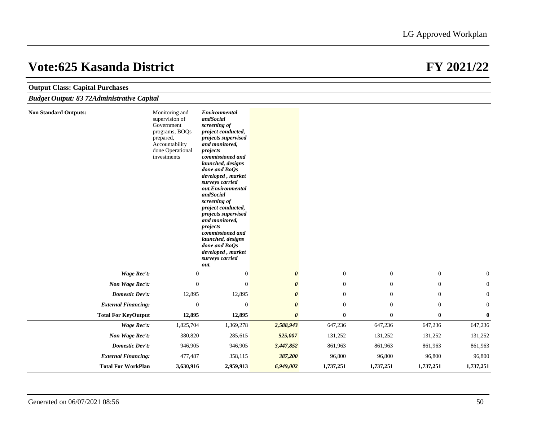| <b>Output Class: Capital Purchases</b>            |                                                                                                                                    |                                                                                                                                                                                                                                                                                                                                                                                                                                                                |                       |                  |                  |                  |                |
|---------------------------------------------------|------------------------------------------------------------------------------------------------------------------------------------|----------------------------------------------------------------------------------------------------------------------------------------------------------------------------------------------------------------------------------------------------------------------------------------------------------------------------------------------------------------------------------------------------------------------------------------------------------------|-----------------------|------------------|------------------|------------------|----------------|
| <b>Budget Output: 83 72Administrative Capital</b> |                                                                                                                                    |                                                                                                                                                                                                                                                                                                                                                                                                                                                                |                       |                  |                  |                  |                |
| <b>Non Standard Outputs:</b>                      | Monitoring and<br>supervision of<br>Government<br>programs, BOQs<br>prepared,<br>Accountability<br>done Operational<br>investments | Environmental<br>andSocial<br>screening of<br>project conducted,<br>projects supervised<br>and monitored,<br>projects<br>commissioned and<br>launched, designs<br>done and BoOs<br>developed, market<br>surveys carried<br>out.Environmental<br>andSocial<br>screening of<br>project conducted,<br>projects supervised<br>and monitored,<br>projects<br>commissioned and<br>launched, designs<br>done and BoOs<br>developed, market<br>surveys carried<br>out. |                       |                  |                  |                  |                |
| <b>Wage Rec't:</b>                                | $\boldsymbol{0}$                                                                                                                   | $\mathbf{0}$                                                                                                                                                                                                                                                                                                                                                                                                                                                   | $\boldsymbol{\theta}$ | $\mathbf{0}$     | $\boldsymbol{0}$ | $\boldsymbol{0}$ | $\overline{0}$ |
| Non Wage Rec't:                                   | $\mathbf{0}$                                                                                                                       | $\mathbf{0}$                                                                                                                                                                                                                                                                                                                                                                                                                                                   | $\boldsymbol{\theta}$ | $\overline{0}$   | $\mathbf{0}$     | $\mathbf{0}$     | $\overline{0}$ |
| <b>Domestic Dev't:</b>                            | 12,895                                                                                                                             | 12,895                                                                                                                                                                                                                                                                                                                                                                                                                                                         | $\theta$              | $\overline{0}$   | $\mathbf{0}$     | $\boldsymbol{0}$ | $\overline{0}$ |
| <b>External Financing:</b>                        | $\mathbf{0}$                                                                                                                       | $\mathbf{0}$                                                                                                                                                                                                                                                                                                                                                                                                                                                   | $\boldsymbol{\theta}$ | $\boldsymbol{0}$ | $\mathbf{0}$     | $\boldsymbol{0}$ | $\overline{0}$ |
| <b>Total For KeyOutput</b>                        | 12,895                                                                                                                             | 12,895                                                                                                                                                                                                                                                                                                                                                                                                                                                         | $\boldsymbol{\theta}$ | $\bf{0}$         | $\bf{0}$         | $\bf{0}$         | $\mathbf{0}$   |
| Wage Rec't:                                       | 1,825,704                                                                                                                          | 1,369,278                                                                                                                                                                                                                                                                                                                                                                                                                                                      | 2,588,943             | 647,236          | 647,236          | 647,236          | 647,236        |
| Non Wage Rec't:                                   | 380,820                                                                                                                            | 285,615                                                                                                                                                                                                                                                                                                                                                                                                                                                        | 525,007               | 131,252          | 131,252          | 131,252          | 131,252        |
| <b>Domestic Dev't:</b>                            | 946,905                                                                                                                            | 946,905                                                                                                                                                                                                                                                                                                                                                                                                                                                        | 3,447,852             | 861,963          | 861,963          | 861,963          | 861,963        |
| <b>External Financing:</b>                        | 477,487                                                                                                                            | 358,115                                                                                                                                                                                                                                                                                                                                                                                                                                                        | 387,200               | 96,800           | 96,800           | 96,800           | 96,800         |
| <b>Total For WorkPlan</b>                         | 3,630,916                                                                                                                          | 2,959,913                                                                                                                                                                                                                                                                                                                                                                                                                                                      | 6,949,002             | 1,737,251        | 1,737,251        | 1,737,251        | 1,737,251      |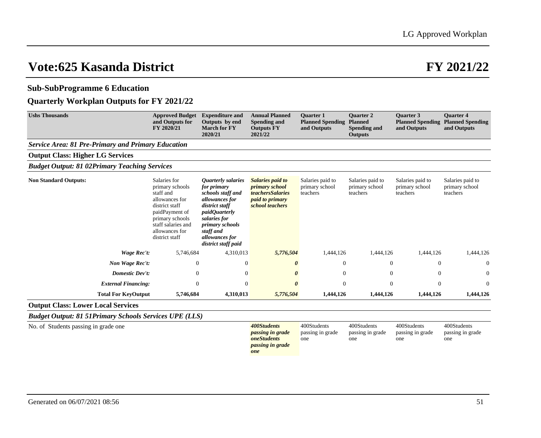## **Sub-SubProgramme 6 Education**

## **Quarterly Workplan Outputs for FY 2021/22**

| <b>Ushs Thousands</b>                                     | <b>Approved Budget</b><br>and Outputs for<br>FY 2020/21                                                                                                                         | <b>Expenditure and</b><br>Outputs by end<br><b>March for FY</b><br>2020/21                                                                                                                                                       | <b>Annual Planned</b><br>Spending and<br><b>Outputs FY</b><br>2021/22                                             | <b>Ouarter 1</b><br><b>Planned Spending</b><br>and Outputs | <b>Ouarter 2</b><br><b>Planned</b><br><b>Spending and</b><br><b>Outputs</b> | <b>Ouarter 3</b><br><b>Planned Spending</b><br>and Outputs | <b>Ouarter 4</b><br><b>Planned Spending</b><br>and Outputs |
|-----------------------------------------------------------|---------------------------------------------------------------------------------------------------------------------------------------------------------------------------------|----------------------------------------------------------------------------------------------------------------------------------------------------------------------------------------------------------------------------------|-------------------------------------------------------------------------------------------------------------------|------------------------------------------------------------|-----------------------------------------------------------------------------|------------------------------------------------------------|------------------------------------------------------------|
| <b>Service Area: 81 Pre-Primary and Primary Education</b> |                                                                                                                                                                                 |                                                                                                                                                                                                                                  |                                                                                                                   |                                                            |                                                                             |                                                            |                                                            |
| <b>Output Class: Higher LG Services</b>                   |                                                                                                                                                                                 |                                                                                                                                                                                                                                  |                                                                                                                   |                                                            |                                                                             |                                                            |                                                            |
| <b>Budget Output: 81 02Primary Teaching Services</b>      |                                                                                                                                                                                 |                                                                                                                                                                                                                                  |                                                                                                                   |                                                            |                                                                             |                                                            |                                                            |
| <b>Non Standard Outputs:</b>                              | Salaries for<br>primary schools<br>staff and<br>allowances for<br>district staff<br>paidPayment of<br>primary schools<br>staff salaries and<br>allowances for<br>district staff | <i><b>Quarterly salaries</b></i><br>for primary<br>schools staff and<br>allowances for<br>district staff<br><i>paidOuarterly</i><br>salaries for<br><i>primary schools</i><br>staff and<br>allowances for<br>district staff paid | Salaries paid to<br><i>primary school</i><br><i>teachersSalaries</i><br><i>paid to primary</i><br>school teachers | Salaries paid to<br>primary school<br>teachers             | Salaries paid to<br>primary school<br>teachers                              | Salaries paid to<br>primary school<br>teachers             | Salaries paid to<br>primary school<br>teachers             |
| Wage Rec't:                                               | 5,746,684                                                                                                                                                                       | 4,310,013                                                                                                                                                                                                                        | 5,776,504                                                                                                         | 1,444,126                                                  | 1,444,126                                                                   | 1,444,126                                                  | 1,444,126                                                  |
| Non Wage Rec't:                                           | $\overline{0}$                                                                                                                                                                  | $\theta$                                                                                                                                                                                                                         | 0                                                                                                                 | 0                                                          | $\overline{0}$                                                              | $\overline{0}$                                             | $\theta$                                                   |
| Domestic Dev't:                                           | $\theta$                                                                                                                                                                        | $\theta$                                                                                                                                                                                                                         | 0                                                                                                                 | $\overline{0}$                                             | $\overline{0}$                                                              | $\theta$                                                   | $\theta$                                                   |
| <b>External Financing:</b>                                | $\overline{0}$                                                                                                                                                                  | $\overline{0}$                                                                                                                                                                                                                   | 0                                                                                                                 | 0                                                          | $\overline{0}$                                                              | $\mathbf{0}$                                               | $\overline{0}$                                             |
| <b>Total For KeyOutput</b>                                | 5,746,684                                                                                                                                                                       | 4,310,013                                                                                                                                                                                                                        | 5,776,504                                                                                                         | 1,444,126                                                  | 1,444,126                                                                   | 1,444,126                                                  | 1,444,126                                                  |
| <b>Output Class: Lower Local Services</b>                 |                                                                                                                                                                                 |                                                                                                                                                                                                                                  |                                                                                                                   |                                                            |                                                                             |                                                            |                                                            |

*Budget Output: 81 51Primary Schools Services UPE (LLS)*

No. of Students passing in grade one *400Students* 

*passing in grade oneStudents passing in grade one*

400Students passing in grade one

one

400Students passing in grade 400Students passing in grade one

400Students passing in grade one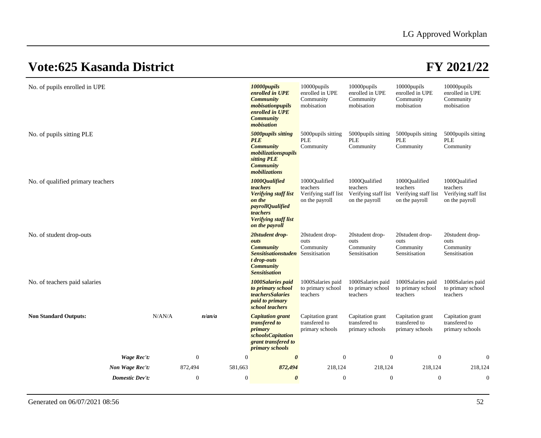| No. of pupils enrolled in UPE     |             |                  |                  | 10000pupils<br>enrolled in UPE<br><b>Community</b><br>mobisationpupils<br>enrolled in UPE<br><b>Community</b><br>mobisation                                | 10000pupils<br>enrolled in UPE<br>Community<br>mobisation           | 10000pupils<br>enrolled in UPE<br>Community<br>mobisation           | 10000pupils<br>enrolled in UPE<br>Community<br>mobisation           | 10000pupils<br>enrolled in UPE<br>Community<br>mobisation           |
|-----------------------------------|-------------|------------------|------------------|------------------------------------------------------------------------------------------------------------------------------------------------------------|---------------------------------------------------------------------|---------------------------------------------------------------------|---------------------------------------------------------------------|---------------------------------------------------------------------|
| No. of pupils sitting PLE         |             |                  |                  | 5000pupils sitting<br><b>PLE</b><br><b>Community</b><br>mobilizationspupils<br>sitting PLE<br><b>Community</b><br>mobilizations                            | 5000 pupils sitting<br>PLE<br>Community                             | 5000 pupils sitting<br>PLE<br>Community                             | 5000pupils sitting<br>PLE<br>Community                              | 5000pupils sitting<br><b>PLE</b><br>Community                       |
| No. of qualified primary teachers |             |                  |                  | 1000Qualified<br>teachers<br><b>Verifying staff list</b><br>on the<br><i>payrollQualified</i><br>teachers<br><b>Verifying staff list</b><br>on the payroll | 1000Qualified<br>teachers<br>Verifying staff list<br>on the payroll | 1000Oualified<br>teachers<br>Verifying staff list<br>on the payroll | 1000Qualified<br>teachers<br>Verifying staff list<br>on the payroll | 1000Qualified<br>teachers<br>Verifying staff list<br>on the payroll |
| No. of student drop-outs          |             |                  |                  | 20student drop-<br>outs<br><b>Community</b><br><b>Sensitisationstuden</b> Sensitisation<br>t drop-outs<br><b>Community</b><br><b>Sensitisation</b>         | 20 student drop-<br>outs<br>Community                               | 20 student drop-<br>outs<br>Community<br>Sensitisation              | 20 student drop-<br>outs<br>Community<br>Sensitisation              | 20student drop-<br>outs<br>Community<br>Sensitisation               |
| No. of teachers paid salaries     |             |                  |                  | 1000Salaries paid<br>to primary school<br><i>teachersSalaries</i><br><i>paid to primary</i><br>school teachers                                             | 1000Salaries paid<br>to primary school<br>teachers                  | 1000Salaries paid<br>to primary school<br>teachers                  | 1000Salaries paid<br>to primary school<br>teachers                  | 1000Salaries paid<br>to primary school<br>teachers                  |
| <b>Non Standard Outputs:</b>      | N/AN/A      | n/an/a           |                  | <b>Capitation</b> grant<br><i>transfered to</i><br>primary<br>schoolsCapitation<br>grant transfered to<br>primary schools                                  | Capitation grant<br>transfered to<br>primary schools                | Capitation grant<br>transfered to<br>primary schools                | Capitation grant<br>transfered to<br>primary schools                | Capitation grant<br>transfered to<br>primary schools                |
|                                   | Wage Rec't: | $\boldsymbol{0}$ | $\boldsymbol{0}$ | $\boldsymbol{\theta}$                                                                                                                                      | $\boldsymbol{0}$                                                    | $\overline{0}$                                                      | $\boldsymbol{0}$                                                    | $\overline{0}$                                                      |
| Non Wage Rec't:                   |             | 872,494          | 581,663          | 872,494                                                                                                                                                    | 218,124                                                             | 218,124                                                             | 218,124                                                             | 218,124                                                             |
| <b>Domestic Dev't:</b>            |             | $\mathbf{0}$     | $\theta$         | $\boldsymbol{\theta}$                                                                                                                                      | $\theta$                                                            | $\overline{0}$                                                      | $\mathbf{0}$                                                        | $\overline{0}$                                                      |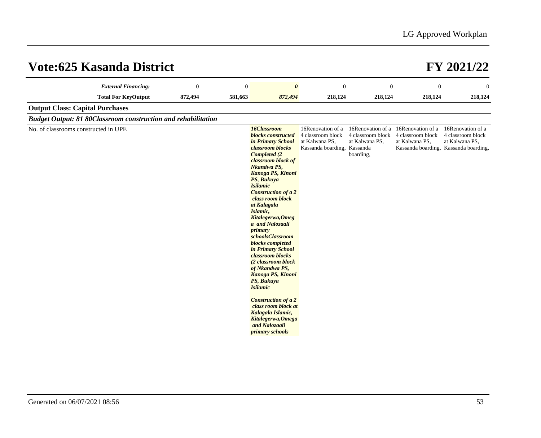| <b>External Financing:</b>                                           | $\theta$ | $\mathbf{0}$ | $\boldsymbol{\theta}$                                                                                                                                                                                                                                                                                                                                                                                                                                                                                                                                                                                                                                   | $\mathbf{0}$                                                                            | $\overline{0}$                                                        | $\mathbf{0}$                                             | $\overline{0}$                                                                                    |
|----------------------------------------------------------------------|----------|--------------|---------------------------------------------------------------------------------------------------------------------------------------------------------------------------------------------------------------------------------------------------------------------------------------------------------------------------------------------------------------------------------------------------------------------------------------------------------------------------------------------------------------------------------------------------------------------------------------------------------------------------------------------------------|-----------------------------------------------------------------------------------------|-----------------------------------------------------------------------|----------------------------------------------------------|---------------------------------------------------------------------------------------------------|
| <b>Total For KeyOutput</b>                                           | 872,494  | 581,663      | 872,494                                                                                                                                                                                                                                                                                                                                                                                                                                                                                                                                                                                                                                                 | 218,124                                                                                 | 218,124                                                               | 218,124                                                  | 218,124                                                                                           |
| <b>Output Class: Capital Purchases</b>                               |          |              |                                                                                                                                                                                                                                                                                                                                                                                                                                                                                                                                                                                                                                                         |                                                                                         |                                                                       |                                                          |                                                                                                   |
| <b>Budget Output: 81 80Classroom construction and rehabilitation</b> |          |              |                                                                                                                                                                                                                                                                                                                                                                                                                                                                                                                                                                                                                                                         |                                                                                         |                                                                       |                                                          |                                                                                                   |
| No. of classrooms constructed in UPE                                 |          |              | 16Classroom<br>blocks constructed<br>in Primary School<br>classroom blocks<br>Completed (2)<br>classroom block of<br>Nkandwa PS,<br>Kanoga PS, Kinoni<br>PS, Bukuya<br><b>Isilamic</b><br><b>Construction of a 2</b><br>class room block<br>at Kalagala<br>Islamic,<br>Kitalegerwa, Omeg<br>a and Nalozaali<br>primary<br>schoolsClassroom<br><b>blocks</b> completed<br>in Primary School<br>classroom blocks<br>(2 classroom block<br>of Nkandwa PS,<br>Kanoga PS, Kinoni<br>PS, Bukuya<br><b>Isilamic</b><br><b>Construction of a 2</b><br>class room block at<br>Kalagala Islamic,<br>Kitalegerwa, Omega<br>and Nalozaali<br><i>primary schools</i> | 16Renovation of a<br>4 classroom block<br>at Kalwana PS,<br>Kassanda boarding, Kassanda | 16Renovation of a<br>4 classroom block<br>at Kalwana PS,<br>boarding, | 16Renovation of a<br>4 classroom block<br>at Kalwana PS, | 16Renovation of a<br>4 classroom block<br>at Kalwana PS,<br>Kassanda boarding, Kassanda boarding, |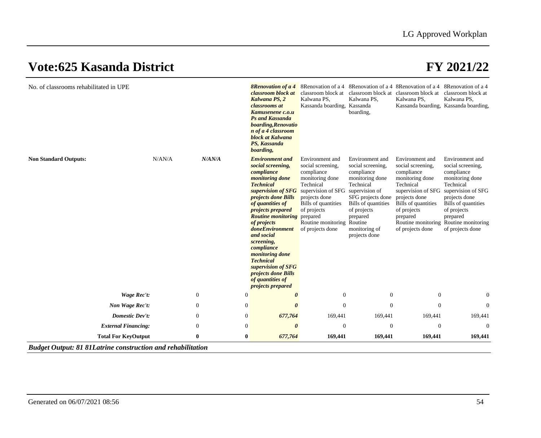| No. of classrooms rehabilitated in UPE |        |                  |                | <b>8Renovation of a 4</b><br>classroom block at<br>Kalwana PS, 2<br>classrooms at<br>Kamusenene c.o.u<br><b>Ps and Kassanda</b><br>boarding, Renovatio<br>n of a 4 classroom<br>block at Kalwana<br>PS, Kassanda<br>boarding,                                                                                                                                                                                                                                     | classroom block at<br>Kalwana PS,<br>Kassanda boarding, Kassanda                                                                                                                                          | classroom block at classroom block at<br>Kalwana PS,<br>boarding,                                                                                                                                                        | Kalwana PS,                                                                                                                                                                                                           | classroom block at<br>Kalwana PS,<br>Kassanda boarding, Kassanda boarding,                                                                                                                                            |
|----------------------------------------|--------|------------------|----------------|-------------------------------------------------------------------------------------------------------------------------------------------------------------------------------------------------------------------------------------------------------------------------------------------------------------------------------------------------------------------------------------------------------------------------------------------------------------------|-----------------------------------------------------------------------------------------------------------------------------------------------------------------------------------------------------------|--------------------------------------------------------------------------------------------------------------------------------------------------------------------------------------------------------------------------|-----------------------------------------------------------------------------------------------------------------------------------------------------------------------------------------------------------------------|-----------------------------------------------------------------------------------------------------------------------------------------------------------------------------------------------------------------------|
| <b>Non Standard Outputs:</b>           | N/AN/A | N/AN/A           |                | <b>Environment</b> and<br>social screening,<br>compliance<br><i>monitoring done</i><br><b>Technical</b><br>supervision of SFG<br>projects done Bills<br>of quantities of<br><i>projects prepared</i><br><b>Routine monitoring</b> prepared<br>of projects<br>doneEnvironment<br>and social<br>screening,<br>compliance<br>monitoring done<br><b>Technical</b><br>supervision of SFG<br><i>projects done Bills</i><br>of quantities of<br><i>projects prepared</i> | Environment and<br>social screening,<br>compliance<br>monitoring done<br>Technical<br>supervision of SFG<br>projects done<br>Bills of quantities<br>of projects<br>Routine monitoring<br>of projects done | Environment and<br>social screening,<br>compliance<br>monitoring done<br>Technical<br>supervision of<br>SFG projects done<br>Bills of quantities<br>of projects<br>prepared<br>Routine<br>monitoring of<br>projects done | Environment and<br>social screening,<br>compliance<br>monitoring done<br>Technical<br>supervision of SFG<br>projects done<br>Bills of quantities<br>of projects<br>prepared<br>Routine monitoring<br>of projects done | Environment and<br>social screening,<br>compliance<br>monitoring done<br>Technical<br>supervision of SFG<br>projects done<br>Bills of quantities<br>of projects<br>prepared<br>Routine monitoring<br>of projects done |
| Wage Rec't:                            |        | $\mathbf{0}$     | $\Omega$       | 0                                                                                                                                                                                                                                                                                                                                                                                                                                                                 | $\Omega$                                                                                                                                                                                                  | $\Omega$                                                                                                                                                                                                                 | $\mathbf{0}$                                                                                                                                                                                                          | $\overline{0}$                                                                                                                                                                                                        |
| Non Wage Rec't:                        |        | $\boldsymbol{0}$ | $\mathbf{0}$   | $\boldsymbol{\theta}$                                                                                                                                                                                                                                                                                                                                                                                                                                             | $\overline{0}$                                                                                                                                                                                            | $\overline{0}$                                                                                                                                                                                                           | $\mathbf{0}$                                                                                                                                                                                                          | $\overline{0}$                                                                                                                                                                                                        |
| Domestic Dev't:                        |        | $\overline{0}$   | $\overline{0}$ | 677,764                                                                                                                                                                                                                                                                                                                                                                                                                                                           | 169,441                                                                                                                                                                                                   | 169,441                                                                                                                                                                                                                  | 169,441                                                                                                                                                                                                               | 169,441                                                                                                                                                                                                               |
| <b>External Financing:</b>             |        | $\mathbf{0}$     | $\overline{0}$ | $\theta$                                                                                                                                                                                                                                                                                                                                                                                                                                                          | $\overline{0}$                                                                                                                                                                                            | $\overline{0}$                                                                                                                                                                                                           | $\mathbf{0}$                                                                                                                                                                                                          | $\overline{0}$                                                                                                                                                                                                        |
| <b>Total For KeyOutput</b>             |        | $\bf{0}$         | $\bf{0}$       | 677,764                                                                                                                                                                                                                                                                                                                                                                                                                                                           | 169,441                                                                                                                                                                                                   | 169,441                                                                                                                                                                                                                  | 169,441                                                                                                                                                                                                               | 169,441                                                                                                                                                                                                               |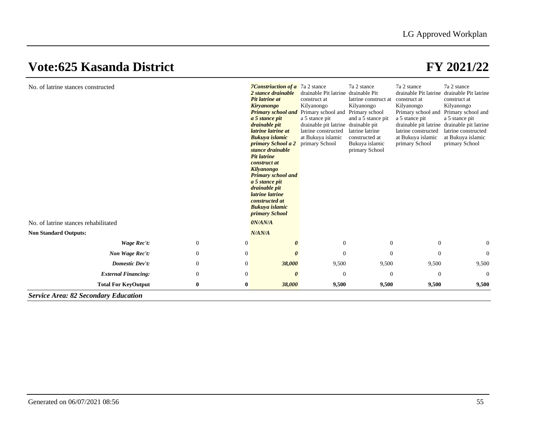|                  |                       | drainable Pit latrine<br>construct at<br>Kilyanongo<br>Primary school and<br>a 5 stance pit<br>latrine constructed<br>at Bukuya islamic<br>primary School                                                                                                                                                                                                                                               | drainable Pit<br>latrine construct at<br>Kilyanongo<br>Primary school<br>and a 5 stance pit<br>latrine latrine<br>constructed at<br>Bukuya islamic<br>primary School | drainable Pit latrine<br>construct at<br>Kilyanongo<br>Primary school and Primary school and<br>a 5 stance pit<br>latrine constructed<br>at Bukuya islamic<br>primary School | drainable Pit latrine<br>construct at<br>Kilyanongo<br>a 5 stance pit<br>drainable pit latrine drainable pit latrine<br>latrine constructed<br>at Bukuya islamic<br>primary School |
|------------------|-----------------------|---------------------------------------------------------------------------------------------------------------------------------------------------------------------------------------------------------------------------------------------------------------------------------------------------------------------------------------------------------------------------------------------------------|----------------------------------------------------------------------------------------------------------------------------------------------------------------------|------------------------------------------------------------------------------------------------------------------------------------------------------------------------------|------------------------------------------------------------------------------------------------------------------------------------------------------------------------------------|
|                  |                       |                                                                                                                                                                                                                                                                                                                                                                                                         |                                                                                                                                                                      |                                                                                                                                                                              |                                                                                                                                                                                    |
|                  |                       |                                                                                                                                                                                                                                                                                                                                                                                                         |                                                                                                                                                                      |                                                                                                                                                                              |                                                                                                                                                                                    |
| $\boldsymbol{0}$ | $\boldsymbol{\theta}$ |                                                                                                                                                                                                                                                                                                                                                                                                         |                                                                                                                                                                      | $\theta$                                                                                                                                                                     | $\theta$                                                                                                                                                                           |
| $\overline{0}$   | $\theta$              | $\Omega$                                                                                                                                                                                                                                                                                                                                                                                                |                                                                                                                                                                      | $\Omega$                                                                                                                                                                     | $\Omega$                                                                                                                                                                           |
| $\mathbf{0}$     | 38,000                | 9,500                                                                                                                                                                                                                                                                                                                                                                                                   |                                                                                                                                                                      | 9,500                                                                                                                                                                        | 9,500                                                                                                                                                                              |
| $\theta$         | 0                     | $\overline{0}$                                                                                                                                                                                                                                                                                                                                                                                          |                                                                                                                                                                      | $\overline{0}$                                                                                                                                                               | $\Omega$                                                                                                                                                                           |
| $\bf{0}$         | 38,000                |                                                                                                                                                                                                                                                                                                                                                                                                         |                                                                                                                                                                      | 9,500                                                                                                                                                                        | 9,500                                                                                                                                                                              |
|                  |                       | Pit latrine at<br><b>Kiryanongo</b><br><b>Primary school and</b><br>a 5 stance pit<br>drainable pit<br>latrine latrine at<br>Bukuya islamic<br>primary School a 2<br>stance drainable<br><b>Pit latrine</b><br>construct at<br>Kilyanongo<br><b>Primary school and</b><br>a 5 stance pit<br>drainable pit<br>latrine latrine<br>constructed at<br>Bukuya islamic<br>primary School<br>0N/AN/A<br>N/AN/A |                                                                                                                                                                      | drainable pit latrine<br>drainable pit<br>$\overline{0}$<br>9,500                                                                                                            | $\overline{0}$<br>$\Omega$<br>9,500<br>$\overline{0}$<br>9,500                                                                                                                     |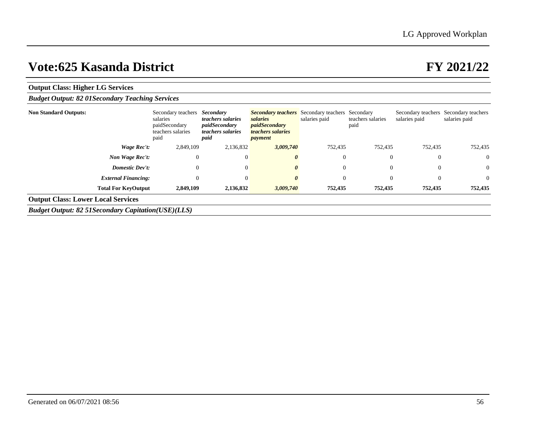| <b>Output Class: Higher LG Services</b>                      |                                                                              |                                                                                            |                                                                                                                            |               |                           |                                     |                                     |
|--------------------------------------------------------------|------------------------------------------------------------------------------|--------------------------------------------------------------------------------------------|----------------------------------------------------------------------------------------------------------------------------|---------------|---------------------------|-------------------------------------|-------------------------------------|
| <b>Budget Output: 82 01 Secondary Teaching Services</b>      |                                                                              |                                                                                            |                                                                                                                            |               |                           |                                     |                                     |
| <b>Non Standard Outputs:</b>                                 | Secondary teachers<br>salaries<br>paidSecondary<br>teachers salaries<br>paid | Secondary<br><i>teachers salaries</i><br>paidSecondary<br><i>teachers salaries</i><br>paid | <b>Secondary teachers</b> Secondary teachers Secondary<br>salaries<br><i>paidSecondary</i><br>teachers salaries<br>payment | salaries paid | teachers salaries<br>paid | Secondary teachers<br>salaries paid | Secondary teachers<br>salaries paid |
| Wage Rec't:                                                  | 2,849,109                                                                    | 2,136,832                                                                                  | 3,009,740                                                                                                                  | 752,435       | 752,435                   | 752,435                             | 752,435                             |
| Non Wage Rec't:                                              | $\mathbf{0}$                                                                 | $\theta$                                                                                   |                                                                                                                            | $\theta$      | $\theta$                  | $\theta$                            | $\overline{0}$                      |
| <b>Domestic Dev't:</b>                                       | $\mathbf{0}$                                                                 | $\theta$                                                                                   |                                                                                                                            | $\theta$      | $\theta$                  | $\theta$                            | $\overline{0}$                      |
| <b>External Financing:</b>                                   | $\mathbf{0}$                                                                 | $\Omega$                                                                                   |                                                                                                                            | $\Omega$      | $\theta$                  | $\overline{0}$                      | $\overline{0}$                      |
| <b>Total For KeyOutput</b>                                   | 2,849,109                                                                    | 2,136,832                                                                                  | 3,009,740                                                                                                                  | 752,435       | 752,435                   | 752,435                             | 752,435                             |
| <b>Output Class: Lower Local Services</b>                    |                                                                              |                                                                                            |                                                                                                                            |               |                           |                                     |                                     |
| <b>Budget Output: 82 51 Secondary Capitation (USE) (LLS)</b> |                                                                              |                                                                                            |                                                                                                                            |               |                           |                                     |                                     |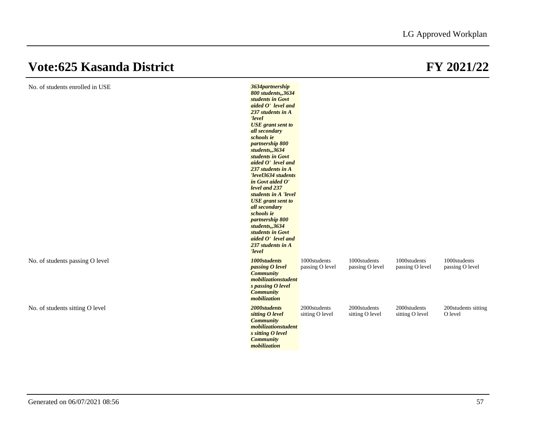| No. of students enrolled in USE | 3634partnership<br>800 students,,3634<br>students in Govt<br>aided O' level and<br>237 students in A<br>'level<br><b>USE</b> grant sent to<br>all secondary<br>schools ie<br>partnership 800<br>students,,3634<br>students in Govt<br>aided O' level and<br>237 students in A<br>'level3634 students<br>in Govt aided O'<br>level and 237<br>students in A 'level<br><b>USE</b> grant sent to<br>all secondary<br>schools ie<br>partnership 800<br>students,,3634<br>students in Govt<br>aided O' level and<br>237 students in A<br>'level |                                 |                                 |                                 |                                 |
|---------------------------------|--------------------------------------------------------------------------------------------------------------------------------------------------------------------------------------------------------------------------------------------------------------------------------------------------------------------------------------------------------------------------------------------------------------------------------------------------------------------------------------------------------------------------------------------|---------------------------------|---------------------------------|---------------------------------|---------------------------------|
| No. of students passing O level | 1000students<br>passing O level<br><b>Community</b><br>mobilizationstudent<br>s passing O level<br><b>Community</b><br>mobilization                                                                                                                                                                                                                                                                                                                                                                                                        | 1000students<br>passing O level | 1000students<br>passing O level | 1000students<br>passing O level | 1000students<br>passing O level |
| No. of students sitting O level | 2000students<br>sitting O level<br><b>Community</b><br>mobilizationstudent<br>s sitting O level<br><b>Community</b><br>mobilization                                                                                                                                                                                                                                                                                                                                                                                                        | 2000students<br>sitting O level | 2000students<br>sitting O level | 2000students<br>sitting O level | 200students sitting<br>O level  |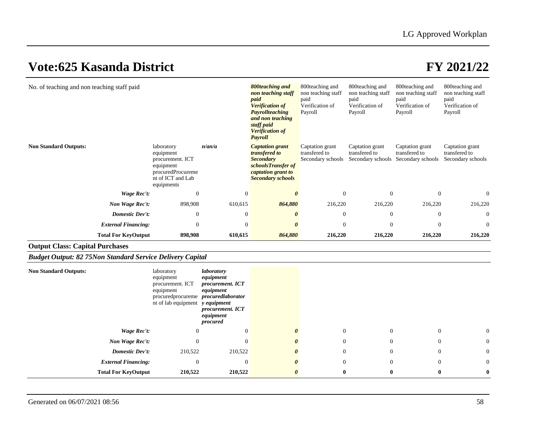| No. of teaching and non teaching staff paid |                                                                                                                  |                | 800teaching and<br>non teaching staff<br>paid<br><b>Verification of</b><br><b>Payrollteaching</b><br>and non teaching<br>staff paid<br><b>Verification of</b><br>Payroll | 800 teaching and<br>non teaching staff<br>paid<br>Verification of<br>Payroll | 800 teaching and<br>non teaching staff<br>paid<br>Verification of<br>Payroll | 800 teaching and<br>non teaching staff<br>paid<br>Verification of<br>Payroll | 800teaching and<br>non teaching staff<br>paid<br>Verification of<br>Payroll |
|---------------------------------------------|------------------------------------------------------------------------------------------------------------------|----------------|--------------------------------------------------------------------------------------------------------------------------------------------------------------------------|------------------------------------------------------------------------------|------------------------------------------------------------------------------|------------------------------------------------------------------------------|-----------------------------------------------------------------------------|
| <b>Non Standard Outputs:</b>                | laboratory<br>equipment<br>procurement. ICT<br>equipment<br>procuredProcureme<br>nt of ICT and Lab<br>equipments | n/an/a         | <b>Captation grant</b><br><i>transfered to</i><br><b>Secondary</b><br>schoolsTransfer of<br>captation grant to<br><b>Secondary schools</b>                               | Captation grant<br>transfered to<br>Secondary schools                        | Captation grant<br>transfered to<br>Secondary schools                        | Captation grant<br>transfered to<br>Secondary schools                        | Captation grant<br>transfered to<br>Secondary schools                       |
| Wage Rec't:                                 | $\Omega$                                                                                                         | $\overline{0}$ | 0                                                                                                                                                                        | $\theta$                                                                     | $\Omega$                                                                     | $\overline{0}$                                                               | $\theta$                                                                    |
| Non Wage Rec't:                             | 898,908                                                                                                          | 610,615        | 864,880                                                                                                                                                                  | 216,220                                                                      | 216,220                                                                      | 216,220                                                                      | 216,220                                                                     |
| <b>Domestic Dev't:</b>                      | $\mathbf{0}$                                                                                                     | $\theta$       | 0                                                                                                                                                                        | $\theta$                                                                     | $\Omega$                                                                     | $\theta$                                                                     | $\theta$                                                                    |
| <b>External Financing:</b>                  | $\Omega$                                                                                                         | $\Omega$       | $\theta$                                                                                                                                                                 | $\Omega$                                                                     | $\Omega$                                                                     | $\Omega$                                                                     | $\theta$                                                                    |
| <b>Total For KeyOutput</b>                  | 898,908                                                                                                          | 610,615        | 864,880                                                                                                                                                                  | 216,220                                                                      | 216,220                                                                      | 216,220                                                                      | 216,220                                                                     |

## **Output Class: Capital Purchases**

## *Budget Output: 82 75Non Standard Service Delivery Capital*

| <b>Non Standard Outputs:</b> | laboratory<br>equipment<br>procurement. ICT<br>equipment<br>procuredprocureme <i>procuredlaborator</i><br>nt of lab equipment y equipment | laboratory<br>equipment<br>procurement. ICT<br>equipment<br>procurement. ICT<br>equipment<br>procured |                       |                |                |                |                |
|------------------------------|-------------------------------------------------------------------------------------------------------------------------------------------|-------------------------------------------------------------------------------------------------------|-----------------------|----------------|----------------|----------------|----------------|
| Wage Rec't:                  | $\overline{0}$                                                                                                                            | $\overline{0}$                                                                                        | $\boldsymbol{\theta}$ | $\overline{0}$ | $\overline{0}$ | $\mathbf{0}$   | $\overline{0}$ |
| Non Wage Rec't:              | $\Omega$                                                                                                                                  | $\Omega$                                                                                              | 0                     | $\overline{0}$ | $\overline{0}$ | $\overline{0}$ | $\overline{0}$ |
| <b>Domestic Dev't:</b>       | 210,522                                                                                                                                   | 210,522                                                                                               | 0                     | $\theta$       | $\overline{0}$ | $\mathbf{0}$   | $\overline{0}$ |
| <b>External Financing:</b>   | $\mathbf{0}$                                                                                                                              | $\Omega$                                                                                              | 0                     | $\overline{0}$ | $\overline{0}$ | $\overline{0}$ | $\overline{0}$ |
| <b>Total For KeyOutput</b>   | 210,522                                                                                                                                   | 210,522                                                                                               | 0                     | $\bf{0}$       | $\mathbf{0}$   | $\bf{0}$       | $\bf{0}$       |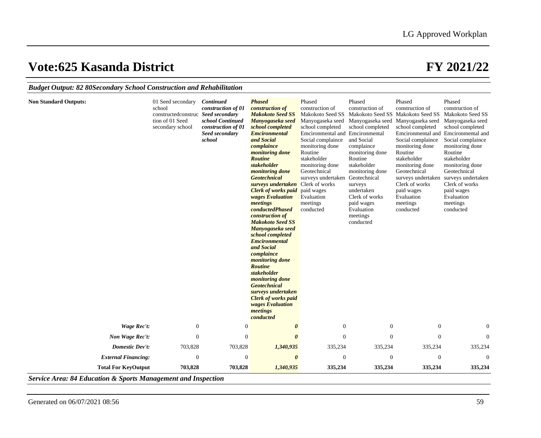|  |  | Budget Output: 82 80Secondary School Construction and Rehabilitation |  |
|--|--|----------------------------------------------------------------------|--|
|--|--|----------------------------------------------------------------------|--|

| <b>Non Standard Outputs:</b> | 01 Seed secondary<br>school<br>constructed construce Seed secondary<br>tion of 01 Seed<br>secondary school | <b>Continued</b><br>construction of 01<br>school Continued<br>construction of 01<br>Seed secondary<br>school | <b>Phased</b><br>construction of<br><b>Makokoto Seed SS</b><br>Manyogaseka seed<br>school completed<br><b>Emcironmental</b><br>and Social<br>complaince<br><i>monitoring done</i><br><b>Routine</b><br>stakeholder<br><i>monitoring done</i><br><b>Geotechnical</b><br>surveys undertaken<br><b>Clerk of works paid</b><br>wages Evaluation<br>meetings<br>conductedPhased<br>construction of<br><b>Makokoto Seed SS</b><br>Manyogaseka seed<br>school completed<br><b>Emcironmental</b><br>and Social<br>complaince<br><i>monitoring done</i><br><b>Routine</b><br>stakeholder<br><i>monitoring done</i><br><b>Geotechnical</b><br>surveys undertaken<br><b>Clerk of works paid</b><br>wages Evaluation<br>meetings<br>conducted | Phased<br>construction of<br>Makokoto Seed SS<br>Manyogaseka seed<br>school completed<br>Emcironmental and Emcironmental<br>Social complaince<br>monitoring done<br>Routine<br>stakeholder<br>monitoring done<br>Geotechnical<br>surveys undertaken<br>Clerk of works<br>paid wages<br>Evaluation<br>meetings<br>conducted | Phased<br>construction of<br>Manyogaseka seed<br>school completed<br>and Social<br>complaince<br>monitoring done<br>Routine<br>stakeholder<br>monitoring done<br>Geotechnical<br>surveys<br>undertaken<br>Clerk of works<br>paid wages<br>Evaluation<br>meetings<br>conducted | Phased<br>construction of<br>Makokoto Seed SS Makokoto Seed SS<br>Manyogaseka seed<br>school completed<br>Social complaince<br>monitoring done<br>Routine<br>stakeholder<br>monitoring done<br>Geotechnical<br>surveys undertaken<br>Clerk of works<br>paid wages<br>Evaluation<br>meetings<br>conducted | Phased<br>construction of<br>Makokoto Seed SS<br>Manyogaseka seed<br>school completed<br>Emcironmental and Emcironmental and<br>Social complaince<br>monitoring done<br>Routine<br>stakeholder<br>monitoring done<br>Geotechnical<br>surveys undertaken<br>Clerk of works<br>paid wages<br>Evaluation<br>meetings<br>conducted |
|------------------------------|------------------------------------------------------------------------------------------------------------|--------------------------------------------------------------------------------------------------------------|-----------------------------------------------------------------------------------------------------------------------------------------------------------------------------------------------------------------------------------------------------------------------------------------------------------------------------------------------------------------------------------------------------------------------------------------------------------------------------------------------------------------------------------------------------------------------------------------------------------------------------------------------------------------------------------------------------------------------------------|----------------------------------------------------------------------------------------------------------------------------------------------------------------------------------------------------------------------------------------------------------------------------------------------------------------------------|-------------------------------------------------------------------------------------------------------------------------------------------------------------------------------------------------------------------------------------------------------------------------------|----------------------------------------------------------------------------------------------------------------------------------------------------------------------------------------------------------------------------------------------------------------------------------------------------------|--------------------------------------------------------------------------------------------------------------------------------------------------------------------------------------------------------------------------------------------------------------------------------------------------------------------------------|
| Wage Rec't:                  | $\boldsymbol{0}$                                                                                           | $\mathbf{0}$                                                                                                 | $\boldsymbol{\theta}$                                                                                                                                                                                                                                                                                                                                                                                                                                                                                                                                                                                                                                                                                                             | $\boldsymbol{0}$                                                                                                                                                                                                                                                                                                           | $\boldsymbol{0}$                                                                                                                                                                                                                                                              | $\boldsymbol{0}$                                                                                                                                                                                                                                                                                         | $\overline{0}$                                                                                                                                                                                                                                                                                                                 |
| Non Wage Rec't:              | $\mathbf{0}$                                                                                               | $\theta$                                                                                                     | $\boldsymbol{\theta}$                                                                                                                                                                                                                                                                                                                                                                                                                                                                                                                                                                                                                                                                                                             | $\overline{0}$                                                                                                                                                                                                                                                                                                             | $\theta$                                                                                                                                                                                                                                                                      | $\theta$                                                                                                                                                                                                                                                                                                 | $\theta$                                                                                                                                                                                                                                                                                                                       |
| <b>Domestic Dev't:</b>       | 703,828                                                                                                    | 703,828                                                                                                      | 1,340,935                                                                                                                                                                                                                                                                                                                                                                                                                                                                                                                                                                                                                                                                                                                         | 335,234                                                                                                                                                                                                                                                                                                                    | 335,234                                                                                                                                                                                                                                                                       | 335,234                                                                                                                                                                                                                                                                                                  | 335,234                                                                                                                                                                                                                                                                                                                        |
| <b>External Financing:</b>   | $\overline{0}$                                                                                             | $\mathbf{0}$                                                                                                 | $\boldsymbol{\theta}$                                                                                                                                                                                                                                                                                                                                                                                                                                                                                                                                                                                                                                                                                                             | 0                                                                                                                                                                                                                                                                                                                          | 0                                                                                                                                                                                                                                                                             | $\boldsymbol{0}$                                                                                                                                                                                                                                                                                         | $\theta$                                                                                                                                                                                                                                                                                                                       |
| <b>Total For KeyOutput</b>   | 703,828                                                                                                    | 703,828                                                                                                      | 1,340,935                                                                                                                                                                                                                                                                                                                                                                                                                                                                                                                                                                                                                                                                                                                         | 335,234                                                                                                                                                                                                                                                                                                                    | 335,234                                                                                                                                                                                                                                                                       | 335,234                                                                                                                                                                                                                                                                                                  | 335,234                                                                                                                                                                                                                                                                                                                        |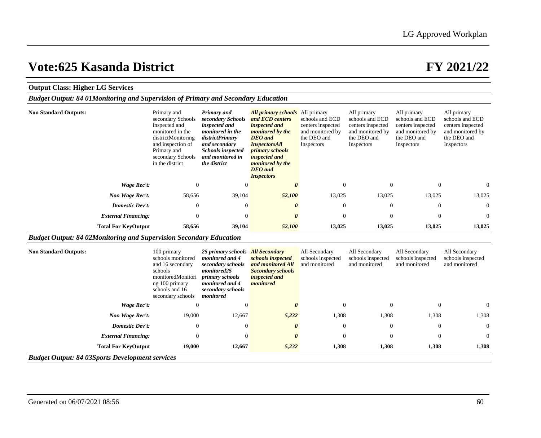## **Output Class: Higher LG Services**

| <b>Budget Output: 84 01Monitoring and Supervision of Primary and Secondary Education</b> |  |
|------------------------------------------------------------------------------------------|--|
|------------------------------------------------------------------------------------------|--|

| <b>Non Standard Outputs:</b> | Primary and<br>secondary Schools<br>inspected and<br>monitored in the<br>districtMonitoring<br>and inspection of<br>Primary and<br>secondary Schools<br>in the district | Primary and<br>secondary Schools<br>inspected and<br><i>monitored in the</i><br>districtPrimary<br>and secondary<br><b>Schools inspected</b><br>and monitored in<br>the district | <b>All primary schools</b> All primary<br>and ECD centers<br><i>inspected and</i><br>monitored by the<br><b>DEO</b> and<br><i>InspectorsAll</i><br><i>primary schools</i><br><i>inspected and</i><br>monitored by the<br><b>DEO</b> and<br><i>Inspectors</i> | schools and ECD<br>centers inspected<br>and monitored by<br>the DEO and<br>Inspectors | All primary<br>schools and ECD<br>centers inspected<br>and monitored by<br>the DEO and<br>Inspectors | All primary<br>schools and ECD<br>centers inspected<br>and monitored by<br>the DEO and<br>Inspectors | All primary<br>schools and ECD<br>centers inspected<br>and monitored by<br>the DEO and<br>Inspectors |
|------------------------------|-------------------------------------------------------------------------------------------------------------------------------------------------------------------------|----------------------------------------------------------------------------------------------------------------------------------------------------------------------------------|--------------------------------------------------------------------------------------------------------------------------------------------------------------------------------------------------------------------------------------------------------------|---------------------------------------------------------------------------------------|------------------------------------------------------------------------------------------------------|------------------------------------------------------------------------------------------------------|------------------------------------------------------------------------------------------------------|
| Wage Rec't:                  | $\mathbf{0}$                                                                                                                                                            | $\Omega$                                                                                                                                                                         | $\theta$                                                                                                                                                                                                                                                     | $\Omega$                                                                              | $\overline{0}$                                                                                       |                                                                                                      | $\overline{0}$                                                                                       |
| Non Wage Rec't:              | 58,656                                                                                                                                                                  | 39,104                                                                                                                                                                           | 52,100                                                                                                                                                                                                                                                       | 13,025                                                                                | 13,025                                                                                               | 13,025                                                                                               | 13,025                                                                                               |
| Domestic Dev't:              | $\overline{0}$                                                                                                                                                          | $\Omega$                                                                                                                                                                         | $\theta$                                                                                                                                                                                                                                                     | $\overline{0}$                                                                        | $\overline{0}$                                                                                       | $\Omega$                                                                                             | $\overline{0}$                                                                                       |
| <b>External Financing:</b>   | $\mathbf{0}$                                                                                                                                                            | $\Omega$                                                                                                                                                                         | $\theta$                                                                                                                                                                                                                                                     | $\overline{0}$                                                                        | $\overline{0}$                                                                                       | $\theta$                                                                                             | $\overline{0}$                                                                                       |
| <b>Total For KeyOutput</b>   | 58,656                                                                                                                                                                  | 39,104                                                                                                                                                                           | 52,100                                                                                                                                                                                                                                                       | 13,025                                                                                | 13,025                                                                                               | 13,025                                                                                               | 13,025                                                                                               |

## *Budget Output: 84 02Monitoring and Supervision Secondary Education*

| <b>Non Standard Outputs:</b>                           | 100 primary<br>schools monitored<br>and 16 secondary<br>schools<br>monitoredMonitori<br>ng 100 primary<br>schools and 16<br>secondary schools | 25 primary schools<br>monitored and 4<br>secondary schools<br>monitored25<br>primary schools<br>monitored and 4<br>secondary schools<br>monitored | <b>All Secondary</b><br>schools inspected<br>and monitored All<br><b>Secondary schools</b><br><i>inspected and</i><br>monitored | All Secondary<br>schools inspected<br>and monitored | All Secondary<br>schools inspected<br>and monitored | All Secondary<br>schools inspected<br>and monitored | All Secondary<br>schools inspected<br>and monitored |  |
|--------------------------------------------------------|-----------------------------------------------------------------------------------------------------------------------------------------------|---------------------------------------------------------------------------------------------------------------------------------------------------|---------------------------------------------------------------------------------------------------------------------------------|-----------------------------------------------------|-----------------------------------------------------|-----------------------------------------------------|-----------------------------------------------------|--|
| Wage Rec't:                                            | $\Omega$                                                                                                                                      |                                                                                                                                                   |                                                                                                                                 | $\Omega$                                            | $\overline{0}$                                      | $\theta$                                            | $\overline{0}$                                      |  |
| Non Wage Rec't:                                        | 19,000                                                                                                                                        | 12,667                                                                                                                                            | 5,232                                                                                                                           | 1,308                                               | 1,308                                               | 1,308                                               | 1,308                                               |  |
| <b>Domestic Dev't:</b>                                 | $\theta$                                                                                                                                      | $\theta$                                                                                                                                          | 0                                                                                                                               | $\mathbf{0}$                                        | $\overline{0}$                                      | $\theta$                                            | $\overline{0}$                                      |  |
| <b>External Financing:</b>                             | $\theta$                                                                                                                                      | $\Omega$                                                                                                                                          | 0                                                                                                                               | $\Omega$                                            | $\theta$                                            | $\mathbf{0}$                                        | $\overline{0}$                                      |  |
| <b>Total For KeyOutput</b>                             | 19,000                                                                                                                                        | 12,667                                                                                                                                            | 5,232                                                                                                                           | 1,308                                               | 1,308                                               | 1,308                                               | 1,308                                               |  |
| <b>Budget Output: 84 03Sports Development services</b> |                                                                                                                                               |                                                                                                                                                   |                                                                                                                                 |                                                     |                                                     |                                                     |                                                     |  |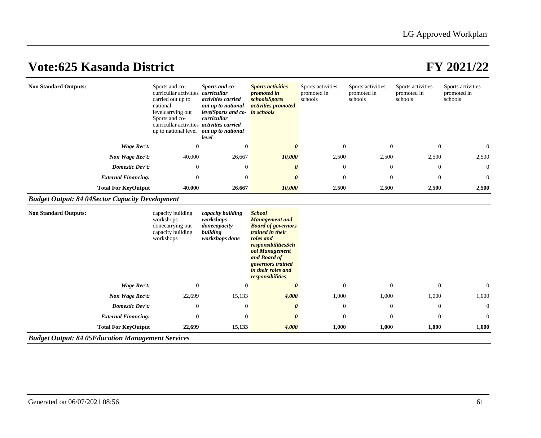| <b>Non Standard Outputs:</b>                           |                            | Sports and co-<br>curricullar activities<br>carried out up to<br>national<br>levelcarrying out<br>Sports and co-<br>curricullar activities <i>activities carried</i><br>up to national level | Sports and co-<br>curricullar<br>activities carried<br>out up to national<br>levelSports and co- in schools<br>curricullar<br>out up to national<br>level | <b>Sports activities</b><br><i>promoted in</i><br><i>schoolsSports</i><br><i>activities promoted</i>                                                                                                                         | Sports activities<br>promoted in<br>schools | Sports activities<br>promoted in<br>schools | Sports activities<br>promoted in<br>schools | Sports activities<br>promoted in<br>schools |
|--------------------------------------------------------|----------------------------|----------------------------------------------------------------------------------------------------------------------------------------------------------------------------------------------|-----------------------------------------------------------------------------------------------------------------------------------------------------------|------------------------------------------------------------------------------------------------------------------------------------------------------------------------------------------------------------------------------|---------------------------------------------|---------------------------------------------|---------------------------------------------|---------------------------------------------|
|                                                        | Wage Rec't:                | $\theta$                                                                                                                                                                                     | $\boldsymbol{0}$                                                                                                                                          | 0                                                                                                                                                                                                                            | $\mathbf{0}$                                | $\overline{0}$                              | $\boldsymbol{0}$                            | $\boldsymbol{0}$                            |
|                                                        | Non Wage Rec't:            | 40,000                                                                                                                                                                                       | 26,667                                                                                                                                                    | 10,000                                                                                                                                                                                                                       | 2,500                                       | 2,500                                       | 2,500                                       | 2,500                                       |
|                                                        | Domestic Dev't:            | $\Omega$                                                                                                                                                                                     | $\overline{0}$                                                                                                                                            | $\theta$                                                                                                                                                                                                                     | $\theta$                                    | $\overline{0}$                              | $\mathbf{0}$                                | $\mathbf{0}$                                |
|                                                        | <b>External Financing:</b> | $\Omega$                                                                                                                                                                                     | $\overline{0}$                                                                                                                                            | 0                                                                                                                                                                                                                            | $\mathbf{0}$                                | $\Omega$                                    | $\mathbf{0}$                                | $\overline{0}$                              |
|                                                        | <b>Total For KeyOutput</b> | 40,000                                                                                                                                                                                       | 26,667                                                                                                                                                    | 10,000                                                                                                                                                                                                                       | 2,500                                       | 2,500                                       | 2,500                                       | 2,500                                       |
| <b>Budget Output: 84 04Sector Capacity Development</b> |                            |                                                                                                                                                                                              |                                                                                                                                                           |                                                                                                                                                                                                                              |                                             |                                             |                                             |                                             |
| <b>Non Standard Outputs:</b>                           |                            | capacity building<br>workshops<br>donecarrying out<br>capacity building<br>workshops                                                                                                         | capacity building<br>workshops<br>donecapacity<br>building<br>workshops done                                                                              | <b>School</b><br><b>Management</b> and<br><b>Board of governors</b><br>trained in their<br>roles and<br>responsibilitiesSch<br>ool Management<br>and Board of<br>governors trained<br>in their roles and<br>responsibilities |                                             |                                             |                                             |                                             |
|                                                        | <b>Wage Rec't:</b>         | $\theta$                                                                                                                                                                                     | $\overline{0}$                                                                                                                                            | $\theta$                                                                                                                                                                                                                     | $\mathbf{0}$                                | $\theta$                                    | $\mathbf{0}$                                | $\mathbf{0}$                                |
|                                                        | Non Wage Rec't:            | 22,699                                                                                                                                                                                       | 15,133                                                                                                                                                    | 4,000                                                                                                                                                                                                                        | 1,000                                       | 1,000                                       | 1,000                                       | 1,000                                       |
|                                                        | Domestic Dev't:            | $\overline{0}$                                                                                                                                                                               | $\overline{0}$                                                                                                                                            | 0                                                                                                                                                                                                                            | $\theta$                                    | $\overline{0}$                              | $\theta$                                    | $\overline{0}$                              |
|                                                        | <b>External Financing:</b> | $\theta$                                                                                                                                                                                     | $\overline{0}$                                                                                                                                            | 0                                                                                                                                                                                                                            | $\mathbf{0}$                                | $\Omega$                                    | $\mathbf{0}$                                | $\overline{0}$                              |
|                                                        | <b>Total For KeyOutput</b> | 22,699                                                                                                                                                                                       | 15,133                                                                                                                                                    | 4,000                                                                                                                                                                                                                        | 1,000                                       | 1,000                                       | 1,000                                       | 1,000                                       |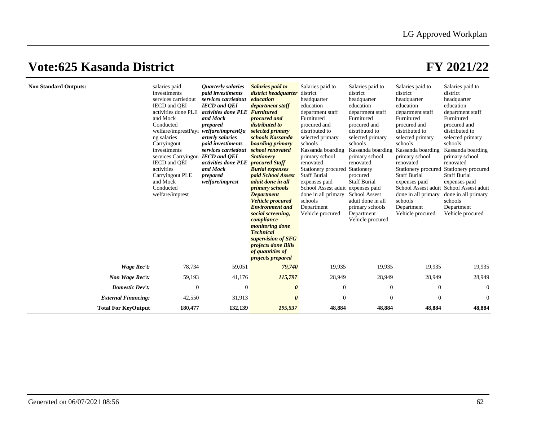| <b>Non Standard Outputs:</b> | salaries paid<br>investiments<br>services carriedout<br>IECD and OEI<br>activities done PLE<br>and Mock<br>Conducted<br>welfare/imprestPayi<br>ng salaries<br>Carryingout<br>investiments<br>services Carryingou<br>IECD and OEI<br>activities<br>Carryingout PLE<br>and Mock<br>Conducted<br>welfare/imprest | <i><b>Quarterly salaries</b></i><br>paid investiments<br>services carriedout<br><b>IECD</b> and <b>QEI</b><br>activities done PLE<br>and Mock<br>prepared<br>welfare/imprestQu<br>arterly salaries<br><i>paid investiments</i><br>services carriedout<br><b>IECD</b> and <b>QEI</b><br>activities done PLE<br>and Mock<br>prepared<br>welfare/imprest | Salaries paid to<br>district headquarter<br>education<br>department staff<br><b>Furnitured</b><br>procured and<br>distributed to<br>selected primary<br>schools Kassanda<br>boarding primary<br>school renovated<br><b>Stationery</b><br><i>procured Staff</i><br><b>Burial expenses</b><br>paid School Assest<br>aduit done in all<br><i>primary schools</i><br><b>Department</b><br><b>Vehicle</b> procured<br><b>Environment</b> and<br>social screening,<br>compliance<br><i>monitoring done</i><br><b>Technical</b><br>supervision of SFG<br><i>projects done Bills</i><br>of quantities of<br><i>projects prepared</i> | Salaries paid to<br>district<br>headquarter<br>education<br>department staff<br>Furnitured<br>procured and<br>distributed to<br>selected primary<br>schools<br>Kassanda boarding<br>primary school<br>renovated<br>Stationery procured<br><b>Staff Burial</b><br>expenses paid<br>School Assest aduit<br>done in all primary<br>schools<br>Department<br>Vehicle procured | Salaries paid to<br>district<br>headquarter<br>education<br>department staff<br>Furnitured<br>procured and<br>distributed to<br>selected primary<br>schools<br>Kassanda boarding<br>primary school<br>renovated<br>Stationery<br>procured<br><b>Staff Burial</b><br>expenses paid<br><b>School Assest</b><br>aduit done in all<br>primary schools<br>Department<br>Vehicle procured | Salaries paid to<br>district<br>headquarter<br>education<br>department staff<br>Furnitured<br>procured and<br>distributed to<br>selected primary<br>schools<br>Kassanda boarding<br>primary school<br>renovated<br>Stationery procured<br><b>Staff Burial</b><br>expenses paid<br>School Assest aduit School Assest aduit<br>done in all primary<br>schools<br>Department<br>Vehicle procured | Salaries paid to<br>district<br>headquarter<br>education<br>department staff<br>Furnitured<br>procured and<br>distributed to<br>selected primary<br>schools<br>Kassanda boarding<br>primary school<br>renovated<br>Stationery procured<br><b>Staff Burial</b><br>expenses paid<br>done in all primary<br>schools<br>Department<br>Vehicle procured |
|------------------------------|---------------------------------------------------------------------------------------------------------------------------------------------------------------------------------------------------------------------------------------------------------------------------------------------------------------|-------------------------------------------------------------------------------------------------------------------------------------------------------------------------------------------------------------------------------------------------------------------------------------------------------------------------------------------------------|------------------------------------------------------------------------------------------------------------------------------------------------------------------------------------------------------------------------------------------------------------------------------------------------------------------------------------------------------------------------------------------------------------------------------------------------------------------------------------------------------------------------------------------------------------------------------------------------------------------------------|---------------------------------------------------------------------------------------------------------------------------------------------------------------------------------------------------------------------------------------------------------------------------------------------------------------------------------------------------------------------------|-------------------------------------------------------------------------------------------------------------------------------------------------------------------------------------------------------------------------------------------------------------------------------------------------------------------------------------------------------------------------------------|-----------------------------------------------------------------------------------------------------------------------------------------------------------------------------------------------------------------------------------------------------------------------------------------------------------------------------------------------------------------------------------------------|----------------------------------------------------------------------------------------------------------------------------------------------------------------------------------------------------------------------------------------------------------------------------------------------------------------------------------------------------|
| Wage Rec't:                  | 78,734                                                                                                                                                                                                                                                                                                        | 59,051                                                                                                                                                                                                                                                                                                                                                | 79,740                                                                                                                                                                                                                                                                                                                                                                                                                                                                                                                                                                                                                       | 19,935                                                                                                                                                                                                                                                                                                                                                                    | 19,935                                                                                                                                                                                                                                                                                                                                                                              | 19,935                                                                                                                                                                                                                                                                                                                                                                                        | 19,935                                                                                                                                                                                                                                                                                                                                             |
| Non Wage Rec't:              | 59,193                                                                                                                                                                                                                                                                                                        | 41,176                                                                                                                                                                                                                                                                                                                                                | 115,797                                                                                                                                                                                                                                                                                                                                                                                                                                                                                                                                                                                                                      | 28,949                                                                                                                                                                                                                                                                                                                                                                    | 28,949                                                                                                                                                                                                                                                                                                                                                                              | 28,949                                                                                                                                                                                                                                                                                                                                                                                        | 28,949                                                                                                                                                                                                                                                                                                                                             |
| Domestic Dev't:              | $\mathbf{0}$                                                                                                                                                                                                                                                                                                  | $\theta$                                                                                                                                                                                                                                                                                                                                              | $\boldsymbol{\theta}$                                                                                                                                                                                                                                                                                                                                                                                                                                                                                                                                                                                                        | $\overline{0}$                                                                                                                                                                                                                                                                                                                                                            | $\theta$                                                                                                                                                                                                                                                                                                                                                                            | $\boldsymbol{0}$                                                                                                                                                                                                                                                                                                                                                                              | $\theta$                                                                                                                                                                                                                                                                                                                                           |
| <b>External Financing:</b>   | 42,550                                                                                                                                                                                                                                                                                                        | 31,913                                                                                                                                                                                                                                                                                                                                                | $\boldsymbol{\theta}$                                                                                                                                                                                                                                                                                                                                                                                                                                                                                                                                                                                                        | $\mathbf{0}$                                                                                                                                                                                                                                                                                                                                                              | $\theta$                                                                                                                                                                                                                                                                                                                                                                            | $\overline{0}$                                                                                                                                                                                                                                                                                                                                                                                | $\overline{0}$                                                                                                                                                                                                                                                                                                                                     |
| <b>Total For KeyOutput</b>   | 180,477                                                                                                                                                                                                                                                                                                       | 132,139                                                                                                                                                                                                                                                                                                                                               | 195,537                                                                                                                                                                                                                                                                                                                                                                                                                                                                                                                                                                                                                      | 48,884                                                                                                                                                                                                                                                                                                                                                                    | 48,884                                                                                                                                                                                                                                                                                                                                                                              | 48,884                                                                                                                                                                                                                                                                                                                                                                                        | 48,884                                                                                                                                                                                                                                                                                                                                             |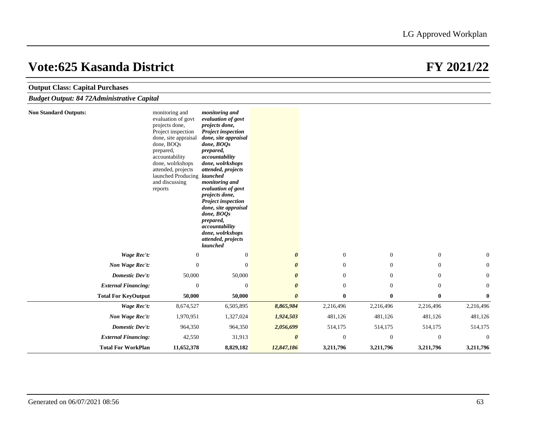| <b>Output Class: Capital Purchases</b>            |                                                                                                                                                                                                                                                         |                                                                                                                                                                                                                                                                                                                                                                                                                      |                       |                  |                  |                  |                |
|---------------------------------------------------|---------------------------------------------------------------------------------------------------------------------------------------------------------------------------------------------------------------------------------------------------------|----------------------------------------------------------------------------------------------------------------------------------------------------------------------------------------------------------------------------------------------------------------------------------------------------------------------------------------------------------------------------------------------------------------------|-----------------------|------------------|------------------|------------------|----------------|
| <b>Budget Output: 84 72Administrative Capital</b> |                                                                                                                                                                                                                                                         |                                                                                                                                                                                                                                                                                                                                                                                                                      |                       |                  |                  |                  |                |
| <b>Non Standard Outputs:</b>                      | monitoring and<br>evaluation of govt<br>projects done,<br>Project inspection<br>done, site appraisal<br>done, BOQs<br>prepared,<br>accountability<br>done, wolrkshops<br>attended, projects<br>launched Producing launched<br>and discussing<br>reports | monitoring and<br>evaluation of govt<br>projects done,<br><b>Project inspection</b><br>done, site appraisal<br>done, BOOs<br>prepared,<br>accountability<br>done, wolrkshops<br>attended, projects<br>monitoring and<br>evaluation of govt<br>projects done,<br><b>Project inspection</b><br>done, site appraisal<br>done, BOQs<br>prepared,<br>accountability<br>done, wolrkshops<br>attended, projects<br>launched |                       |                  |                  |                  |                |
| <b>Wage Rec't:</b>                                | $\mathbf{0}$                                                                                                                                                                                                                                            | $\mathbf{0}$                                                                                                                                                                                                                                                                                                                                                                                                         | $\boldsymbol{\theta}$ | $\mathbf{0}$     | $\boldsymbol{0}$ | $\boldsymbol{0}$ | $\overline{0}$ |
| Non Wage Rec't:                                   | $\theta$                                                                                                                                                                                                                                                | $\Omega$                                                                                                                                                                                                                                                                                                                                                                                                             | $\boldsymbol{\theta}$ | $\overline{0}$   | $\theta$         | $\boldsymbol{0}$ | $\overline{0}$ |
| <b>Domestic Dev't:</b>                            | 50,000                                                                                                                                                                                                                                                  | 50,000                                                                                                                                                                                                                                                                                                                                                                                                               | 0                     | $\mathbf{0}$     | $\mathbf{0}$     | $\boldsymbol{0}$ | $\mathbf{0}$   |
| <b>External Financing:</b>                        | $\overline{0}$                                                                                                                                                                                                                                          | $\theta$                                                                                                                                                                                                                                                                                                                                                                                                             | $\boldsymbol{\theta}$ | $\boldsymbol{0}$ | $\mathbf{0}$     | $\boldsymbol{0}$ | $\mathbf{0}$   |
| <b>Total For KeyOutput</b>                        | 50,000                                                                                                                                                                                                                                                  | 50,000                                                                                                                                                                                                                                                                                                                                                                                                               | $\boldsymbol{\theta}$ | $\bf{0}$         | $\bf{0}$         | $\bf{0}$         | $\bf{0}$       |
| <b>Wage Rec't:</b>                                | 8,674,527                                                                                                                                                                                                                                               | 6,505,895                                                                                                                                                                                                                                                                                                                                                                                                            | 8,865,984             | 2,216,496        | 2,216,496        | 2,216,496        | 2,216,496      |
| Non Wage Rec't:                                   | 1,970,951                                                                                                                                                                                                                                               | 1,327,024                                                                                                                                                                                                                                                                                                                                                                                                            | 1,924,503             | 481,126          | 481,126          | 481,126          | 481,126        |
| <b>Domestic Dev't:</b>                            | 964,350                                                                                                                                                                                                                                                 | 964,350                                                                                                                                                                                                                                                                                                                                                                                                              | 2,056,699             | 514,175          | 514,175          | 514,175          | 514,175        |
| <b>External Financing:</b>                        | 42,550                                                                                                                                                                                                                                                  | 31,913                                                                                                                                                                                                                                                                                                                                                                                                               | $\boldsymbol{\theta}$ | $\mathbf{0}$     | $\boldsymbol{0}$ | $\boldsymbol{0}$ | $\Omega$       |
| <b>Total For WorkPlan</b>                         | 11,652,378                                                                                                                                                                                                                                              | 8,829,182                                                                                                                                                                                                                                                                                                                                                                                                            | 12,847,186            | 3,211,796        | 3,211,796        | 3,211,796        | 3,211,796      |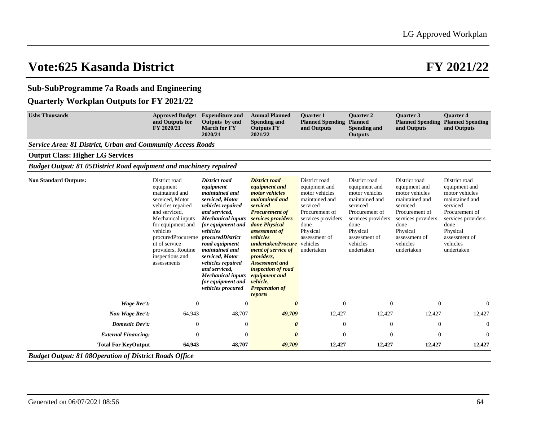## **Sub-SubProgramme 7a Roads and Engineering**

## **Quarterly Workplan Outputs for FY 2021/22**

| <b>Ushs Thousands</b>                                                     | <b>Approved Budget</b><br>and Outputs for<br>FY 2020/21                                                                                                                                                                                                   | <b>Expenditure and</b><br>Outputs by end<br><b>March for FY</b><br>2020/21                                                                                                                                                                                                                                                                                              | <b>Annual Planned</b><br><b>Spending and</b><br><b>Outputs FY</b><br>2021/22                                                                                                                                                                                                                                                                                       | <b>Ouarter 1</b><br><b>Planned Spending</b><br>and Outputs                                                                                                                            | <b>Ouarter 2</b><br><b>Planned</b><br><b>Spending and</b><br><b>Outputs</b>                                                                                                           | <b>Ouarter 3</b><br><b>Planned Spending</b><br>and Outputs                                                                                                                            | <b>Ouarter 4</b><br><b>Planned Spending</b><br>and Outputs                                                                                                                            |
|---------------------------------------------------------------------------|-----------------------------------------------------------------------------------------------------------------------------------------------------------------------------------------------------------------------------------------------------------|-------------------------------------------------------------------------------------------------------------------------------------------------------------------------------------------------------------------------------------------------------------------------------------------------------------------------------------------------------------------------|--------------------------------------------------------------------------------------------------------------------------------------------------------------------------------------------------------------------------------------------------------------------------------------------------------------------------------------------------------------------|---------------------------------------------------------------------------------------------------------------------------------------------------------------------------------------|---------------------------------------------------------------------------------------------------------------------------------------------------------------------------------------|---------------------------------------------------------------------------------------------------------------------------------------------------------------------------------------|---------------------------------------------------------------------------------------------------------------------------------------------------------------------------------------|
| <b>Service Area: 81 District, Urban and Community Access Roads</b>        |                                                                                                                                                                                                                                                           |                                                                                                                                                                                                                                                                                                                                                                         |                                                                                                                                                                                                                                                                                                                                                                    |                                                                                                                                                                                       |                                                                                                                                                                                       |                                                                                                                                                                                       |                                                                                                                                                                                       |
| <b>Output Class: Higher LG Services</b>                                   |                                                                                                                                                                                                                                                           |                                                                                                                                                                                                                                                                                                                                                                         |                                                                                                                                                                                                                                                                                                                                                                    |                                                                                                                                                                                       |                                                                                                                                                                                       |                                                                                                                                                                                       |                                                                                                                                                                                       |
| <b>Budget Output: 81 05District Road equipment and machinery repaired</b> |                                                                                                                                                                                                                                                           |                                                                                                                                                                                                                                                                                                                                                                         |                                                                                                                                                                                                                                                                                                                                                                    |                                                                                                                                                                                       |                                                                                                                                                                                       |                                                                                                                                                                                       |                                                                                                                                                                                       |
| <b>Non Standard Outputs:</b>                                              | District road<br>equipment<br>maintained and<br>serviced, Motor<br>vehicles repaired<br>and serviced.<br>Mechanical inputs<br>for equipment and<br>vehicles<br>procuredProcureme<br>nt of service<br>providers, Routine<br>inspections and<br>assessments | <b>District road</b><br>equipment<br>maintained and<br>serviced, Motor<br>vehicles repaired<br>and serviced.<br><b>Mechanical inputs</b><br>for equipment and<br>vehicles<br>procuredDistrict<br>road equipment<br>maintained and<br>serviced, Motor<br><i>vehicles repaired</i><br>and serviced,<br><b>Mechanical inputs</b><br>for equipment and<br>vehicles procured | <b>District road</b><br>equipment and<br><i>motor vehicles</i><br>maintained and<br>serviced<br><b>Procurement of</b><br>services providers<br>done Physical<br>assessment of<br>vehicles<br>undertakenProcure<br>ment of service of<br>providers,<br><b>Assessment</b> and<br>inspection of road<br>equipment and<br>vehicle,<br><b>Preparation of</b><br>reports | District road<br>equipment and<br>motor vehicles<br>maintained and<br>serviced<br>Procurement of<br>services providers<br>done<br>Physical<br>assessment of<br>vehicles<br>undertaken | District road<br>equipment and<br>motor vehicles<br>maintained and<br>serviced<br>Procurement of<br>services providers<br>done<br>Physical<br>assessment of<br>vehicles<br>undertaken | District road<br>equipment and<br>motor vehicles<br>maintained and<br>serviced<br>Procurement of<br>services providers<br>done<br>Physical<br>assessment of<br>vehicles<br>undertaken | District road<br>equipment and<br>motor vehicles<br>maintained and<br>serviced<br>Procurement of<br>services providers<br>done<br>Physical<br>assessment of<br>vehicles<br>undertaken |
| <b>Wage Rec't:</b>                                                        | $\boldsymbol{0}$                                                                                                                                                                                                                                          | $\Omega$                                                                                                                                                                                                                                                                                                                                                                |                                                                                                                                                                                                                                                                                                                                                                    | $\theta$                                                                                                                                                                              | $\overline{0}$                                                                                                                                                                        | $\mathbf{0}$                                                                                                                                                                          | $\theta$                                                                                                                                                                              |
| Non Wage Rec't:                                                           | 64,943                                                                                                                                                                                                                                                    | 48,707                                                                                                                                                                                                                                                                                                                                                                  | 49,709                                                                                                                                                                                                                                                                                                                                                             | 12,427                                                                                                                                                                                | 12,427                                                                                                                                                                                | 12,427                                                                                                                                                                                | 12,427                                                                                                                                                                                |
| <b>Domestic Dev't:</b>                                                    | $\overline{0}$                                                                                                                                                                                                                                            | $\overline{0}$                                                                                                                                                                                                                                                                                                                                                          | 0                                                                                                                                                                                                                                                                                                                                                                  | $\theta$                                                                                                                                                                              | $\overline{0}$                                                                                                                                                                        | $\mathbf{0}$                                                                                                                                                                          | $\Omega$                                                                                                                                                                              |
| <b>External Financing:</b>                                                | 0                                                                                                                                                                                                                                                         | $\Omega$                                                                                                                                                                                                                                                                                                                                                                |                                                                                                                                                                                                                                                                                                                                                                    | $\Omega$                                                                                                                                                                              | $\Omega$                                                                                                                                                                              | $\mathbf{0}$                                                                                                                                                                          | $\Omega$                                                                                                                                                                              |
| <b>Total For KeyOutput</b>                                                | 64,943                                                                                                                                                                                                                                                    | 48,707                                                                                                                                                                                                                                                                                                                                                                  | 49,709                                                                                                                                                                                                                                                                                                                                                             | 12,427                                                                                                                                                                                | 12,427                                                                                                                                                                                | 12,427                                                                                                                                                                                | 12,427                                                                                                                                                                                |
| <b>Budget Output: 81 08Operation of District Roads Office</b>             |                                                                                                                                                                                                                                                           |                                                                                                                                                                                                                                                                                                                                                                         |                                                                                                                                                                                                                                                                                                                                                                    |                                                                                                                                                                                       |                                                                                                                                                                                       |                                                                                                                                                                                       |                                                                                                                                                                                       |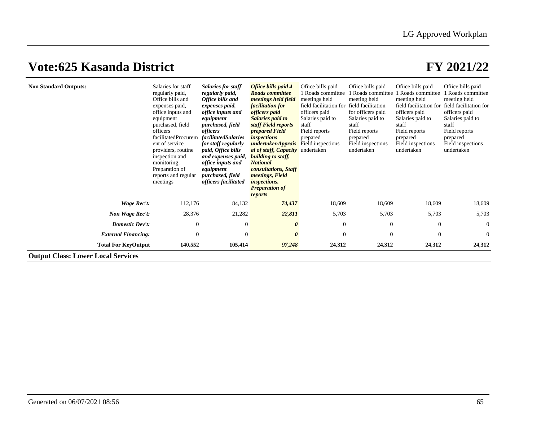| <b>Non Standard Outputs:</b>              | Salaries for staff<br>regularly paid,<br>Office bills and<br>expenses paid,<br>office inputs and<br>equipment<br>purchased, field<br>officers<br>facilitatedProcurem<br>ent of service<br>providers, routine<br>inspection and<br>monitoring,<br>Preparation of<br>reports and regular<br>meetings | <b>Salaries for staff</b><br>regularly paid,<br>Office bills and<br>expenses paid,<br>office inputs and<br>equipment<br>purchased, field<br>officers<br><i>facilitatedSalaries</i><br>for staff regularly<br>paid, Office bills<br>and expenses paid,<br>office inputs and<br>equipment<br>purchased, field<br>officers facilitated | Ofiice bills paid 4<br><b>Roads</b> committee<br>meetings held field<br><i>facilitation for</i><br>officers paid<br>Salaries paid to<br>staff Field reports<br><i>prepared Field</i><br><i>inspections</i><br>undertakenApprais<br>al of staff, Capacity undertaken<br><b>building to staff,</b><br><b>National</b><br>consultations, Staff<br><i>meetings, Field</i><br><i>inspections,</i><br><b>Preparation of</b><br>reports | Ofiice bills paid<br>Roads committee<br>meetings held<br>field facilitation for<br>officers paid<br>Salaries paid to<br>staff<br>Field reports<br>prepared<br>Field inspections | Ofiice bills paid<br>Roads committee<br>meeting held<br>field facilitation<br>for officers paid<br>Salaries paid to<br>staff<br>Field reports<br>prepared<br>Field inspections<br>undertaken | Office bills paid<br>Roads committee<br>meeting held<br>officers paid<br>Salaries paid to<br>staff<br>Field reports<br>prepared<br>Field inspections<br>undertaken | Office bills paid<br>Roads committee<br>meeting held<br>field facilitation for field facilitation for<br>officers paid<br>Salaries paid to<br>staff<br>Field reports<br>prepared<br>Field inspections<br>undertaken |
|-------------------------------------------|----------------------------------------------------------------------------------------------------------------------------------------------------------------------------------------------------------------------------------------------------------------------------------------------------|-------------------------------------------------------------------------------------------------------------------------------------------------------------------------------------------------------------------------------------------------------------------------------------------------------------------------------------|----------------------------------------------------------------------------------------------------------------------------------------------------------------------------------------------------------------------------------------------------------------------------------------------------------------------------------------------------------------------------------------------------------------------------------|---------------------------------------------------------------------------------------------------------------------------------------------------------------------------------|----------------------------------------------------------------------------------------------------------------------------------------------------------------------------------------------|--------------------------------------------------------------------------------------------------------------------------------------------------------------------|---------------------------------------------------------------------------------------------------------------------------------------------------------------------------------------------------------------------|
| Wage Rec't:                               | 112,176                                                                                                                                                                                                                                                                                            | 84,132                                                                                                                                                                                                                                                                                                                              | 74,437                                                                                                                                                                                                                                                                                                                                                                                                                           | 18,609                                                                                                                                                                          | 18,609                                                                                                                                                                                       | 18,609                                                                                                                                                             | 18,609                                                                                                                                                                                                              |
| Non Wage Rec't:                           | 28,376                                                                                                                                                                                                                                                                                             | 21,282                                                                                                                                                                                                                                                                                                                              | 22,811                                                                                                                                                                                                                                                                                                                                                                                                                           | 5,703                                                                                                                                                                           | 5,703                                                                                                                                                                                        | 5,703                                                                                                                                                              | 5,703                                                                                                                                                                                                               |
| Domestic Dev't:                           | $\boldsymbol{0}$                                                                                                                                                                                                                                                                                   | $\overline{0}$                                                                                                                                                                                                                                                                                                                      | 0                                                                                                                                                                                                                                                                                                                                                                                                                                | $\overline{0}$                                                                                                                                                                  | $\theta$                                                                                                                                                                                     | $\mathbf{0}$                                                                                                                                                       | $\mathbf{0}$                                                                                                                                                                                                        |
| <b>External Financing:</b>                | $\mathbf{0}$                                                                                                                                                                                                                                                                                       | $\Omega$                                                                                                                                                                                                                                                                                                                            | $\theta$                                                                                                                                                                                                                                                                                                                                                                                                                         | $\Omega$                                                                                                                                                                        | $\overline{0}$                                                                                                                                                                               | $\theta$                                                                                                                                                           | $\theta$                                                                                                                                                                                                            |
| <b>Total For KeyOutput</b>                | 140,552                                                                                                                                                                                                                                                                                            | 105,414                                                                                                                                                                                                                                                                                                                             | 97,248                                                                                                                                                                                                                                                                                                                                                                                                                           | 24,312                                                                                                                                                                          | 24,312                                                                                                                                                                                       | 24,312                                                                                                                                                             | 24,312                                                                                                                                                                                                              |
| <b>Output Class: Lower Local Services</b> |                                                                                                                                                                                                                                                                                                    |                                                                                                                                                                                                                                                                                                                                     |                                                                                                                                                                                                                                                                                                                                                                                                                                  |                                                                                                                                                                                 |                                                                                                                                                                                              |                                                                                                                                                                    |                                                                                                                                                                                                                     |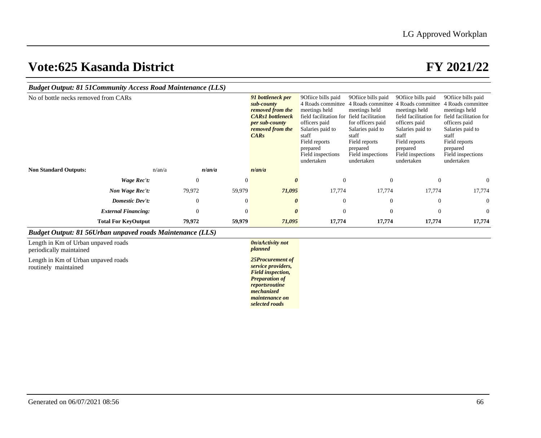| <b>Budget Output: 81 51 Community Access Road Maintenance (LLS)</b> |                            |        |              |                |                                                                                                                                                                        |                                                                                                                                                                                                   |                                                                                                                                                                                                   |                                                                                                                                                                        |                                                                                                                                                                                                                         |  |
|---------------------------------------------------------------------|----------------------------|--------|--------------|----------------|------------------------------------------------------------------------------------------------------------------------------------------------------------------------|---------------------------------------------------------------------------------------------------------------------------------------------------------------------------------------------------|---------------------------------------------------------------------------------------------------------------------------------------------------------------------------------------------------|------------------------------------------------------------------------------------------------------------------------------------------------------------------------|-------------------------------------------------------------------------------------------------------------------------------------------------------------------------------------------------------------------------|--|
| No of bottle necks removed from CARs                                |                            |        |              |                | 91 bottleneck per<br>sub-county<br>removed from the<br><b>CARs1</b> bottleneck<br>per sub-county<br>removed from the<br>CARS                                           | 9 Office bills paid<br>4 Roads committee<br>meetings held<br>field facilitation for<br>officers paid<br>Salaries paid to<br>staff<br>Field reports<br>prepared<br>Field inspections<br>undertaken | 9 Ofiice bills paid<br>4 Roads committee<br>meetings held<br>field facilitation<br>for officers paid<br>Salaries paid to<br>staff<br>Field reports<br>prepared<br>Field inspections<br>undertaken | 9Ofiice bills paid<br>4 Roads committee<br>meetings held<br>officers paid<br>Salaries paid to<br>staff<br>Field reports<br>prepared<br>Field inspections<br>undertaken | 90fiice bills paid<br>4 Roads committee<br>meetings held<br>field facilitation for field facilitation for<br>officers paid<br>Salaries paid to<br>staff<br>Field reports<br>prepared<br>Field inspections<br>undertaken |  |
| <b>Non Standard Outputs:</b>                                        |                            | n/an/a | n/an/a       |                | n/an/a                                                                                                                                                                 |                                                                                                                                                                                                   |                                                                                                                                                                                                   |                                                                                                                                                                        |                                                                                                                                                                                                                         |  |
|                                                                     | Wage Rec't:                |        | $\mathbf{0}$ | $\overline{0}$ | $\boldsymbol{\theta}$                                                                                                                                                  | $\theta$                                                                                                                                                                                          | $\overline{0}$                                                                                                                                                                                    | $\overline{0}$                                                                                                                                                         | $\theta$                                                                                                                                                                                                                |  |
|                                                                     | Non Wage Rec't:            |        | 79,972       | 59,979         | 71,095                                                                                                                                                                 | 17,774                                                                                                                                                                                            | 17,774                                                                                                                                                                                            | 17,774                                                                                                                                                                 | 17,774                                                                                                                                                                                                                  |  |
|                                                                     | <b>Domestic Dev't:</b>     |        | $\theta$     | $\theta$       | 0                                                                                                                                                                      | $\theta$                                                                                                                                                                                          | $\overline{0}$                                                                                                                                                                                    | $\mathbf{0}$                                                                                                                                                           | $\overline{0}$                                                                                                                                                                                                          |  |
|                                                                     | <b>External Financing:</b> |        | $\mathbf{0}$ | $\overline{0}$ | $\boldsymbol{\theta}$                                                                                                                                                  | $\theta$                                                                                                                                                                                          | $\overline{0}$                                                                                                                                                                                    | $\overline{0}$                                                                                                                                                         | $\theta$                                                                                                                                                                                                                |  |
|                                                                     | <b>Total For KeyOutput</b> |        | 79,972       | 59,979         | 71,095                                                                                                                                                                 | 17,774                                                                                                                                                                                            | 17,774                                                                                                                                                                                            | 17,774                                                                                                                                                                 | 17,774                                                                                                                                                                                                                  |  |
| <b>Budget Output: 81 56Urban unpaved roads Maintenance (LLS)</b>    |                            |        |              |                |                                                                                                                                                                        |                                                                                                                                                                                                   |                                                                                                                                                                                                   |                                                                                                                                                                        |                                                                                                                                                                                                                         |  |
| Length in Km of Urban unpaved roads<br>periodically maintained      |                            |        |              |                | 0n/aActivity not<br>planned                                                                                                                                            |                                                                                                                                                                                                   |                                                                                                                                                                                                   |                                                                                                                                                                        |                                                                                                                                                                                                                         |  |
| Length in Km of Urban unpaved roads<br>routinely maintained         |                            |        |              |                | 25Procurement of<br>service providers,<br><b>Field inspection,</b><br><b>Preparation of</b><br>reportsroutine<br>mechanized<br><i>maintenance on</i><br>selected roads |                                                                                                                                                                                                   |                                                                                                                                                                                                   |                                                                                                                                                                        |                                                                                                                                                                                                                         |  |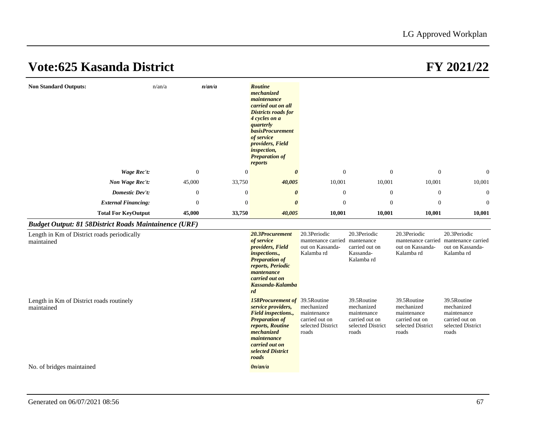| <b>Non Standard Outputs:</b>                                 | n/an/a         | n/an/a           | <b>Routine</b><br>mechanized<br>maintenance<br>carried out on all<br><b>Districts roads for</b><br>4 cycles on a<br>quarterly<br><b>basisProcurement</b><br>of service<br>providers, Field<br><i>inspection,</i><br><b>Preparation of</b><br>reports |                                                                           |                                                                                          |                                                                                          |                                                                                          |
|--------------------------------------------------------------|----------------|------------------|------------------------------------------------------------------------------------------------------------------------------------------------------------------------------------------------------------------------------------------------------|---------------------------------------------------------------------------|------------------------------------------------------------------------------------------|------------------------------------------------------------------------------------------|------------------------------------------------------------------------------------------|
| <b>Wage Rec't:</b>                                           | $\mathbf{0}$   | $\overline{0}$   | $\boldsymbol{\theta}$                                                                                                                                                                                                                                | $\theta$                                                                  | $\boldsymbol{0}$                                                                         | $\mathbf{0}$                                                                             | $\Omega$                                                                                 |
| Non Wage Rec't:                                              | 45,000         | 33,750           | 40,005                                                                                                                                                                                                                                               | 10,001                                                                    | 10,001                                                                                   | 10,001                                                                                   | 10,001                                                                                   |
| <b>Domestic Dev't:</b>                                       | $\theta$       | $\boldsymbol{0}$ | $\boldsymbol{\theta}$                                                                                                                                                                                                                                | $\overline{0}$                                                            | $\boldsymbol{0}$                                                                         | $\boldsymbol{0}$                                                                         | $\theta$                                                                                 |
| <b>External Financing:</b>                                   | $\overline{0}$ | $\overline{0}$   | $\boldsymbol{\theta}$                                                                                                                                                                                                                                | $\Omega$                                                                  | $\mathbf{0}$                                                                             | $\theta$                                                                                 | $\theta$                                                                                 |
| <b>Total For KeyOutput</b>                                   | 45,000         | 33,750           | 40,005                                                                                                                                                                                                                                               | 10,001                                                                    | 10,001                                                                                   | 10,001                                                                                   | 10,001                                                                                   |
| <b>Budget Output: 81 58District Roads Maintainence (URF)</b> |                |                  |                                                                                                                                                                                                                                                      |                                                                           |                                                                                          |                                                                                          |                                                                                          |
| Length in Km of District roads periodically<br>maintained    |                |                  | 20.3Procurement<br>of service<br>providers, Field<br><i>inspections.,</i><br><b>Preparation of</b><br>reports, Periodic<br>mantenance<br>carried out on<br>Kassanda-Kalamba<br>rd                                                                    | 20.3Periodic<br>mantenance carried<br>out on Kassanda-<br>Kalamba rd      | 20.3Periodic<br>mantenance<br>carried out on<br>Kassanda-<br>Kalamba rd                  | 20.3Periodic<br>mantenance carried<br>out on Kassanda-<br>Kalamba rd                     | 20.3Periodic<br>mantenance carried<br>out on Kassanda-<br>Kalamba rd                     |
| Length in Km of District roads routinely<br>maintained       |                |                  | <b>158Procurement of</b> 39.5Routine<br>service providers,<br><b>Field inspections.,</b><br><b>Preparation of</b><br>reports, Routine<br>mechanized<br>maintenance<br>carried out on<br>selected District<br>roads                                   | mechanized<br>maintenance<br>carried out on<br>selected District<br>roads | 39.5Routine<br>mechanized<br>maintenance<br>carried out on<br>selected District<br>roads | 39.5Routine<br>mechanized<br>maintenance<br>carried out on<br>selected District<br>roads | 39.5Routine<br>mechanized<br>maintenance<br>carried out on<br>selected District<br>roads |
| No. of bridges maintained                                    |                |                  | 0n/an/a                                                                                                                                                                                                                                              |                                                                           |                                                                                          |                                                                                          |                                                                                          |
|                                                              |                |                  |                                                                                                                                                                                                                                                      |                                                                           |                                                                                          |                                                                                          |                                                                                          |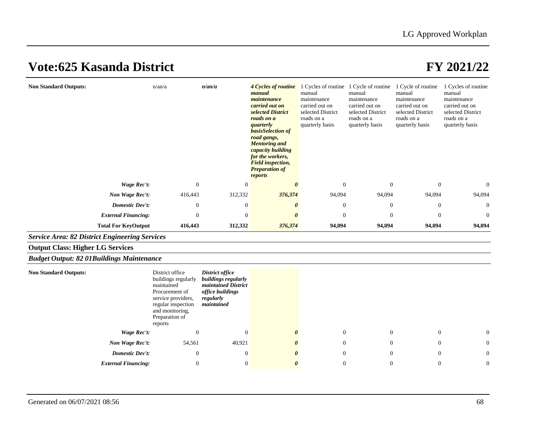| <b>Non Standard Outputs:</b>                          | n/an/a                                                                                                                                                             | n/an/a                                                                                                              | 4 Cycles of routine<br>manual<br>maintenance<br>carried out on<br>selected District<br>roads on a<br>quarterly<br>basisSelection of<br>road gangs,<br><b>Mentoring</b> and<br>capacity building<br>for the workers,<br><b>Field inspection,</b><br><b>Preparation of</b><br>reports | 1 Cycles of routine 1 Cycle of routine<br>manual<br>maintenance<br>carried out on<br>selected District<br>roads on a<br>quarterly basis | manual<br>maintenance<br>carried out on<br>selected District<br>roads on a<br>quarterly basis | 1 Cycle of routine<br>manual<br>maintenance<br>carried out on<br>selected District<br>roads on a<br>quarterly basis | 1 Cycles of routine<br>manual<br>maintenance<br>carried out on<br>selected District<br>roads on a<br>quarterly basis |
|-------------------------------------------------------|--------------------------------------------------------------------------------------------------------------------------------------------------------------------|---------------------------------------------------------------------------------------------------------------------|-------------------------------------------------------------------------------------------------------------------------------------------------------------------------------------------------------------------------------------------------------------------------------------|-----------------------------------------------------------------------------------------------------------------------------------------|-----------------------------------------------------------------------------------------------|---------------------------------------------------------------------------------------------------------------------|----------------------------------------------------------------------------------------------------------------------|
| Wage Rec't:                                           | $\mathbf{0}$                                                                                                                                                       | $\overline{0}$                                                                                                      | $\boldsymbol{\theta}$                                                                                                                                                                                                                                                               | $\theta$                                                                                                                                | $\mathbf{0}$                                                                                  | $\mathbf{0}$                                                                                                        | $\Omega$                                                                                                             |
| Non Wage Rec't:                                       | 416,443                                                                                                                                                            | 312,332                                                                                                             | 376,374                                                                                                                                                                                                                                                                             | 94,094                                                                                                                                  | 94,094                                                                                        | 94,094                                                                                                              | 94,094                                                                                                               |
| <b>Domestic Dev't:</b>                                | $\mathbf{0}$                                                                                                                                                       | $\overline{0}$                                                                                                      | 0                                                                                                                                                                                                                                                                                   | $\Omega$                                                                                                                                | $\Omega$                                                                                      | $\mathbf{0}$                                                                                                        | $\overline{0}$                                                                                                       |
| <b>External Financing:</b>                            | $\mathbf{0}$                                                                                                                                                       | $\overline{0}$                                                                                                      | <sub>0</sub>                                                                                                                                                                                                                                                                        | $\theta$                                                                                                                                | $\Omega$                                                                                      | $\overline{0}$                                                                                                      | $\Omega$                                                                                                             |
| <b>Total For KeyOutput</b>                            | 416,443                                                                                                                                                            | 312,332                                                                                                             | 376,374                                                                                                                                                                                                                                                                             | 94,094                                                                                                                                  | 94,094                                                                                        | 94,094                                                                                                              | 94,094                                                                                                               |
| <b>Service Area: 82 District Engineering Services</b> |                                                                                                                                                                    |                                                                                                                     |                                                                                                                                                                                                                                                                                     |                                                                                                                                         |                                                                                               |                                                                                                                     |                                                                                                                      |
| <b>Output Class: Higher LG Services</b>               |                                                                                                                                                                    |                                                                                                                     |                                                                                                                                                                                                                                                                                     |                                                                                                                                         |                                                                                               |                                                                                                                     |                                                                                                                      |
| <b>Budget Output: 82 01Buildings Maintenance</b>      |                                                                                                                                                                    |                                                                                                                     |                                                                                                                                                                                                                                                                                     |                                                                                                                                         |                                                                                               |                                                                                                                     |                                                                                                                      |
| <b>Non Standard Outputs:</b>                          | District office<br>buildings regularly<br>maintained<br>Procurement of<br>service providers,<br>regular inspection<br>and monitoring,<br>Preparation of<br>reports | <b>District office</b><br>buildings regularly<br>maintained District<br>office buildings<br>regularly<br>maintained |                                                                                                                                                                                                                                                                                     |                                                                                                                                         |                                                                                               |                                                                                                                     |                                                                                                                      |
| Wage Rec't:                                           | $\mathbf{0}$                                                                                                                                                       | $\overline{0}$                                                                                                      | O                                                                                                                                                                                                                                                                                   | $\mathbf{0}$                                                                                                                            | $\mathbf{0}$                                                                                  | $\mathbf{0}$                                                                                                        | 0                                                                                                                    |
| Non Wage Rec't:                                       | 54,561                                                                                                                                                             | 40,921                                                                                                              | 0                                                                                                                                                                                                                                                                                   | $\overline{0}$                                                                                                                          | $\theta$                                                                                      | $\theta$                                                                                                            | $\theta$                                                                                                             |
| <b>Domestic Dev't:</b>                                | $\mathbf{0}$                                                                                                                                                       | $\mathbf{0}$                                                                                                        |                                                                                                                                                                                                                                                                                     | $\theta$                                                                                                                                | $\Omega$                                                                                      | $\theta$                                                                                                            | $\Omega$                                                                                                             |
| <b>External Financing:</b>                            | $\mathbf{0}$                                                                                                                                                       | $\overline{0}$                                                                                                      | $\theta$                                                                                                                                                                                                                                                                            | $\mathbf{0}$                                                                                                                            | $\mathbf{0}$                                                                                  | $\overline{0}$                                                                                                      | $\theta$                                                                                                             |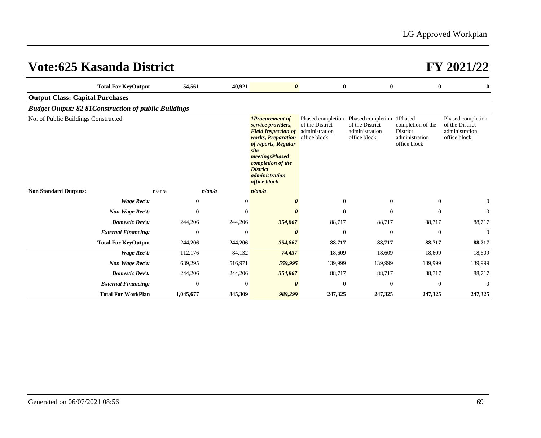| <b>Total For KeyOutput</b>                                   | 54,561         | 40,921           | $\boldsymbol{\theta}$                                                                                                                                                                                                                    | $\bf{0}$                                               | $\mathbf{0}$                                                                   | $\bf{0}$                                                        | $\bf{0}$                                                               |
|--------------------------------------------------------------|----------------|------------------|------------------------------------------------------------------------------------------------------------------------------------------------------------------------------------------------------------------------------------------|--------------------------------------------------------|--------------------------------------------------------------------------------|-----------------------------------------------------------------|------------------------------------------------------------------------|
| <b>Output Class: Capital Purchases</b>                       |                |                  |                                                                                                                                                                                                                                          |                                                        |                                                                                |                                                                 |                                                                        |
| <b>Budget Output: 82 81 Construction of public Buildings</b> |                |                  |                                                                                                                                                                                                                                          |                                                        |                                                                                |                                                                 |                                                                        |
| No. of Public Buildings Constructed                          |                |                  | <b>1Procurement of</b><br>service providers,<br><b>Field Inspection of</b><br>works, Preparation office block<br>of reports, Regular<br>site<br>meetingsPhased<br>completion of the<br><b>District</b><br>administration<br>office block | Phased completion<br>of the District<br>administration | Phased completion 1Phased<br>of the District<br>administration<br>office block | completion of the<br>District<br>administration<br>office block | Phased completion<br>of the District<br>administration<br>office block |
| <b>Non Standard Outputs:</b>                                 | n/an/a         | n/an/a           | n/an/a                                                                                                                                                                                                                                   |                                                        |                                                                                |                                                                 |                                                                        |
| Wage Rec't:                                                  | $\theta$       | $\mathbf{0}$     | 0                                                                                                                                                                                                                                        | $\overline{0}$                                         | $\overline{0}$                                                                 | $\overline{0}$                                                  | $\mathbf{0}$                                                           |
| Non Wage Rec't:                                              | $\Omega$       | $\theta$         | <sub>0</sub>                                                                                                                                                                                                                             | $\Omega$                                               | $\Omega$                                                                       | $\Omega$                                                        | $\Omega$                                                               |
| <b>Domestic Dev't:</b>                                       | 244,206        | 244,206          | 354,867                                                                                                                                                                                                                                  | 88,717                                                 | 88,717                                                                         | 88,717                                                          | 88,717                                                                 |
| <b>External Financing:</b>                                   | $\theta$       | $\boldsymbol{0}$ | $\boldsymbol{\theta}$                                                                                                                                                                                                                    | $\mathbf{0}$                                           | $\theta$                                                                       | $\boldsymbol{0}$                                                | $\mathbf{0}$                                                           |
| <b>Total For KeyOutput</b>                                   | 244,206        | 244,206          | 354,867                                                                                                                                                                                                                                  | 88,717                                                 | 88,717                                                                         | 88,717                                                          | 88,717                                                                 |
| Wage Rec't:                                                  | 112,176        | 84,132           | 74,437                                                                                                                                                                                                                                   | 18,609                                                 | 18,609                                                                         | 18,609                                                          | 18,609                                                                 |
| Non Wage Rec't:                                              | 689,295        | 516,971          | 559,995                                                                                                                                                                                                                                  | 139,999                                                | 139,999                                                                        | 139,999                                                         | 139,999                                                                |
| <b>Domestic Dev't:</b>                                       | 244,206        | 244,206          | 354,867                                                                                                                                                                                                                                  | 88,717                                                 | 88,717                                                                         | 88,717                                                          | 88,717                                                                 |
| <b>External Financing:</b>                                   | $\overline{0}$ | $\theta$         | $\theta$                                                                                                                                                                                                                                 | $\overline{0}$                                         | $\Omega$                                                                       | $\Omega$                                                        | $\Omega$                                                               |
| <b>Total For WorkPlan</b>                                    | 1,045,677      | 845,309          | 989,299                                                                                                                                                                                                                                  | 247,325                                                | 247,325                                                                        | 247,325                                                         | 247,325                                                                |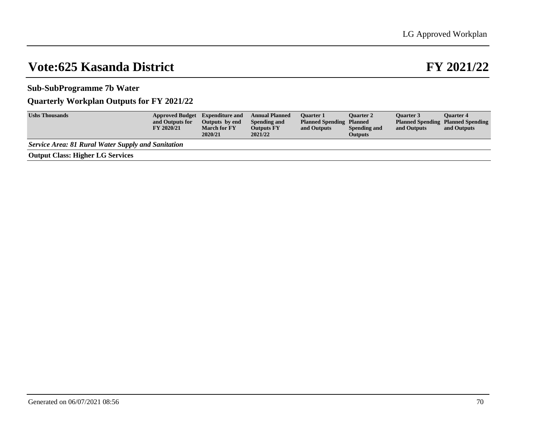## **Sub-SubProgramme 7b Water**

## **Quarterly Workplan Outputs for FY 2021/22**

| <b>Ushs Thousands</b>                                     | <b>Approved Budget</b> Expenditure and<br>and Outputs for<br><b>FY 2020/21</b> | Outputs by end<br><b>March for FY</b><br>2020/21 | <b>Annual Planned</b><br>Spending and<br><b>Outputs FY</b><br>2021/22 | <b>Ouarter 1</b><br><b>Planned Spending Planned</b><br>and Outputs | <b>Ouarter 2</b><br><b>Spending and</b><br><b>Outputs</b> | <b>Ouarter 3</b><br>and Outputs | <b>Ouarter 4</b><br><b>Planned Spending Planned Spending</b><br>and Outputs |
|-----------------------------------------------------------|--------------------------------------------------------------------------------|--------------------------------------------------|-----------------------------------------------------------------------|--------------------------------------------------------------------|-----------------------------------------------------------|---------------------------------|-----------------------------------------------------------------------------|
| <b>Service Area: 81 Rural Water Supply and Sanitation</b> |                                                                                |                                                  |                                                                       |                                                                    |                                                           |                                 |                                                                             |
| <b>Output Class: Higher LG Services</b>                   |                                                                                |                                                  |                                                                       |                                                                    |                                                           |                                 |                                                                             |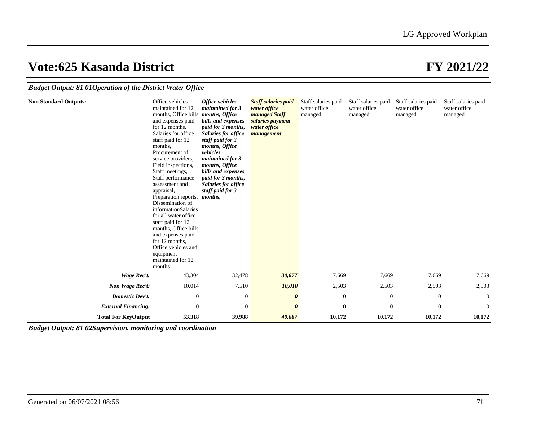| <b>Budget Output: 81 010 peration of the District Water Office</b> |  |  |  |
|--------------------------------------------------------------------|--|--|--|
|                                                                    |  |  |  |

| <b>Non Standard Outputs:</b> | Office vehicles<br>maintained for 12<br>months, Office bills <i>months</i> , Office<br>and expenses paid<br>for 12 months,<br>Salaries for office<br>staff paid for 12<br>months,<br>Procurement of<br>service providers,<br>Field inspections,<br>Staff meetings,<br>Staff performance<br>assessment and<br>appraisal,<br>Preparation reports, <i>months</i> ,<br>Dissemination of<br>informationSalaries<br>for all water office<br>staff paid for 12<br>months, Office bills<br>and expenses paid<br>for 12 months,<br>Office vehicles and<br>equipment<br>maintained for 12<br>months | Office vehicles<br>maintained for 3<br>bills and expenses<br>paid for 3 months,<br>Salaries for office<br>staff paid for 3<br>months, Office<br>vehicles<br>maintained for 3<br>months, Office<br>bills and expenses<br>paid for 3 months,<br>Salaries for office<br>staff paid for 3 | <b>Staff salaries paid</b><br>water office<br>managed Staff<br>salaries payment<br>water office<br>management | Staff salaries paid<br>water office<br>managed | Staff salaries paid<br>water office<br>managed | Staff salaries paid<br>water office<br>managed | Staff salaries paid<br>water office<br>managed |
|------------------------------|-------------------------------------------------------------------------------------------------------------------------------------------------------------------------------------------------------------------------------------------------------------------------------------------------------------------------------------------------------------------------------------------------------------------------------------------------------------------------------------------------------------------------------------------------------------------------------------------|---------------------------------------------------------------------------------------------------------------------------------------------------------------------------------------------------------------------------------------------------------------------------------------|---------------------------------------------------------------------------------------------------------------|------------------------------------------------|------------------------------------------------|------------------------------------------------|------------------------------------------------|
| <b>Wage Rec't:</b>           | 43,304                                                                                                                                                                                                                                                                                                                                                                                                                                                                                                                                                                                    | 32,478                                                                                                                                                                                                                                                                                | 30,677                                                                                                        | 7,669                                          | 7,669                                          | 7,669                                          | 7,669                                          |
| Non Wage Rec't:              | 10,014                                                                                                                                                                                                                                                                                                                                                                                                                                                                                                                                                                                    | 7,510                                                                                                                                                                                                                                                                                 | 10,010                                                                                                        | 2,503                                          | 2,503                                          | 2,503                                          | 2,503                                          |
| <b>Domestic Dev't:</b>       | $\boldsymbol{0}$                                                                                                                                                                                                                                                                                                                                                                                                                                                                                                                                                                          | $\boldsymbol{0}$                                                                                                                                                                                                                                                                      | 0                                                                                                             | $\boldsymbol{0}$                               | $\theta$                                       | $\mathbf{0}$                                   | $\theta$                                       |
| <b>External Financing:</b>   | $\mathbf{0}$                                                                                                                                                                                                                                                                                                                                                                                                                                                                                                                                                                              | $\theta$                                                                                                                                                                                                                                                                              | $\boldsymbol{\theta}$                                                                                         | $\overline{0}$                                 | $\overline{0}$                                 | $\mathbf{0}$                                   | $\theta$                                       |
| <b>Total For KeyOutput</b>   | 53,318                                                                                                                                                                                                                                                                                                                                                                                                                                                                                                                                                                                    | 39,988                                                                                                                                                                                                                                                                                | 40,687                                                                                                        | 10,172                                         | 10,172                                         | 10,172                                         | 10,172                                         |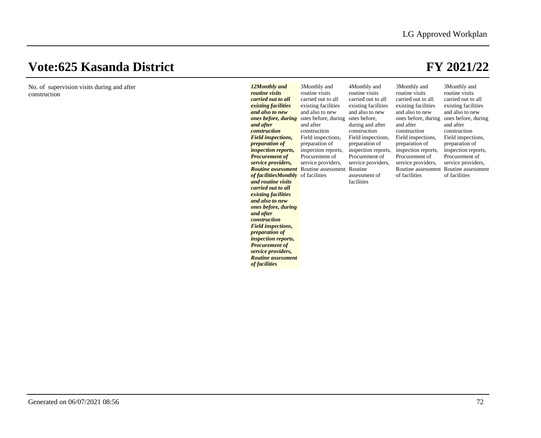No. of supervision visits during and after construction

| 12Monthly and<br>routine visits<br>carried out to all<br>existing facilities<br>and also to new<br>ones before, during<br>and after<br><i>construction</i><br><b>Field inspections,</b><br><i>preparation of</i><br><i>inspection reports,</i><br><b>Procurement of</b><br>service providers,<br><b>Routine</b> assessment<br>of facilities Monthly of facilities<br>and routine visits<br>carried out to all<br>existing facilities<br>and also to new<br>ones before, during<br>and after<br><i>construction</i><br><b>Field inspections,</b><br><i>preparation of</i><br><i>inspection reports,</i><br><b>Procurement of</b><br>service providers,<br><b>Routine</b> assessment<br>of facilities | 3Monthly and<br>routine visits<br>carried out to all<br>existing facilities<br>and also to new<br>ones before, during<br>and after<br>construction<br>Field inspections,<br>preparation of<br>inspection reports,<br>Procurement of<br>service providers,<br>Routine assessment Routine | 4Monthly and<br>routine visits<br>carried out to all<br>existing facilities<br>and also to new<br>ones before,<br>during and after<br>construction<br>Field inspections,<br>preparation of<br>inspection reports,<br>Procurement of<br>service providers,<br>assessment of<br>facilities | 3Monthly and<br>routine visits<br>carried out to all<br>existing facilities<br>and also to new<br>ones before, during<br>and after<br>construction<br>Field inspections,<br>preparation of<br>inspection reports,<br>Procurement of<br>service providers,<br>Routine assessment<br>of facilities | 3Monthly and<br>routine visits<br>carried out to all<br>existing facilities<br>and also to new<br>ones before, during<br>and after<br>construction<br>Field inspections,<br>preparation of<br>inspection reports,<br>Procurement of<br>service providers,<br>Routine assessment<br>of facilities |
|-----------------------------------------------------------------------------------------------------------------------------------------------------------------------------------------------------------------------------------------------------------------------------------------------------------------------------------------------------------------------------------------------------------------------------------------------------------------------------------------------------------------------------------------------------------------------------------------------------------------------------------------------------------------------------------------------------|-----------------------------------------------------------------------------------------------------------------------------------------------------------------------------------------------------------------------------------------------------------------------------------------|------------------------------------------------------------------------------------------------------------------------------------------------------------------------------------------------------------------------------------------------------------------------------------------|--------------------------------------------------------------------------------------------------------------------------------------------------------------------------------------------------------------------------------------------------------------------------------------------------|--------------------------------------------------------------------------------------------------------------------------------------------------------------------------------------------------------------------------------------------------------------------------------------------------|
|-----------------------------------------------------------------------------------------------------------------------------------------------------------------------------------------------------------------------------------------------------------------------------------------------------------------------------------------------------------------------------------------------------------------------------------------------------------------------------------------------------------------------------------------------------------------------------------------------------------------------------------------------------------------------------------------------------|-----------------------------------------------------------------------------------------------------------------------------------------------------------------------------------------------------------------------------------------------------------------------------------------|------------------------------------------------------------------------------------------------------------------------------------------------------------------------------------------------------------------------------------------------------------------------------------------|--------------------------------------------------------------------------------------------------------------------------------------------------------------------------------------------------------------------------------------------------------------------------------------------------|--------------------------------------------------------------------------------------------------------------------------------------------------------------------------------------------------------------------------------------------------------------------------------------------------|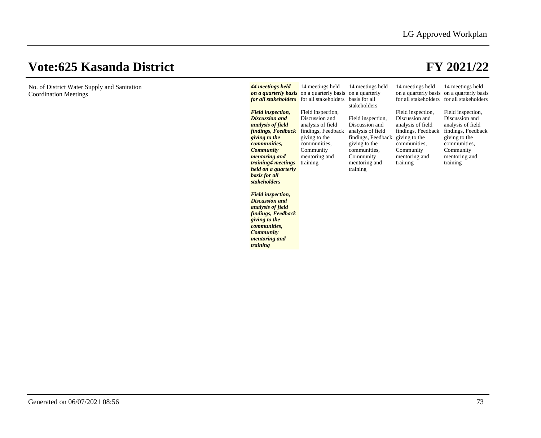| No. of District Water Supply and Sanitation | 44 meetings held         | 14 meetings held                                         | 14 meetings held              | 14 meetings held                          | 14 meetings held                          |
|---------------------------------------------|--------------------------|----------------------------------------------------------|-------------------------------|-------------------------------------------|-------------------------------------------|
| <b>Coordination Meetings</b>                |                          | on a quarterly basis on a quarterly basis on a quarterly |                               |                                           | on a quarterly basis on a quarterly basis |
|                                             |                          | <b>for all stakeholders</b> for all stakeholders         | basis for all<br>stakeholders | for all stakeholders for all stakeholders |                                           |
|                                             | <b>Field inspection,</b> | Field inspection,                                        |                               | Field inspection,                         | Field inspection,                         |
|                                             | <b>Discussion and</b>    | Discussion and                                           | Field inspection,             | Discussion and                            | Discussion and                            |
|                                             | analysis of field        | analysis of field                                        | Discussion and                | analysis of field                         | analysis of field                         |
|                                             | findings, Feedback       | findings, Feedback                                       | analysis of field             | findings, Feedback                        | findings, Feedback                        |
|                                             | giving to the            | giving to the                                            | findings, Feedback            | giving to the                             | giving to the                             |
|                                             | <i>communities,</i>      | communities.                                             | giving to the                 | communities.                              | communities,                              |
|                                             | <b>Community</b>         | Community                                                | communities,                  | Community                                 | Community                                 |
|                                             | <i>mentoring and</i>     | mentoring and                                            | Community                     | mentoring and                             | mentoring and                             |
|                                             | training4 meetings       | training                                                 | mentoring and                 | training                                  | training                                  |
|                                             | held on a quarterly      |                                                          | training                      |                                           |                                           |
|                                             | basis for all            |                                                          |                               |                                           |                                           |
|                                             | stakeholders             |                                                          |                               |                                           |                                           |
|                                             |                          |                                                          |                               |                                           |                                           |
|                                             | <b>Field inspection,</b> |                                                          |                               |                                           |                                           |
|                                             | <b>Discussion and</b>    |                                                          |                               |                                           |                                           |
|                                             | analysis of field        |                                                          |                               |                                           |                                           |
|                                             | findings, Feedback       |                                                          |                               |                                           |                                           |
|                                             | giving to the            |                                                          |                               |                                           |                                           |
|                                             | <i>communities.</i>      |                                                          |                               |                                           |                                           |
|                                             | <b>Community</b>         |                                                          |                               |                                           |                                           |
|                                             | mentoring and            |                                                          |                               |                                           |                                           |
|                                             | training                 |                                                          |                               |                                           |                                           |
|                                             |                          |                                                          |                               |                                           |                                           |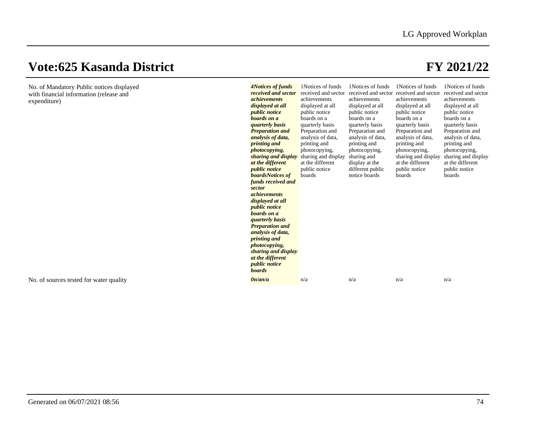No. of Mandatory Public notices displayed with financial information (release and expenditure)

| <i><b>4Notices of funds</b></i><br>received and sector<br><i>achievements</i><br>displayed at all<br><i>public notice</i><br>boards on a<br><i><b>quarterly basis</b></i><br><b>Preparation and</b><br>analysis of data,<br><i>printing and</i><br><i>photocopying,</i><br>sharing and display<br>at the different<br><i>public notice</i><br><b>boardsNotices</b> of<br>funds received and<br>sector<br><i>achievements</i><br>displayed at all<br><i>public notice</i><br>boards on a<br><i><b>quarterly basis</b></i><br><b>Preparation and</b><br>analysis of data,<br>printing and<br><i>photocopying,</i><br>sharing and display<br>at the different<br><i>public notice</i> | 1 Notices of funds<br>received and sector<br>achievements<br>displayed at all<br>public notice<br>boards on a<br>quarterly basis<br>Preparation and<br>analysis of data,<br>printing and<br>photocopying,<br>sharing and display<br>at the different<br>public notice<br>boards | 1 Notices of funds<br>achievements<br>displayed at all<br>public notice<br>boards on a<br>quarterly basis<br>Preparation and<br>analysis of data,<br>printing and<br>photocopying,<br>sharing and<br>display at the<br>different public<br>notice boards | 1 Notices of funds<br>received and sector received and sector<br>achievements<br>displayed at all<br>public notice<br>boards on a<br>quarterly basis<br>Preparation and<br>analysis of data,<br>printing and<br>photocopying,<br>sharing and display<br>at the different<br>public notice<br>boards | 1Notices of funds<br>received and sector<br>achievements<br>displayed at all<br>public notice<br>boards on a<br>quarterly basis<br>Preparation and<br>analysis of data,<br>printing and<br>photocopying,<br>sharing and display<br>at the different<br>public notice<br>boards |
|------------------------------------------------------------------------------------------------------------------------------------------------------------------------------------------------------------------------------------------------------------------------------------------------------------------------------------------------------------------------------------------------------------------------------------------------------------------------------------------------------------------------------------------------------------------------------------------------------------------------------------------------------------------------------------|---------------------------------------------------------------------------------------------------------------------------------------------------------------------------------------------------------------------------------------------------------------------------------|----------------------------------------------------------------------------------------------------------------------------------------------------------------------------------------------------------------------------------------------------------|-----------------------------------------------------------------------------------------------------------------------------------------------------------------------------------------------------------------------------------------------------------------------------------------------------|--------------------------------------------------------------------------------------------------------------------------------------------------------------------------------------------------------------------------------------------------------------------------------|
| <b>boards</b><br>0n/an/a                                                                                                                                                                                                                                                                                                                                                                                                                                                                                                                                                                                                                                                           | n/a                                                                                                                                                                                                                                                                             | n/a                                                                                                                                                                                                                                                      | n/a                                                                                                                                                                                                                                                                                                 | n/a                                                                                                                                                                                                                                                                            |
|                                                                                                                                                                                                                                                                                                                                                                                                                                                                                                                                                                                                                                                                                    |                                                                                                                                                                                                                                                                                 |                                                                                                                                                                                                                                                          |                                                                                                                                                                                                                                                                                                     |                                                                                                                                                                                                                                                                                |

No. of sources tested for water quality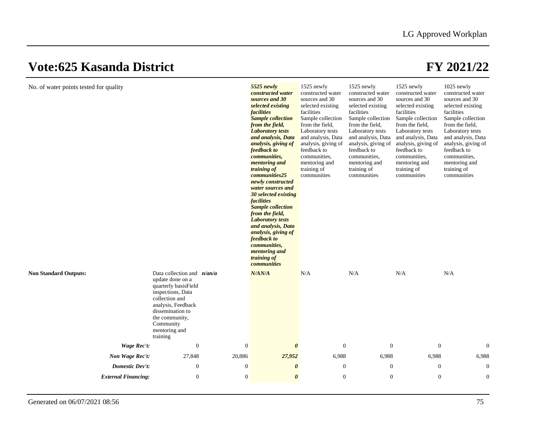| No. of water points tested for quality |                                                                                                                                                                                                                       |                  | 5525 newly<br>constructed water<br>sources and 30<br>selected existing<br><i>facilities</i><br><b>Sample collection</b><br>from the field,<br><b>Laboratory tests</b><br>and analysis, Data<br>analysis, giving of<br>feedback to<br><i>communities,</i><br>mentoring and<br><i>training of</i><br><i>communities25</i><br>newly constructed<br>water sources and<br>30 selected existing<br><i>facilities</i><br><b>Sample collection</b><br>from the field,<br><b>Laboratory</b> tests<br>and analysis, Data<br>analysis, giving of<br>feedback to<br>communities,<br>mentoring and<br>training of<br>communities | 1525 newly<br>constructed water<br>sources and 30<br>selected existing<br>facilities<br>Sample collection<br>from the field.<br>Laboratory tests<br>and analysis, Data<br>analysis, giving of<br>feedback to<br>communities.<br>mentoring and<br>training of<br>communities | 1525 newly<br>constructed water<br>sources and 30<br>selected existing<br>facilities<br>Sample collection<br>from the field,<br>Laboratory tests<br>and analysis, Data<br>analysis, giving of<br>feedback to<br>communities,<br>mentoring and<br>training of<br>communities | 1525 newly<br>constructed water<br>sources and 30<br>selected existing<br>facilities<br>Sample collection<br>from the field.<br>Laboratory tests<br>and analysis, Data<br>analysis, giving of<br>feedback to<br>communities.<br>mentoring and<br>training of<br>communities | 1025 newly<br>constructed water<br>sources and 30<br>selected existing<br>facilities<br>Sample collection<br>from the field,<br>Laboratory tests<br>and analysis, Data<br>analysis, giving of<br>feedback to<br>communities,<br>mentoring and<br>training of<br>communities |
|----------------------------------------|-----------------------------------------------------------------------------------------------------------------------------------------------------------------------------------------------------------------------|------------------|---------------------------------------------------------------------------------------------------------------------------------------------------------------------------------------------------------------------------------------------------------------------------------------------------------------------------------------------------------------------------------------------------------------------------------------------------------------------------------------------------------------------------------------------------------------------------------------------------------------------|-----------------------------------------------------------------------------------------------------------------------------------------------------------------------------------------------------------------------------------------------------------------------------|-----------------------------------------------------------------------------------------------------------------------------------------------------------------------------------------------------------------------------------------------------------------------------|-----------------------------------------------------------------------------------------------------------------------------------------------------------------------------------------------------------------------------------------------------------------------------|-----------------------------------------------------------------------------------------------------------------------------------------------------------------------------------------------------------------------------------------------------------------------------|
| <b>Non Standard Outputs:</b>           | Data collection and $n/an/a$<br>update done on a<br>quarterly basisField<br>inspections, Data<br>collection and<br>analysis, Feedback<br>dissemination to<br>the community,<br>Community<br>mentoring and<br>training |                  | N/AN/A                                                                                                                                                                                                                                                                                                                                                                                                                                                                                                                                                                                                              | N/A                                                                                                                                                                                                                                                                         | N/A                                                                                                                                                                                                                                                                         | N/A                                                                                                                                                                                                                                                                         | N/A                                                                                                                                                                                                                                                                         |
| Wage Rec't:                            | $\mathbf{0}$                                                                                                                                                                                                          | $\boldsymbol{0}$ | $\boldsymbol{\theta}$                                                                                                                                                                                                                                                                                                                                                                                                                                                                                                                                                                                               | $\mathbf{0}$                                                                                                                                                                                                                                                                | $\mathbf{0}$                                                                                                                                                                                                                                                                | $\mathbf{0}$                                                                                                                                                                                                                                                                | $\mathbf{0}$                                                                                                                                                                                                                                                                |
| Non Wage Rec't:                        | 27,848                                                                                                                                                                                                                | 20,886           | 27,952                                                                                                                                                                                                                                                                                                                                                                                                                                                                                                                                                                                                              | 6,988                                                                                                                                                                                                                                                                       | 6,988                                                                                                                                                                                                                                                                       | 6,988                                                                                                                                                                                                                                                                       | 6,988                                                                                                                                                                                                                                                                       |
| <b>Domestic Dev't:</b>                 | $\boldsymbol{0}$                                                                                                                                                                                                      | $\boldsymbol{0}$ | $\boldsymbol{\theta}$                                                                                                                                                                                                                                                                                                                                                                                                                                                                                                                                                                                               | $\mathbf{0}$                                                                                                                                                                                                                                                                | $\mathbf{0}$                                                                                                                                                                                                                                                                | $\boldsymbol{0}$                                                                                                                                                                                                                                                            | $\boldsymbol{0}$                                                                                                                                                                                                                                                            |
| <b>External Financing:</b>             | $\boldsymbol{0}$                                                                                                                                                                                                      | $\boldsymbol{0}$ | $\boldsymbol{\theta}$                                                                                                                                                                                                                                                                                                                                                                                                                                                                                                                                                                                               | $\boldsymbol{0}$                                                                                                                                                                                                                                                            | $\mathbf{0}$                                                                                                                                                                                                                                                                | $\boldsymbol{0}$                                                                                                                                                                                                                                                            | $\boldsymbol{0}$                                                                                                                                                                                                                                                            |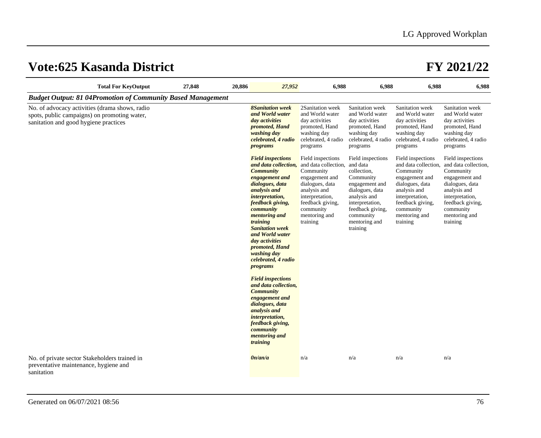|                                                                                                                                         | <b>Total For KeyOutput</b> | 27,848 | 20,886 | 27,952                                                                                                                                                                                                                                                                                                                                                                                                                                                                                                                                              | 6,988                                                                                                                                                                                        | 6,988                                                                                                                                                                                           | 6,988                                                                                                                                                                                        | 6,988                                                                                                                                                                                        |
|-----------------------------------------------------------------------------------------------------------------------------------------|----------------------------|--------|--------|-----------------------------------------------------------------------------------------------------------------------------------------------------------------------------------------------------------------------------------------------------------------------------------------------------------------------------------------------------------------------------------------------------------------------------------------------------------------------------------------------------------------------------------------------------|----------------------------------------------------------------------------------------------------------------------------------------------------------------------------------------------|-------------------------------------------------------------------------------------------------------------------------------------------------------------------------------------------------|----------------------------------------------------------------------------------------------------------------------------------------------------------------------------------------------|----------------------------------------------------------------------------------------------------------------------------------------------------------------------------------------------|
| <b>Budget Output: 81 04Promotion of Community Based Management</b>                                                                      |                            |        |        |                                                                                                                                                                                                                                                                                                                                                                                                                                                                                                                                                     |                                                                                                                                                                                              |                                                                                                                                                                                                 |                                                                                                                                                                                              |                                                                                                                                                                                              |
| No. of advocacy activities (drama shows, radio<br>spots, public campaigns) on promoting water,<br>sanitation and good hygiene practices |                            |        |        | <b>8Sanitation</b> week<br>and World water<br>day activities<br>promoted, Hand<br>washing day<br>celebrated, 4 radio<br><i>programs</i>                                                                                                                                                                                                                                                                                                                                                                                                             | 2Sanitation week<br>and World water<br>day activities<br>promoted, Hand<br>washing day<br>celebrated, 4 radio<br>programs                                                                    | Sanitation week<br>and World water<br>day activities<br>promoted, Hand<br>washing day<br>celebrated, 4 radio<br>programs                                                                        | Sanitation week<br>and World water<br>day activities<br>promoted, Hand<br>washing day<br>celebrated, 4 radio<br>programs                                                                     | Sanitation week<br>and World water<br>day activities<br>promoted, Hand<br>washing day<br>celebrated, 4 radio<br>programs                                                                     |
|                                                                                                                                         |                            |        |        | <b>Field inspections</b><br>and data collection,<br><b>Community</b><br>engagement and<br>dialogues, data<br>analysis and<br><i>interpretation,</i><br>feedback giving,<br>community<br><i>mentoring and</i><br>training<br><b>Sanitation week</b><br>and World water<br>day activities<br>promoted, Hand<br>washing day<br>celebrated, 4 radio<br><i>programs</i><br><b>Field inspections</b><br>and data collection,<br><b>Community</b><br>engagement and<br>dialogues, data<br>analysis and<br>interpretation,<br>feedback giving,<br>community | Field inspections<br>and data collection,<br>Community<br>engagement and<br>dialogues, data<br>analysis and<br>interpretation,<br>feedback giving,<br>community<br>mentoring and<br>training | Field inspections<br>and data<br>collection,<br>Community<br>engagement and<br>dialogues, data<br>analysis and<br>interpretation,<br>feedback giving,<br>community<br>mentoring and<br>training | Field inspections<br>and data collection,<br>Community<br>engagement and<br>dialogues, data<br>analysis and<br>interpretation,<br>feedback giving,<br>community<br>mentoring and<br>training | Field inspections<br>and data collection,<br>Community<br>engagement and<br>dialogues, data<br>analysis and<br>interpretation,<br>feedback giving,<br>community<br>mentoring and<br>training |
|                                                                                                                                         |                            |        |        | <i>mentoring and</i><br>training                                                                                                                                                                                                                                                                                                                                                                                                                                                                                                                    |                                                                                                                                                                                              |                                                                                                                                                                                                 |                                                                                                                                                                                              |                                                                                                                                                                                              |
| No. of private sector Stakeholders trained in<br>preventative maintenance, hygiene and<br>sanitation                                    |                            |        |        | 0n/an/a                                                                                                                                                                                                                                                                                                                                                                                                                                                                                                                                             | n/a                                                                                                                                                                                          | n/a                                                                                                                                                                                             | n/a                                                                                                                                                                                          | n/a                                                                                                                                                                                          |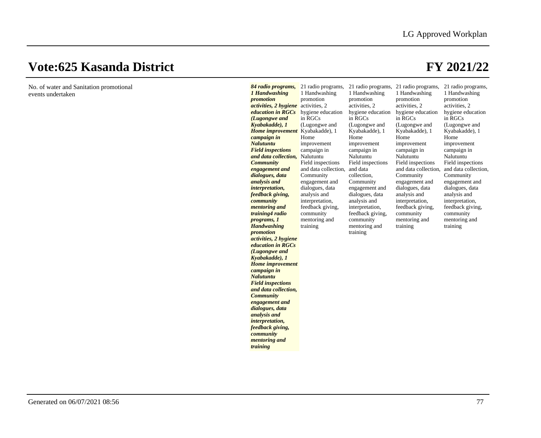No. of water and Sanitation promotional events undertaken

### *84 radio programs,*  21 radio programs, 21 radio programs, 21 radio programs, 21 radio programs, *1 Handwashing promotion activities, 2 hygiene*  activities, 2 *education in RGCs*  hygiene education *(Lugongwe and Kyabakadde), 1 Home improvement*  Kyabakadde), 1 *campaign in Nalutuntu Field inspections and data collection, Community engagement and dialogues, data analysis and interpretation, feedback giving, community mentoring and training4 radio programs, 1 Handwashing promotion activities, 2 hygiene education in RGCs (Lugongwe and Kyabakadde), 1 Home improvement campaign in Nalutuntu Field inspections and data collection, Community engagement and dialogues, data analysis and interpretation, feedback giving, community mentoring and training* 1 Handwashing promotion in RGCs (Lugongwe and Home improvement campaign in Nalutuntu Field inspections and data collection, Community engagement and dialogues, data analysis and interpretation, feedback giving, community mentoring and training 1 Handwashing promotion activities, 2 hygiene education in RGCs (Lugongwe and Kyabakadde), 1 Home improvement campaign in Nalutuntu Field inspections and data collection, Community engagement and dialogues, data analysis and interpretation, feedback giving, community mentoring and training 1 Handwashing promotion activities, 2 hygiene education in RGCs (Lugongwe and Kyabakadde), 1 Home improvement campaign in **Nalutuntu** Field inspections and data collection, and data collection, Community engagement and dialogues, data analysis and interpretation, feedback giving, community mentoring and training 1 Handwashing promotion activities, 2 hygiene education in RGCs (Lugongwe and Kyabakadde), 1 Home improvement campaign in Nalutuntu Field inspections Community engagement and dialogues, data analysis and interpretation, feedback giving, community mentoring and training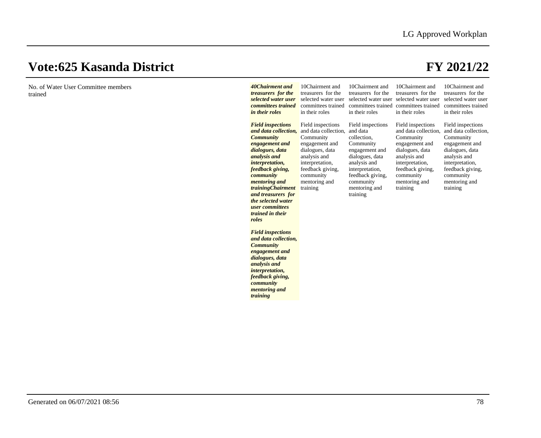| No. of Water User Committee members<br>trained | 40Chairment and<br>treasurers for the<br>selected water user<br>committees trained<br>in their roles                                                                                                                                                                                                                          | 10Chairment and<br>treasurers for the<br>selected water user<br>committees trained<br>in their roles                                                                                         | 10Chairment and<br>treasurers for the<br>committees trained committees trained<br>in their roles                                                                                                | 10Chairment and<br>treasurers for the<br>selected water user selected water user<br>in their roles                                                                                           | 10Chairment and<br>treasurers for the<br>selected water user<br>committees trained<br>in their roles                                                                                         |
|------------------------------------------------|-------------------------------------------------------------------------------------------------------------------------------------------------------------------------------------------------------------------------------------------------------------------------------------------------------------------------------|----------------------------------------------------------------------------------------------------------------------------------------------------------------------------------------------|-------------------------------------------------------------------------------------------------------------------------------------------------------------------------------------------------|----------------------------------------------------------------------------------------------------------------------------------------------------------------------------------------------|----------------------------------------------------------------------------------------------------------------------------------------------------------------------------------------------|
|                                                | <b>Field inspections</b><br>and data collection,<br><b>Community</b><br>engagement and<br>dialogues, data<br>analysis and<br>interpretation,<br>feedback giving,<br>community<br><i>mentoring and</i><br><i>trainingChairment</i><br>and treasurers for<br>the selected water<br>user committees<br>trained in their<br>roles | Field inspections<br>and data collection,<br>Community<br>engagement and<br>dialogues, data<br>analysis and<br>interpretation,<br>feedback giving,<br>community<br>mentoring and<br>training | Field inspections<br>and data<br>collection,<br>Community<br>engagement and<br>dialogues, data<br>analysis and<br>interpretation,<br>feedback giving,<br>community<br>mentoring and<br>training | Field inspections<br>and data collection.<br>Community<br>engagement and<br>dialogues, data<br>analysis and<br>interpretation,<br>feedback giving,<br>community<br>mentoring and<br>training | Field inspections<br>and data collection,<br>Community<br>engagement and<br>dialogues, data<br>analysis and<br>interpretation,<br>feedback giving,<br>community<br>mentoring and<br>training |
|                                                | <b>Field inspections</b><br>and data collection,<br><b>Community</b><br>engagement and<br>dialogues, data<br>analysis and<br><i>interpretation,</i><br>feedback giving,<br>community<br><i>mentoring and</i><br>training                                                                                                      |                                                                                                                                                                                              |                                                                                                                                                                                                 |                                                                                                                                                                                              |                                                                                                                                                                                              |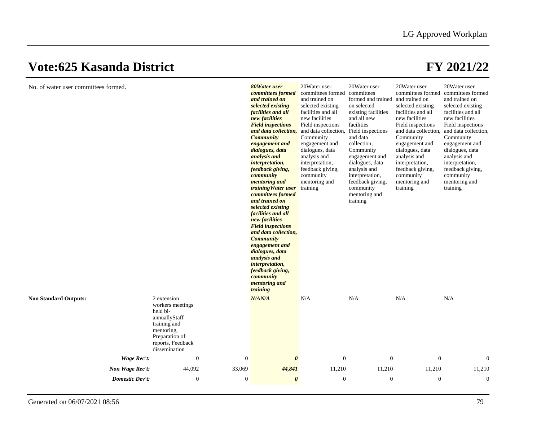| No. of water user committees formed. |                        |                                                                                                                                                    |                                      | 80Water user<br>committees formed<br>and trained on<br>selected existing<br>facilities and all<br>new facilities<br><b>Field inspections</b><br>and data collection,<br><b>Community</b><br>engagement and<br>dialogues, data<br>analysis and<br><i>interpretation,</i><br>feedback giving,<br>community<br><i>mentoring and</i><br>training Water user<br>committees formed<br>and trained on<br>selected existing<br>facilities and all<br>new facilities<br><b>Field inspections</b><br>and data collection,<br><b>Community</b><br>engagement and<br>dialogues, data<br>analysis and<br>interpretation,<br>feedback giving,<br>community<br><i>mentoring and</i><br>training | 20Water user<br>committees formed<br>and trained on<br>selected existing<br>facilities and all<br>new facilities<br>Field inspections<br>and data collection, Field inspections<br>Community<br>engagement and<br>dialogues, data<br>analysis and<br>interpretation,<br>feedback giving,<br>community<br>mentoring and<br>training | 20Water user<br>committees<br>formed and trained and trained on<br>on selected<br>existing facilities<br>and all new<br>facilities<br>and data<br>collection,<br>Community<br>engagement and<br>dialogues, data<br>analysis and<br>interpretation,<br>feedback giving,<br>community<br>mentoring and<br>training | 20Water user<br>committees formed<br>selected existing<br>facilities and all<br>new facilities<br>Field inspections<br>Community<br>engagement and<br>dialogues, data<br>analysis and<br>interpretation,<br>feedback giving,<br>community<br>mentoring and<br>training | 20Water user<br>committees formed<br>and trained on<br>selected existing<br>facilities and all<br>new facilities<br>Field inspections<br>and data collection, and data collection,<br>Community<br>engagement and<br>dialogues, data<br>analysis and<br>interpretation,<br>feedback giving,<br>community<br>mentoring and<br>training |
|--------------------------------------|------------------------|----------------------------------------------------------------------------------------------------------------------------------------------------|--------------------------------------|----------------------------------------------------------------------------------------------------------------------------------------------------------------------------------------------------------------------------------------------------------------------------------------------------------------------------------------------------------------------------------------------------------------------------------------------------------------------------------------------------------------------------------------------------------------------------------------------------------------------------------------------------------------------------------|------------------------------------------------------------------------------------------------------------------------------------------------------------------------------------------------------------------------------------------------------------------------------------------------------------------------------------|------------------------------------------------------------------------------------------------------------------------------------------------------------------------------------------------------------------------------------------------------------------------------------------------------------------|------------------------------------------------------------------------------------------------------------------------------------------------------------------------------------------------------------------------------------------------------------------------|---------------------------------------------------------------------------------------------------------------------------------------------------------------------------------------------------------------------------------------------------------------------------------------------------------------------------------------|
| <b>Non Standard Outputs:</b>         |                        | 2 extension<br>workers meetings<br>held bi-<br>annuallyStaff<br>training and<br>mentoring,<br>Preparation of<br>reports, Feedback<br>dissemination |                                      | N/AN/A                                                                                                                                                                                                                                                                                                                                                                                                                                                                                                                                                                                                                                                                           | N/A                                                                                                                                                                                                                                                                                                                                | N/A                                                                                                                                                                                                                                                                                                              | N/A                                                                                                                                                                                                                                                                    | N/A                                                                                                                                                                                                                                                                                                                                   |
|                                      | <b>Wage Rec't:</b>     |                                                                                                                                                    | $\mathbf{0}$<br>$\mathbf{0}$         | $\theta$                                                                                                                                                                                                                                                                                                                                                                                                                                                                                                                                                                                                                                                                         | $\mathbf{0}$                                                                                                                                                                                                                                                                                                                       | $\boldsymbol{0}$                                                                                                                                                                                                                                                                                                 | $\boldsymbol{0}$                                                                                                                                                                                                                                                       | $\overline{0}$                                                                                                                                                                                                                                                                                                                        |
|                                      | Non Wage Rec't:        | 44,092                                                                                                                                             | 33,069                               | 44,841                                                                                                                                                                                                                                                                                                                                                                                                                                                                                                                                                                                                                                                                           | 11,210                                                                                                                                                                                                                                                                                                                             | 11,210                                                                                                                                                                                                                                                                                                           | 11,210                                                                                                                                                                                                                                                                 | 11,210                                                                                                                                                                                                                                                                                                                                |
|                                      | <b>Domestic Dev't:</b> |                                                                                                                                                    | $\boldsymbol{0}$<br>$\boldsymbol{0}$ | $\boldsymbol{\theta}$                                                                                                                                                                                                                                                                                                                                                                                                                                                                                                                                                                                                                                                            | $\mathbf{0}$                                                                                                                                                                                                                                                                                                                       | $\mathbf{0}$                                                                                                                                                                                                                                                                                                     | $\boldsymbol{0}$                                                                                                                                                                                                                                                       | $\boldsymbol{0}$                                                                                                                                                                                                                                                                                                                      |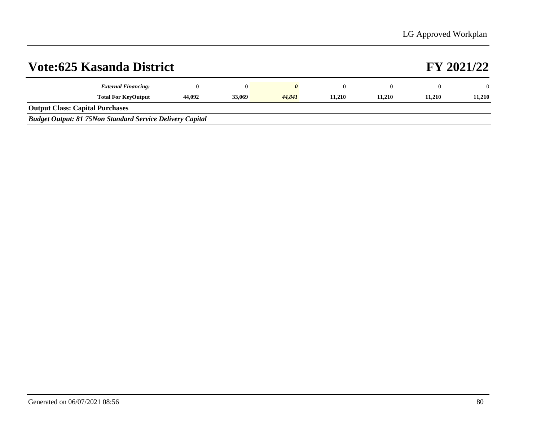|                                        | <b>Vote:625 Kasanda District</b>                                 |        |        |        |        |        |        | FY 2021/22 |
|----------------------------------------|------------------------------------------------------------------|--------|--------|--------|--------|--------|--------|------------|
|                                        | <b>External Financing:</b>                                       |        |        |        |        |        |        | $\Omega$   |
|                                        | <b>Total For KeyOutput</b>                                       | 44,092 | 33,069 | 44,841 | 11.210 | 11.210 | 11.210 | 11.210     |
| <b>Output Class: Capital Purchases</b> |                                                                  |        |        |        |        |        |        |            |
|                                        | <b>Budget Output: 81 75Non Standard Service Delivery Capital</b> |        |        |        |        |        |        |            |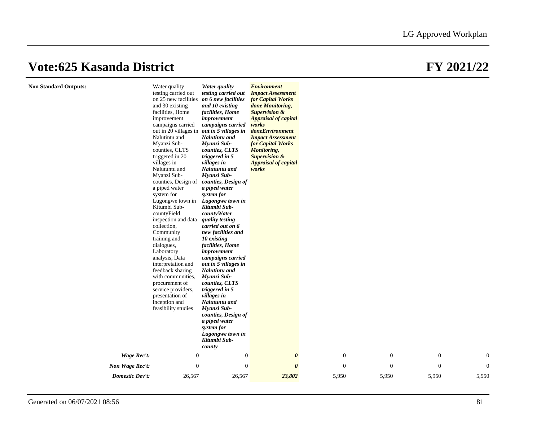**Non Standard Outputs:** 

|                    | Water quality<br>testing carried out<br>on 25 new facilities<br>and 30 existing<br>facilities, Home<br>improvement<br>campaigns carried<br>out in 20 villages in<br>Nalutintu and<br>Myanzi Sub-<br>counties, CLTS<br>triggered in 20<br>villages in<br>Nalutuntu and<br>Myanzi Sub-<br>counties, Design of<br>a piped water<br>system for<br>Lugongwe town in<br>Kitumbi Sub-<br>countyField<br>inspection and data<br>collection,<br>Community<br>training and<br>dialogues,<br>Laboratory<br>analysis, Data<br>interpretation and<br>feedback sharing<br>with communities,<br>procurement of<br>service providers,<br>presentation of<br>inception and<br>feasibility studies | Water quality<br>testing carried out<br>on 6 new facilities<br>and 10 existing<br>facilities, Home<br>improvement<br>campaigns carried<br>out in 5 villages in<br>Nalutintu and<br>Myanzi Sub-<br>counties, CLTS<br>triggered in 5<br>villages in<br>Nalutuntu and<br>Myanzi Sub-<br>counties, Design of<br>a piped water<br>system for<br>Lugongwe town in<br>Kitumbi Sub-<br>countyWater<br>quality testing<br>carried out on 6<br>new facilities and<br>10 existing<br>facilities, Home<br>improvement<br>campaigns carried<br>out in 5 villages in<br>Nalutintu and<br>Myanzi Sub-<br>counties, CLTS<br>triggered in 5<br>villages in<br>Nalutuntu and<br>Myanzi Sub-<br>counties, Design of<br>a piped water<br>system for | <b>Environment</b><br><b>Impact Assessment</b><br><b>for Capital Works</b><br>done Monitoring,<br><b>Supervision &amp;</b><br><b>Appraisal of capital</b><br>works<br>doneEnvironment<br><b>Impact Assessment</b><br>for Capital Works<br>Monitoring,<br><b>Supervision &amp;</b><br><b>Appraisal of capital</b><br>works |                |                  |              |                |
|--------------------|----------------------------------------------------------------------------------------------------------------------------------------------------------------------------------------------------------------------------------------------------------------------------------------------------------------------------------------------------------------------------------------------------------------------------------------------------------------------------------------------------------------------------------------------------------------------------------------------------------------------------------------------------------------------------------|---------------------------------------------------------------------------------------------------------------------------------------------------------------------------------------------------------------------------------------------------------------------------------------------------------------------------------------------------------------------------------------------------------------------------------------------------------------------------------------------------------------------------------------------------------------------------------------------------------------------------------------------------------------------------------------------------------------------------------|---------------------------------------------------------------------------------------------------------------------------------------------------------------------------------------------------------------------------------------------------------------------------------------------------------------------------|----------------|------------------|--------------|----------------|
|                    |                                                                                                                                                                                                                                                                                                                                                                                                                                                                                                                                                                                                                                                                                  | Lugongwe town in<br>Kitumbi Sub-<br>county                                                                                                                                                                                                                                                                                                                                                                                                                                                                                                                                                                                                                                                                                      |                                                                                                                                                                                                                                                                                                                           |                |                  |              |                |
| <b>Wage Rec't:</b> | $\mathbf{0}$                                                                                                                                                                                                                                                                                                                                                                                                                                                                                                                                                                                                                                                                     | $\boldsymbol{0}$                                                                                                                                                                                                                                                                                                                                                                                                                                                                                                                                                                                                                                                                                                                | $\boldsymbol{\theta}$                                                                                                                                                                                                                                                                                                     | $\mathbf{0}$   | $\boldsymbol{0}$ | $\mathbf{0}$ | $\overline{0}$ |
| Non Wage Rec't:    | $\mathbf{0}$                                                                                                                                                                                                                                                                                                                                                                                                                                                                                                                                                                                                                                                                     | $\boldsymbol{0}$                                                                                                                                                                                                                                                                                                                                                                                                                                                                                                                                                                                                                                                                                                                | $\theta$                                                                                                                                                                                                                                                                                                                  | $\overline{0}$ | $\mathbf{0}$     | $\mathbf{0}$ | $\overline{0}$ |
|                    |                                                                                                                                                                                                                                                                                                                                                                                                                                                                                                                                                                                                                                                                                  |                                                                                                                                                                                                                                                                                                                                                                                                                                                                                                                                                                                                                                                                                                                                 |                                                                                                                                                                                                                                                                                                                           |                |                  |              |                |
| Domestic Dev't:    | 26,567                                                                                                                                                                                                                                                                                                                                                                                                                                                                                                                                                                                                                                                                           | 26,567                                                                                                                                                                                                                                                                                                                                                                                                                                                                                                                                                                                                                                                                                                                          | 23,802                                                                                                                                                                                                                                                                                                                    | 5,950          | 5,950            | 5,950        | 5,950          |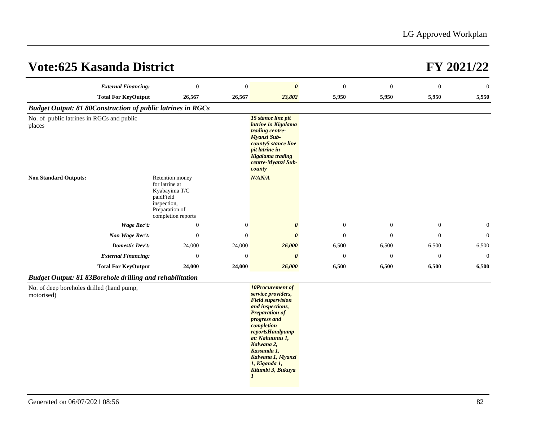| <b>External Financing:</b>                                         | $\boldsymbol{0}$                                                                                                       | $\boldsymbol{0}$ | $\boldsymbol{\theta}$                                                                                                                                                    | $\mathbf{0}$   | $\theta$       | $\boldsymbol{0}$ | $\overline{0}$ |
|--------------------------------------------------------------------|------------------------------------------------------------------------------------------------------------------------|------------------|--------------------------------------------------------------------------------------------------------------------------------------------------------------------------|----------------|----------------|------------------|----------------|
|                                                                    |                                                                                                                        |                  |                                                                                                                                                                          |                |                |                  |                |
| <b>Total For KeyOutput</b>                                         | 26,567                                                                                                                 | 26,567           | 23,802                                                                                                                                                                   | 5,950          | 5,950          | 5,950            | 5,950          |
| <b>Budget Output: 81 80Construction of public latrines in RGCs</b> |                                                                                                                        |                  |                                                                                                                                                                          |                |                |                  |                |
| No. of public latrines in RGCs and public<br>places                |                                                                                                                        |                  | 15 stance line pit<br>latrine in Kigalama<br>trading centre-<br>Myanzi Sub-<br>county5 stance line<br>pit latrine in<br>Kigalama trading<br>centre-Myanzi Sub-<br>county |                |                |                  |                |
| <b>Non Standard Outputs:</b>                                       | Retention money<br>for latrine at<br>Kyabayima T/C<br>paidField<br>inspection,<br>Preparation of<br>completion reports |                  | N/AN/A                                                                                                                                                                   |                |                |                  |                |
| Wage Rec't:                                                        | $\theta$                                                                                                               | $\mathbf{0}$     | $\boldsymbol{\theta}$                                                                                                                                                    | $\overline{0}$ | $\overline{0}$ | $\mathbf{0}$     | $\overline{0}$ |
| Non Wage Rec't:                                                    | $\mathbf{0}$                                                                                                           | $\mathbf{0}$     | $\boldsymbol{\theta}$                                                                                                                                                    | $\mathbf{0}$   | $\theta$       | $\boldsymbol{0}$ | $\overline{0}$ |
| <b>Domestic Dev't:</b>                                             | 24,000                                                                                                                 | 24,000           | 26,000                                                                                                                                                                   | 6,500          | 6,500          | 6,500            | 6,500          |
| <b>External Financing:</b>                                         | $\theta$                                                                                                               | $\mathbf{0}$     | $\boldsymbol{\theta}$                                                                                                                                                    | $\mathbf{0}$   | $\overline{0}$ | $\theta$         | $\overline{0}$ |
| <b>Total For KeyOutput</b>                                         | 24,000                                                                                                                 | 24,000           | 26,000                                                                                                                                                                   | 6,500          | 6,500          | 6,500            | 6,500          |

### *Budget Output: 81 83Borehole drilling and rehabilitation*

No. of deep boreholes drilled (hand pump, motorised)

*10Procurement of service providers, Field supervision and inspections, Preparation of progress and completion reportsHandpump at: Nalutuntu 1, Kalwana 2, Kassanda 1, Kalwana 1, Myanzi 1, Kiganda 1, Kitumbi 3, Bukuya 1*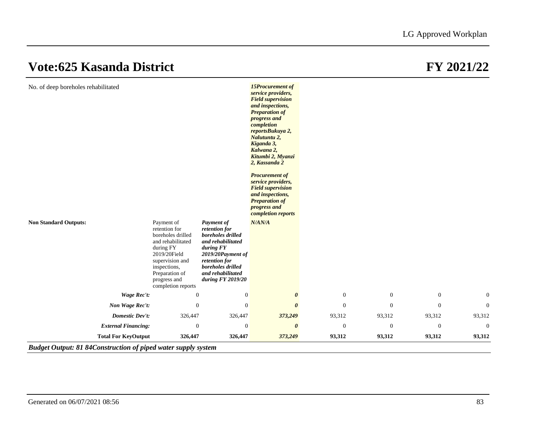| <b>Non Standard Outputs:</b>                             | Payment of<br>retention for<br>boreholes drilled<br>and rehabilitated<br>during FY<br>2019/20Field<br>supervision and<br>inspections,<br>Preparation of<br>progress and | <b>Payment of</b><br>retention for<br>boreholes drilled<br>and rehabilitated<br>during FY<br>2019/20Payment of<br>retention for<br>boreholes drilled<br>and rehabilitated<br>during FY 2019/20 | service providers,<br><b>Field supervision</b><br>and inspections,<br><b>Preparation of</b><br>progress and<br>completion<br>reportsBukuya 2,<br>Nalutuntu 2,<br>Kiganda 3,<br>Kalwana 2,<br>Kitumbi 2, Myanzi<br>2, Kassanda 2<br><b>Procurement of</b><br>service providers,<br><b>Field supervision</b><br>and inspections,<br><b>Preparation of</b><br>progress and<br>completion reports<br>N/AN/A |                            |                            |                            |                        |
|----------------------------------------------------------|-------------------------------------------------------------------------------------------------------------------------------------------------------------------------|------------------------------------------------------------------------------------------------------------------------------------------------------------------------------------------------|---------------------------------------------------------------------------------------------------------------------------------------------------------------------------------------------------------------------------------------------------------------------------------------------------------------------------------------------------------------------------------------------------------|----------------------------|----------------------------|----------------------------|------------------------|
| <b>Wage Rec't:</b>                                       | completion reports<br>$\mathbf{0}$                                                                                                                                      | $\mathbf{0}$                                                                                                                                                                                   | $\boldsymbol{\theta}$                                                                                                                                                                                                                                                                                                                                                                                   | $\theta$                   | $\mathbf{0}$               | $\mathbf{0}$               | $\overline{0}$         |
| Non Wage Rec't:                                          | $\mathbf{0}$                                                                                                                                                            | $\boldsymbol{0}$                                                                                                                                                                               | $\boldsymbol{\theta}$                                                                                                                                                                                                                                                                                                                                                                                   | $\boldsymbol{0}$           | $\boldsymbol{0}$           | $\mathbf{0}$               | $\mathbf{0}$           |
| Domestic Dev't:                                          | 326,447                                                                                                                                                                 | 326,447                                                                                                                                                                                        | 373,249                                                                                                                                                                                                                                                                                                                                                                                                 | 93,312                     | 93,312                     | 93,312                     | 93,312                 |
|                                                          |                                                                                                                                                                         |                                                                                                                                                                                                |                                                                                                                                                                                                                                                                                                                                                                                                         |                            |                            |                            |                        |
| <b>External Financing:</b><br><b>Total For KeyOutput</b> | $\mathbf{0}$<br>326,447                                                                                                                                                 | $\boldsymbol{0}$<br>326,447                                                                                                                                                                    | $\boldsymbol{\theta}$<br>373,249                                                                                                                                                                                                                                                                                                                                                                        | $\boldsymbol{0}$<br>93,312 | $\boldsymbol{0}$<br>93,312 | $\boldsymbol{0}$<br>93,312 | $\mathbf{0}$<br>93,312 |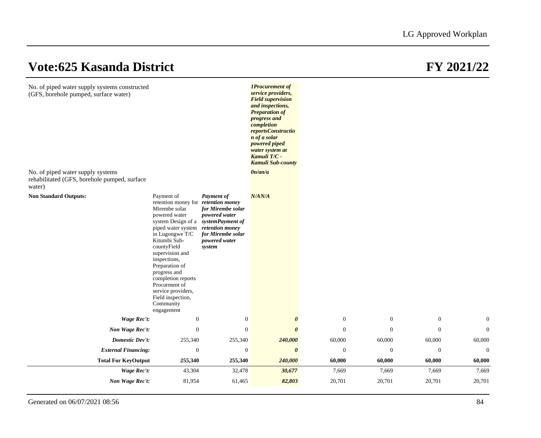| No. of piped water supply systems constructed<br>(GFS, borehole pumped, surface water)<br>No. of piped water supply systems<br>rehabilitated (GFS, borehole pumped, surface<br>water) |                                                                                                                                                                                                                                                                                                                                                                                             |                                                                                                                     | <b>1Procurement</b> of<br>service providers,<br><b>Field supervision</b><br>and inspections,<br><b>Preparation of</b><br>progress and<br>completion<br>reportsConstructio<br>n of a solar<br><i>powered piped</i><br>water system at<br>Kamuli T/C -<br><b>Kamuli Sub-county</b><br>0n/an/a |                  |                  |                  |              |
|---------------------------------------------------------------------------------------------------------------------------------------------------------------------------------------|---------------------------------------------------------------------------------------------------------------------------------------------------------------------------------------------------------------------------------------------------------------------------------------------------------------------------------------------------------------------------------------------|---------------------------------------------------------------------------------------------------------------------|---------------------------------------------------------------------------------------------------------------------------------------------------------------------------------------------------------------------------------------------------------------------------------------------|------------------|------------------|------------------|--------------|
| <b>Non Standard Outputs:</b>                                                                                                                                                          | Payment of<br>retention money for <i>retention money</i><br>Mirembe solar<br>powered water<br>system Design of a systemPayment of<br>piped water system<br>in Lugongwe T/C<br>Kitumbi Sub-<br>countyField<br>supervision and<br>inspections,<br>Preparation of<br>progress and<br>completion reports<br>Procurment of<br>service providers,<br>Field inspection,<br>Community<br>engagement | Payment of<br>for Mirembe solar<br>powered water<br>retention money<br>for Mirembe solar<br>powered water<br>system | N/AN/A                                                                                                                                                                                                                                                                                      |                  |                  |                  |              |
| Wage Rec't:                                                                                                                                                                           | $\boldsymbol{0}$                                                                                                                                                                                                                                                                                                                                                                            | $\boldsymbol{0}$                                                                                                    | $\boldsymbol{\theta}$                                                                                                                                                                                                                                                                       | $\mathbf{0}$     | $\boldsymbol{0}$ | $\mathbf{0}$     | $\mathbf{0}$ |
| Non Wage Rec't:                                                                                                                                                                       | $\mathbf{0}$                                                                                                                                                                                                                                                                                                                                                                                | $\boldsymbol{0}$                                                                                                    | $\boldsymbol{\theta}$                                                                                                                                                                                                                                                                       | $\boldsymbol{0}$ | $\boldsymbol{0}$ | $\mathbf{0}$     | $\mathbf{0}$ |
| <b>Domestic Dev't:</b>                                                                                                                                                                | 255,340                                                                                                                                                                                                                                                                                                                                                                                     | 255,340                                                                                                             | 240,000                                                                                                                                                                                                                                                                                     | 60,000           | 60,000           | 60,000           | 60,000       |
| <b>External Financing:</b>                                                                                                                                                            | $\boldsymbol{0}$                                                                                                                                                                                                                                                                                                                                                                            | $\boldsymbol{0}$                                                                                                    | $\boldsymbol{\theta}$                                                                                                                                                                                                                                                                       | $\boldsymbol{0}$ | $\boldsymbol{0}$ | $\boldsymbol{0}$ | $\mathbf{0}$ |
| <b>Total For KeyOutput</b>                                                                                                                                                            | 255,340                                                                                                                                                                                                                                                                                                                                                                                     | 255,340                                                                                                             | 240,000                                                                                                                                                                                                                                                                                     | 60,000           | 60,000           | 60,000           | 60,000       |
| <b>Wage Rec't:</b>                                                                                                                                                                    | 43,304                                                                                                                                                                                                                                                                                                                                                                                      | 32,478                                                                                                              | 30,677                                                                                                                                                                                                                                                                                      | 7,669            | 7,669            | 7,669            | 7,669        |
| Non Wage Rec't:                                                                                                                                                                       | 81,954                                                                                                                                                                                                                                                                                                                                                                                      | 61,465                                                                                                              | 82,803                                                                                                                                                                                                                                                                                      | 20,701           | 20,701           | 20,701           | 20,701       |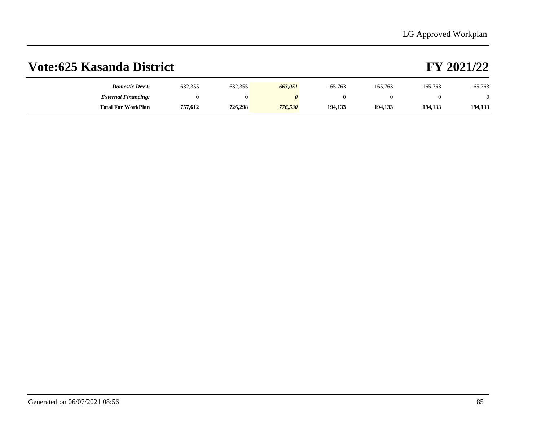| Domestic Dev't:            | 632,355 | 632,355 | 663,051 | 165,763 | 165,763 | 165,763 | 165,763 |
|----------------------------|---------|---------|---------|---------|---------|---------|---------|
| <b>External Financing:</b> |         |         |         |         |         |         |         |
| <b>Total For WorkPlan</b>  | 757,612 | 726,298 | 776,530 | 194,133 | 194,133 | 194,133 | 194,133 |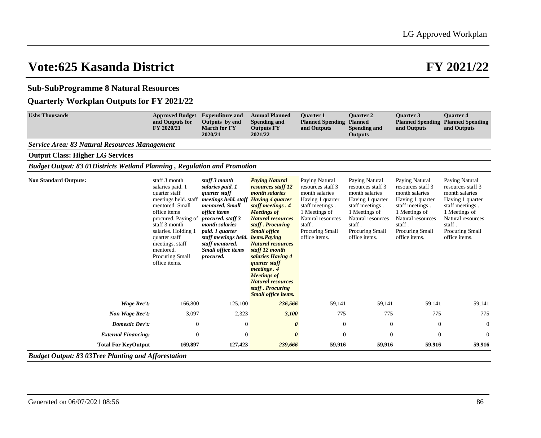### **Sub-SubProgramme 8 Natural Resources**

### **Quarterly Workplan Outputs for FY 2021/22**

| <b>Service Area: 83 Natural Resources Management</b><br><b>Output Class: Higher LG Services</b><br><b>Budget Output: 83 01Districts Wetland Planning, Regulation and Promotion</b><br>staff 3 month<br><b>Non Standard Outputs:</b><br>staff 3 month<br><b>Paying Natural</b><br>Paying Natural<br>Paying Natural<br>Paying Natural<br>salaries paid. 1<br>salaries paid. 1<br>resources staff 12<br>resources staff 3<br>resources staff 3<br>resources staff 3<br>quarter staff<br>month salaries<br>month salaries<br>month salaries<br>month salaries<br>quarter staff<br>meetings held. staff<br>meetings held. staff<br><b>Having 4 quarter</b><br>Having 1 quarter<br>Having 1 quarter<br>Having 1 quarter<br>mentored. Small<br>mentored. Small<br>staff meetings.<br>staff meetings.<br>staff meetings.<br>staff meetings. 4<br>office items<br><b>Meetings of</b><br>1 Meetings of<br>1 Meetings of<br>1 Meetings of<br>office items<br>Natural resources<br>procured. Paying of<br>procured. staff 3<br><b>Natural resources</b><br>Natural resources<br>Natural resources<br>staff 3 month<br>staff.<br>staff.<br>staff.<br><i>month salaries</i><br>staff. Procuring | Paying Natural<br>resources staff 3<br>month salaries<br>Having 1 quarter<br>staff meetings.<br>1 Meetings of<br>Natural resources<br>staff. |
|-----------------------------------------------------------------------------------------------------------------------------------------------------------------------------------------------------------------------------------------------------------------------------------------------------------------------------------------------------------------------------------------------------------------------------------------------------------------------------------------------------------------------------------------------------------------------------------------------------------------------------------------------------------------------------------------------------------------------------------------------------------------------------------------------------------------------------------------------------------------------------------------------------------------------------------------------------------------------------------------------------------------------------------------------------------------------------------------------------------------------------------------------------------------------------------|----------------------------------------------------------------------------------------------------------------------------------------------|
|                                                                                                                                                                                                                                                                                                                                                                                                                                                                                                                                                                                                                                                                                                                                                                                                                                                                                                                                                                                                                                                                                                                                                                                   |                                                                                                                                              |
|                                                                                                                                                                                                                                                                                                                                                                                                                                                                                                                                                                                                                                                                                                                                                                                                                                                                                                                                                                                                                                                                                                                                                                                   |                                                                                                                                              |
|                                                                                                                                                                                                                                                                                                                                                                                                                                                                                                                                                                                                                                                                                                                                                                                                                                                                                                                                                                                                                                                                                                                                                                                   |                                                                                                                                              |
| <b>Small office</b><br>salaries. Holding 1<br>paid. 1 quarter<br>Procuring Small<br>Procuring Small<br>Procuring Small<br>staff meetings held.<br><i>items.Paying</i><br>office items.<br>office items.<br>office items.<br>quarter staff<br><b>Natural resources</b><br>meetings. staff<br>staff mentored.<br><b>Small office items</b><br>staff 12 month<br>mentored.<br>salaries Having 4<br>Procuring Small<br>procured.<br>office items.<br><i>quarter staff</i><br>meetings. 4<br><b>Meetings of</b><br><b>Natural resources</b><br>staff. Procuring<br>Small office items.                                                                                                                                                                                                                                                                                                                                                                                                                                                                                                                                                                                                 | Procuring Small<br>office items.                                                                                                             |
| Wage Rec't:<br>166,800<br>236,566<br>59,141<br>59,141<br>59,141<br>125,100                                                                                                                                                                                                                                                                                                                                                                                                                                                                                                                                                                                                                                                                                                                                                                                                                                                                                                                                                                                                                                                                                                        | 59,141                                                                                                                                       |
| Non Wage Rec't:<br>3,097<br>2,323<br>3,100<br>775<br>775<br>775                                                                                                                                                                                                                                                                                                                                                                                                                                                                                                                                                                                                                                                                                                                                                                                                                                                                                                                                                                                                                                                                                                                   | 775                                                                                                                                          |
| Domestic Dev't:<br>$\theta$<br>$\overline{0}$<br>$\mathbf{0}$<br>$\boldsymbol{0}$<br>$\mathbf{0}$<br>0                                                                                                                                                                                                                                                                                                                                                                                                                                                                                                                                                                                                                                                                                                                                                                                                                                                                                                                                                                                                                                                                            | $\theta$                                                                                                                                     |
| <b>External Financing:</b><br>$\Omega$<br>$\Omega$<br>$\theta$<br>$\Omega$<br>$\Omega$<br>$\mathbf{0}$                                                                                                                                                                                                                                                                                                                                                                                                                                                                                                                                                                                                                                                                                                                                                                                                                                                                                                                                                                                                                                                                            | $\Omega$                                                                                                                                     |
| <b>Total For KeyOutput</b><br>169,897<br>127,423<br>239,666<br>59,916<br>59,916<br>59,916                                                                                                                                                                                                                                                                                                                                                                                                                                                                                                                                                                                                                                                                                                                                                                                                                                                                                                                                                                                                                                                                                         | 59,916                                                                                                                                       |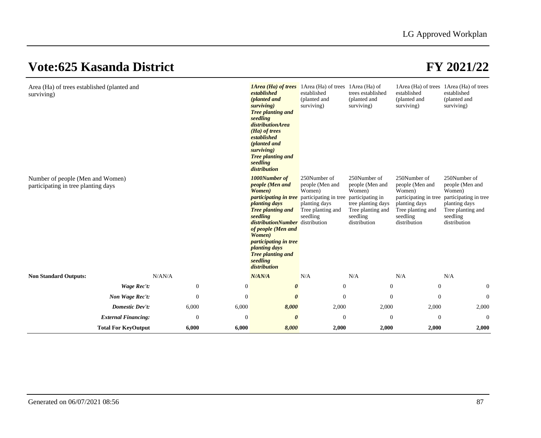| Area (Ha) of trees established (planted and<br>surviving)               |        |                              | <i><b>1Area (Ha) of trees</b></i> 1Area (Ha) of trees 1Area (Ha) of<br>established<br>(planted and<br>surviving)<br>Tree planting and<br>seedling<br>distributionArea<br>(Ha) of trees<br>established<br>(planted and<br>surviving)<br>Tree planting and<br>seedling<br>distribution                                                                | established<br>(planted and<br>surviving)                                                   | trees established<br>(planted and<br>surviving)                                                                                      | established<br>(planted and<br>surviving)                                                                                            | 1 Area (Ha) of trees 1 Area (Ha) of trees<br>established<br>(planted and<br>surviving)                                               |
|-------------------------------------------------------------------------|--------|------------------------------|-----------------------------------------------------------------------------------------------------------------------------------------------------------------------------------------------------------------------------------------------------------------------------------------------------------------------------------------------------|---------------------------------------------------------------------------------------------|--------------------------------------------------------------------------------------------------------------------------------------|--------------------------------------------------------------------------------------------------------------------------------------|--------------------------------------------------------------------------------------------------------------------------------------|
| Number of people (Men and Women)<br>participating in tree planting days |        |                              | 1000Number of<br>people (Men and<br>Women)<br><i>participating in tree</i> participating in tree<br><i>planting days</i><br><b>Tree planting and</b><br>seedling<br><i>distributionNumber</i> distribution<br>of people (Men and<br>Women)<br><i>participating in tree</i><br><i>planting days</i><br>Tree planting and<br>seedling<br>distribution | 250Number of<br>people (Men and<br>Women)<br>planting days<br>Tree planting and<br>seedling | 250Number of<br>people (Men and<br>Women)<br>participating in<br>tree planting days<br>Tree planting and<br>seedling<br>distribution | 250Number of<br>people (Men and<br>Women)<br>participating in tree<br>planting days<br>Tree planting and<br>seedling<br>distribution | 250Number of<br>people (Men and<br>Women)<br>participating in tree<br>planting days<br>Tree planting and<br>seedling<br>distribution |
| <b>Non Standard Outputs:</b>                                            | N/AN/A |                              | N/AN/A                                                                                                                                                                                                                                                                                                                                              | N/A                                                                                         | N/A                                                                                                                                  | N/A                                                                                                                                  | N/A                                                                                                                                  |
| Wage Rec't:                                                             |        | $\mathbf{0}$<br>$\mathbf{0}$ | $\boldsymbol{\theta}$                                                                                                                                                                                                                                                                                                                               | $\boldsymbol{0}$                                                                            | $\mathbf{0}$                                                                                                                         | $\mathbf{0}$                                                                                                                         | $\mathbf{0}$                                                                                                                         |
| Non Wage Rec't:                                                         |        | $\mathbf{0}$<br>$\theta$     | $\boldsymbol{\theta}$                                                                                                                                                                                                                                                                                                                               | $\theta$                                                                                    | $\Omega$                                                                                                                             | $\mathbf{0}$                                                                                                                         | $\mathbf{0}$                                                                                                                         |
| Domestic Dev't:                                                         |        | 6,000<br>6,000               | 8,000                                                                                                                                                                                                                                                                                                                                               | 2,000                                                                                       | 2,000                                                                                                                                | 2,000                                                                                                                                | 2,000                                                                                                                                |
| <b>External Financing:</b>                                              |        | $\overline{0}$<br>$\theta$   | 0                                                                                                                                                                                                                                                                                                                                                   | $\overline{0}$                                                                              | $\overline{0}$                                                                                                                       | $\overline{0}$                                                                                                                       | $\theta$                                                                                                                             |
| <b>Total For KeyOutput</b>                                              |        | 6,000<br>6,000               | 8,000                                                                                                                                                                                                                                                                                                                                               | 2,000                                                                                       | 2,000                                                                                                                                | 2,000                                                                                                                                | 2,000                                                                                                                                |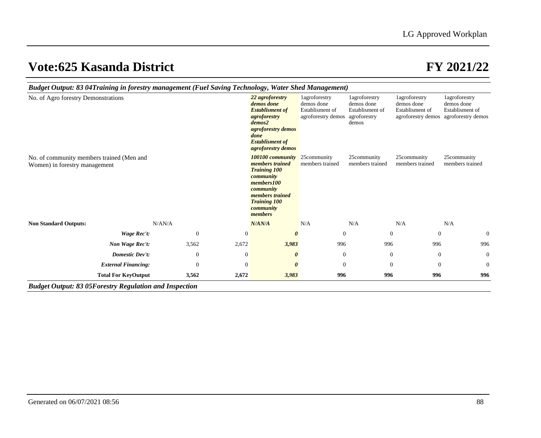| Budget Output: 83 04Training in forestry management (Fuel Saving Technology, Water Shed Management) |                            |              |                                                                                                                                                                             |                                                                                                                 |                                                                      |                                                                                 |                                                |                                                                                         |  |
|-----------------------------------------------------------------------------------------------------|----------------------------|--------------|-----------------------------------------------------------------------------------------------------------------------------------------------------------------------------|-----------------------------------------------------------------------------------------------------------------|----------------------------------------------------------------------|---------------------------------------------------------------------------------|------------------------------------------------|-----------------------------------------------------------------------------------------|--|
| No. of Agro forestry Demonstrations                                                                 |                            |              | demos done<br>agroforestry<br>demos2<br>done                                                                                                                                | 22 agroforestry<br><b>Establisment of</b><br>agroforestry demos<br><b>Establisment of</b><br>agroforestry demos | 1agroforestry<br>demos done<br>Establisment of<br>agroforestry demos | <i>l</i> agroforestry<br>demos done<br>Establisment of<br>agroforestry<br>demos | 1agroforestry<br>demos done<br>Establisment of | 1agroforestry<br>demos done<br>Establisment of<br>agroforestry demos agroforestry demos |  |
| No. of community members trained (Men and<br>Women) in forestry management                          |                            |              | 100100 community<br><i>members trained</i><br><b>Training 100</b><br>community<br>members100<br>community<br>members trained<br><b>Training 100</b><br>community<br>members |                                                                                                                 | 25 community<br>members trained                                      | 25community<br>members trained                                                  | 25community<br>members trained                 | 25community<br>members trained                                                          |  |
| <b>Non Standard Outputs:</b>                                                                        | N/AN/A                     |              | N/AN/A                                                                                                                                                                      |                                                                                                                 | N/A                                                                  | N/A                                                                             | N/A                                            | N/A                                                                                     |  |
|                                                                                                     | Wage Rec't:                | $\theta$     | $\mathbf{0}$                                                                                                                                                                | $\theta$                                                                                                        | $\overline{0}$                                                       |                                                                                 | $\theta$<br>$\theta$                           | $\mathbf{0}$                                                                            |  |
|                                                                                                     | Non Wage Rec't:            | 3,562        | 2,672                                                                                                                                                                       | 3,983                                                                                                           | 996                                                                  | 996                                                                             | 996                                            | 996                                                                                     |  |
|                                                                                                     | Domestic Dev't:            | $\mathbf{0}$ | $\mathbf{0}$                                                                                                                                                                | $\boldsymbol{\theta}$                                                                                           | $\theta$                                                             |                                                                                 | $\theta$<br>$\boldsymbol{0}$                   | $\mathbf{0}$                                                                            |  |
|                                                                                                     | <b>External Financing:</b> | $\theta$     | $\overline{0}$                                                                                                                                                              | $\boldsymbol{\theta}$                                                                                           | $\overline{0}$                                                       |                                                                                 | $\mathbf{0}$<br>$\overline{0}$                 | $\mathbf{0}$                                                                            |  |
|                                                                                                     | <b>Total For KeyOutput</b> | 3,562        | 2,672                                                                                                                                                                       | 3,983                                                                                                           | 996                                                                  | 996                                                                             | 996                                            | 996                                                                                     |  |
| <b>Budget Output: 83 05Forestry Regulation and Inspection</b>                                       |                            |              |                                                                                                                                                                             |                                                                                                                 |                                                                      |                                                                                 |                                                |                                                                                         |  |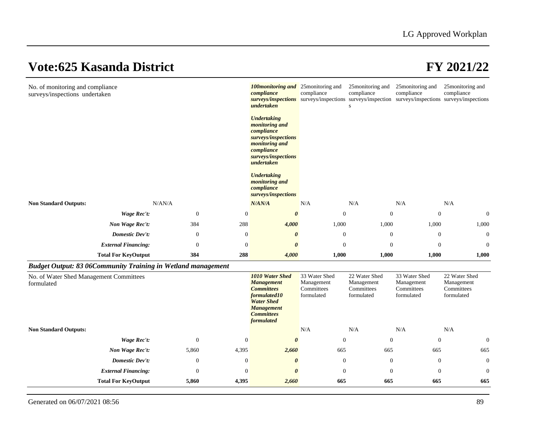| No. of monitoring and compliance<br>surveys/inspections undertaken  |                            |                  |                  | <b>100 monitoring and</b> 25 monitoring and<br>compliance<br>surveys/inspections surveys/inspections<br>undertaken<br><b>Undertaking</b><br><i>monitoring and</i><br>compliance<br>surveys/inspections<br><i>monitoring and</i><br>compliance<br>surveys/inspections<br>undertaken<br><b>Undertaking</b><br><i>monitoring and</i><br>compliance<br>surveys/inspections | compliance                                              | 25 monitoring and<br>compliance<br>S                    | 25 monitoring and<br>compliance<br>surveys/inspection surveys/inspections surveys/inspections | 25 monitoring and<br>compliance                         |
|---------------------------------------------------------------------|----------------------------|------------------|------------------|------------------------------------------------------------------------------------------------------------------------------------------------------------------------------------------------------------------------------------------------------------------------------------------------------------------------------------------------------------------------|---------------------------------------------------------|---------------------------------------------------------|-----------------------------------------------------------------------------------------------|---------------------------------------------------------|
| <b>Non Standard Outputs:</b>                                        |                            | N/AN/A           |                  | N/AN/A                                                                                                                                                                                                                                                                                                                                                                 | N/A                                                     | N/A                                                     | N/A                                                                                           | N/A                                                     |
|                                                                     | <b>Wage Rec't:</b>         | $\mathbf{0}$     | $\boldsymbol{0}$ | $\boldsymbol{\theta}$                                                                                                                                                                                                                                                                                                                                                  | $\boldsymbol{0}$                                        | $\mathbf{0}$                                            | $\boldsymbol{0}$                                                                              | $\boldsymbol{0}$                                        |
|                                                                     | Non Wage Rec't:            | 384              | 288              | 4,000                                                                                                                                                                                                                                                                                                                                                                  | 1,000                                                   | 1,000                                                   | 1,000                                                                                         | 1,000                                                   |
|                                                                     | Domestic Dev't:            | $\overline{0}$   | $\boldsymbol{0}$ | $\boldsymbol{\theta}$                                                                                                                                                                                                                                                                                                                                                  | $\mathbf{0}$                                            | $\overline{0}$                                          | $\boldsymbol{0}$                                                                              | $\boldsymbol{0}$                                        |
|                                                                     | <b>External Financing:</b> | $\mathbf{0}$     | $\boldsymbol{0}$ | $\boldsymbol{\theta}$                                                                                                                                                                                                                                                                                                                                                  | $\mathbf{0}$                                            | $\overline{0}$                                          | $\boldsymbol{0}$                                                                              | $\boldsymbol{0}$                                        |
|                                                                     | <b>Total For KeyOutput</b> | 384              | 288              | 4,000                                                                                                                                                                                                                                                                                                                                                                  | 1,000                                                   | 1,000                                                   | 1,000                                                                                         | 1,000                                                   |
| <b>Budget Output: 83 06Community Training in Wetland management</b> |                            |                  |                  |                                                                                                                                                                                                                                                                                                                                                                        |                                                         |                                                         |                                                                                               |                                                         |
| No. of Water Shed Management Committees<br>formulated               |                            |                  |                  | 1010 Water Shed<br><b>Management</b><br><b>Committees</b><br>formulated10<br><b>Water Shed</b><br><b>Management</b><br><b>Committees</b><br>formulated                                                                                                                                                                                                                 | 33 Water Shed<br>Management<br>Committees<br>formulated | 22 Water Shed<br>Management<br>Committees<br>formulated | 33 Water Shed<br>Management<br>Committees<br>formulated                                       | 22 Water Shed<br>Management<br>Committees<br>formulated |
| <b>Non Standard Outputs:</b>                                        |                            |                  |                  |                                                                                                                                                                                                                                                                                                                                                                        | N/A                                                     | N/A                                                     | N/A                                                                                           | N/A                                                     |
|                                                                     | <b>Wage Rec't:</b>         | $\mathbf{0}$     | $\boldsymbol{0}$ | $\boldsymbol{\theta}$                                                                                                                                                                                                                                                                                                                                                  | $\boldsymbol{0}$                                        | $\mathbf{0}$                                            | $\boldsymbol{0}$                                                                              | $\boldsymbol{0}$                                        |
|                                                                     | Non Wage Rec't:            | 5,860            | 4,395            | 2,660                                                                                                                                                                                                                                                                                                                                                                  | 665                                                     | 665                                                     | 665                                                                                           | 665                                                     |
|                                                                     | Domestic Dev't:            | $\boldsymbol{0}$ | $\boldsymbol{0}$ | $\boldsymbol{\theta}$                                                                                                                                                                                                                                                                                                                                                  | $\boldsymbol{0}$                                        | $\mathbf{0}$                                            | $\boldsymbol{0}$                                                                              | $\boldsymbol{0}$                                        |
|                                                                     | <b>External Financing:</b> | $\mathbf{0}$     | $\theta$         | $\boldsymbol{\theta}$                                                                                                                                                                                                                                                                                                                                                  | $\mathbf{0}$                                            | $\overline{0}$                                          | $\mathbf{0}$                                                                                  | $\boldsymbol{0}$                                        |
|                                                                     | <b>Total For KeyOutput</b> | 5,860            | 4,395            | 2,660                                                                                                                                                                                                                                                                                                                                                                  | 665                                                     | 665                                                     | 665                                                                                           | 665                                                     |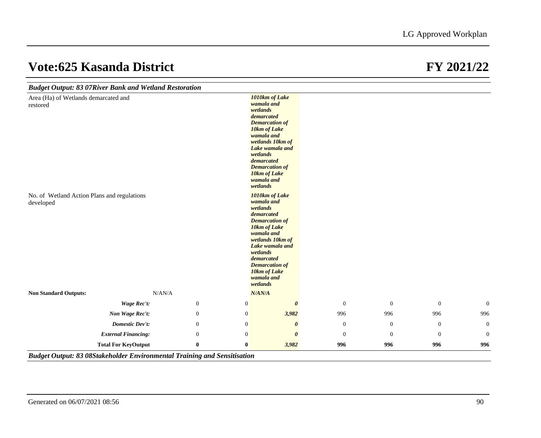| <b>Budget Output: 83 07River Bank and Wetland Restoration</b> |                            |                |                                                              |                                                                                                                                                                                   |              |                  |                  |                |
|---------------------------------------------------------------|----------------------------|----------------|--------------------------------------------------------------|-----------------------------------------------------------------------------------------------------------------------------------------------------------------------------------|--------------|------------------|------------------|----------------|
| Area (Ha) of Wetlands demarcated and<br>restored              |                            |                | wetlands<br>demarcated<br>wetlands<br>demarcated<br>wetlands | 1010km of Lake<br>wamala and<br><b>Demarcation of</b><br>10km of Lake<br>wamala and<br>wetlands 10km of<br>Lake wamala and<br><b>Demarcation of</b><br>10km of Lake<br>wamala and |              |                  |                  |                |
| No. of Wetland Action Plans and regulations<br>developed      |                            |                | wetlands<br>demarcated<br>wetlands<br>demarcated<br>wetlands | 1010km of Lake<br>wamala and<br><b>Demarcation of</b><br>10km of Lake<br>wamala and<br>wetlands 10km of<br>Lake wamala and<br><b>Demarcation of</b><br>10km of Lake<br>wamala and |              |                  |                  |                |
| <b>Non Standard Outputs:</b>                                  | N/AN/A                     |                | N/AN/A                                                       |                                                                                                                                                                                   |              |                  |                  |                |
|                                                               | Wage Rec't:                | $\mathbf{0}$   | $\boldsymbol{0}$                                             | $\boldsymbol{\theta}$                                                                                                                                                             | $\mathbf{0}$ | $\mathbf{0}$     | $\mathbf{0}$     | $\mathbf{0}$   |
|                                                               | Non Wage Rec't:            | $\overline{0}$ | $\mathbf{0}$                                                 | 3,982                                                                                                                                                                             | 996          | 996              | 996              | 996            |
|                                                               | <b>Domestic Dev't:</b>     | $\mathbf{0}$   | $\overline{0}$                                               | $\boldsymbol{\theta}$                                                                                                                                                             | $\mathbf{0}$ | $\boldsymbol{0}$ | $\mathbf{0}$     | $\overline{0}$ |
|                                                               | <b>External Financing:</b> | $\mathbf{0}$   | $\mathbf{0}$                                                 | $\boldsymbol{\theta}$                                                                                                                                                             | $\mathbf{0}$ | $\boldsymbol{0}$ | $\boldsymbol{0}$ | $\mathbf{0}$   |
|                                                               | <b>Total For KeyOutput</b> | $\bf{0}$       | $\bf{0}$                                                     | 3,982                                                                                                                                                                             | 996          | 996              | 996              | 996            |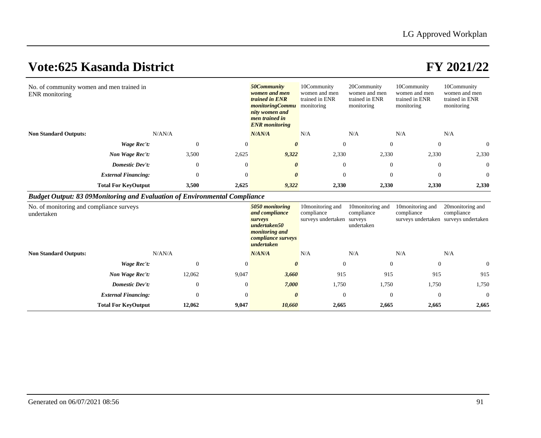| No. of community women and men trained in<br>ENR monitoring | 50Community<br>women and men<br>trained in ENR<br><i>monitoringCommu</i><br>nity women and<br>men trained in<br><b>ENR</b> monitoring | 10Community<br>women and men<br>trained in ENR<br>monitoring | 20Community<br>women and men<br>trained in ENR<br>monitoring | 10Community<br>women and men<br>trained in ENR<br>monitoring | 10Community<br>women and men<br>trained in ENR<br>monitoring |                |                |                |
|-------------------------------------------------------------|---------------------------------------------------------------------------------------------------------------------------------------|--------------------------------------------------------------|--------------------------------------------------------------|--------------------------------------------------------------|--------------------------------------------------------------|----------------|----------------|----------------|
| <b>Non Standard Outputs:</b>                                |                                                                                                                                       | N/AN/A                                                       |                                                              | N/AN/A                                                       | N/A                                                          | N/A            | N/A            | N/A            |
|                                                             | Wage Rec't:                                                                                                                           | $\theta$                                                     |                                                              | $\theta$                                                     | $\theta$                                                     | $\Omega$       | $\mathbf{0}$   | $\overline{0}$ |
|                                                             | Non Wage Rec't:                                                                                                                       | 3,500                                                        | 2,625                                                        | 9,322                                                        | 2,330                                                        | 2,330          | 2,330          | 2,330          |
|                                                             | <b>Domestic Dev't:</b>                                                                                                                | $\theta$                                                     | $\theta$                                                     | $\boldsymbol{\theta}$                                        | $\overline{0}$                                               | $\overline{0}$ | $\overline{0}$ | $\theta$       |
|                                                             | <b>External Financing:</b>                                                                                                            | $\theta$                                                     | $\overline{0}$                                               | $\theta$                                                     | $\theta$                                                     | $\Omega$       | $\overline{0}$ | $\overline{0}$ |
|                                                             | <b>Total For KeyOutput</b>                                                                                                            | 3,500                                                        | 2,625                                                        | 9,322                                                        | 2,330                                                        | 2,330          | 2,330          | 2,330          |

### *Budget Output: 83 09Monitoring and Evaluation of Environmental Compliance*

| No. of monitoring and compliance surveys<br>undertaken |                            |                |                | 5050 monitoring<br>and compliance<br>surveys<br>undertaken50<br>monitoring and<br>compliance surveys<br>undertaken | 10monitoring and<br>compliance<br>surveys undertaken | 10 monitoring and<br>compliance<br>surveys<br>undertaken | 10monitoring and<br>compliance | 20monitoring and<br>compliance<br>surveys undertaken surveys undertaken |
|--------------------------------------------------------|----------------------------|----------------|----------------|--------------------------------------------------------------------------------------------------------------------|------------------------------------------------------|----------------------------------------------------------|--------------------------------|-------------------------------------------------------------------------|
| <b>Non Standard Outputs:</b>                           | N/AN/A                     |                |                | N/AN/A                                                                                                             | N/A                                                  | N/A                                                      | N/A                            | N/A                                                                     |
|                                                        | Wage Rec't:                | $\overline{0}$ | $\overline{0}$ | 0                                                                                                                  | $\overline{0}$                                       | $\overline{0}$                                           | $\overline{0}$                 | $\overline{0}$                                                          |
|                                                        | Non Wage Rec't:            | 12,062         | 9,047          | 3,660                                                                                                              | 915                                                  | 915                                                      | 915                            | 915                                                                     |
|                                                        | <b>Domestic Dev't:</b>     | $\overline{0}$ | $\theta$       | 7,000                                                                                                              | 1,750                                                | 1,750                                                    | 1,750                          | 1,750                                                                   |
|                                                        | <b>External Financing:</b> | $\mathbf{0}$   | $\overline{0}$ | $\theta$                                                                                                           |                                                      | $\overline{0}$                                           | $\theta$                       | $\overline{0}$                                                          |
|                                                        | <b>Total For KeyOutput</b> | 12,062         | 9,047          | 10,660                                                                                                             | 2,665                                                | 2,665                                                    | 2,665                          | 2,665                                                                   |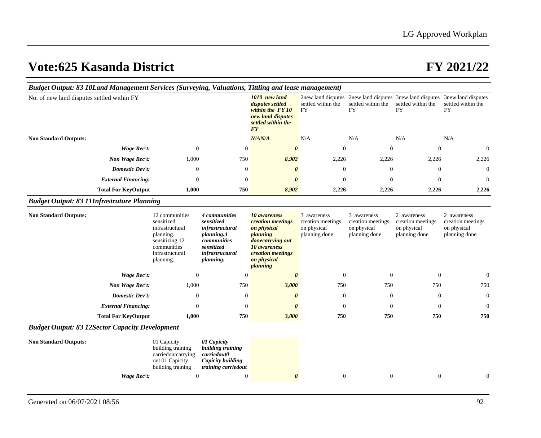| Budget Output: 83 10Land Management Services (Surveying, Valuations, Tittling and lease management) |                            |                                                                                                                               |                                                                                                                           |                                                                                                                                                         |                                                                  |                                                                  |                                                                                             |                                                                  |
|-----------------------------------------------------------------------------------------------------|----------------------------|-------------------------------------------------------------------------------------------------------------------------------|---------------------------------------------------------------------------------------------------------------------------|---------------------------------------------------------------------------------------------------------------------------------------------------------|------------------------------------------------------------------|------------------------------------------------------------------|---------------------------------------------------------------------------------------------|------------------------------------------------------------------|
| No. of new land disputes settled within FY                                                          |                            |                                                                                                                               |                                                                                                                           | 1010 new land<br>disputes settled<br>within the FY10<br>new land disputes<br>settled within the<br><b>FY</b>                                            | 2new land disputes<br>settled within the<br><b>FY</b>            | settled within the<br><b>FY</b>                                  | 2new land disputes 3new land disputes 3new land disputes<br>settled within the<br><b>FY</b> | settled within the<br><b>FY</b>                                  |
| <b>Non Standard Outputs:</b>                                                                        |                            |                                                                                                                               |                                                                                                                           | N/AN/A                                                                                                                                                  | N/A                                                              | N/A                                                              | N/A                                                                                         | N/A                                                              |
|                                                                                                     | <b>Wage Rec't:</b>         | $\boldsymbol{0}$                                                                                                              | $\boldsymbol{0}$                                                                                                          | $\boldsymbol{\theta}$                                                                                                                                   | $\boldsymbol{0}$                                                 | $\boldsymbol{0}$                                                 | $\boldsymbol{0}$                                                                            | $\boldsymbol{0}$                                                 |
|                                                                                                     | Non Wage Rec't:            | 1,000                                                                                                                         | 750                                                                                                                       | 8,902                                                                                                                                                   | 2,226                                                            | 2,226                                                            | 2,226                                                                                       | 2,226                                                            |
|                                                                                                     | Domestic Dev't:            | $\mathbf{0}$                                                                                                                  | $\overline{0}$                                                                                                            | $\boldsymbol{\theta}$                                                                                                                                   | $\mathbf{0}$                                                     | $\theta$                                                         | $\mathbf{0}$                                                                                | $\Omega$                                                         |
|                                                                                                     | <b>External Financing:</b> | $\mathbf{0}$                                                                                                                  | $\mathbf{0}$                                                                                                              | $\theta$                                                                                                                                                | $\boldsymbol{0}$                                                 | $\theta$                                                         | $\mathbf{0}$                                                                                | $\mathbf{0}$                                                     |
|                                                                                                     | <b>Total For KeyOutput</b> | 1,000                                                                                                                         | 750                                                                                                                       | 8,902                                                                                                                                                   | 2,226                                                            | 2,226                                                            | 2,226                                                                                       | 2,226                                                            |
| <b>Budget Output: 83 11Infrastruture Planning</b>                                                   |                            |                                                                                                                               |                                                                                                                           |                                                                                                                                                         |                                                                  |                                                                  |                                                                                             |                                                                  |
| <b>Non Standard Outputs:</b>                                                                        |                            | 12 communities<br>sensitized<br>infrastructural<br>planning.<br>sensitizing 12<br>communities<br>infrastructural<br>planning. | 4 communities<br>sensitized<br>infrastructural<br>planning.4<br>communities<br>sensitized<br>infrastructural<br>planning. | 10 awareness<br><i>creation meetings</i><br>on physical<br>planning<br>donecarrying out<br>10 awareness<br>creation meetings<br>on physical<br>planning | 3 awareness<br>creation meetings<br>on physical<br>planning done | 3 awareness<br>creation meetings<br>on physical<br>planning done | 2 awareness<br>creation meetings<br>on physical<br>planning done                            | 2 awareness<br>creation meetings<br>on physical<br>planning done |
|                                                                                                     | <b>Wage Rec't:</b>         | $\boldsymbol{0}$                                                                                                              | $\overline{0}$                                                                                                            | $\boldsymbol{\theta}$                                                                                                                                   | $\boldsymbol{0}$                                                 | $\theta$                                                         | $\theta$                                                                                    | $\mathbf{0}$                                                     |
|                                                                                                     | Non Wage Rec't:            | 1,000                                                                                                                         | 750                                                                                                                       | 3,000                                                                                                                                                   | 750                                                              | 750                                                              | 750                                                                                         | 750                                                              |
|                                                                                                     | <b>Domestic Dev't:</b>     | $\mathbf{0}$                                                                                                                  | $\mathbf{0}$                                                                                                              | $\theta$                                                                                                                                                | $\boldsymbol{0}$                                                 | $\theta$                                                         | $\mathbf{0}$                                                                                | $\boldsymbol{0}$                                                 |
|                                                                                                     | <b>External Financing:</b> | $\Omega$                                                                                                                      | $\theta$                                                                                                                  | $\theta$                                                                                                                                                | $\mathbf{0}$                                                     | $\theta$                                                         | $\theta$                                                                                    | $\theta$                                                         |
|                                                                                                     | <b>Total For KeyOutput</b> | 1,000                                                                                                                         | 750                                                                                                                       | 3,000                                                                                                                                                   | 750                                                              | 750                                                              | 750                                                                                         | 750                                                              |
| <b>Budget Output: 83 12Sector Capacity Development</b>                                              |                            |                                                                                                                               |                                                                                                                           |                                                                                                                                                         |                                                                  |                                                                  |                                                                                             |                                                                  |
| <b>Non Standard Outputs:</b>                                                                        |                            | 01 Capicity<br>building training<br>carriedoutcarrying<br>out 01 Capicity<br>building training                                | 01 Capicity<br>building training<br>carriedout0<br>Capicity building<br>training carriedout                               |                                                                                                                                                         |                                                                  |                                                                  |                                                                                             |                                                                  |
|                                                                                                     | Wage Rec't:                | $\boldsymbol{0}$                                                                                                              | $\mathbf{0}$                                                                                                              | $\boldsymbol{\theta}$                                                                                                                                   | $\boldsymbol{0}$                                                 | $\mathbf{0}$                                                     | $\mathbf{0}$                                                                                | $\overline{0}$                                                   |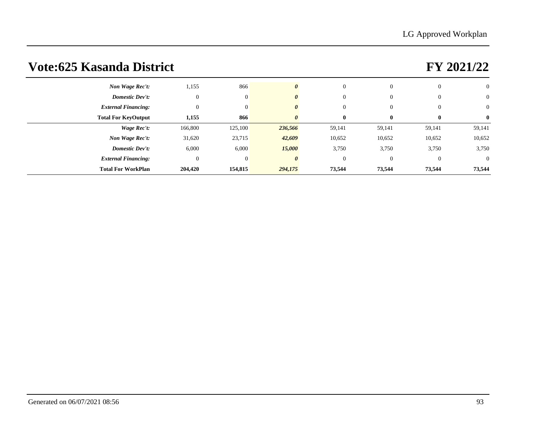| Non Wage Rec't:            | 1,155        | 866          |          | $\overline{0}$ | $\overline{0}$ | $\overline{0}$ | $\overline{0}$ |
|----------------------------|--------------|--------------|----------|----------------|----------------|----------------|----------------|
| <b>Domestic Dev't:</b>     | $\mathbf{0}$ | $\mathbf{0}$ | $\theta$ | $\overline{0}$ | $\overline{0}$ | $\mathbf{0}$   | $\overline{0}$ |
| <b>External Financing:</b> | $\mathbf{0}$ | $\theta$     | 0        | $\Omega$       | $\overline{0}$ | $\overline{0}$ | $\overline{0}$ |
| <b>Total For KeyOutput</b> | 1,155        | 866          |          | $\bf{0}$       | $\bf{0}$       | $\bf{0}$       | $\mathbf{0}$   |
| Wage Rec't:                | 166,800      | 125,100      | 236,566  | 59,141         | 59,141         | 59,141         | 59,141         |
| Non Wage Rec't:            | 31,620       | 23,715       | 42,609   | 10,652         | 10,652         | 10,652         | 10,652         |
| <b>Domestic Dev't:</b>     | 6,000        | 6,000        | 15,000   | 3,750          | 3,750          | 3,750          | 3,750          |
| <b>External Financing:</b> | $\theta$     | $\theta$     | $\theta$ | $\Omega$       | $\overline{0}$ | $\mathbf{0}$   | $\overline{0}$ |
| <b>Total For WorkPlan</b>  | 204,420      | 154,815      | 294,175  | 73,544         | 73,544         | 73,544         | 73,544         |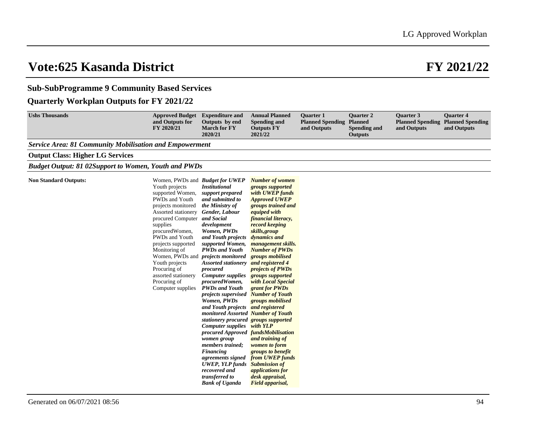### **Sub-SubProgramme 9 Community Based Services**

### **Quarterly Workplan Outputs for FY 2021/22**

| <b>Ushs Thousands</b>                                          | <b>Approved Budget</b> Expenditure and<br>and Outputs for<br>FY 2020/21                                                                                                                                                                                                                                                                                                             | Outputs by end<br><b>March for FY</b><br>2020/21                                                                                                                                                                                                                                                                                                                                                                                                                                                                                                                                                                                                                                                                                                  | <b>Annual Planned</b><br><b>Spending and</b><br><b>Outputs FY</b><br>2021/22                                                                                                                                                                                                                                                                                                                                                                                                                                                                                                                            | <b>Ouarter 1</b><br><b>Planned Spending</b><br>and Outputs | <b>Ouarter 2</b><br><b>Planned</b><br><b>Spending and</b><br><b>Outputs</b> | <b>Ouarter 3</b><br>and Outputs | <b>Ouarter 4</b><br><b>Planned Spending Planned Spending</b><br>and Outputs |
|----------------------------------------------------------------|-------------------------------------------------------------------------------------------------------------------------------------------------------------------------------------------------------------------------------------------------------------------------------------------------------------------------------------------------------------------------------------|---------------------------------------------------------------------------------------------------------------------------------------------------------------------------------------------------------------------------------------------------------------------------------------------------------------------------------------------------------------------------------------------------------------------------------------------------------------------------------------------------------------------------------------------------------------------------------------------------------------------------------------------------------------------------------------------------------------------------------------------------|---------------------------------------------------------------------------------------------------------------------------------------------------------------------------------------------------------------------------------------------------------------------------------------------------------------------------------------------------------------------------------------------------------------------------------------------------------------------------------------------------------------------------------------------------------------------------------------------------------|------------------------------------------------------------|-----------------------------------------------------------------------------|---------------------------------|-----------------------------------------------------------------------------|
| <b>Service Area: 81 Community Mobilisation and Empowerment</b> |                                                                                                                                                                                                                                                                                                                                                                                     |                                                                                                                                                                                                                                                                                                                                                                                                                                                                                                                                                                                                                                                                                                                                                   |                                                                                                                                                                                                                                                                                                                                                                                                                                                                                                                                                                                                         |                                                            |                                                                             |                                 |                                                                             |
| <b>Output Class: Higher LG Services</b>                        |                                                                                                                                                                                                                                                                                                                                                                                     |                                                                                                                                                                                                                                                                                                                                                                                                                                                                                                                                                                                                                                                                                                                                                   |                                                                                                                                                                                                                                                                                                                                                                                                                                                                                                                                                                                                         |                                                            |                                                                             |                                 |                                                                             |
| <b>Budget Output: 81 02Support to Women, Youth and PWDs</b>    |                                                                                                                                                                                                                                                                                                                                                                                     |                                                                                                                                                                                                                                                                                                                                                                                                                                                                                                                                                                                                                                                                                                                                                   |                                                                                                                                                                                                                                                                                                                                                                                                                                                                                                                                                                                                         |                                                            |                                                                             |                                 |                                                                             |
| <b>Non Standard Outputs:</b>                                   | Women, PWDs and <i>Budget for UWEP</i><br>Youth projects<br>supported Women,<br>PWDs and Youth<br>projects monitored<br>Assorted stationery<br>procured Computer and Social<br>supplies<br>procuredWomen,<br>PWDs and Youth<br>projects supported<br>Monitoring of<br>Women, PWDs and<br>Youth projects<br>Procuring of<br>assorted stationery<br>Procuring of<br>Computer supplies | <b>Institutional</b><br>support prepared<br>and submitted to<br>the Ministry of<br>Gender, Labour<br>development<br>Women, PWDs<br>and Youth projects<br>supported Women,<br><b>PWDs and Youth</b><br>projects monitored<br><b>Assorted stationery</b><br>procured<br><b>Computer supplies</b><br>procuredWomen,<br><b>PWDs and Youth</b><br>projects supervised Number of Youth<br>Women, PWDs<br>and Youth projects and registered<br>monitored Assorted Number of Youth<br>stationery procured groups supported<br><b>Computer supplies</b><br>procured Approved fundsMobilisation<br>women group<br>members trained;<br>Financing<br>agreements signed<br><b>UWEP</b> , YLP funds<br>recovered and<br>transferred to<br><b>Bank of Uganda</b> | <b>Number of women</b><br>groups supported<br>with UWEP funds<br><b>Approved UWEP</b><br>groups trained and<br>equiped with<br>financial literacy,<br>record keeping<br>skills, group<br>dynamics and<br><i>management skills.</i><br><b>Number of PWDs</b><br>groups mobilised<br>and registered 4<br><i>projects of PWDs</i><br>groups supported<br>with Local Special<br>grant for PWDs<br>groups mobilised<br>with YLP<br>and training of<br>women to form<br>groups to benefit<br>from UWEP funds<br><b>Submission of</b><br><i>applications for</i><br>desk appraisal,<br><b>Field apparisal,</b> |                                                            |                                                                             |                                 |                                                                             |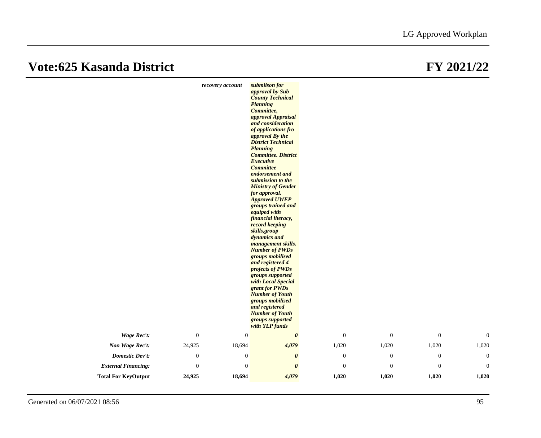### **Vote:625 Kasanda District**

| FY 2021/22 |
|------------|
|------------|

|                            | recovery account | submiison for<br>approval by Sub<br><b>County Technical</b><br><b>Planning</b><br>Committee,<br>approval Appraisal<br>and consideration<br>of applications fro<br>approval By the<br><b>District Technical</b><br><b>Planning</b><br><b>Committee. District</b><br><b>Executive</b><br><b>Committee</b><br>endorsement and<br>submission to the<br><b>Ministry of Gender</b><br>for approval.<br><b>Approved UWEP</b><br>groups trained and<br>equiped with<br>financial literacy,<br>record keeping<br>skills, group<br>dynamics and<br>management skills.<br><b>Number of PWDs</b><br>groups mobilised<br>and registered 4<br>projects of PWDs<br>groups supported<br>with Local Special<br>grant for PWDs<br><b>Number of Youth</b><br>groups mobilised<br>and registered<br><b>Number of Youth</b><br>groups supported |                  |                  |              |                  |
|----------------------------|------------------|----------------------------------------------------------------------------------------------------------------------------------------------------------------------------------------------------------------------------------------------------------------------------------------------------------------------------------------------------------------------------------------------------------------------------------------------------------------------------------------------------------------------------------------------------------------------------------------------------------------------------------------------------------------------------------------------------------------------------------------------------------------------------------------------------------------------------|------------------|------------------|--------------|------------------|
|                            |                  | with YLP funds                                                                                                                                                                                                                                                                                                                                                                                                                                                                                                                                                                                                                                                                                                                                                                                                             |                  |                  |              |                  |
| <b>Wage Rec't:</b>         | $\boldsymbol{0}$ | $\mathbf{0}$<br>$\boldsymbol{\theta}$                                                                                                                                                                                                                                                                                                                                                                                                                                                                                                                                                                                                                                                                                                                                                                                      | $\boldsymbol{0}$ | $\boldsymbol{0}$ | $\mathbf{0}$ | $\mathbf{0}$     |
| Non Wage Rec't:            | 18,694<br>24,925 | 4,079                                                                                                                                                                                                                                                                                                                                                                                                                                                                                                                                                                                                                                                                                                                                                                                                                      | 1,020            | 1,020            | 1,020        | 1,020            |
| <b>Domestic Dev't:</b>     | $\mathbf{0}$     | $\boldsymbol{0}$<br>$\boldsymbol{\theta}$                                                                                                                                                                                                                                                                                                                                                                                                                                                                                                                                                                                                                                                                                                                                                                                  | $\boldsymbol{0}$ | $\boldsymbol{0}$ | $\mathbf{0}$ | $\boldsymbol{0}$ |
| <b>External Financing:</b> | $\boldsymbol{0}$ | $\boldsymbol{0}$<br>$\boldsymbol{\theta}$                                                                                                                                                                                                                                                                                                                                                                                                                                                                                                                                                                                                                                                                                                                                                                                  | $\mathbf{0}$     | $\mathbf{0}$     | $\theta$     | $\theta$         |
| <b>Total For KeyOutput</b> | 24,925<br>18,694 | 4,079                                                                                                                                                                                                                                                                                                                                                                                                                                                                                                                                                                                                                                                                                                                                                                                                                      | 1,020            | 1,020            | 1,020        | 1,020            |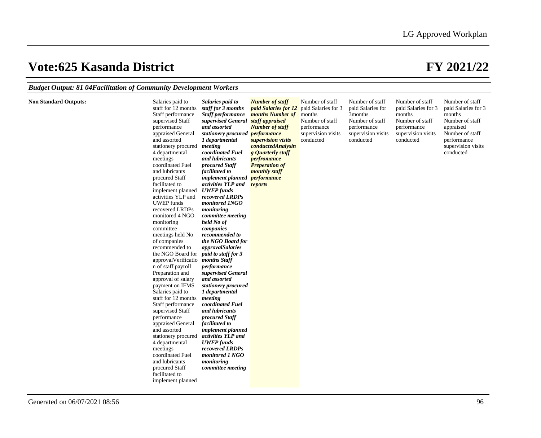### *Budget Output: 81 04Facilitation of Community Development Workers*

| <b>Non Standard Outputs:</b><br>Salaries paid to<br>Salaries paid to<br>staff for 12 months<br>staff for 3 months<br>Staff performance<br><b>Staff performance</b><br>supervised Staff<br>and assorted<br>performance<br>appraised General<br>and assorted<br>1 departmental<br>stationery procured<br>meeting<br>coordinated Fuel<br>4 departmental<br>and lubricants<br>meetings<br>coordinated Fuel<br>procured Staff<br>and lubricants<br>facilitated to<br>procured Staff<br>facilitated to<br>activities YLP and<br><b>UWEP</b> funds<br>implement planned<br>activities YLP and<br>recovered LRDPs<br><b>UWEP</b> funds<br>monitored INGO<br>recovered LRDPs<br>monitoring<br>monitored 4 NGO<br>committee meeting<br>held No of<br>monitoring<br>committee<br>companies<br>meetings held No<br>recommended to<br>the NGO Board for<br>of companies<br>recommended to<br><i>approvalSalaries</i><br>the NGO Board for<br>paid to staff for 3<br>approvalVerificatio<br>months Staff<br>n of staff payroll<br>performance<br>supervised General<br>Preparation and<br>and assorted<br>approval of salary<br>payment on IFMS<br>stationery procured<br>Salaries paid to<br>1 departmental<br>staff for 12 months<br>meeting<br>Staff performance<br>coordinated Fuel<br>and lubricants<br>supervised Staff<br>performance<br>procured Staff<br>facilitated to<br>appraised General<br>and assorted<br>implement planned<br>activities YLP and<br>stationery procured<br><b>UWEP</b> funds<br>4 departmental<br>recovered LRDPs<br>meetings<br>coordinated Fuel<br>monitored 1 NGO<br>and lubricants<br>monitoring<br>procured Staff<br>committee meeting<br>facilitated to<br>implement planned | <b>Number of staff</b><br><i>paid Salaries for 12</i><br>months Number of<br>supervised General staff appraised<br><b>Number of staff</b><br>stationery procured performance<br>supervision visits<br>conductedAnalysin<br>g Quarterly staff<br>perfromance<br><b>Preperation of</b><br>monthly staff<br>implement planned performance<br>reports | Number of staff<br>paid Salaries for 3<br>months<br>Number of staff<br>performance<br>supervision visits<br>conducted | Number of staff<br>paid Salaries for<br>3months<br>months<br>Number of staff<br>performance<br>supervision visits<br>conducted | Number of staff<br>paid Salaries for 3<br>Number of staff<br>performance<br>supervision visits<br>conducted | Number of staff<br>paid Salaries for 3<br>months<br>Number of staff<br>appraised<br>Number of staff<br>performance<br>supervision visits<br>conducted |
|------------------------------------------------------------------------------------------------------------------------------------------------------------------------------------------------------------------------------------------------------------------------------------------------------------------------------------------------------------------------------------------------------------------------------------------------------------------------------------------------------------------------------------------------------------------------------------------------------------------------------------------------------------------------------------------------------------------------------------------------------------------------------------------------------------------------------------------------------------------------------------------------------------------------------------------------------------------------------------------------------------------------------------------------------------------------------------------------------------------------------------------------------------------------------------------------------------------------------------------------------------------------------------------------------------------------------------------------------------------------------------------------------------------------------------------------------------------------------------------------------------------------------------------------------------------------------------------------------------------------------------------------------------------------------------------------------|---------------------------------------------------------------------------------------------------------------------------------------------------------------------------------------------------------------------------------------------------------------------------------------------------------------------------------------------------|-----------------------------------------------------------------------------------------------------------------------|--------------------------------------------------------------------------------------------------------------------------------|-------------------------------------------------------------------------------------------------------------|-------------------------------------------------------------------------------------------------------------------------------------------------------|
|------------------------------------------------------------------------------------------------------------------------------------------------------------------------------------------------------------------------------------------------------------------------------------------------------------------------------------------------------------------------------------------------------------------------------------------------------------------------------------------------------------------------------------------------------------------------------------------------------------------------------------------------------------------------------------------------------------------------------------------------------------------------------------------------------------------------------------------------------------------------------------------------------------------------------------------------------------------------------------------------------------------------------------------------------------------------------------------------------------------------------------------------------------------------------------------------------------------------------------------------------------------------------------------------------------------------------------------------------------------------------------------------------------------------------------------------------------------------------------------------------------------------------------------------------------------------------------------------------------------------------------------------------------------------------------------------------|---------------------------------------------------------------------------------------------------------------------------------------------------------------------------------------------------------------------------------------------------------------------------------------------------------------------------------------------------|-----------------------------------------------------------------------------------------------------------------------|--------------------------------------------------------------------------------------------------------------------------------|-------------------------------------------------------------------------------------------------------------|-------------------------------------------------------------------------------------------------------------------------------------------------------|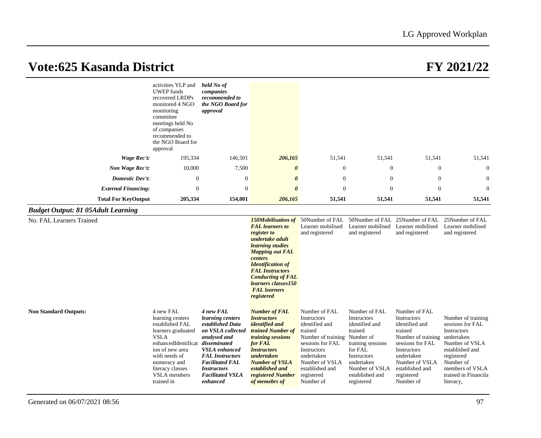|                                           | activities YLP and<br><b>UWEP</b> funds<br>recovered LRDPs<br>monitored 4 NGO<br>monitoring<br>committee<br>meetings held No<br>of companies<br>recommended to<br>the NGO Board for<br>approval                    | held No of<br>companies<br>recommended to<br>the NGO Board for<br>approval                                                                                                                                                                      |                                                                                                                                                                                                                                                                                              |                                                                                                                                                                                                  |                                                                                                                                                                                        |                                                                                                                                                                                                             |                                                                                                                                                                                      |
|-------------------------------------------|--------------------------------------------------------------------------------------------------------------------------------------------------------------------------------------------------------------------|-------------------------------------------------------------------------------------------------------------------------------------------------------------------------------------------------------------------------------------------------|----------------------------------------------------------------------------------------------------------------------------------------------------------------------------------------------------------------------------------------------------------------------------------------------|--------------------------------------------------------------------------------------------------------------------------------------------------------------------------------------------------|----------------------------------------------------------------------------------------------------------------------------------------------------------------------------------------|-------------------------------------------------------------------------------------------------------------------------------------------------------------------------------------------------------------|--------------------------------------------------------------------------------------------------------------------------------------------------------------------------------------|
| Wage Rec't:                               | 195,334                                                                                                                                                                                                            | 146,501                                                                                                                                                                                                                                         | 206,165                                                                                                                                                                                                                                                                                      | 51,541                                                                                                                                                                                           | 51,541                                                                                                                                                                                 | 51,541                                                                                                                                                                                                      | 51,541                                                                                                                                                                               |
| Non Wage Rec't:                           | 10,000                                                                                                                                                                                                             | 7,500                                                                                                                                                                                                                                           | $\boldsymbol{\theta}$                                                                                                                                                                                                                                                                        | 0                                                                                                                                                                                                | $\overline{0}$                                                                                                                                                                         | $\boldsymbol{0}$                                                                                                                                                                                            | $\theta$                                                                                                                                                                             |
| <b>Domestic Dev't:</b>                    | $\mathbf{0}$                                                                                                                                                                                                       | $\overline{0}$                                                                                                                                                                                                                                  | $\boldsymbol{\theta}$                                                                                                                                                                                                                                                                        | $\overline{0}$                                                                                                                                                                                   | $\theta$                                                                                                                                                                               | $\theta$                                                                                                                                                                                                    | $\boldsymbol{0}$                                                                                                                                                                     |
| <b>External Financing:</b>                | $\mathbf{0}$                                                                                                                                                                                                       | $\boldsymbol{0}$                                                                                                                                                                                                                                | $\boldsymbol{\theta}$                                                                                                                                                                                                                                                                        | $\mathbf{0}$                                                                                                                                                                                     | $\mathbf{0}$                                                                                                                                                                           | $\mathbf{0}$                                                                                                                                                                                                | $\theta$                                                                                                                                                                             |
| <b>Total For KeyOutput</b>                | 205,334                                                                                                                                                                                                            | 154,001                                                                                                                                                                                                                                         | 206,165                                                                                                                                                                                                                                                                                      | 51,541                                                                                                                                                                                           | 51,541                                                                                                                                                                                 | 51,541                                                                                                                                                                                                      | 51,541                                                                                                                                                                               |
| <b>Budget Output: 81 05Adult Learning</b> |                                                                                                                                                                                                                    |                                                                                                                                                                                                                                                 |                                                                                                                                                                                                                                                                                              |                                                                                                                                                                                                  |                                                                                                                                                                                        |                                                                                                                                                                                                             |                                                                                                                                                                                      |
| No. FAL Learners Trained                  |                                                                                                                                                                                                                    |                                                                                                                                                                                                                                                 | <b>150Mobilisation of</b><br><b>FAL</b> learners to<br>register to<br>undertake adult<br>learning studies<br><b>Mapping out FAL</b><br>centers<br><b>Identification of</b><br><b>FAL Instructors</b><br><b>Conducting of FAL</b><br>learners classes150<br><b>FAL</b> learners<br>registered | 50Number of FAL<br>Learner mobilised<br>and registered                                                                                                                                           | 50Number of FAL<br>Learner mobilised<br>and registered                                                                                                                                 | 25Number of FAL<br>Learner mobilised<br>and registered                                                                                                                                                      | 25Number of FAL<br>Learner mobilised<br>and registered                                                                                                                               |
| <b>Non Standard Outputs:</b>              | 4 new FAL<br>learning centers<br>established FAL<br>learners graduated<br><b>VSLA</b><br>enhancedIdentificat<br>ion of new area<br>with needs of<br>numeracy and<br>literacy classes<br>VSLA members<br>trained in | 4 new FAL<br>learning centers<br>established Data<br>on VSLA collected<br>analysed and<br>disseminated<br><b>VSLA</b> enhanced<br><b>FAL</b> Instructors<br><b>Facilitated FAL</b><br><b>Instructors</b><br><b>Facilitated VSLA</b><br>enhanced | <b>Number of FAL</b><br><b>Instructors</b><br><i>identified and</i><br>trained Number of<br>training sessions<br>for <b>FAL</b><br><b>Instructors</b><br>undertaken<br><b>Number of VSLA</b><br>established and<br>registered Number<br>of memebrs of                                        | Number of FAL<br>Instructors<br>identified and<br>trained<br>Number of training<br>sessions for FAL<br>Instructors<br>undertaken<br>Number of VSLA<br>established and<br>registered<br>Number of | Number of FAL<br>Instructors<br>identified and<br>trained<br>Number of<br>training sessions<br>for FAL<br>Instructors<br>undertaken<br>Number of VSLA<br>established and<br>registered | Number of FAL<br>Instructors<br>identified and<br>trained<br>Number of training undertaken<br>sessions for FAL<br>Instructors<br>undertaken<br>Number of VSLA<br>established and<br>registered<br>Number of | Number of training<br>sessions for FAL<br><b>Instructors</b><br>Number of VSLA<br>established and<br>registered<br>Number of<br>members of VSLA<br>trained in Financila<br>literacy, |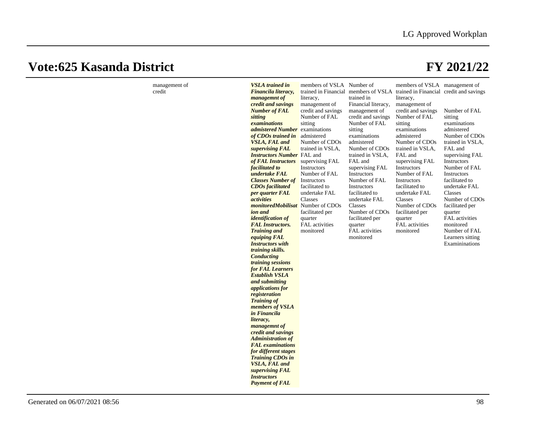| management of<br>credit | <b>VSLA</b> trained in<br>Financila literacy,<br>managemnt of<br>credit and savings<br><b>Number of FAL</b><br>sitting<br>examinations<br>admistered Number<br>of CDOs trained in<br><b>VSLA, FAL and</b><br>supervising FAL<br><b>Instructors Number</b> FAL and<br>of FAL Instructors<br>facilitated to<br>undertake FAL<br><b>Classes Number of</b><br><b>CDOs</b> facilitated<br>per quarter FAL<br><i>activities</i><br><i>monitoredMobilisat</i> Number of CDOs<br>ion and<br><i>identification of</i><br><b>FAL Instructors.</b><br><b>Training and</b><br>equiping FAL<br><b>Instructors</b> with<br>training skills.<br><b>Conducting</b><br>training sessions<br>for <b>FAL</b> Learners<br><b>Establish VSLA</b><br>and submitting<br><i>applications for</i><br>registeration<br><b>Training of</b><br>members of VSLA<br>in Financila<br>literacy,<br>managemnt of<br>credit and savings<br><b>Administration of</b><br><b>FAL</b> examinations<br>for different stages<br><b>Training CDOs in</b><br><b>VSLA, FAL and</b><br>supervising FAL | members of VSLA Number of<br>literacy,<br>management of<br>credit and savings<br>Number of FAL<br>sitting<br>examinations<br>admistered<br>Number of CDOs<br>trained in VSLA,<br>supervising FAL<br>Instructors<br>Number of FAL<br>Instructors<br>facilitated to<br>undertake FAL<br>Classes<br>facilitated per<br>quarter<br>FAL activities<br>monitored | trained in<br>Financial literacy,<br>management of<br>credit and savings<br>Number of FAL<br>sitting<br>examinations<br>admistered<br>Number of CDOs<br>trained in VSLA,<br>FAL and<br>supervising FAL<br>Instructors<br>Number of FAL<br>Instructors<br>facilitated to<br>undertake FAL<br>Classes<br>Number of CDO <sub>s</sub><br>facilitated per<br>quarter<br>FAL activities<br>monitored | members of VSLA management of<br>trained in Financial members of VSLA trained in Financial credit and savings<br>literacy,<br>management of<br>credit and savings<br>Number of FAL<br>sitting<br>examinations<br>admistered<br>Number of CDOs<br>trained in VSLA,<br>FAL and<br>supervising FAL<br>Instructors<br>Number of FAL<br>Instructors<br>facilitated to<br>undertake FAL<br>Classes<br>Number of CDOs<br>facilitated per<br>quarter<br><b>FAL</b> activities<br>monitored | Number of FAL<br>sitting<br>examinations<br>admistered<br>Number of CDOs<br>trained in VSLA,<br>FAL and<br>supervising FAL<br>Instructors<br>Number of FAL<br>Instructors<br>facilitated to<br>undertake FAL<br>Classes<br>Number of CDOs<br>facilitated per<br>quarter<br>FAL activities<br>monitored<br>Number of FAL<br>Learners sitting<br>Examininations |
|-------------------------|------------------------------------------------------------------------------------------------------------------------------------------------------------------------------------------------------------------------------------------------------------------------------------------------------------------------------------------------------------------------------------------------------------------------------------------------------------------------------------------------------------------------------------------------------------------------------------------------------------------------------------------------------------------------------------------------------------------------------------------------------------------------------------------------------------------------------------------------------------------------------------------------------------------------------------------------------------------------------------------------------------------------------------------------------------|------------------------------------------------------------------------------------------------------------------------------------------------------------------------------------------------------------------------------------------------------------------------------------------------------------------------------------------------------------|------------------------------------------------------------------------------------------------------------------------------------------------------------------------------------------------------------------------------------------------------------------------------------------------------------------------------------------------------------------------------------------------|------------------------------------------------------------------------------------------------------------------------------------------------------------------------------------------------------------------------------------------------------------------------------------------------------------------------------------------------------------------------------------------------------------------------------------------------------------------------------------|---------------------------------------------------------------------------------------------------------------------------------------------------------------------------------------------------------------------------------------------------------------------------------------------------------------------------------------------------------------|
|                         | <i><b>Instructors</b></i><br><b>Payment of FAL</b>                                                                                                                                                                                                                                                                                                                                                                                                                                                                                                                                                                                                                                                                                                                                                                                                                                                                                                                                                                                                         |                                                                                                                                                                                                                                                                                                                                                            |                                                                                                                                                                                                                                                                                                                                                                                                |                                                                                                                                                                                                                                                                                                                                                                                                                                                                                    |                                                                                                                                                                                                                                                                                                                                                               |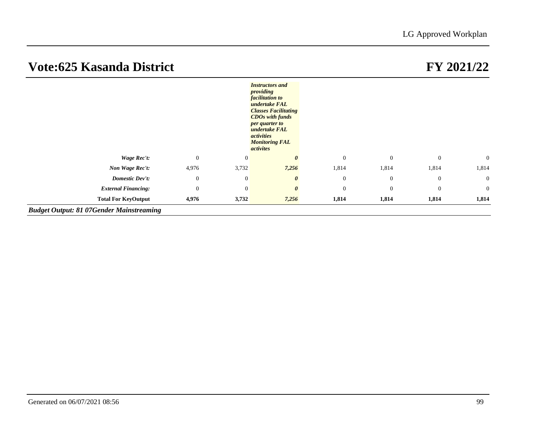|                                                 |              |                  | <b>Instructors</b> and<br>providing<br><i>facilitation to</i><br>undertake FAL<br><b>Classes Facilitating</b><br><b>CDOs with funds</b><br>per quarter to<br>undertake FAL<br><i>activities</i><br><b>Monitoring FAL</b><br>activites |              |              |              |                |
|-------------------------------------------------|--------------|------------------|---------------------------------------------------------------------------------------------------------------------------------------------------------------------------------------------------------------------------------------|--------------|--------------|--------------|----------------|
| Wage Rec't:                                     | $\mathbf{0}$ | $\boldsymbol{0}$ |                                                                                                                                                                                                                                       | $\mathbf{0}$ | $\mathbf{0}$ | $\mathbf{0}$ | $\overline{0}$ |
| Non Wage Rec't:                                 | 4,976        | 3,732            | 7,256                                                                                                                                                                                                                                 | 1,814        | 1,814        | 1,814        | 1,814          |
| <b>Domestic Dev't:</b>                          | $\mathbf{0}$ | $\theta$         | $\boldsymbol{\theta}$                                                                                                                                                                                                                 | $\mathbf{0}$ | $\mathbf{0}$ | $\mathbf{0}$ | $\overline{0}$ |
| <b>External Financing:</b>                      | $\theta$     | $\theta$         | $\boldsymbol{\theta}$                                                                                                                                                                                                                 | $\mathbf{0}$ | $\theta$     | $\mathbf{0}$ | $\overline{0}$ |
| <b>Total For KeyOutput</b>                      | 4,976        | 3,732            | 7,256                                                                                                                                                                                                                                 | 1,814        | 1,814        | 1,814        | 1,814          |
| <b>Budget Output: 81 07Gender Mainstreaming</b> |              |                  |                                                                                                                                                                                                                                       |              |              |              |                |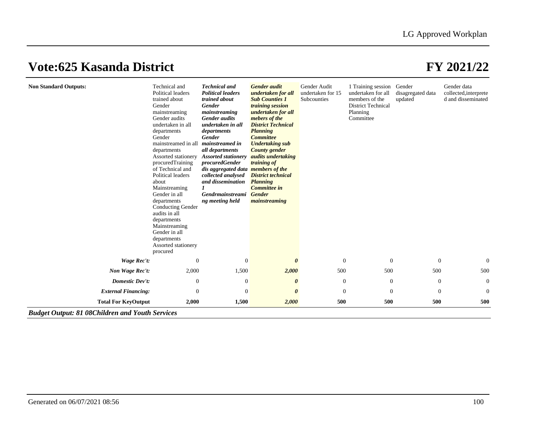| <b>Non Standard Outputs:</b> | Technical and<br>Political leaders<br>trained about<br>Gender<br>mainstreaming<br>Gender audits<br>undertaken in all<br>departments<br>Gender<br>mainstreamed in all<br>departments<br>Assorted stationery<br>procuredTraining<br>of Technical and<br>Political leaders<br>about<br>Mainstreaming<br>Gender in all<br>departments<br><b>Conducting Gender</b><br>audits in all<br>departments<br>Mainstreaming<br>Gender in all<br>departments<br>Assorted stationery<br>procured | <b>Technical and</b><br><b>Political leaders</b><br>trained about<br><b>Gender</b><br>mainstreaming<br><b>Gender</b> audits<br>undertaken in all<br>departments<br><b>Gender</b><br>mainstreamed in<br>all departments<br><b>Assorted stationery</b><br>procuredGender<br>dis aggregated data members of the<br>collected analysed<br>and dissemination<br>Gendrmainstreami<br>ng meeting held | <b>Gender</b> audit<br>undertaken for all<br><b>Sub Counties 1</b><br>training session<br>undertaken for all<br>mebers of the<br><b>District Technical</b><br><b>Planning</b><br><b>Committee</b><br><b>Undertaking sub</b><br><b>County</b> gender<br><i>audits undertaking</i><br>training of<br><b>District technical</b><br><b>Planning</b><br>Committee in<br><b>Gender</b><br>mainstreaming | Gender Audit<br>undertaken for 15<br>Subcounties | 1 Training session Gender<br>undertaken for all<br>members of the<br><b>District Technical</b><br>Planning<br>Committee | disagregated data<br>updated | Gender data<br>collected, interprete<br>d and disseminated |
|------------------------------|-----------------------------------------------------------------------------------------------------------------------------------------------------------------------------------------------------------------------------------------------------------------------------------------------------------------------------------------------------------------------------------------------------------------------------------------------------------------------------------|------------------------------------------------------------------------------------------------------------------------------------------------------------------------------------------------------------------------------------------------------------------------------------------------------------------------------------------------------------------------------------------------|---------------------------------------------------------------------------------------------------------------------------------------------------------------------------------------------------------------------------------------------------------------------------------------------------------------------------------------------------------------------------------------------------|--------------------------------------------------|-------------------------------------------------------------------------------------------------------------------------|------------------------------|------------------------------------------------------------|
| <b>Wage Rec't:</b>           | $\mathbf{0}$                                                                                                                                                                                                                                                                                                                                                                                                                                                                      | $\theta$                                                                                                                                                                                                                                                                                                                                                                                       | $\boldsymbol{\theta}$                                                                                                                                                                                                                                                                                                                                                                             | $\overline{0}$                                   | $\theta$                                                                                                                | $\mathbf{0}$                 | $\mathbf{0}$                                               |
| Non Wage Rec't:              | 2,000                                                                                                                                                                                                                                                                                                                                                                                                                                                                             | 1,500                                                                                                                                                                                                                                                                                                                                                                                          | 2,000                                                                                                                                                                                                                                                                                                                                                                                             | 500                                              | 500                                                                                                                     | 500                          | 500                                                        |
| <b>Domestic Dev't:</b>       | $\mathbf{0}$                                                                                                                                                                                                                                                                                                                                                                                                                                                                      | $\theta$                                                                                                                                                                                                                                                                                                                                                                                       | 0                                                                                                                                                                                                                                                                                                                                                                                                 | $\theta$                                         | $\theta$                                                                                                                | $\overline{0}$               | $\theta$                                                   |
| <b>External Financing:</b>   | $\mathbf{0}$                                                                                                                                                                                                                                                                                                                                                                                                                                                                      | $\overline{0}$                                                                                                                                                                                                                                                                                                                                                                                 | $\boldsymbol{\theta}$                                                                                                                                                                                                                                                                                                                                                                             | $\overline{0}$                                   | $\overline{0}$                                                                                                          | $\theta$                     | $\mathbf{0}$                                               |
| <b>Total For KeyOutput</b>   | 2,000                                                                                                                                                                                                                                                                                                                                                                                                                                                                             | 1,500                                                                                                                                                                                                                                                                                                                                                                                          | 2,000                                                                                                                                                                                                                                                                                                                                                                                             | 500                                              | 500                                                                                                                     | 500                          | 500                                                        |

*Budget Output: 81 08Children and Youth Services*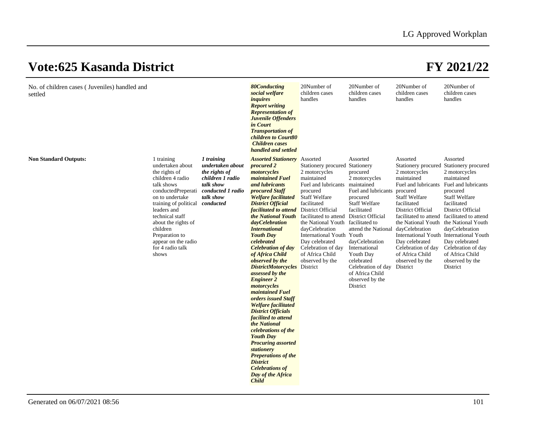| No. of children cases (Juveniles) handled and<br>settled |                                                                                                                                                                                                                                                                                                          |                                                                                                                    | <b>80Conducting</b><br>social welfare<br>inquires<br><b>Report writing</b><br><b>Representation of</b><br>Juvenile Offenders<br>in Court<br><b>Transportation of</b><br>children to Court80<br><b>Children</b> cases<br>handled and settled                                                                                                                                                                                                                                                                                                                                                                                                                                                                                                                                                                                                                            | 20Number of<br>children cases<br>handles                                                                                                                                                                                                                                                                                           | 20Number of<br>children cases<br>handles                                                                                                                                                                                                                                                                                                | 20Number of<br>children cases<br>handles                                                                                                                                                                                                                                                                                                                                                           | 20Number of<br>children cases<br>handles                                                                                                                                                                                                           |
|----------------------------------------------------------|----------------------------------------------------------------------------------------------------------------------------------------------------------------------------------------------------------------------------------------------------------------------------------------------------------|--------------------------------------------------------------------------------------------------------------------|------------------------------------------------------------------------------------------------------------------------------------------------------------------------------------------------------------------------------------------------------------------------------------------------------------------------------------------------------------------------------------------------------------------------------------------------------------------------------------------------------------------------------------------------------------------------------------------------------------------------------------------------------------------------------------------------------------------------------------------------------------------------------------------------------------------------------------------------------------------------|------------------------------------------------------------------------------------------------------------------------------------------------------------------------------------------------------------------------------------------------------------------------------------------------------------------------------------|-----------------------------------------------------------------------------------------------------------------------------------------------------------------------------------------------------------------------------------------------------------------------------------------------------------------------------------------|----------------------------------------------------------------------------------------------------------------------------------------------------------------------------------------------------------------------------------------------------------------------------------------------------------------------------------------------------------------------------------------------------|----------------------------------------------------------------------------------------------------------------------------------------------------------------------------------------------------------------------------------------------------|
| <b>Non Standard Outputs:</b>                             | 1 training<br>undertaken about<br>the rights of<br>children 4 radio<br>talk shows<br>conductedPreperati<br>on to undertake<br>training of political conducted<br>leaders and<br>technical staff<br>about the rights of<br>children<br>Preparation to<br>appear on the radio<br>for 4 radio talk<br>shows | 1 training<br>undertaken about<br>the rights of<br>children 1 radio<br>talk show<br>conducted 1 radio<br>talk show | <b>Assorted Stationery</b> Assorted<br>procured 2<br>motorcycles<br><i>maintained Fuel</i><br>and lubricants<br>procured Staff<br><b>Welfare facilitated</b><br><b>District Official</b><br><i>facilitated to attend</i> District Official<br>the National Youth<br>dayCelebration<br><b>International</b><br><b>Youth Day</b><br>celebrated<br><b>Celebration of day</b><br>of Africa Child<br>observed by the<br><b>DistrictMotorcycles</b> District<br>assessed by the<br><b>Engineer 2</b><br>motorcycles<br><i>maintained Fuel</i><br>orders issued Staff<br><b>Welfare facilitated</b><br><b>District Officials</b><br>facilited to attend<br>the National<br>celebrations of the<br><b>Youth Day</b><br><b>Procuring assorted</b><br>stationery<br><b>Preperations of the</b><br><b>District</b><br><b>Celebrations of</b><br>Day of the Africa<br><b>Child</b> | Stationery procured Stationery<br>2 motorcycles<br>maintained<br>Fuel and lubricants<br>procured<br><b>Staff Welfare</b><br>facilitated<br>facilitated to attend<br>the National Youth facilitated to<br>dayCelebration<br>International Youth Youth<br>Day celebrated<br>Celebration of day<br>of Africa Child<br>observed by the | Assorted<br>procured<br>2 motorcycles<br>maintained<br>Fuel and lubricants<br>procured<br><b>Staff Welfare</b><br>facilitated<br>District Official<br>attend the National dayCelebration<br>dayCelebration<br>International<br>Youth Day<br>celebrated<br>Celebration of day District<br>of Africa Child<br>observed by the<br>District | Assorted<br>Stationery procured Stationery procured<br>2 motorcycles<br>maintained<br>Fuel and lubricants<br>procured<br><b>Staff Welfare</b><br>facilitated<br>District Official<br>facilitated to attend facilitated to attend<br>the National Youth the National Youth<br>International Youth International Youth<br>Day celebrated<br>Celebration of day<br>of Africa Child<br>observed by the | Assorted<br>2 motorcycles<br>maintained<br>Fuel and lubricants<br>procured<br><b>Staff Welfare</b><br>facilitated<br>District Official<br>dayCelebration<br>Day celebrated<br>Celebration of day<br>of Africa Child<br>observed by the<br>District |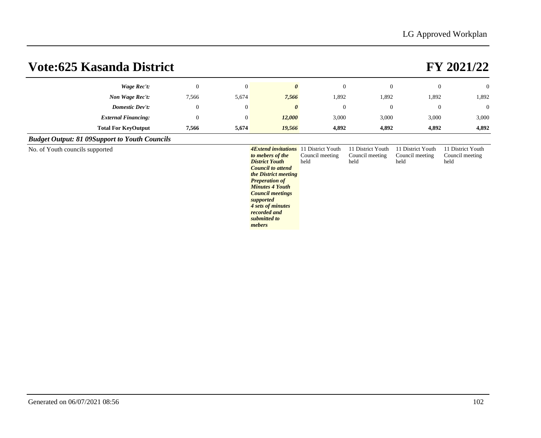| Vote:625 Kasanda District                            |              |                | FY 2021/22 |                |          |                |                |
|------------------------------------------------------|--------------|----------------|------------|----------------|----------|----------------|----------------|
| Wage Rec't:                                          | $\mathbf{0}$ | $\theta$       | 0          | $\overline{0}$ | $\theta$ | $\overline{0}$ | $\overline{0}$ |
| Non Wage Rec't:                                      | 7,566        | 5,674          | 7,566      | 1,892          | 1,892    | 1,892          | 1,892          |
| <b>Domestic Dev't:</b>                               | $\Omega$     | $\overline{0}$ | 0          | $\overline{0}$ | $\theta$ | $\overline{0}$ | $\overline{0}$ |
| <b>External Financing:</b>                           | $\Omega$     | $\theta$       | 12,000     | 3,000          | 3,000    | 3,000          | 3,000          |
| <b>Total For KeyOutput</b>                           | 7,566        | 5,674          | 19,566     | 4,892          | 4,892    | 4,892          | 4,892          |
| <b>Budget Output: 81 09Support to Youth Councils</b> |              |                |            |                |          |                |                |

No. of Youth councils supported

*to mebers of the District Youth Council to attend the District meeting Preperation of Minutes 4 Youth Council meetings supported 4 sets of minutes recorded and submitted to mebers* **4Extend invitations** 11 District Youth Council meeting held 11 District Youth Council meeting held 11 District Youth Council meeting held 11 District Youth Council meeting held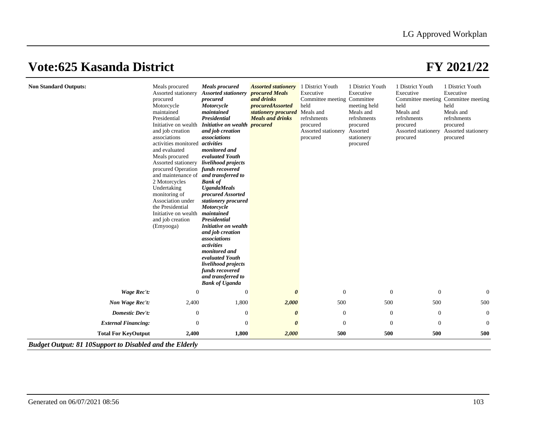| <b>Non Standard Outputs:</b>                                   | Meals procured<br>Assorted stationery<br>procured<br>Motorcycle<br>maintained<br>Presidential<br>Initiative on wealth<br>and job creation<br>associations<br>activities monitored<br>and evaluated<br>Meals procured<br>Assorted stationery<br>procured Operation<br>and maintenance of<br>2 Motorcycles<br>Undertaking<br>monitoring of<br>Association under<br>the Presidential<br>Initiative on wealth<br>and job creation<br>(Emyooga) | <b>Meals</b> procured<br><b>Assorted stationery</b><br>procured<br>Motorcycle<br>maintained<br>Presidential<br>Initiative on wealth procured<br>and job creation<br>associations<br>activities<br>monitored and<br>evaluated Youth<br>livelihood projects<br>funds recovered<br>and transferred to<br><b>Bank of</b><br><b>UgandaMeals</b><br>procured Assorted<br>stationery procured<br>Motorcycle<br>maintained<br><b>Presidential</b><br>Initiative on wealth<br>and job creation<br>associations<br>activities<br>monitored and<br>evaluated Youth<br>livelihood projects<br>funds recovered<br>and transferred to<br><b>Bank of Uganda</b> | <b>Assorted stationery</b><br>procured Meals<br>and drinks<br>procuredAssorted<br>stationery procured Meals and<br><b>Meals and drinks</b> | 1 District Youth<br>Executive<br>Committee meeting Committee<br>held<br>refrshments<br>procured<br>Assorted stationery<br>procured | 1 District Youth<br>Executive<br>meeting held<br>Meals and<br>refrshments<br>procured<br>Assorted<br>stationery<br>procured | 1 District Youth<br>Executive<br>held<br>Meals and<br>refrshments<br>procured<br>procured | 1 District Youth<br>Executive<br>Committee meeting Committee meeting<br>held<br>Meals and<br>refrshments<br>procured<br>Assorted stationery Assorted stationery<br>procured |
|----------------------------------------------------------------|--------------------------------------------------------------------------------------------------------------------------------------------------------------------------------------------------------------------------------------------------------------------------------------------------------------------------------------------------------------------------------------------------------------------------------------------|--------------------------------------------------------------------------------------------------------------------------------------------------------------------------------------------------------------------------------------------------------------------------------------------------------------------------------------------------------------------------------------------------------------------------------------------------------------------------------------------------------------------------------------------------------------------------------------------------------------------------------------------------|--------------------------------------------------------------------------------------------------------------------------------------------|------------------------------------------------------------------------------------------------------------------------------------|-----------------------------------------------------------------------------------------------------------------------------|-------------------------------------------------------------------------------------------|-----------------------------------------------------------------------------------------------------------------------------------------------------------------------------|
| <b>Wage Rec't:</b>                                             | $\mathbf{0}$                                                                                                                                                                                                                                                                                                                                                                                                                               | $\theta$                                                                                                                                                                                                                                                                                                                                                                                                                                                                                                                                                                                                                                         | $\boldsymbol{\theta}$                                                                                                                      | $\mathbf{0}$                                                                                                                       | $\mathbf{0}$                                                                                                                | $\mathbf{0}$                                                                              | $\mathbf{0}$                                                                                                                                                                |
| Non Wage Rec't:                                                | 2,400                                                                                                                                                                                                                                                                                                                                                                                                                                      | 1,800                                                                                                                                                                                                                                                                                                                                                                                                                                                                                                                                                                                                                                            | 2,000                                                                                                                                      | 500                                                                                                                                | 500                                                                                                                         | 500                                                                                       | 500                                                                                                                                                                         |
| <b>Domestic Dev't:</b>                                         | $\boldsymbol{0}$                                                                                                                                                                                                                                                                                                                                                                                                                           | $\mathbf{0}$                                                                                                                                                                                                                                                                                                                                                                                                                                                                                                                                                                                                                                     | $\boldsymbol{\theta}$                                                                                                                      | $\mathbf{0}$                                                                                                                       | $\boldsymbol{0}$                                                                                                            | $\boldsymbol{0}$                                                                          | $\mathbf{0}$                                                                                                                                                                |
| <b>External Financing:</b>                                     | $\mathbf{0}$                                                                                                                                                                                                                                                                                                                                                                                                                               | $\mathbf{0}$                                                                                                                                                                                                                                                                                                                                                                                                                                                                                                                                                                                                                                     | $\boldsymbol{\theta}$                                                                                                                      | $\overline{0}$                                                                                                                     | $\Omega$                                                                                                                    | $\mathbf{0}$                                                                              | $\mathbf{0}$                                                                                                                                                                |
| <b>Total For KeyOutput</b>                                     | 2,400                                                                                                                                                                                                                                                                                                                                                                                                                                      | 1,800                                                                                                                                                                                                                                                                                                                                                                                                                                                                                                                                                                                                                                            | 2,000                                                                                                                                      | 500                                                                                                                                | 500                                                                                                                         | 500                                                                                       | 500                                                                                                                                                                         |
| <b>Budget Output: 81 10Support to Disabled and the Elderly</b> |                                                                                                                                                                                                                                                                                                                                                                                                                                            |                                                                                                                                                                                                                                                                                                                                                                                                                                                                                                                                                                                                                                                  |                                                                                                                                            |                                                                                                                                    |                                                                                                                             |                                                                                           |                                                                                                                                                                             |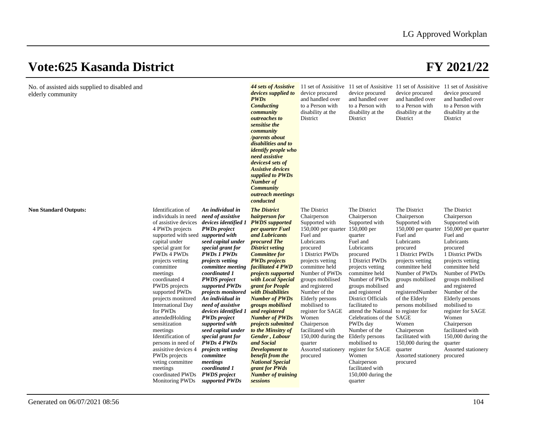| No. of assisted aids supplied to disabled and<br>elderly community |                                                                                                                                                                                                                                                                                                                                                                                                                                                                                                                                                                 |                                                                                                                                                                                                                                                                                                                                                                                                                                                                                                                                                                                       | 44 sets of Assistive<br>devices supplied to<br><b>PWDs</b><br><b>Conducting</b><br>community<br>outreaches to<br>sensitise the<br>community<br>/parents about<br>disabilities and to<br><i>identify people who</i><br>need assistive<br>devices4 sets of<br><b>Assistive devices</b><br>supplied to PWDs<br><b>Number of</b><br><b>Community</b><br>outreach meetings<br>conducted                                                                                                                                                                                                                              | device procured<br>and handled over<br>to a Person with<br>disability at the<br>District                                                                                                                                                                                                                                                                                                                                                                | device procured<br>and handled over<br>to a Person with<br>disability at the<br>District                                                                                                                                                                                                                                                                                                                                                                                         | 11 set of Assisitive 11 set of Assisitive 11 set of Assisitive 11 set of Assisitive<br>device procured<br>and handled over<br>to a Person with<br>disability at the<br>District                                                                                                                                                                                                                      | device procured<br>and handled over<br>to a Person with<br>disability at the<br>District                                                                                                                                                                                                                                                                                                                 |
|--------------------------------------------------------------------|-----------------------------------------------------------------------------------------------------------------------------------------------------------------------------------------------------------------------------------------------------------------------------------------------------------------------------------------------------------------------------------------------------------------------------------------------------------------------------------------------------------------------------------------------------------------|---------------------------------------------------------------------------------------------------------------------------------------------------------------------------------------------------------------------------------------------------------------------------------------------------------------------------------------------------------------------------------------------------------------------------------------------------------------------------------------------------------------------------------------------------------------------------------------|-----------------------------------------------------------------------------------------------------------------------------------------------------------------------------------------------------------------------------------------------------------------------------------------------------------------------------------------------------------------------------------------------------------------------------------------------------------------------------------------------------------------------------------------------------------------------------------------------------------------|---------------------------------------------------------------------------------------------------------------------------------------------------------------------------------------------------------------------------------------------------------------------------------------------------------------------------------------------------------------------------------------------------------------------------------------------------------|----------------------------------------------------------------------------------------------------------------------------------------------------------------------------------------------------------------------------------------------------------------------------------------------------------------------------------------------------------------------------------------------------------------------------------------------------------------------------------|------------------------------------------------------------------------------------------------------------------------------------------------------------------------------------------------------------------------------------------------------------------------------------------------------------------------------------------------------------------------------------------------------|----------------------------------------------------------------------------------------------------------------------------------------------------------------------------------------------------------------------------------------------------------------------------------------------------------------------------------------------------------------------------------------------------------|
| <b>Non Standard Outputs:</b>                                       | Identification of<br>individuals in need<br>of assistive devices<br>4 PWDs projects<br>supported with seed <i>supported with</i><br>capital under<br>special grant for<br>PWDs 4 PWDs<br>projects vetting<br>committee<br>meetings<br>coordinated 4<br>PWDS projects<br>supported PWDs<br>projects monitored<br><b>International Day</b><br>for PWDs<br>attendedHolding<br>sensitization<br>meetings<br>Identification of<br>persons in need of<br>assisitive devices 4<br>PWDs projects<br>veting committee<br>meetings<br>coordinated PWDs<br>Monitoring PWDs | An individual in<br>need of assistive<br>devices identified 1<br><b>PWDs</b> project<br>seed capital under<br>special grant for<br><b>PWDs 1 PWDs</b><br><i>projects vetting</i><br>committee meeting<br>coordinated 1<br><b>PWDS</b> project<br>supported PWDs<br><i>projects monitored</i><br>An individual in<br>need of assistive<br>devices identified 1<br><b>PWDs</b> project<br>supported with<br>seed capital under<br>special grant for<br><b>PWDs 4 PWDs</b><br><i>projects vetting</i><br>committee<br>meetings<br>coordinated 1<br><b>PWDS</b> project<br>supported PWDs | <b>The District</b><br>hairperson for<br><b>PWDS</b> supported<br>per quarter Fuel<br>and Lubricants<br>procured The<br><b>District veting</b><br><b>Committee for</b><br><b>PWDs</b> projects<br>facilitated 4 PWD<br>projects supported<br>with Local Special<br>grant for People<br>with Disabilities<br><b>Number of PWDs</b><br>groups mobilised<br>and registered<br><b>Number of PWDs</b><br>projects submitted<br>to the Minsitry of<br>Gender, Labour<br>and Social<br><b>Development</b> to<br>benefit from the<br><b>National Special</b><br>grant for PWds<br><b>Number of training</b><br>sessions | The District<br>Chairperson<br>Supported with<br>150,000 per quarter 150,000 per<br>Fuel and<br>Lubricants<br>procured<br>1 District PWDs<br>projects vetting<br>committee held<br>Number of PWDs<br>groups mobilised<br>and registered<br>Number of the<br><b>Elderly</b> persons<br>mobilised to<br>register for SAGE<br>Women<br>Chairperson<br>facilitated with<br>150,000 during the Elderly persons<br>quarter<br>Assorted stationery<br>procured | The District<br>Chairperson<br>Supported with<br>quarter<br>Fuel and<br>Lubricants<br>procured<br>1 District PWDs<br>projects vetting<br>committee held<br>Number of PWDs<br>groups mobilised<br>and registered<br><b>District Officials</b><br>facilitated to<br>attend the National to register for<br>Celebrations of the SAGE<br>PWDs day<br>Number of the<br>mobilised to<br>register for SAGE<br>Women<br>Chairperson<br>facilitated with<br>150,000 during the<br>quarter | The District<br>Chairperson<br>Supported with<br>150,000 per quarter<br>Fuel and<br>Lubricants<br>procured<br>1 District PWDs<br>projects vetting<br>committee held<br>Number of PWDs<br>groups mobilised<br>and<br>registeredNumber<br>of the Elderly<br>persons mobilised<br>Women<br>Chairperson<br>facilitated with<br>150,000 during the<br>quarter<br>Assorted stationery procured<br>procured | The District<br>Chairperson<br>Supported with<br>150,000 per quarter<br>Fuel and<br>Lubricants<br>procured<br>1 District PWDs<br>projects vetting<br>committee held<br>Number of PWDs<br>groups mobilised<br>and registered<br>Number of the<br>Elderly persons<br>mobilised to<br>register for SAGE<br>Women<br>Chairperson<br>facilitated with<br>150,000 during the<br>quarter<br>Assorted stationery |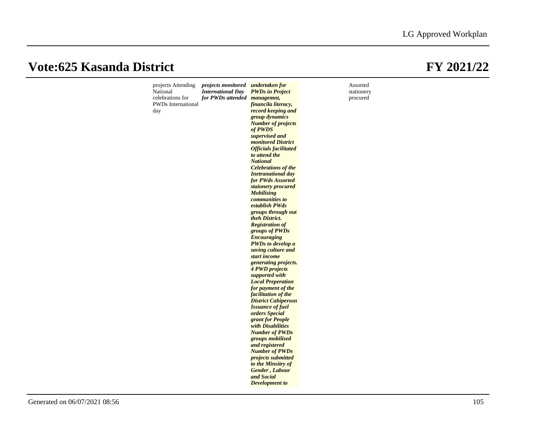| projects Attending<br>National | projects monitored undertaken for<br><b>International Day</b> | <b>PWDs in Project</b>                        | Assorted<br>stationery |
|--------------------------------|---------------------------------------------------------------|-----------------------------------------------|------------------------|
| celebrations for               | for PWDs attended managemnt,                                  |                                               | procured               |
| <b>PWDs</b> International      |                                                               | financila literacy,                           |                        |
| day                            |                                                               | record keeping and                            |                        |
|                                |                                                               | group dynamics                                |                        |
|                                |                                                               | <b>Number of projects</b>                     |                        |
|                                |                                                               | of PWDS                                       |                        |
|                                |                                                               | supervised and                                |                        |
|                                |                                                               | monitored District                            |                        |
|                                |                                                               | <b>Officials facilitated</b><br>to attend the |                        |
|                                |                                                               | <b>National</b>                               |                        |
|                                |                                                               | <b>Celebrations of the</b>                    |                        |
|                                |                                                               | <b>Inetranational day</b>                     |                        |
|                                |                                                               | for PWds Assorted                             |                        |
|                                |                                                               | staionery procured                            |                        |
|                                |                                                               | <b>Mobilising</b>                             |                        |
|                                |                                                               | <i>communities to</i>                         |                        |
|                                |                                                               | establish PWds                                |                        |
|                                |                                                               | groups through out                            |                        |
|                                |                                                               | theh District.<br><b>Registration of</b>      |                        |
|                                |                                                               | groups of PWDs                                |                        |
|                                |                                                               | <b>Encouraging</b>                            |                        |
|                                |                                                               | <b>PWDs</b> to develop a                      |                        |
|                                |                                                               | saving culture and                            |                        |
|                                |                                                               | start income                                  |                        |
|                                |                                                               | generating projects.                          |                        |
|                                |                                                               | <b>4 PWD projects</b>                         |                        |
|                                |                                                               | supported with<br><b>Local Preperation</b>    |                        |
|                                |                                                               | for payment of the                            |                        |
|                                |                                                               | facilitation of the                           |                        |
|                                |                                                               | <b>District Cahiperson</b>                    |                        |
|                                |                                                               | <b>Issuance of fuel</b>                       |                        |
|                                |                                                               | orders Special                                |                        |
|                                |                                                               | grant for People                              |                        |
|                                |                                                               | with Disabilities<br><b>Number of PWDs</b>    |                        |
|                                |                                                               | groups mobilised                              |                        |
|                                |                                                               | and registered                                |                        |
|                                |                                                               | <b>Number of PWDs</b>                         |                        |
|                                |                                                               | projects submitted                            |                        |
|                                |                                                               | to the Minsitry of                            |                        |
|                                |                                                               | Gender, Labour                                |                        |
|                                |                                                               | and Social                                    |                        |
|                                |                                                               | <b>Development</b> to                         |                        |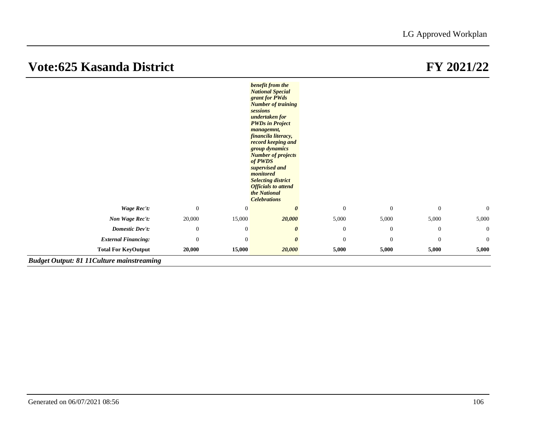*Budget Output: 81 11Culture mainstreaming*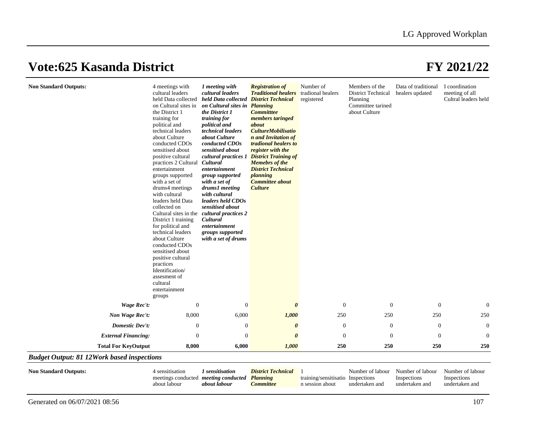| <b>Non Standard Outputs:</b> | 4 meetings with<br>cultural leaders<br>held Data collected<br>on Cultural sites in<br>the District 1<br>training for<br>political and<br>technical leaders<br>about Culture<br>conducted CDOs<br>sensitised about<br>positive cultural<br>practices 2 Cultural<br>entertainment<br>groups supported<br>with a set of<br>drums4 meetings<br>with cultural<br>leaders held Data<br>collected on<br>Cultural sites in the<br>District 1 training<br>for political and<br>technical leaders<br>about Culture<br>conducted CDOs<br>sensitised about<br>positive cultural<br>practices<br>Identification/<br>assesment of<br>cultural<br>entertainment<br>groups | 1 meeting with<br>cultural leaders<br>held Data collected District Technical<br>on Cultural sites in<br>the District 1<br>training for<br>political and<br>technical leaders<br>about Culture<br>conducted CDOs<br>sensitised about<br>cultural practices 1<br>Cultural<br>entertainment<br>group supported<br>with a set of<br>drums1 meeting<br>with cultural<br>leaders held CDOs<br>sensitised about<br>cultural practices 2<br>Cultural<br>entertainment<br>groups supported<br>with a set of drums | <b>Registration of</b><br><b>Traditional healers</b><br><b>Planning</b><br><b>Committee</b><br>members taringed<br>about<br><b>CultureMobilisatio</b><br>n and Invitation of<br>tradional healers to<br>register with the<br><b>District Training of</b><br><b>Memebrs</b> of the<br><b>District Technical</b><br>planning<br><b>Committee about</b><br><b>Culture</b> | Number of<br>tradional healers<br>registered | Members of the<br>District Technical<br>Planning<br>Committee tarined<br>about Culture | Data of traditional<br>healers updated | I coordination<br>meeting of all<br>Cultral leaders held |
|------------------------------|------------------------------------------------------------------------------------------------------------------------------------------------------------------------------------------------------------------------------------------------------------------------------------------------------------------------------------------------------------------------------------------------------------------------------------------------------------------------------------------------------------------------------------------------------------------------------------------------------------------------------------------------------------|----------------------------------------------------------------------------------------------------------------------------------------------------------------------------------------------------------------------------------------------------------------------------------------------------------------------------------------------------------------------------------------------------------------------------------------------------------------------------------------------------------|------------------------------------------------------------------------------------------------------------------------------------------------------------------------------------------------------------------------------------------------------------------------------------------------------------------------------------------------------------------------|----------------------------------------------|----------------------------------------------------------------------------------------|----------------------------------------|----------------------------------------------------------|
| <b>Wage Rec't:</b>           | $\mathbf{0}$                                                                                                                                                                                                                                                                                                                                                                                                                                                                                                                                                                                                                                               | $\overline{0}$                                                                                                                                                                                                                                                                                                                                                                                                                                                                                           | $\boldsymbol{\theta}$                                                                                                                                                                                                                                                                                                                                                  | $\overline{0}$                               | $\mathbf{0}$                                                                           | $\boldsymbol{0}$                       | $\overline{0}$                                           |
| Non Wage Rec't:              | 8,000                                                                                                                                                                                                                                                                                                                                                                                                                                                                                                                                                                                                                                                      | 6,000                                                                                                                                                                                                                                                                                                                                                                                                                                                                                                    | 1,000                                                                                                                                                                                                                                                                                                                                                                  | 250                                          | 250                                                                                    | 250                                    | 250                                                      |
| <b>Domestic Dev't:</b>       | $\mathbf{0}$                                                                                                                                                                                                                                                                                                                                                                                                                                                                                                                                                                                                                                               | $\overline{0}$                                                                                                                                                                                                                                                                                                                                                                                                                                                                                           | $\boldsymbol{\theta}$                                                                                                                                                                                                                                                                                                                                                  | $\overline{0}$                               | $\mathbf{0}$                                                                           | $\mathbf{0}$                           | $\mathbf{0}$                                             |
| <b>External Financing:</b>   | $\mathbf{0}$                                                                                                                                                                                                                                                                                                                                                                                                                                                                                                                                                                                                                                               | $\theta$                                                                                                                                                                                                                                                                                                                                                                                                                                                                                                 | $\boldsymbol{\theta}$                                                                                                                                                                                                                                                                                                                                                  | $\Omega$                                     | $\theta$                                                                               | $\boldsymbol{0}$                       | $\boldsymbol{0}$                                         |
| <b>Total For KeyOutput</b>   | 8,000                                                                                                                                                                                                                                                                                                                                                                                                                                                                                                                                                                                                                                                      | 6,000                                                                                                                                                                                                                                                                                                                                                                                                                                                                                                    | 1,000                                                                                                                                                                                                                                                                                                                                                                  | 250                                          | 250                                                                                    | 250                                    | 250                                                      |

| <b>Non Standard Outputs:</b> | sensitisation                               | sensitisation | <b>District Technical</b> |                                   | Number of labour - | Number of labour | Number of labour |
|------------------------------|---------------------------------------------|---------------|---------------------------|-----------------------------------|--------------------|------------------|------------------|
|                              | meetings conducted <i>meeting conducted</i> |               | <b>Planning</b>           | training/sensitisatio Inspections |                    | Inspections      | Inspections      |
|                              | . labour<br>about                           | about labour  | <i>committee</i>          | n session about                   | undertaken and     | undertaken and   | undertaken and   |
|                              |                                             |               |                           |                                   |                    |                  |                  |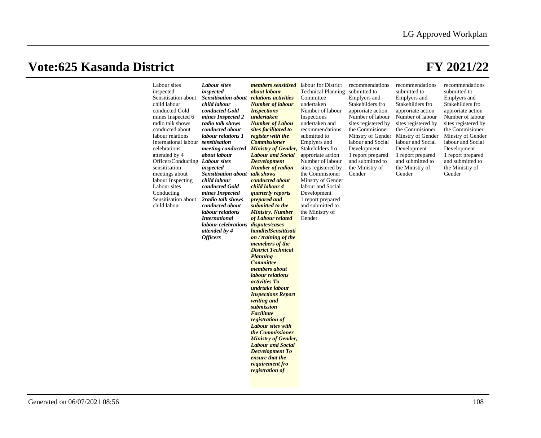| Labour sites<br>inspected<br>Sensitisation about<br>child labour<br>conducted Gold<br>mines Inspected 6<br>radio talk shows<br>conducted about<br>labour relations<br>International labour sensitisation<br>celebrations<br>attended by 4<br>OfficersConducting Labour sites<br>sensitisation<br>meetings about<br>labour Inspecting<br>Labour sites<br>Conducting<br>Sensitisation about<br>child labour | <b>Labour</b> sites<br>inspected<br><b>Sensitisation about relations activities</b><br>child labour<br>conducted Gold<br>mines Inspected 2<br>radio talk shows<br>conducted about<br>labour relations 1<br>about labour<br>inspected<br><b>Sensitisation about talk shows</b><br>child labour<br>conducted Gold<br>mines Inspected<br>2radio talk shows<br>conducted about<br>labour relations<br><i>International</i><br>labour celebrations disputes/cases<br>attended by 4<br><b>Officers</b> | <i>members sensitised</i> labour for District<br>about labour<br><b>Number of labour</b><br><b>Inspections</b><br>undertaken<br><b>Number of Labou</b><br>sites facilitated to<br>register with the<br><b>Commissioner</b><br>meeting conducted Ministry of Gender,<br><b>Labour and Social</b><br><b>Decvelopment</b><br><b>Number of radion</b><br>conducted about<br>child labour 4<br><i>quarterly reports</i><br>prepared and<br>submitted to the<br><b>Ministry. Number</b><br>of Labour related<br>handledSensittisati<br>on / training of the<br>memebers of the<br><b>District Technical</b><br><b>Planning</b><br><b>Committee</b><br>members about<br>labour relations<br><i>activities To</i><br>undrtake labour<br><b>Inspections Report</b><br>writing and<br>submission<br>Facilitate<br>registration of<br>Labour sites with<br>the Commissioner<br><b>Ministry of Gender,</b><br><b>Labour and Social</b><br><b>Decvelopment To</b><br>ensure that the<br>requirement fro<br>registration of | <b>Technical Planning</b><br>Committee<br>undertaken<br>Number of labour<br>Inspections<br>undertaken and<br>recommendations<br>submitted to<br>Emplyers and<br>Stakehilders fro<br>approriate action<br>Number of labour<br>sites registered by<br>the Commisioner<br>Minstry of Gender<br>labour and Social<br>Development<br>1 report prepared<br>and submitted to<br>the Ministry of<br>Gender | recommendations<br>submitted to<br>Emplyers and<br>Stakehilders fro<br>approriate action<br>Number of labour<br>sites registered by<br>the Commisioner<br>Minstry of Gender<br>labour and Social<br>Development<br>1 report prepared<br>and submitted to<br>the Ministry of<br>Gender | recommendations<br>submitted to<br>Emplyers and<br>Stakehilders fro<br>approriate action<br>Number of labour<br>sites registered by<br>the Commisioner<br>Minstry of Gender<br>labour and Social<br>Development<br>1 report prepared<br>and submitted to<br>the Ministry of<br>Gender | recommendations<br>submitted to<br>Emplyers and<br>Stakehilders fro<br>approriate action<br>Number of labour<br>sites registered by<br>the Commisioner<br>Minstry of Gender<br>labour and Social<br>Development<br>1 report prepared<br>and submitted to<br>the Ministry of<br>Gender |
|-----------------------------------------------------------------------------------------------------------------------------------------------------------------------------------------------------------------------------------------------------------------------------------------------------------------------------------------------------------------------------------------------------------|--------------------------------------------------------------------------------------------------------------------------------------------------------------------------------------------------------------------------------------------------------------------------------------------------------------------------------------------------------------------------------------------------------------------------------------------------------------------------------------------------|---------------------------------------------------------------------------------------------------------------------------------------------------------------------------------------------------------------------------------------------------------------------------------------------------------------------------------------------------------------------------------------------------------------------------------------------------------------------------------------------------------------------------------------------------------------------------------------------------------------------------------------------------------------------------------------------------------------------------------------------------------------------------------------------------------------------------------------------------------------------------------------------------------------------------------------------------------------------------------------------------------------|----------------------------------------------------------------------------------------------------------------------------------------------------------------------------------------------------------------------------------------------------------------------------------------------------------------------------------------------------------------------------------------------------|---------------------------------------------------------------------------------------------------------------------------------------------------------------------------------------------------------------------------------------------------------------------------------------|---------------------------------------------------------------------------------------------------------------------------------------------------------------------------------------------------------------------------------------------------------------------------------------|---------------------------------------------------------------------------------------------------------------------------------------------------------------------------------------------------------------------------------------------------------------------------------------|
|-----------------------------------------------------------------------------------------------------------------------------------------------------------------------------------------------------------------------------------------------------------------------------------------------------------------------------------------------------------------------------------------------------------|--------------------------------------------------------------------------------------------------------------------------------------------------------------------------------------------------------------------------------------------------------------------------------------------------------------------------------------------------------------------------------------------------------------------------------------------------------------------------------------------------|---------------------------------------------------------------------------------------------------------------------------------------------------------------------------------------------------------------------------------------------------------------------------------------------------------------------------------------------------------------------------------------------------------------------------------------------------------------------------------------------------------------------------------------------------------------------------------------------------------------------------------------------------------------------------------------------------------------------------------------------------------------------------------------------------------------------------------------------------------------------------------------------------------------------------------------------------------------------------------------------------------------|----------------------------------------------------------------------------------------------------------------------------------------------------------------------------------------------------------------------------------------------------------------------------------------------------------------------------------------------------------------------------------------------------|---------------------------------------------------------------------------------------------------------------------------------------------------------------------------------------------------------------------------------------------------------------------------------------|---------------------------------------------------------------------------------------------------------------------------------------------------------------------------------------------------------------------------------------------------------------------------------------|---------------------------------------------------------------------------------------------------------------------------------------------------------------------------------------------------------------------------------------------------------------------------------------|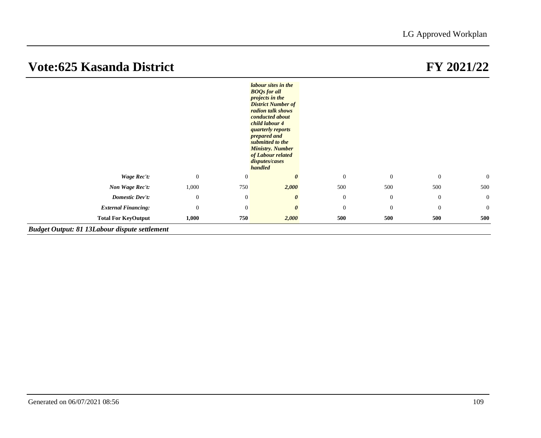|                            |                |                | labour sites in the<br><b>BOOs for all</b><br><i>projects in the</i><br><b>District Number of</b><br>radion talk shows<br>conducted about<br>child labour 4<br><i>quarterly reports</i><br>prepared and<br>submitted to the<br><b>Ministry. Number</b><br>of Labour related<br>disputes/cases<br>handled |                  |                  |                  |                  |
|----------------------------|----------------|----------------|----------------------------------------------------------------------------------------------------------------------------------------------------------------------------------------------------------------------------------------------------------------------------------------------------------|------------------|------------------|------------------|------------------|
| Wage Rec't:                | $\overline{0}$ | $\overline{0}$ | $\theta$                                                                                                                                                                                                                                                                                                 | $\mathbf{0}$     | $\overline{0}$   | $\overline{0}$   | $\mathbf{0}$     |
| Non Wage Rec't:            | 1,000          | 750            | 2,000                                                                                                                                                                                                                                                                                                    | 500              | 500              | 500              | 500              |
| <b>Domestic Dev't:</b>     | $\mathbf{0}$   | $\mathbf{0}$   | $\boldsymbol{\theta}$                                                                                                                                                                                                                                                                                    | $\mathbf{0}$     | $\mathbf{0}$     | $\mathbf{0}$     | $\mathbf{0}$     |
| <b>External Financing:</b> | $\mathbf{0}$   | $\mathbf{0}$   | $\boldsymbol{\theta}$                                                                                                                                                                                                                                                                                    | $\boldsymbol{0}$ | $\boldsymbol{0}$ | $\boldsymbol{0}$ | $\boldsymbol{0}$ |
| <b>Total For KeyOutput</b> | 1,000          | 750            | 2,000                                                                                                                                                                                                                                                                                                    | 500              | 500              | 500              | 500              |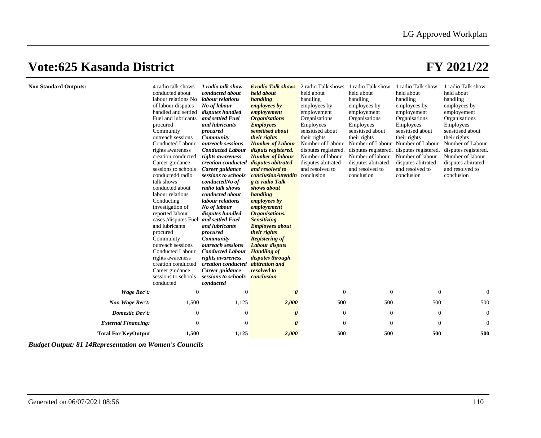| <b>Non Standard Outputs:</b> | 4 radio talk shows<br>conducted about<br>labour relations No<br>of labour disputes<br>handled and settled<br>Fuel and lubricants<br>procured<br>Community<br>outreach sessions<br><b>Conducted Labour</b><br>rights awareness<br>creation conducted<br>Career guidance<br>sessions to schools<br>conducted4 radio<br>talk shows<br>conducted about<br>labour relations<br>Conducting<br>investigation of<br>reported labour<br>cases /disputes Fuel<br>and lubricants<br>procured<br>Community | 1 radio talk show<br>conducted about<br>labour relations<br>No of labour<br>disputes handled<br>and settled Fuel<br>and lubricants<br>procured<br>Community<br>outreach sessions<br><b>Conducted Labour</b><br>rights awareness<br>creation conducted<br>Career guidance<br>sessions to schools<br>conductedNo of<br>radio talk shows<br>conducted about<br>labour relations<br>No of labour<br>disputes handled<br>and settled Fuel<br>and lubricants<br>procured<br>Community | <b>6 radio Talk shows</b><br>held about<br>handling<br><i>employees by</i><br>employement<br><b>Organisations</b><br><b>Employees</b><br>sensitised about<br>their rights<br><b>Number of Labour</b><br>disputs registered.<br><b>Number of labour</b><br>disputes abitrated<br>and resolved to<br><b>conclusionAttendin</b> conclusion<br>g to radio Talk<br>shows about<br>handling<br>employees by<br>employement<br>Organisations.<br><b>Sensitizing</b><br><b>Employees about</b><br>their rights<br><b>Registering of</b> | 2 radio Talk shows<br>held about<br>handling<br>employees by<br>employement<br>Organisations<br>Employees<br>sensitised about<br>their rights<br>Number of Labour<br>disputes registered.<br>Number of labour<br>disputes abitrated<br>and resolved to | 1 radio Talk show<br>held about<br>handling<br>employees by<br>employement<br>Organisations<br>Employees<br>sensitised about<br>their rights<br>Number of Labour<br>disputes registered.<br>Number of labour<br>disputes abitrated<br>and resolved to<br>conclusion | 1 radio Talk show<br>held about<br>handling<br>employees by<br>employement<br>Organisations<br>Employees<br>sensitised about<br>their rights<br>Number of Labour<br>disputes registered.<br>Number of labour<br>disputes abitrated<br>and resolved to<br>conclusion | 1 radio Talk show<br>held about<br>handling<br>employees by<br>employement<br>Organisations<br>Employees<br>sensitised about<br>their rights<br>Number of Labour<br>disputes registered.<br>Number of labour<br>disputes abitrated<br>and resolved to<br>conclusion |
|------------------------------|------------------------------------------------------------------------------------------------------------------------------------------------------------------------------------------------------------------------------------------------------------------------------------------------------------------------------------------------------------------------------------------------------------------------------------------------------------------------------------------------|---------------------------------------------------------------------------------------------------------------------------------------------------------------------------------------------------------------------------------------------------------------------------------------------------------------------------------------------------------------------------------------------------------------------------------------------------------------------------------|---------------------------------------------------------------------------------------------------------------------------------------------------------------------------------------------------------------------------------------------------------------------------------------------------------------------------------------------------------------------------------------------------------------------------------------------------------------------------------------------------------------------------------|--------------------------------------------------------------------------------------------------------------------------------------------------------------------------------------------------------------------------------------------------------|---------------------------------------------------------------------------------------------------------------------------------------------------------------------------------------------------------------------------------------------------------------------|---------------------------------------------------------------------------------------------------------------------------------------------------------------------------------------------------------------------------------------------------------------------|---------------------------------------------------------------------------------------------------------------------------------------------------------------------------------------------------------------------------------------------------------------------|
|                              | outreach sessions<br><b>Conducted Labour</b><br>rights awareness<br>creation conducted<br>Career guidance<br>sessions to schools<br>conducted                                                                                                                                                                                                                                                                                                                                                  | <i>outreach sessions</i><br><b>Conducted Labour</b><br>rights awareness<br>creation conducted abitration and<br>Career guidance<br>sessions to schools conclusion<br>conducted                                                                                                                                                                                                                                                                                                  | <b>Labour disputs</b><br><b>Handling of</b><br>disputes through<br>resolved to                                                                                                                                                                                                                                                                                                                                                                                                                                                  |                                                                                                                                                                                                                                                        |                                                                                                                                                                                                                                                                     |                                                                                                                                                                                                                                                                     |                                                                                                                                                                                                                                                                     |
| Wage Rec't:                  | $\mathbf{0}$                                                                                                                                                                                                                                                                                                                                                                                                                                                                                   | $\theta$                                                                                                                                                                                                                                                                                                                                                                                                                                                                        | $\boldsymbol{\theta}$                                                                                                                                                                                                                                                                                                                                                                                                                                                                                                           | $\theta$                                                                                                                                                                                                                                               | $\theta$                                                                                                                                                                                                                                                            | $\overline{0}$                                                                                                                                                                                                                                                      | $\overline{0}$                                                                                                                                                                                                                                                      |
| Non Wage Rec't:              | 1,500                                                                                                                                                                                                                                                                                                                                                                                                                                                                                          | 1,125                                                                                                                                                                                                                                                                                                                                                                                                                                                                           | 2,000                                                                                                                                                                                                                                                                                                                                                                                                                                                                                                                           | 500                                                                                                                                                                                                                                                    | 500                                                                                                                                                                                                                                                                 | 500                                                                                                                                                                                                                                                                 | 500                                                                                                                                                                                                                                                                 |
| Domestic Dev't:              | $\boldsymbol{0}$                                                                                                                                                                                                                                                                                                                                                                                                                                                                               | $\theta$                                                                                                                                                                                                                                                                                                                                                                                                                                                                        | $\boldsymbol{\theta}$                                                                                                                                                                                                                                                                                                                                                                                                                                                                                                           | $\boldsymbol{0}$                                                                                                                                                                                                                                       | $\theta$                                                                                                                                                                                                                                                            | $\mathbf{0}$                                                                                                                                                                                                                                                        | $\mathbf{0}$                                                                                                                                                                                                                                                        |
| <b>External Financing:</b>   | $\mathbf{0}$                                                                                                                                                                                                                                                                                                                                                                                                                                                                                   | $\overline{0}$                                                                                                                                                                                                                                                                                                                                                                                                                                                                  | 0                                                                                                                                                                                                                                                                                                                                                                                                                                                                                                                               | $\overline{0}$                                                                                                                                                                                                                                         | $\Omega$                                                                                                                                                                                                                                                            | $\Omega$                                                                                                                                                                                                                                                            | $\overline{0}$                                                                                                                                                                                                                                                      |
| <b>Total For KeyOutput</b>   | 1,500                                                                                                                                                                                                                                                                                                                                                                                                                                                                                          | 1,125                                                                                                                                                                                                                                                                                                                                                                                                                                                                           | 2,000                                                                                                                                                                                                                                                                                                                                                                                                                                                                                                                           | 500                                                                                                                                                                                                                                                    | 500                                                                                                                                                                                                                                                                 | 500                                                                                                                                                                                                                                                                 | 500                                                                                                                                                                                                                                                                 |

*Budget Output: 81 14Representation on Women's Councils*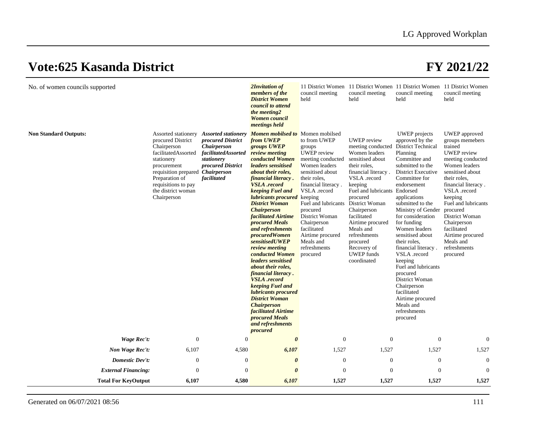| No. of women councils supported |                                                                                                                                                                                                        |                                                                                                                                                                           | 2Invitation of<br>members of the<br><b>District Women</b><br>council to attend<br>the meeting2<br><b>Women</b> council<br>meetings held                                                                                                                                                                                                                                                                                                                                                                                                                                                                                                                                                                                                                               | council meeting<br>held                                                                                                                                                                                                                                                                                       | council meeting<br>held                                                                                                                                                                                                                                                                                                                                    | 11 District Women 11 District Women 11 District Women 11 District Women<br>council meeting<br>held                                                                                                                                                                                                                                                                                                                                                                                                                                      | council meeting<br>held                                                                                                                                                                                                                                                                                                                       |
|---------------------------------|--------------------------------------------------------------------------------------------------------------------------------------------------------------------------------------------------------|---------------------------------------------------------------------------------------------------------------------------------------------------------------------------|-----------------------------------------------------------------------------------------------------------------------------------------------------------------------------------------------------------------------------------------------------------------------------------------------------------------------------------------------------------------------------------------------------------------------------------------------------------------------------------------------------------------------------------------------------------------------------------------------------------------------------------------------------------------------------------------------------------------------------------------------------------------------|---------------------------------------------------------------------------------------------------------------------------------------------------------------------------------------------------------------------------------------------------------------------------------------------------------------|------------------------------------------------------------------------------------------------------------------------------------------------------------------------------------------------------------------------------------------------------------------------------------------------------------------------------------------------------------|-----------------------------------------------------------------------------------------------------------------------------------------------------------------------------------------------------------------------------------------------------------------------------------------------------------------------------------------------------------------------------------------------------------------------------------------------------------------------------------------------------------------------------------------|-----------------------------------------------------------------------------------------------------------------------------------------------------------------------------------------------------------------------------------------------------------------------------------------------------------------------------------------------|
| <b>Non Standard Outputs:</b>    | procured District<br>Chairperson<br>facilitatedAssorted<br>stationery<br>procurement<br>requisition prepared Chairperson<br>Preparation of<br>requisitions to pay<br>the district woman<br>Chairperson | Assorted stationery Assorted stationery<br>procured District<br><b>Chairperson</b><br><i>facilitatedAssorted</i><br>stationery<br><i>procured District</i><br>facilitated | <b>Momen mobilsed to</b> Momen mobilsed<br>from UWEP<br>groups UWEP<br>review meeting<br>conducted Women<br><i>leaders sensitised</i><br><i>about their roles,</i><br>financial literacy.<br><b>VSLA</b> .record<br>keeping Fuel and<br><i>lubricants procured</i> keeping<br><b>District Woman</b><br><b>Chairperson</b><br>facilitated Airtime<br><i>procured Meals</i><br>and refreshments<br><i>procuredWomen</i><br>sensitisedUWEP<br>review meeting<br>conducted Women<br><i>leaders sensitised</i><br><i>about their roles,</i><br>financial literacy.<br><b>VSLA</b> .record<br>keeping Fuel and<br>lubricants procured<br><b>District Woman</b><br><b>Chairperson</b><br><b>facilitated Airtime</b><br><i>procured Meals</i><br>and refreshments<br>procured | to from UWEP<br>groups<br><b>UWEP</b> review<br>meeting conducted<br>Women leaders<br>sensitised about<br>their roles,<br>financial literacy.<br>VSLA .record<br>Fuel and lubricants<br>procured<br>District Woman<br>Chairperson<br>facilitated<br>Airtime procured<br>Meals and<br>refreshments<br>procured | <b>UWEP</b> review<br>meeting conducted<br>Women leaders<br>sensitised about<br>their roles.<br>financial literacy.<br>VSLA .record<br>keeping<br>Fuel and lubricants Endorsed<br>procured<br>District Woman<br>Chairperson<br>facilitated<br>Airtime procured<br>Meals and<br>refreshments<br>procured<br>Recovery of<br><b>UWEP</b> funds<br>coordinated | <b>UWEP</b> projects<br>approved by the<br><b>District Technical</b><br>Planning<br>Committee and<br>submitted to the<br><b>District Executive</b><br>Committee for<br>endorsement<br>applications<br>submitted to the<br>Ministry of Gender<br>for consideration<br>for funding<br>Women leaders<br>sensitised about<br>their roles.<br>financial literacy.<br>VSLA .record<br>keeping<br>Fuel and lubricants<br>procured<br>District Woman<br>Chairperson<br>facilitated<br>Airtime procured<br>Meals and<br>refreshments<br>procured | UWEP approved<br>groups memebers<br>trained<br><b>UWEP</b> review<br>meeting conducted<br>Women leaders<br>sensitised about<br>their roles.<br>financial literacy.<br>VSLA .record<br>keeping<br>Fuel and lubricants<br>procured<br>District Woman<br>Chairperson<br>facilitated<br>Airtime procured<br>Meals and<br>refreshments<br>procured |
| <b>Wage Rec't:</b>              | $\theta$                                                                                                                                                                                               | $\theta$                                                                                                                                                                  | $\boldsymbol{\theta}$                                                                                                                                                                                                                                                                                                                                                                                                                                                                                                                                                                                                                                                                                                                                                 | $\boldsymbol{0}$                                                                                                                                                                                                                                                                                              | $\Omega$                                                                                                                                                                                                                                                                                                                                                   | $\mathbf{0}$                                                                                                                                                                                                                                                                                                                                                                                                                                                                                                                            | $\overline{0}$                                                                                                                                                                                                                                                                                                                                |
| Non Wage Rec't:                 | 6,107                                                                                                                                                                                                  | 4,580                                                                                                                                                                     | 6,107                                                                                                                                                                                                                                                                                                                                                                                                                                                                                                                                                                                                                                                                                                                                                                 | 1,527                                                                                                                                                                                                                                                                                                         | 1,527                                                                                                                                                                                                                                                                                                                                                      | 1,527                                                                                                                                                                                                                                                                                                                                                                                                                                                                                                                                   | 1,527                                                                                                                                                                                                                                                                                                                                         |
| Domestic Dev't:                 | $\mathbf{0}$                                                                                                                                                                                           | $\mathbf{0}$                                                                                                                                                              | $\boldsymbol{\theta}$                                                                                                                                                                                                                                                                                                                                                                                                                                                                                                                                                                                                                                                                                                                                                 | $\theta$                                                                                                                                                                                                                                                                                                      | $\Omega$                                                                                                                                                                                                                                                                                                                                                   | $\mathbf{0}$                                                                                                                                                                                                                                                                                                                                                                                                                                                                                                                            | $\overline{0}$                                                                                                                                                                                                                                                                                                                                |
| <b>External Financing:</b>      | $\boldsymbol{0}$                                                                                                                                                                                       | $\overline{0}$                                                                                                                                                            | $\theta$                                                                                                                                                                                                                                                                                                                                                                                                                                                                                                                                                                                                                                                                                                                                                              | $\theta$                                                                                                                                                                                                                                                                                                      | $\Omega$                                                                                                                                                                                                                                                                                                                                                   | $\mathbf{0}$                                                                                                                                                                                                                                                                                                                                                                                                                                                                                                                            | $\Omega$                                                                                                                                                                                                                                                                                                                                      |
| <b>Total For KeyOutput</b>      | 6,107                                                                                                                                                                                                  | 4,580                                                                                                                                                                     | 6,107                                                                                                                                                                                                                                                                                                                                                                                                                                                                                                                                                                                                                                                                                                                                                                 | 1,527                                                                                                                                                                                                                                                                                                         | 1,527                                                                                                                                                                                                                                                                                                                                                      | 1,527                                                                                                                                                                                                                                                                                                                                                                                                                                                                                                                                   | 1,527                                                                                                                                                                                                                                                                                                                                         |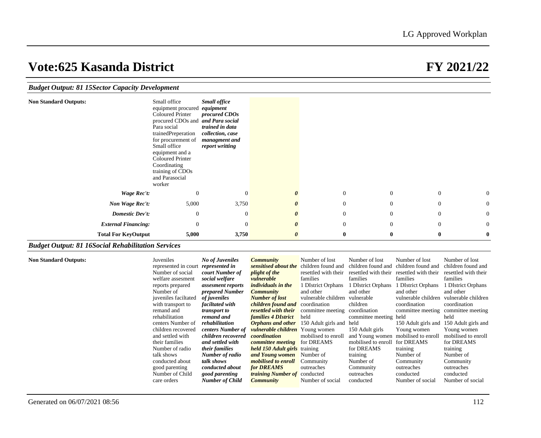| <b>Budget Output: 81 15 Sector Capacity Development</b> |                                                                                                                                                                                                                                                                                             |                                                                                                                              |                       |                |                |                |                  |
|---------------------------------------------------------|---------------------------------------------------------------------------------------------------------------------------------------------------------------------------------------------------------------------------------------------------------------------------------------------|------------------------------------------------------------------------------------------------------------------------------|-----------------------|----------------|----------------|----------------|------------------|
| <b>Non Standard Outputs:</b>                            | Small office<br>equipment procured<br><b>Coloured Printer</b><br>procured CDOs and and Para social<br>Para social<br>trainedPreperation<br>for procurement of<br>Small office<br>equipment and a<br><b>Coloured Printer</b><br>Coordinating<br>training of CDOs<br>and Parasocial<br>worker | <b>Small office</b><br>equipment<br>procured CDOs<br>trained in data<br>collection, case<br>managment and<br>report writting |                       |                |                |                |                  |
| Wage Rec't:                                             | $\theta$                                                                                                                                                                                                                                                                                    | $\overline{0}$                                                                                                               | $\boldsymbol{\theta}$ | $\mathbf{0}$   | $\overline{0}$ | $\theta$       | $\boldsymbol{0}$ |
| Non Wage Rec't:                                         | 5,000                                                                                                                                                                                                                                                                                       | 3,750                                                                                                                        | $\boldsymbol{\theta}$ | $\mathbf{0}$   | $\overline{0}$ | $\Omega$       | $\boldsymbol{0}$ |
| Domestic Dev't:                                         | $\mathbf{0}$                                                                                                                                                                                                                                                                                | $\overline{0}$                                                                                                               | $\boldsymbol{\theta}$ | $\mathbf{0}$   | $\overline{0}$ | $\overline{0}$ | $\boldsymbol{0}$ |
| <b>External Financing:</b>                              | $\mathbf{0}$                                                                                                                                                                                                                                                                                | $\Omega$                                                                                                                     | $\boldsymbol{\theta}$ | $\overline{0}$ | $\overline{0}$ | $\overline{0}$ | $\mathbf{0}$     |
| <b>Total For KeyOutput</b>                              | 5,000                                                                                                                                                                                                                                                                                       | 3,750                                                                                                                        | $\boldsymbol{\theta}$ | $\bf{0}$       | $\bf{0}$       | $\bf{0}$       | $\bf{0}$         |

### *Budget Output: 81 16Social Rehabilitation Services*

**Non Standard Outputs:** 

| Juveniles            | <b>No of Juveniles</b> | <b>Community</b>                       | Number of lost       | Number of lost          | Number of lost       | Number of lost       |
|----------------------|------------------------|----------------------------------------|----------------------|-------------------------|----------------------|----------------------|
| represented in court | represented in         | sensitised about the                   | children found and   | children found and      | children found and   | children found and   |
| Number of social     | court Number of        | <i>plight of the</i>                   | resettled with their | resettled with their    | resettled with their | resettled with their |
| welfare assesment    | social welfare         | vulnerable                             | families             | families                | families             | families             |
| reports prepared     | assesment reports      | <i>individuals in the</i>              | 1 DIstrict Orphans   | <b>DIstrict Orphans</b> | 1 DIstrict Orphans   | 1 DIstrict Orphans   |
| Number of            | prepared Number        | <i>Community</i>                       | and other            | and other               | and other            | and other            |
| juveniles faciltated | of juveniles           | <b>Number of lost</b>                  | vulnerable children  | vulnerable              | vulnerable children  | vulnerable children  |
| with transport to    | faciltated with        | children found and                     | coordination         | children                | coordination         | coordination         |
| remand and           | <i>transport to</i>    | resettled with their                   | committee meeting    | coordination            | committee meeting    | committee meeting    |
| rehabilitation       | remand and             | <i>families 4 DIstrict</i>             | held                 | committee meeting held  |                      | held                 |
| centers Number of    | rehabilitation         | <b>Orphans</b> and other               | 150 Adult girls and  | held                    | 150 Adult girls and  | 150 Adult girls and  |
| children recovered   | centers Number of      | <i>vulnerable children</i> Young women |                      | 150 Adult girls         | Young women          | Young women          |
| and settled with     | children recovered     | coordination                           | mobilised to enroll  | and Young women         | mobilised to enroll  | mobilised to enroll  |
| their families       | and settled with       | committee meeting                      | for DREAMS           | mobilised to enroll     | for DREAMS           | for DREAMS           |
| Number of radio      | their families         | <i>held 150 Adult girls</i> training   |                      | for DREAMS              | training             | training             |
| talk shows           | Number of radio        | and Young women                        | Number of            | training                | Number of            | Number of            |
| conducted about      | talk shows             | <i>mobilised to enroll</i>             | Community            | Number of               | Community            | Community            |
| good parenting       | conducted about        | <b>for DREAMS</b>                      | outreaches           | Community               | outreaches           | outreaches           |
| Number of Child      | good parenting         | <i>training Number of</i> conducted    |                      | outreaches              | conducted            | conducted            |
| care orders          | <b>Number of Child</b> | <b>Community</b>                       | Number of social     | conducted               | Number of social     | Number of social     |
|                      |                        |                                        |                      |                         |                      |                      |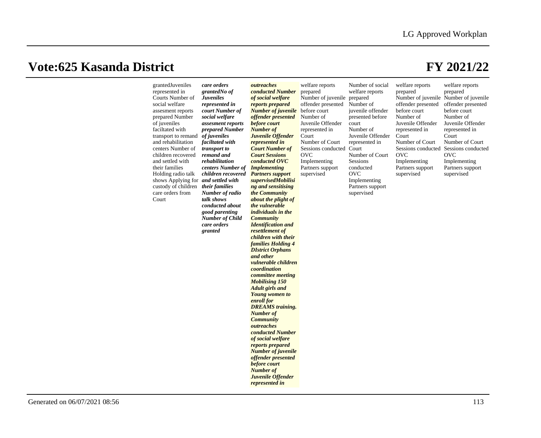| represented in<br>Courts Number of<br>social welfare<br>assesment reports<br>prepared Number<br>of juveniles<br>faciltated with<br>transport to remand<br>and rehabilitation<br>centers Number of<br>children recovered<br>and settled with<br>their families<br>Holding radio talk<br>shows Applying for and settled with<br>custody of children their families<br>care orders from<br>Court | grantedNo of<br><b>Juveniles</b><br>represented in<br>court Number of<br>social welfare<br>assesment reports<br>prepared Number<br>of juveniles<br>faciltated with<br>transport to<br>remand and<br>rehabilitation<br>centers Number of<br>children recovered Partners support<br>Number of radio<br>talk shows<br>conducted about<br>good parenting<br><b>Number of Child</b><br>care orders<br>granted | conducted Number<br>of social welfare<br>reports prepared<br><b>Number of juvenile</b> before court<br>offender presented<br>before court<br><b>Number of</b><br>Juvenile Offender<br>represented in<br><b>Court Number of</b><br><b>Court Sessions</b><br>conducted OVC<br><b>Implementing</b><br>supervisedMobilisi<br>ng and sensitising<br>the Community<br>about the plight of<br>the vulnerable<br><i>individuals in the</i><br><b>Community</b><br><b>Identification</b> and<br>resettlement of<br>children with their<br><b>families Holding 4</b><br><b>DIstrict Orphans</b><br>and other<br>vulnerable children<br>coordination<br>committee meeting<br><b>Mobilising 150</b><br><b>Adult girls and</b><br><b>Young women to</b><br>enroll for<br><b>DREAMS</b> training.<br><b>Number of</b><br><b>Community</b><br>outreaches<br>conducted Number<br>of social welfare<br>reports prepared<br><b>Number of juvenile</b><br>offender presented<br>before court<br><b>Number of</b><br>Juvenile Offender | prepared<br>Number of juvenile prepared<br>offender presented<br>Number of<br>Juvenile Offender<br>represented in<br>Court<br>Number of Court<br>Sessions conducted Court<br><b>OVC</b><br>Implementing<br>Partners support<br>supervised | welfare reports<br>Number of<br>juvenile offender<br>presented before<br>court<br>Number of<br>Juvenile Offender<br>represented in<br>Number of Court<br>Sessions<br>conducted<br><b>OVC</b><br>Implementing<br>Partners support<br>supervised | prepared<br>offender presented<br>before court<br>Number of<br>Juvenile Offender<br>represented in<br>Court<br>Number of Court<br>Sessions conducted<br><b>OVC</b><br>Implementing<br>Partners support<br>supervised | prepared<br>Number of juvenile Number of juvenile<br>offender presented<br>before court<br>Number of<br>Juvenile Offender<br>represented in<br>Court<br>Number of Court<br>Sessions conducted<br><b>OVC</b><br>Implementing<br>Partners support<br>supervised |
|-----------------------------------------------------------------------------------------------------------------------------------------------------------------------------------------------------------------------------------------------------------------------------------------------------------------------------------------------------------------------------------------------|----------------------------------------------------------------------------------------------------------------------------------------------------------------------------------------------------------------------------------------------------------------------------------------------------------------------------------------------------------------------------------------------------------|--------------------------------------------------------------------------------------------------------------------------------------------------------------------------------------------------------------------------------------------------------------------------------------------------------------------------------------------------------------------------------------------------------------------------------------------------------------------------------------------------------------------------------------------------------------------------------------------------------------------------------------------------------------------------------------------------------------------------------------------------------------------------------------------------------------------------------------------------------------------------------------------------------------------------------------------------------------------------------------------------------------------|-------------------------------------------------------------------------------------------------------------------------------------------------------------------------------------------------------------------------------------------|------------------------------------------------------------------------------------------------------------------------------------------------------------------------------------------------------------------------------------------------|----------------------------------------------------------------------------------------------------------------------------------------------------------------------------------------------------------------------|---------------------------------------------------------------------------------------------------------------------------------------------------------------------------------------------------------------------------------------------------------------|
|-----------------------------------------------------------------------------------------------------------------------------------------------------------------------------------------------------------------------------------------------------------------------------------------------------------------------------------------------------------------------------------------------|----------------------------------------------------------------------------------------------------------------------------------------------------------------------------------------------------------------------------------------------------------------------------------------------------------------------------------------------------------------------------------------------------------|--------------------------------------------------------------------------------------------------------------------------------------------------------------------------------------------------------------------------------------------------------------------------------------------------------------------------------------------------------------------------------------------------------------------------------------------------------------------------------------------------------------------------------------------------------------------------------------------------------------------------------------------------------------------------------------------------------------------------------------------------------------------------------------------------------------------------------------------------------------------------------------------------------------------------------------------------------------------------------------------------------------------|-------------------------------------------------------------------------------------------------------------------------------------------------------------------------------------------------------------------------------------------|------------------------------------------------------------------------------------------------------------------------------------------------------------------------------------------------------------------------------------------------|----------------------------------------------------------------------------------------------------------------------------------------------------------------------------------------------------------------------|---------------------------------------------------------------------------------------------------------------------------------------------------------------------------------------------------------------------------------------------------------------|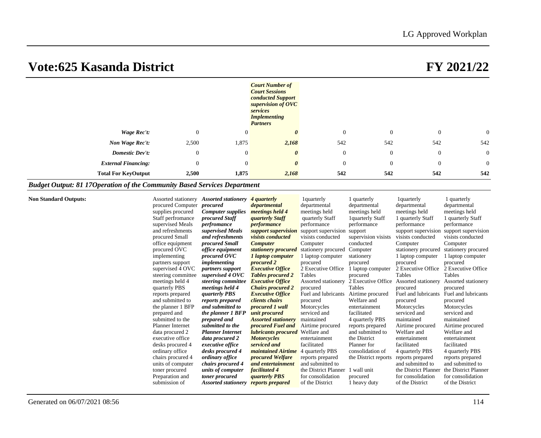|                            |                |                | <b>Court Number of</b><br><b>Court Sessions</b><br>conducted Support<br>supervision of OVC<br>services<br><b>Implementing</b><br><b>Partners</b> |              |                |                |                |  |
|----------------------------|----------------|----------------|--------------------------------------------------------------------------------------------------------------------------------------------------|--------------|----------------|----------------|----------------|--|
| Wage Rec't:                | $\mathbf{0}$   | $\overline{0}$ | $\boldsymbol{\theta}$                                                                                                                            | $\theta$     | $\overline{0}$ | $\mathbf{0}$   | $\overline{0}$ |  |
| Non Wage Rec't:            | 2,500          | 1,875          | 2,168                                                                                                                                            | 542          | 542            | 542            | 542            |  |
| <b>Domestic Dev't:</b>     | $\mathbf{0}$   | $\theta$       | $\boldsymbol{\theta}$                                                                                                                            | $\mathbf{0}$ | $\overline{0}$ | $\mathbf{0}$   | $\overline{0}$ |  |
| <b>External Financing:</b> | $\overline{0}$ | $\overline{0}$ | $\boldsymbol{\theta}$                                                                                                                            | $\theta$     | $\overline{0}$ | $\overline{0}$ | $\overline{0}$ |  |
| <b>Total For KeyOutput</b> | 2,500          | 1,875          | 2,168                                                                                                                                            | 542          | 542            | 542            | 542            |  |

### *Budget Output: 81 17Operation of the Community Based Services Department*

|  | Non Standard Outputs: |  |  |  |
|--|-----------------------|--|--|--|
|  |                       |  |  |  |

| <b>Non Standard Outputs:</b> | <b>Assorted stationery</b><br>Assorted stationery | 4 <i>quarterly</i>                     | 1 quarterly          | 1 quarterly          | 1 <sub>quarterly</sub>                  | l quarterly          |
|------------------------------|---------------------------------------------------|----------------------------------------|----------------------|----------------------|-----------------------------------------|----------------------|
|                              | procured Computer<br>procured                     | departmental                           | departmental         | departmental         | departmental                            | departmental         |
| supplies procured            | <b>Computer supplies</b>                          | meetings held 4                        | meetings held        | meetings held        | meetings held                           | meetings held        |
|                              | Staff perfromance<br>procured Staff               | <i><b>quarterly Staff</b></i>          | quarterly Staff      | 1quarterly Staff     | 1 quarterly Staff                       | 1 quarterly Staff    |
| supervised Meals             | perfromance                                       | <i>performance</i>                     | performance          | performance          | performance                             | performance          |
| and refreshments             | supervised Meals                                  | support supervision                    | support supervision  | support              | support supervision support supervision |                      |
| procured Small               | and refreshments                                  | <i>visists conducted</i>               | visists conducted    | supervision visists  | visists conducted                       | visists conducted    |
| office equipment             | procured Small                                    | <b>Computer</b>                        | Computer             | conducted            | Computer                                | Computer             |
| procured OVC                 | <i>office equipment</i>                           | stationery procured                    | stationery procured  | Computer             | stationery procured                     | stationery procured  |
| implementing                 | procured OVC                                      | <i>l</i> laptop computer               | 1 laptop computer    | stationery           | 1 laptop computer                       | 1 laptop computer    |
| partners support             | implementing                                      | procured 2                             | procured             | procured             | procured                                | procured             |
|                              | supervised 4 OVC<br><i>partners support</i>       | <b>Executive Office</b>                | 2 Executive Office   | 1 laptop computer    | 2 Executive Office                      | 2 Executive Office   |
|                              | supervised 4 OVC<br>steering committee            | <b>Tables procured 2</b>               | Tables               | procured             | Tables                                  | Tables               |
| meetings held 4              | steering committee                                | <b>Executive Office</b>                | Assorted stationery  | 2 Executive Office   | Assorted stationery                     | Assorted stationery  |
| quarterly PBS                | meetings held 4                                   | <b>Chairs procured 2</b>               | procured             | Tables               | procured                                | procured             |
| reports prepared             | <i>guarterly PBS</i>                              | <b>Executive Office</b>                | Fuel and lubricants  | Airtime procured     | Fuel and lubricants                     | Fuel and lubricants  |
| and submitted to             | reports prepared                                  | clients chairs                         | procured             | Welfare and          | procured                                | procured             |
|                              | the planner 1 BFP<br>and submitted to             | procured 1 wall                        | Motorcycles          | entertainment        | Motorcycles                             | Motorcycles          |
| prepared and                 | the planner 1 BFP                                 | unit procured                          | serviced and         | facilitated          | serviced and                            | serviced and         |
| submitted to the             | prepared and                                      | <b>Assorted stationery</b>             | maintained           | 4 quarterly PBS      | maintained                              | maintained           |
| Planner Internet             | submitted to the                                  | procured Fuel and                      | Airtime procured     | reports prepared     | Airtime procured                        | Airtime procured     |
| data procured 2              | <b>Planner Internet</b>                           | <b>lubricants procured</b> Welfare and |                      | and submitted to     | Welfare and                             | Welfare and          |
| executive office             | data procured 2                                   | <b>Motorcycles</b>                     | entertainment        | the District         | entertainment                           | entertainment        |
| desks procured 4             | executive office                                  | serviced and                           | facilitated          | Planner for          | facilitated                             | facilitated          |
| ordinary office              | desks procured 4                                  | <i>maintained Airtime</i>              | 4 quarterly PBS      | consolidation of     | 4 quarterly PBS                         | 4 quarterly PBS      |
| chairs procured 4            | ordinary office                                   | <i>procured Welfare</i>                | reports prepared     | the District reports | reports prepared                        | reports prepared     |
| units of computer            | chairs procured 4                                 | and entertainment                      | and submitted to     |                      | and submitted to                        | and submitted to     |
| toner procured               | units of computer                                 | facilitated 4                          | the District Planner | 1 wall unit          | the District Planner                    | the District Planner |
| Preparation and              | toner procured                                    | <i><b>quarterly PBS</b></i>            | for consolidation    | procured             | for consolidation                       | for consolidation    |
| submission of                | <b>Assorted stationery</b>                        | reports prepared                       | of the District      | 1 heavy duty         | of the District                         | of the District      |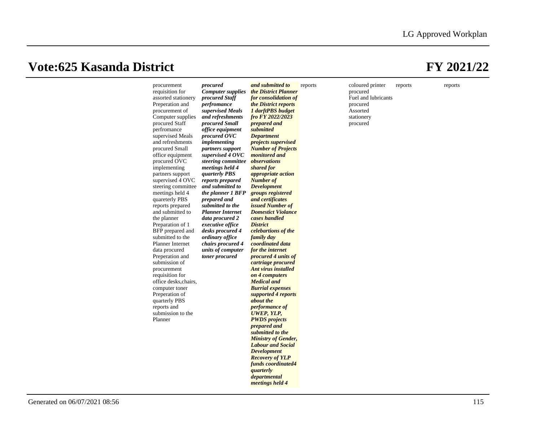|  | procurement<br>requisition for<br>assorted stationery<br>Preperation and<br>procurement of<br>Computer supplies<br>procured Staff<br>perfromance<br>supervised Meals<br>and refreshments<br>procured Small<br>office equipment<br>procured OVC<br>implementing<br>partners support<br>supervised 4 OVC<br>steering committee<br>meetings held 4<br>quareterly PBS<br>reports prepared<br>and submitted to<br>the planner<br>Preparation of 1<br>BFP prepared and<br>submitted to the<br><b>Planner Internet</b><br>data procured<br>Preperation and<br>submission of<br>procurement<br>requisition for<br>office desks, chairs,<br>computer toner<br>Preperation of<br>quarterly PBS<br>reports and<br>submission to the<br>Planner | procured<br><b>Computer supplies</b><br>procured Staff<br>perfromance<br>supervised Meals<br>and refreshments<br>procured Small<br>office equipment<br>procured OVC<br><i>implementing</i><br>partners support<br>supervised 4 OVC<br>steering committee observations<br>meetings held 4<br><i><b>quarterly PBS</b></i><br>reports prepared<br>and submitted to<br>the planner 1 BFP<br>prepared and<br>submitted to the<br><b>Planner Internet</b><br>data procured 2<br>executive office<br>desks procured 4<br>ordinary office<br>chairs procured 4<br>units of computer<br>toner procured | and submitted to<br>the District Planner<br>for consolidation of<br>the District reports<br>1 darftPBS budget<br>fro FY 2022/2023<br>prepared and<br>submitted<br><b>Department</b><br><i>projects supervised</i><br><b>Number of Projects</b><br>monitored and<br>shared for<br><i>appropriate action</i><br><b>Number of</b><br><b>Development</b><br>groups registered<br>and certificates<br><i>issued Number of</i><br><b>Domestict Violance</b><br>cases handled<br><b>District</b><br>celebartions of the<br>family day<br>coordinated data<br>for the internet<br>procured 4 units of<br>cartriage procured<br>Ant virus installed<br>on 4 computers<br><b>Medical and</b><br><b>Burrial</b> expenses<br>supported 4 reports<br>about the<br>performance of<br>UWEP, YLP,<br><b>PWDS</b> projects<br>prepared and<br>submitted to the<br><b>Ministry of Gender,</b><br><b>Labour and Social</b><br><b>Development</b><br><b>Recovery of YLP</b><br>funds coordinated4<br>quarterly<br>departmental<br>meetings held 4 | reports | coloured printer<br>procured<br>Fuel and lubricants<br>procured<br>Assorted<br>stationery<br>procured | reports | reports |
|--|-------------------------------------------------------------------------------------------------------------------------------------------------------------------------------------------------------------------------------------------------------------------------------------------------------------------------------------------------------------------------------------------------------------------------------------------------------------------------------------------------------------------------------------------------------------------------------------------------------------------------------------------------------------------------------------------------------------------------------------|-----------------------------------------------------------------------------------------------------------------------------------------------------------------------------------------------------------------------------------------------------------------------------------------------------------------------------------------------------------------------------------------------------------------------------------------------------------------------------------------------------------------------------------------------------------------------------------------------|-------------------------------------------------------------------------------------------------------------------------------------------------------------------------------------------------------------------------------------------------------------------------------------------------------------------------------------------------------------------------------------------------------------------------------------------------------------------------------------------------------------------------------------------------------------------------------------------------------------------------------------------------------------------------------------------------------------------------------------------------------------------------------------------------------------------------------------------------------------------------------------------------------------------------------------------------------------------------------------------------------------------------------|---------|-------------------------------------------------------------------------------------------------------|---------|---------|
|--|-------------------------------------------------------------------------------------------------------------------------------------------------------------------------------------------------------------------------------------------------------------------------------------------------------------------------------------------------------------------------------------------------------------------------------------------------------------------------------------------------------------------------------------------------------------------------------------------------------------------------------------------------------------------------------------------------------------------------------------|-----------------------------------------------------------------------------------------------------------------------------------------------------------------------------------------------------------------------------------------------------------------------------------------------------------------------------------------------------------------------------------------------------------------------------------------------------------------------------------------------------------------------------------------------------------------------------------------------|-------------------------------------------------------------------------------------------------------------------------------------------------------------------------------------------------------------------------------------------------------------------------------------------------------------------------------------------------------------------------------------------------------------------------------------------------------------------------------------------------------------------------------------------------------------------------------------------------------------------------------------------------------------------------------------------------------------------------------------------------------------------------------------------------------------------------------------------------------------------------------------------------------------------------------------------------------------------------------------------------------------------------------|---------|-------------------------------------------------------------------------------------------------------|---------|---------|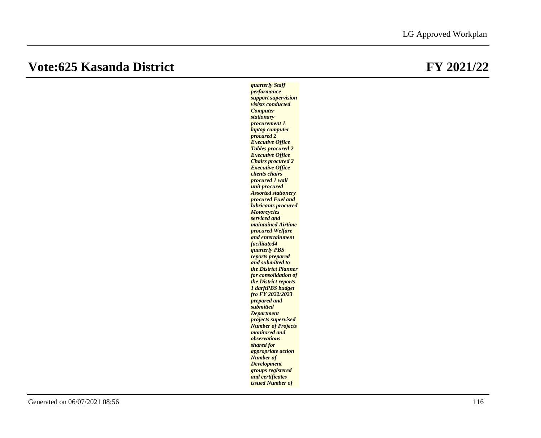*quarterly Staff performance support supervision visists conducted Computer stationary procurement 1 laptop computer procured 2 Executive Office Tables procured 2 Executive Office Chairs procured 2 Executive Office clients chairs procured 1 wall unit procured Assorted stationery procured Fuel and lubricants procured Motorcycles serviced and maintained Airtime procured Welfare and entertainment facilitated4 quarterly PBS reports prepared and submitted to the District Planner for consolidation of the District reports 1 darftPBS budget fro FY 2022/2023 prepared and submitted Department projects supervised Number of Projects monitored and observations shared for appropriate action Number of Development groups registered and certificates issued Number of*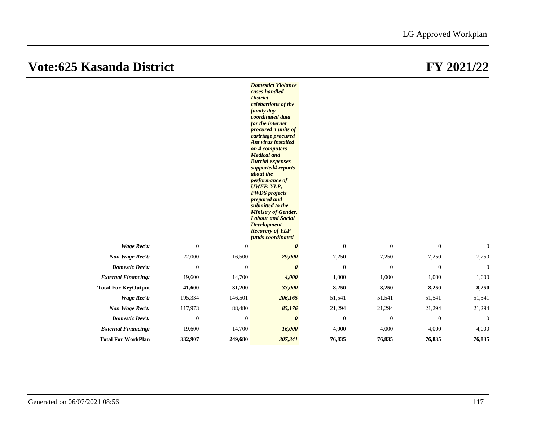|                            |                  |              | <b>Domestict Violance</b><br>cases handled<br><b>District</b><br>celebartions of the<br>family day<br>coordinated data<br>for the internet<br>procured 4 units of<br>cartriage procured<br>Ant virus installed<br>on 4 computers<br><b>Medical and</b><br><b>Burrial expenses</b><br>supported4 reports<br>about the<br>performance of<br><b>UWEP, YLP,</b><br><b>PWDS</b> projects<br>prepared and<br>submitted to the<br><b>Ministry of Gender,</b><br><b>Labour and Social</b><br><b>Development</b><br><b>Recovery of YLP</b><br>funds coordinated |              |                  |                  |                |
|----------------------------|------------------|--------------|--------------------------------------------------------------------------------------------------------------------------------------------------------------------------------------------------------------------------------------------------------------------------------------------------------------------------------------------------------------------------------------------------------------------------------------------------------------------------------------------------------------------------------------------------------|--------------|------------------|------------------|----------------|
| Wage Rec't:                | $\boldsymbol{0}$ | $\mathbf{0}$ | $\boldsymbol{\theta}$                                                                                                                                                                                                                                                                                                                                                                                                                                                                                                                                  | $\mathbf{0}$ | $\boldsymbol{0}$ | $\boldsymbol{0}$ | $\mathbf{0}$   |
| Non Wage Rec't:            | 22,000           | 16,500       | 29,000                                                                                                                                                                                                                                                                                                                                                                                                                                                                                                                                                 | 7,250        | 7,250            | 7,250            | 7,250          |
| Domestic Dev't:            | $\mathbf{0}$     | $\mathbf{0}$ | $\boldsymbol{\theta}$                                                                                                                                                                                                                                                                                                                                                                                                                                                                                                                                  | $\mathbf{0}$ | $\mathbf{0}$     | $\mathbf{0}$     | $\overline{0}$ |
| <b>External Financing:</b> | 19,600           | 14,700       | 4,000                                                                                                                                                                                                                                                                                                                                                                                                                                                                                                                                                  | 1,000        | 1,000            | 1,000            | 1,000          |
| <b>Total For KeyOutput</b> | 41,600           | 31,200       | 33,000                                                                                                                                                                                                                                                                                                                                                                                                                                                                                                                                                 | 8,250        | 8,250            | 8,250            | 8,250          |
| Wage Rec't:                | 195,334          | 146,501      | 206,165                                                                                                                                                                                                                                                                                                                                                                                                                                                                                                                                                | 51,541       | 51,541           | 51,541           | 51,541         |
| Non Wage Rec't:            | 117,973          | 88,480       | 85,176                                                                                                                                                                                                                                                                                                                                                                                                                                                                                                                                                 | 21,294       | 21,294           | 21,294           | 21,294         |
| <b>Domestic Dev't:</b>     | $\mathbf{0}$     | $\mathbf{0}$ | $\boldsymbol{\theta}$                                                                                                                                                                                                                                                                                                                                                                                                                                                                                                                                  | $\mathbf{0}$ | $\mathbf{0}$     | $\mathbf{0}$     | $\mathbf{0}$   |
| <b>External Financing:</b> | 19,600           | 14,700       | 16,000                                                                                                                                                                                                                                                                                                                                                                                                                                                                                                                                                 | 4,000        | 4,000            | 4,000            | 4,000          |
| <b>Total For WorkPlan</b>  | 332,907          | 249,680      | 307,341                                                                                                                                                                                                                                                                                                                                                                                                                                                                                                                                                | 76,835       | 76,835           | 76,835           | 76,835         |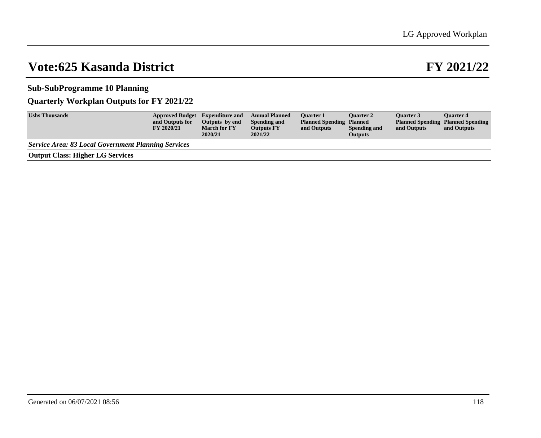### **Sub-SubProgramme 10 Planning**

### **Quarterly Workplan Outputs for FY 2021/22**

| <b>Ushs Thousands</b>                                      | <b>Approved Budget</b> Expenditure and<br>and Outputs for<br>FY 2020/21 | Outputs by end<br><b>March for FY</b><br>2020/21 | <b>Annual Planned</b><br>Spending and<br><b>Outputs FY</b><br>2021/22 | <b>Ouarter 1</b><br><b>Planned Spending Planned</b><br>and Outputs | <b>Ouarter 2</b><br>Spending and<br><b>Outputs</b> | <b>Ouarter 3</b><br>and Outputs | <b>Ouarter 4</b><br><b>Planned Spending Planned Spending</b><br>and Outputs |
|------------------------------------------------------------|-------------------------------------------------------------------------|--------------------------------------------------|-----------------------------------------------------------------------|--------------------------------------------------------------------|----------------------------------------------------|---------------------------------|-----------------------------------------------------------------------------|
| <b>Service Area: 83 Local Government Planning Services</b> |                                                                         |                                                  |                                                                       |                                                                    |                                                    |                                 |                                                                             |
| <b>Output Class: Higher LG Services</b>                    |                                                                         |                                                  |                                                                       |                                                                    |                                                    |                                 |                                                                             |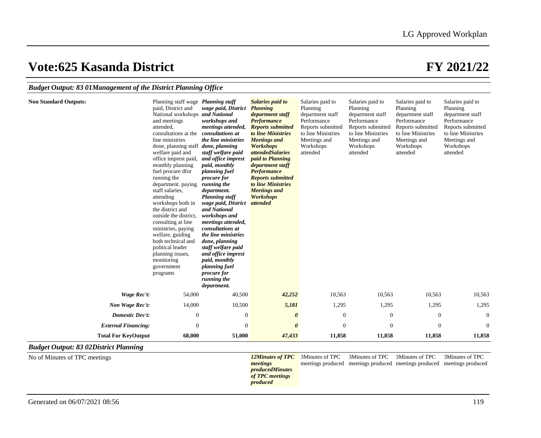### *Budget Output: 83 01Management of the District Planning Office*

| <b>Non Standard Outputs:</b>                 | Planning staff wage <i>Planning staff</i><br>paid, District and<br>National workshops and National<br>and meetings<br>attended,<br>consultations at the <i>consultations at</i><br>line ministries<br>done, planning staff <i>done</i> , <i>planning</i><br>welfare paid and<br>office imprest paid,<br>monthly planning<br>fuel procure dfor<br>running the<br>department. paying<br>staff salaries.<br>attending<br>workshops both in<br>the district and<br>outside the district.<br>consulting at line<br>ministries, paying<br>welfare, guiding<br>both technical and<br>political leader<br>planning issues,<br>monitoring<br>government<br>programs | wage paid, District<br>workshops and<br>meetings attended,<br>the line ministries<br>staff welfare paid<br>and office imprest<br>paid, monthly<br>planning fuel<br>procure for<br>running the<br>department.<br><b>Planning staff</b><br>wage paid, District<br>and National<br>workshops and<br>meetings attended,<br>consultations at<br>the line ministries<br>done, planning<br>staff welfare paid<br>and office imprest<br>paid, monthly<br>planning fuel<br>procure for<br>running the<br>department. | <b>Salaries paid to</b><br><b>Planning</b><br>department staff<br><b>Performance</b><br><b>Reports submitted</b><br>to line Ministries<br><b>Meetings</b> and<br><b>Workshops</b><br><i>attendedSalaries</i><br>paid to Planning<br>department staff<br><b>Performance</b><br><b>Reports submitted</b><br>to line Ministries<br><b>Meetings</b> and<br><b>Workshops</b><br>attended | Salaries paid to<br>Planning<br>department staff<br>Performance<br>Reports submitted<br>to line Ministries<br>Meetings and<br>Workshops<br>attended | Salaries paid to<br>Planning<br>department staff<br>Performance<br>Reports submitted<br>to line Ministries<br>Meetings and<br>Workshops<br>attended | Salaries paid to<br>Planning<br>department staff<br>Performance<br>Reports submitted<br>to line Ministries<br>Meetings and<br>Workshops<br>attended | Salaries paid to<br>Planning<br>department staff<br>Performance<br>Reports submitted<br>to line Ministries<br>Meetings and<br>Workshops<br>attended |
|----------------------------------------------|------------------------------------------------------------------------------------------------------------------------------------------------------------------------------------------------------------------------------------------------------------------------------------------------------------------------------------------------------------------------------------------------------------------------------------------------------------------------------------------------------------------------------------------------------------------------------------------------------------------------------------------------------------|-------------------------------------------------------------------------------------------------------------------------------------------------------------------------------------------------------------------------------------------------------------------------------------------------------------------------------------------------------------------------------------------------------------------------------------------------------------------------------------------------------------|-------------------------------------------------------------------------------------------------------------------------------------------------------------------------------------------------------------------------------------------------------------------------------------------------------------------------------------------------------------------------------------|-----------------------------------------------------------------------------------------------------------------------------------------------------|-----------------------------------------------------------------------------------------------------------------------------------------------------|-----------------------------------------------------------------------------------------------------------------------------------------------------|-----------------------------------------------------------------------------------------------------------------------------------------------------|
| Wage Rec't:                                  | 54,000                                                                                                                                                                                                                                                                                                                                                                                                                                                                                                                                                                                                                                                     | 40,500                                                                                                                                                                                                                                                                                                                                                                                                                                                                                                      | 42,252                                                                                                                                                                                                                                                                                                                                                                              | 10,563                                                                                                                                              | 10,563                                                                                                                                              | 10,563                                                                                                                                              | 10,563                                                                                                                                              |
| Non Wage Rec't:                              | 14,000                                                                                                                                                                                                                                                                                                                                                                                                                                                                                                                                                                                                                                                     | 10,500                                                                                                                                                                                                                                                                                                                                                                                                                                                                                                      | 5,181                                                                                                                                                                                                                                                                                                                                                                               | 1,295                                                                                                                                               | 1,295                                                                                                                                               | 1,295                                                                                                                                               | 1,295                                                                                                                                               |
| Domestic Dev't:                              | $\mathbf{0}$                                                                                                                                                                                                                                                                                                                                                                                                                                                                                                                                                                                                                                               | $\boldsymbol{0}$                                                                                                                                                                                                                                                                                                                                                                                                                                                                                            | $\boldsymbol{\theta}$                                                                                                                                                                                                                                                                                                                                                               | $\mathbf{0}$                                                                                                                                        | $\boldsymbol{0}$                                                                                                                                    | $\mathbf{0}$                                                                                                                                        | $\mathbf{0}$                                                                                                                                        |
| <b>External Financing:</b>                   | $\mathbf{0}$                                                                                                                                                                                                                                                                                                                                                                                                                                                                                                                                                                                                                                               | $\boldsymbol{0}$                                                                                                                                                                                                                                                                                                                                                                                                                                                                                            | $\boldsymbol{\theta}$                                                                                                                                                                                                                                                                                                                                                               | $\boldsymbol{0}$                                                                                                                                    | $\overline{0}$                                                                                                                                      | $\boldsymbol{0}$                                                                                                                                    | $\boldsymbol{0}$                                                                                                                                    |
| <b>Total For KeyOutput</b>                   | 68,000                                                                                                                                                                                                                                                                                                                                                                                                                                                                                                                                                                                                                                                     | 51,000                                                                                                                                                                                                                                                                                                                                                                                                                                                                                                      | 47,433                                                                                                                                                                                                                                                                                                                                                                              | 11,858                                                                                                                                              | 11,858                                                                                                                                              | 11,858                                                                                                                                              | 11,858                                                                                                                                              |
| <b>Budget Output: 83 02District Planning</b> |                                                                                                                                                                                                                                                                                                                                                                                                                                                                                                                                                                                                                                                            |                                                                                                                                                                                                                                                                                                                                                                                                                                                                                                             |                                                                                                                                                                                                                                                                                                                                                                                     |                                                                                                                                                     |                                                                                                                                                     |                                                                                                                                                     |                                                                                                                                                     |
| No of Minutes of TPC meetings                |                                                                                                                                                                                                                                                                                                                                                                                                                                                                                                                                                                                                                                                            |                                                                                                                                                                                                                                                                                                                                                                                                                                                                                                             | <b>12Minutes of TPC</b><br>meetings<br>producedMinutes<br>of TPC meetings<br>produced                                                                                                                                                                                                                                                                                               | 3Minutes of TPC<br>meetings produced                                                                                                                | 3Minutes of TPC                                                                                                                                     | 3Minutes of TPC<br>meetings produced meetings produced meetings produced                                                                            | 3Minutes of TPC                                                                                                                                     |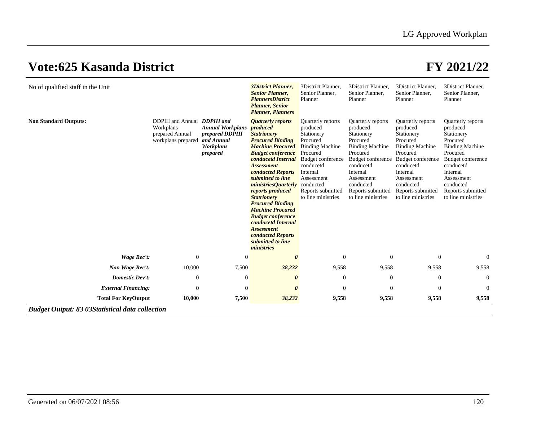| No of qualified staff in the Unit                      |                                                                                    |                                                                                   | 3District Planner,<br><b>Senior Planner,</b><br><b>PlannersDistrict</b><br><b>Planner</b> , Senior<br><b>Planner</b> , <i>Planners</i>                                                                                                                                                                                                                                                                                                                                                                          | 3District Planner,<br>Senior Planner.<br>Planner                                                                                                                                                            | 3District Planner.<br>Senior Planner,<br>Planner                                                                                                                                                                  | 3District Planner.<br>Senior Planner,<br>Planner                                                                                                                                                                  | 3District Planner,<br>Senior Planner,<br>Planner                                                                                                                                                                  |
|--------------------------------------------------------|------------------------------------------------------------------------------------|-----------------------------------------------------------------------------------|-----------------------------------------------------------------------------------------------------------------------------------------------------------------------------------------------------------------------------------------------------------------------------------------------------------------------------------------------------------------------------------------------------------------------------------------------------------------------------------------------------------------|-------------------------------------------------------------------------------------------------------------------------------------------------------------------------------------------------------------|-------------------------------------------------------------------------------------------------------------------------------------------------------------------------------------------------------------------|-------------------------------------------------------------------------------------------------------------------------------------------------------------------------------------------------------------------|-------------------------------------------------------------------------------------------------------------------------------------------------------------------------------------------------------------------|
| <b>Non Standard Outputs:</b>                           | DDPIII and Annual DDPIII and<br>Workplans<br>prepared Annual<br>workplans prepared | <b>Annual Workplans</b><br>prepared DDPIII<br>and Annual<br>Workplans<br>prepared | <i><b>Quarterly reports</b></i><br>produced<br><b>Statrionery</b><br><b>Procured Binding</b><br><b>Machine Procured</b><br><b>Budget conference</b><br>conducetd Internal<br><b>Assessment</b><br>conducted Reports<br>submitted to line<br><i>ministriesQuarterly</i> conducted<br>reports produced<br><b>Statrionery</b><br><b>Procured Binding</b><br><b>Machine Procured</b><br><b>Budget conference</b><br>conducetd Internal<br><b>Assessment</b><br>conducted Reports<br>submitted to line<br>ministries | Quarterly reports<br>produced<br>Stationery<br>Procured<br><b>Binding Machine</b><br>Procured<br><b>Budget conference</b><br>conducetd<br>Internal<br>Assessment<br>Reports submitted<br>to line ministries | Quarterly reports<br>produced<br>Stationery<br>Procured<br><b>Binding Machine</b><br>Procured<br>Budget conference<br>conducetd<br>Internal<br>Assessment<br>conducted<br>Reports submitted<br>to line ministries | Quarterly reports<br>produced<br>Stationery<br>Procured<br><b>Binding Machine</b><br>Procured<br>Budget conference<br>conducetd<br>Internal<br>Assessment<br>conducted<br>Reports submitted<br>to line ministries | Quarterly reports<br>produced<br>Stationery<br>Procured<br><b>Binding Machine</b><br>Procured<br>Budget conference<br>conducetd<br>Internal<br>Assessment<br>conducted<br>Reports submitted<br>to line ministries |
| <b>Wage Rec't:</b>                                     | $\mathbf{0}$                                                                       | $\boldsymbol{0}$                                                                  | $\theta$                                                                                                                                                                                                                                                                                                                                                                                                                                                                                                        | $\theta$                                                                                                                                                                                                    | $\Omega$                                                                                                                                                                                                          | $\Omega$                                                                                                                                                                                                          | $\theta$                                                                                                                                                                                                          |
| Non Wage Rec't:                                        | 10,000                                                                             | 7,500                                                                             | 38,232                                                                                                                                                                                                                                                                                                                                                                                                                                                                                                          | 9,558                                                                                                                                                                                                       | 9,558                                                                                                                                                                                                             | 9,558                                                                                                                                                                                                             | 9,558                                                                                                                                                                                                             |
| <b>Domestic Dev't:</b>                                 | $\mathbf{0}$                                                                       | $\theta$                                                                          | 0                                                                                                                                                                                                                                                                                                                                                                                                                                                                                                               | $\overline{0}$                                                                                                                                                                                              | $\Omega$                                                                                                                                                                                                          | $\theta$                                                                                                                                                                                                          | $\theta$                                                                                                                                                                                                          |
| <b>External Financing:</b>                             | $\Omega$                                                                           | $\Omega$                                                                          | $\theta$                                                                                                                                                                                                                                                                                                                                                                                                                                                                                                        | $\Omega$                                                                                                                                                                                                    | $\Omega$                                                                                                                                                                                                          | $\Omega$                                                                                                                                                                                                          | $\Omega$                                                                                                                                                                                                          |
| <b>Total For KeyOutput</b>                             | 10,000                                                                             | 7,500                                                                             | 38,232                                                                                                                                                                                                                                                                                                                                                                                                                                                                                                          | 9,558                                                                                                                                                                                                       | 9,558                                                                                                                                                                                                             | 9,558                                                                                                                                                                                                             | 9,558                                                                                                                                                                                                             |
| <b>Budget Output: 83 03Statistical data collection</b> |                                                                                    |                                                                                   |                                                                                                                                                                                                                                                                                                                                                                                                                                                                                                                 |                                                                                                                                                                                                             |                                                                                                                                                                                                                   |                                                                                                                                                                                                                   |                                                                                                                                                                                                                   |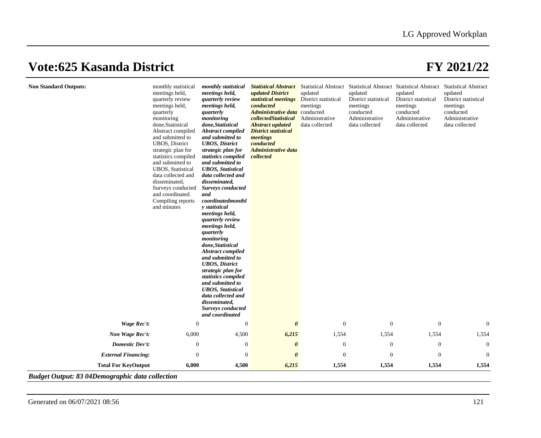| <b>Non Standard Outputs:</b> | monthly statistical<br>meetings held,<br>quarterly review<br>meetings held,<br>quarterly<br>monitoring<br>done, Statistical<br>Abstract compiled<br>and submitted to<br><b>UBOS</b> , District<br>strategic plan for<br>statistics compiled<br>and submitted to<br><b>UBOS</b> , Statistical<br>data collected and<br>disseminated,<br>Surveys conducted<br>and coordinated.<br>Compiling reports<br>and minutes | monthly statistical<br>meetings held,<br>quarterly review<br>meetings held,<br>quarterly<br>monitoring<br>done, Statistical<br><b>Abstract compiled</b><br>and submitted to<br><b>UBOS</b> , District<br>strategic plan for<br>statistics compiled<br>and submitted to<br><b>UBOS</b> , Statistical<br>data collected and<br>disseminated,<br><b>Surveys conducted</b><br>and<br>coordinated month<br>y statistical<br>meetings held,<br>quarterly review<br>meetings held,<br>quarterly<br>monitoring<br>done, Statistical<br><b>Abstract compiled</b><br>and submitted to<br><b>UBOS</b> , District<br>strategic plan for<br>statistics compiled<br>and submitted to<br><b>UBOS</b> , Statistical<br>data collected and<br>disseminated,<br>Surveys conducted<br>and coordinated | <b>Statistical Abstract</b><br>updated District<br>statistical meetings<br>conducted<br>Administrative data conducted<br>collectedStatistical<br><b>Abstract updated</b><br><b>District statistical</b><br>meetings<br>conducted<br><b>Administrative data</b><br>collected | updated<br>District statistical<br>meetings<br>Administrative<br>data collected | updated<br>District statistical<br>meetings<br>conducted<br>Administrative<br>data collected | Statistical Abstract Statistical Abstract Statistical Abstract Statistical Abstract<br>updated<br>District statistical<br>meetings<br>conducted<br>Administrative<br>data collected | updated<br>District statistical<br>meetings<br>conducted<br>Administrative<br>data collected |
|------------------------------|------------------------------------------------------------------------------------------------------------------------------------------------------------------------------------------------------------------------------------------------------------------------------------------------------------------------------------------------------------------------------------------------------------------|------------------------------------------------------------------------------------------------------------------------------------------------------------------------------------------------------------------------------------------------------------------------------------------------------------------------------------------------------------------------------------------------------------------------------------------------------------------------------------------------------------------------------------------------------------------------------------------------------------------------------------------------------------------------------------------------------------------------------------------------------------------------------------|-----------------------------------------------------------------------------------------------------------------------------------------------------------------------------------------------------------------------------------------------------------------------------|---------------------------------------------------------------------------------|----------------------------------------------------------------------------------------------|-------------------------------------------------------------------------------------------------------------------------------------------------------------------------------------|----------------------------------------------------------------------------------------------|
| <b>Wage Rec't:</b>           | $\Omega$                                                                                                                                                                                                                                                                                                                                                                                                         | $\boldsymbol{0}$                                                                                                                                                                                                                                                                                                                                                                                                                                                                                                                                                                                                                                                                                                                                                                   | $\boldsymbol{\theta}$                                                                                                                                                                                                                                                       | $\mathbf{0}$                                                                    | $\boldsymbol{0}$                                                                             | $\boldsymbol{0}$                                                                                                                                                                    | $\mathbf{0}$                                                                                 |
| Non Wage Rec't:              | 6,000                                                                                                                                                                                                                                                                                                                                                                                                            | 4,500                                                                                                                                                                                                                                                                                                                                                                                                                                                                                                                                                                                                                                                                                                                                                                              | 6,215                                                                                                                                                                                                                                                                       | 1,554                                                                           | 1,554                                                                                        | 1,554                                                                                                                                                                               | 1,554                                                                                        |
| <b>Domestic Dev't:</b>       | $\boldsymbol{0}$                                                                                                                                                                                                                                                                                                                                                                                                 | 0                                                                                                                                                                                                                                                                                                                                                                                                                                                                                                                                                                                                                                                                                                                                                                                  | $\boldsymbol{\theta}$                                                                                                                                                                                                                                                       | $\mathbf{0}$                                                                    | $\boldsymbol{0}$                                                                             | $\boldsymbol{0}$                                                                                                                                                                    | $\mathbf{0}$                                                                                 |
| <b>External Financing:</b>   | $\overline{0}$                                                                                                                                                                                                                                                                                                                                                                                                   | $\overline{0}$                                                                                                                                                                                                                                                                                                                                                                                                                                                                                                                                                                                                                                                                                                                                                                     | $\boldsymbol{\theta}$                                                                                                                                                                                                                                                       | $\theta$                                                                        | $\boldsymbol{0}$                                                                             | $\mathbf{0}$                                                                                                                                                                        | $\overline{0}$                                                                               |
| <b>Total For KeyOutput</b>   | 6,000                                                                                                                                                                                                                                                                                                                                                                                                            | 4,500                                                                                                                                                                                                                                                                                                                                                                                                                                                                                                                                                                                                                                                                                                                                                                              | 6,215                                                                                                                                                                                                                                                                       | 1,554                                                                           | 1,554                                                                                        | 1,554                                                                                                                                                                               | 1,554                                                                                        |

*Budget Output: 83 04Demographic data collection*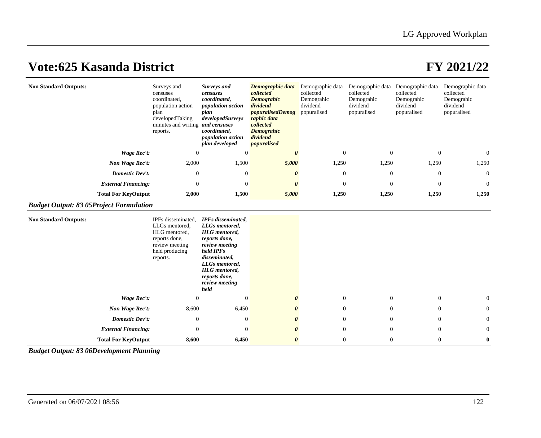| <b>Non Standard Outputs:</b> | Surveys and<br>censuses<br>coordinated,<br>population action<br>plan<br>developedTaking<br>minutes and writing <i>and censuses</i><br>reports. | <b>Surveys and</b><br>censuses<br>coordinated,<br>population action<br>plan<br>developedSurveys<br>coordinated,<br><i>population action</i><br>plan developed | Demographic data<br>collected<br><b>Demograhic</b><br>dividend<br><i>popuralisedDemog</i><br>raphic data<br>collected<br><b>Demograhic</b><br>dividend<br><i>popuralised</i> | Demographic data<br>collected<br>Demograhic<br>dividend<br>popuralised | Demographic data<br>collected<br>Demograhic<br>dividend<br>popuralised | Demographic data<br>collected<br>Demograhic<br>dividend<br>popuralised | Demographic data<br>collected<br>Demograhic<br>dividend<br>popuralised |
|------------------------------|------------------------------------------------------------------------------------------------------------------------------------------------|---------------------------------------------------------------------------------------------------------------------------------------------------------------|------------------------------------------------------------------------------------------------------------------------------------------------------------------------------|------------------------------------------------------------------------|------------------------------------------------------------------------|------------------------------------------------------------------------|------------------------------------------------------------------------|
| Wage Rec't:                  | $\theta$                                                                                                                                       | 0                                                                                                                                                             | 0                                                                                                                                                                            | $\overline{0}$                                                         | $\Omega$                                                               | $\overline{0}$                                                         | $\Omega$                                                               |
| Non Wage Rec't:              | 2,000                                                                                                                                          | 1,500                                                                                                                                                         | 5,000                                                                                                                                                                        | 1,250                                                                  | 1,250                                                                  | 1,250                                                                  | 1,250                                                                  |
| Domestic Dev't:              | $\mathbf{0}$                                                                                                                                   | $\theta$                                                                                                                                                      | 0                                                                                                                                                                            | $\overline{0}$                                                         | $\theta$                                                               | $\overline{0}$                                                         | $\overline{0}$                                                         |
| <b>External Financing:</b>   | $\Omega$                                                                                                                                       | $\overline{0}$                                                                                                                                                | 0                                                                                                                                                                            | $\overline{0}$                                                         | $\Omega$                                                               | $\Omega$                                                               | $\overline{0}$                                                         |
| <b>Total For KeyOutput</b>   | 2,000                                                                                                                                          | 1,500                                                                                                                                                         | 5,000                                                                                                                                                                        | 1,250                                                                  | 1,250                                                                  | 1,250                                                                  | 1,250                                                                  |

### *Budget Output: 83 05Project Formulation*

| <b>Non Standard Outputs:</b>                    | IPFs disseminated,<br>LLGs mentored,<br>HLG mentored,<br>reports done,<br>review meeting<br>held producing<br>reports. | <b>IPFs</b> disseminated,<br>LLGs mentored,<br><b>HLG</b> mentored,<br>reports done,<br>review meeting<br>held IPF <sub>s</sub><br>disseminated,<br>LLGs mentored,<br><b>HLG</b> mentored,<br>reports done,<br>review meeting<br>held |                       |                |          |                |              |
|-------------------------------------------------|------------------------------------------------------------------------------------------------------------------------|---------------------------------------------------------------------------------------------------------------------------------------------------------------------------------------------------------------------------------------|-----------------------|----------------|----------|----------------|--------------|
| Wage Rec't:                                     | $\Omega$                                                                                                               | $\Omega$                                                                                                                                                                                                                              |                       | $\overline{0}$ | $\theta$ | $\overline{0}$ | $\mathbf{0}$ |
| Non Wage Rec't:                                 | 8,600                                                                                                                  | 6,450                                                                                                                                                                                                                                 | $\boldsymbol{\theta}$ | $\Omega$       | $\theta$ | $\overline{0}$ | $\mathbf{0}$ |
| <b>Domestic Dev't:</b>                          | $\theta$                                                                                                               | $\theta$                                                                                                                                                                                                                              | $\theta$              | $\theta$       | $\theta$ | $\overline{0}$ | $\mathbf{0}$ |
| <b>External Financing:</b>                      | $\overline{0}$                                                                                                         | $\theta$                                                                                                                                                                                                                              | 0                     | $\theta$       | $\theta$ | $\theta$       | $\mathbf{0}$ |
| <b>Total For KeyOutput</b>                      | 8,600                                                                                                                  | 6,450                                                                                                                                                                                                                                 | 0                     | $\bf{0}$       | $\bf{0}$ | $\bf{0}$       | $\bf{0}$     |
| <b>Budget Output: 83 06Development Planning</b> |                                                                                                                        |                                                                                                                                                                                                                                       |                       |                |          |                |              |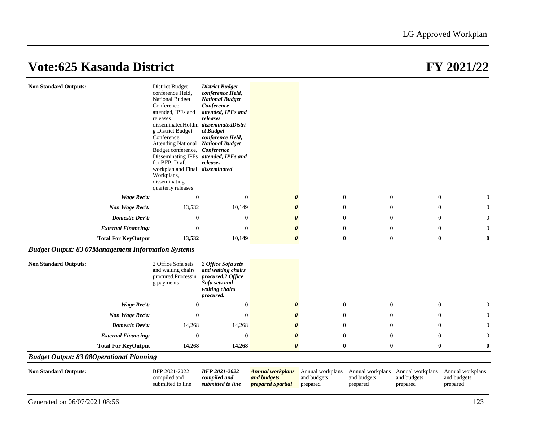| <b>Non Standard Outputs:</b>                              | <b>District Budget</b><br>conference Held,<br>National Budget<br>Conference<br>attended, IPFs and<br>releases<br>disseminatedHoldin disseminatedDistri<br>g District Budget<br>Conference,<br>Attending National National Budget<br>Budget conference,<br>Disseminating IPFs attended, IPFs and<br>for BFP, Draft<br>workplan and Final disseminated<br>Workplans,<br>disseminating<br>quarterly releases | <b>District Budget</b><br>conference Held,<br><b>National Budget</b><br>Conference<br>attended, IPFs and<br>releases<br>ct Budget<br>conference Held,<br>Conference<br>releases |                                                             |                                             |                         |                                                              |                                             |
|-----------------------------------------------------------|-----------------------------------------------------------------------------------------------------------------------------------------------------------------------------------------------------------------------------------------------------------------------------------------------------------------------------------------------------------------------------------------------------------|---------------------------------------------------------------------------------------------------------------------------------------------------------------------------------|-------------------------------------------------------------|---------------------------------------------|-------------------------|--------------------------------------------------------------|---------------------------------------------|
| Wage Rec't:                                               | $\theta$                                                                                                                                                                                                                                                                                                                                                                                                  | $\theta$                                                                                                                                                                        | $\boldsymbol{\theta}$                                       | $\mathbf{0}$                                | $\theta$                | $\overline{0}$                                               | $\theta$                                    |
| Non Wage Rec't:                                           | 13,532                                                                                                                                                                                                                                                                                                                                                                                                    | 10,149                                                                                                                                                                          | 0                                                           | $\boldsymbol{0}$                            | $\mathbf{0}$            | $\mathbf{0}$                                                 | $\theta$                                    |
| <b>Domestic Dev't:</b>                                    | $\theta$                                                                                                                                                                                                                                                                                                                                                                                                  | $\overline{0}$                                                                                                                                                                  | 0                                                           | $\theta$                                    | $\Omega$                | $\Omega$                                                     | $\theta$                                    |
| <b>External Financing:</b>                                | $\Omega$                                                                                                                                                                                                                                                                                                                                                                                                  | $\Omega$                                                                                                                                                                        | 0                                                           | $\Omega$                                    | $\Omega$                | $\Omega$                                                     | $\Omega$                                    |
| <b>Total For KeyOutput</b>                                | 13,532                                                                                                                                                                                                                                                                                                                                                                                                    | 10,149                                                                                                                                                                          | 0                                                           | $\bf{0}$                                    | $\bf{0}$                | $\bf{0}$                                                     | $\boldsymbol{0}$                            |
| <b>Budget Output: 83 07Management Information Systems</b> |                                                                                                                                                                                                                                                                                                                                                                                                           |                                                                                                                                                                                 |                                                             |                                             |                         |                                                              |                                             |
| <b>Non Standard Outputs:</b>                              | 2 Office Sofa sets<br>and waiting chairs<br>procured.Processin<br>g payments                                                                                                                                                                                                                                                                                                                              | 2 Office Sofa sets<br>and waiting chairs<br>procured.2 Office<br>Sofa sets and<br>waiting chairs<br>procured.                                                                   |                                                             |                                             |                         |                                                              |                                             |
| Wage Rec't:                                               | $\Omega$                                                                                                                                                                                                                                                                                                                                                                                                  | $\mathbf{0}$                                                                                                                                                                    | $\boldsymbol{\theta}$                                       | $\boldsymbol{0}$                            | $\mathbf{0}$            | $\mathbf{0}$                                                 | $\theta$                                    |
| Non Wage Rec't:                                           | $\Omega$                                                                                                                                                                                                                                                                                                                                                                                                  | $\mathbf{0}$                                                                                                                                                                    | 0                                                           | $\boldsymbol{0}$                            | $\mathbf{0}$            | $\mathbf{0}$                                                 | $\overline{0}$                              |
| <b>Domestic Dev't:</b>                                    | 14,268                                                                                                                                                                                                                                                                                                                                                                                                    | 14,268                                                                                                                                                                          | 0                                                           | $\theta$                                    | $\Omega$                | $\Omega$                                                     | $\Omega$                                    |
| <b>External Financing:</b>                                | $\theta$                                                                                                                                                                                                                                                                                                                                                                                                  | $\theta$                                                                                                                                                                        | 0                                                           | $\overline{0}$                              | $\mathbf{0}$            | $\mathbf{0}$                                                 | $\theta$                                    |
| <b>Total For KeyOutput</b>                                | 14,268                                                                                                                                                                                                                                                                                                                                                                                                    | 14,268                                                                                                                                                                          | $\boldsymbol{\theta}$                                       | $\bf{0}$                                    | $\bf{0}$                | $\bf{0}$                                                     | $\bf{0}$                                    |
| <b>Budget Output: 83 08Operational Planning</b>           |                                                                                                                                                                                                                                                                                                                                                                                                           |                                                                                                                                                                                 |                                                             |                                             |                         |                                                              |                                             |
| <b>Non Standard Outputs:</b>                              | BFP 2021-2022<br>compiled and<br>submitted to line                                                                                                                                                                                                                                                                                                                                                        | <b>BFP 2021-2022</b><br>compiled and<br>submitted to line                                                                                                                       | <b>Annual workplans</b><br>and budgets<br>prepared Spartial | Annual workplans<br>and budgets<br>prepared | and budgets<br>prepared | Annual workplans Annual workplans<br>and budgets<br>prepared | Annual workplans<br>and budgets<br>prepared |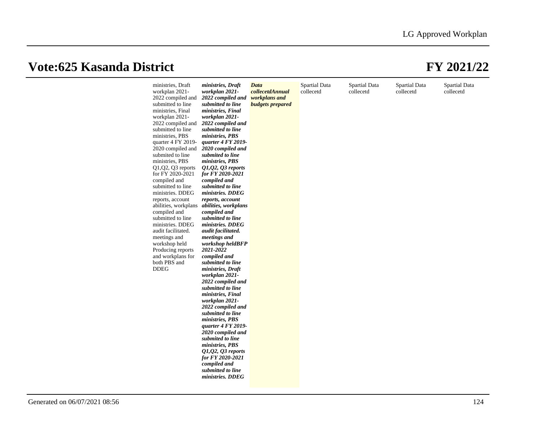| ministries, Draft<br>workplan 2021-<br>2022 compiled and<br>submitted to line<br>ministries, Final<br>workplan 2021-<br>2022 compiled and<br>submitted to line<br>ministries, PBS<br>quarter $4$ FY 2019-<br>2020 compiled and<br>submited to line<br>ministries, PBS<br>$Q1,Q2,Q3$ reports<br>for FY 2020-2021<br>compiled and<br>submitted to line<br>ministries. DDEG<br>reports, account<br>abilities, workplans<br>compiled and<br>submitted to line<br>ministries. DDEG<br>audit facilitated.<br>meetings and<br>workshop held<br>Producing reports<br>and workplans for<br>both PBS and<br><b>DDEG</b> | ministries, Draft<br>workplan 2021-<br>2022 compiled and<br>submitted to line<br>ministries, Final<br>workplan 2021-<br>2022 compiled and<br>submitted to line<br>ministries, PBS<br>quarter 4 FY 2019-<br>2020 compiled and<br>submited to line<br>ministries, PBS<br>$01,02,03$ reports<br>for FY 2020-2021<br>compiled and<br>submitted to line<br>ministries. DDEG<br>reports, account<br>abilities, workplans<br>compiled and<br>submitted to line<br>ministries. DDEG<br>audit facilitated.<br>meetings and<br>workshop heldBFP<br>2021-2022<br>compiled and<br>submitted to line<br>ministries, Draft<br>workplan 2021-<br>2022 compiled and<br>submitted to line<br>ministries, Final<br>workplan 2021-<br>2022 compiled and<br>submitted to line<br>ministries, PBS<br>quarter 4 FY 2019-<br>2020 compiled and<br>submited to line<br>ministries, PBS<br>$Q1, Q2, Q3$ reports<br>for FY 2020-2021<br>compiled and<br>submitted to line | Data<br>collecetdAnnual<br>workplans and<br><b>budgets</b> prepared | Spartial Data<br>collecetd | Spartial Data<br>collecetd | Spartial Data<br>collecetd | Spartial Data<br>collecetd |
|---------------------------------------------------------------------------------------------------------------------------------------------------------------------------------------------------------------------------------------------------------------------------------------------------------------------------------------------------------------------------------------------------------------------------------------------------------------------------------------------------------------------------------------------------------------------------------------------------------------|-------------------------------------------------------------------------------------------------------------------------------------------------------------------------------------------------------------------------------------------------------------------------------------------------------------------------------------------------------------------------------------------------------------------------------------------------------------------------------------------------------------------------------------------------------------------------------------------------------------------------------------------------------------------------------------------------------------------------------------------------------------------------------------------------------------------------------------------------------------------------------------------------------------------------------------------------|---------------------------------------------------------------------|----------------------------|----------------------------|----------------------------|----------------------------|
|                                                                                                                                                                                                                                                                                                                                                                                                                                                                                                                                                                                                               | ministries. DDEG                                                                                                                                                                                                                                                                                                                                                                                                                                                                                                                                                                                                                                                                                                                                                                                                                                                                                                                                |                                                                     |                            |                            |                            |                            |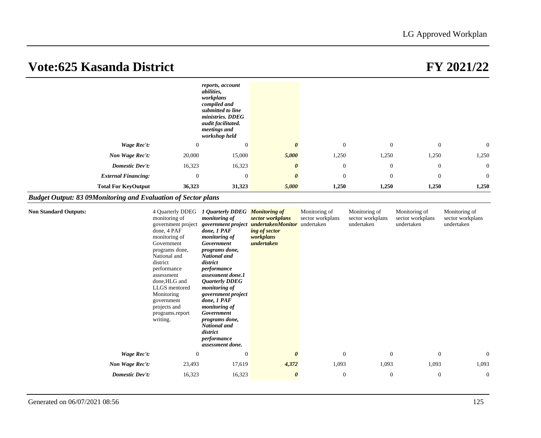|                                                                      |                                                                                                                                                                                                                                                                           | reports, account<br><i>abilities.</i><br>workplans<br>compiled and<br>submitted to line<br>ministries. DDEG<br>audit facilitated.<br>meetings and<br>workshop held                                                                                                                                                                                                                                     |                                                                                                                 |                                   |                                                 |                                                 |                                                 |
|----------------------------------------------------------------------|---------------------------------------------------------------------------------------------------------------------------------------------------------------------------------------------------------------------------------------------------------------------------|--------------------------------------------------------------------------------------------------------------------------------------------------------------------------------------------------------------------------------------------------------------------------------------------------------------------------------------------------------------------------------------------------------|-----------------------------------------------------------------------------------------------------------------|-----------------------------------|-------------------------------------------------|-------------------------------------------------|-------------------------------------------------|
| <b>Wage Rec't:</b>                                                   | $\mathbf{0}$                                                                                                                                                                                                                                                              | $\mathbf{0}$                                                                                                                                                                                                                                                                                                                                                                                           | $\boldsymbol{\theta}$                                                                                           | $\mathbf{0}$                      | $\mathbf{0}$                                    | $\mathbf{0}$                                    | $\mathbf{0}$                                    |
| Non Wage Rec't:                                                      | 20,000                                                                                                                                                                                                                                                                    | 15,000                                                                                                                                                                                                                                                                                                                                                                                                 | 5,000                                                                                                           | 1,250                             | 1,250                                           | 1,250                                           | 1,250                                           |
| <b>Domestic Dev't:</b>                                               | 16,323                                                                                                                                                                                                                                                                    | 16,323                                                                                                                                                                                                                                                                                                                                                                                                 | $\boldsymbol{\theta}$                                                                                           | $\boldsymbol{0}$                  | $\mathbf{0}$                                    | $\mathbf{0}$                                    | $\boldsymbol{0}$                                |
| <b>External Financing:</b>                                           | $\overline{0}$                                                                                                                                                                                                                                                            | $\mathbf{0}$                                                                                                                                                                                                                                                                                                                                                                                           | $\theta$                                                                                                        | $\overline{0}$                    | $\overline{0}$                                  | $\mathbf{0}$                                    | $\overline{0}$                                  |
| <b>Total For KeyOutput</b>                                           | 36,323                                                                                                                                                                                                                                                                    | 31,323                                                                                                                                                                                                                                                                                                                                                                                                 | 5,000                                                                                                           | 1,250                             | 1,250                                           | 1,250                                           | 1,250                                           |
| <b>Budget Output: 83 09Monitoring and Evaluation of Sector plans</b> |                                                                                                                                                                                                                                                                           |                                                                                                                                                                                                                                                                                                                                                                                                        |                                                                                                                 |                                   |                                                 |                                                 |                                                 |
| <b>Non Standard Outputs:</b>                                         | monitoring of<br>government project<br>done, 4 PAF<br>monitoring of<br>Government<br>programs done,<br>National and<br>district<br>performance<br>assessment<br>done, HLG and<br>LLGS mentored<br>Monitoring<br>government<br>projects and<br>programs.report<br>writing. | 4 Quarterly DDEG 1 Quarterly DDEG Monitoring of<br>monitoring of<br>done, 1 PAF<br>monitoring of<br>Government<br>programs done,<br>National and<br>district<br>performance<br>assessment done.1<br><b>Quarterly DDEG</b><br>monitoring of<br>government project<br>done, 1 PAF<br>monitoring of<br>Government<br><i>programs done,</i><br>National and<br>district<br>performance<br>assessment done. | sector workplans<br>government project undertakenMonitor undertaken<br>ing of sector<br>workplans<br>undertaken | Monitoring of<br>sector workplans | Monitoring of<br>sector workplans<br>undertaken | Monitoring of<br>sector workplans<br>undertaken | Monitoring of<br>sector workplans<br>undertaken |
| Wage Rec't:                                                          | $\mathbf{0}$                                                                                                                                                                                                                                                              | $\mathbf{0}$                                                                                                                                                                                                                                                                                                                                                                                           | $\boldsymbol{\theta}$                                                                                           | $\mathbf{0}$                      | $\mathbf{0}$                                    | $\mathbf{0}$                                    | $\mathbf{0}$                                    |
| Non Wage Rec't:<br><b>Domestic Dev't:</b>                            | 23,493<br>16,323                                                                                                                                                                                                                                                          | 17,619<br>16,323                                                                                                                                                                                                                                                                                                                                                                                       | 4,372<br>$\boldsymbol{\theta}$                                                                                  | 1,093<br>$\overline{0}$           | 1,093<br>$\mathbf{0}$                           | 1,093<br>$\boldsymbol{0}$                       | 1,093<br>$\overline{0}$                         |
|                                                                      |                                                                                                                                                                                                                                                                           |                                                                                                                                                                                                                                                                                                                                                                                                        |                                                                                                                 |                                   |                                                 |                                                 |                                                 |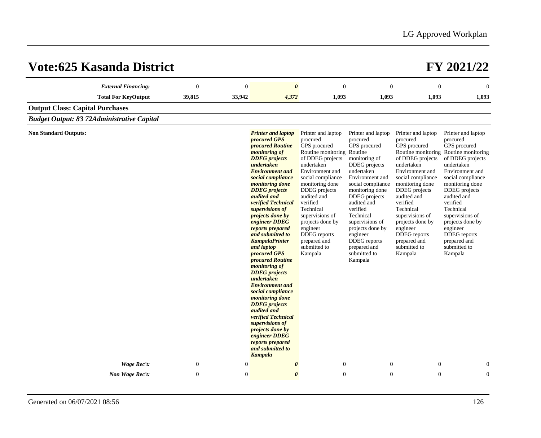| Vote:625 Kasanda District                         |                  |              |                                                                                                                                                                                                                                                                                                                                                                                                                                                                                                                                                                                                                                                                                                                                                      |                                                                                                                                                                                                                                                                                                                                                         |                                                                                                                                                                                                                                                                                                                                         |                                                                                                                                                                                                                                                                                                                                           | FY 2021/22                                                                                                                                                                                                                                                                                                                                                                |
|---------------------------------------------------|------------------|--------------|------------------------------------------------------------------------------------------------------------------------------------------------------------------------------------------------------------------------------------------------------------------------------------------------------------------------------------------------------------------------------------------------------------------------------------------------------------------------------------------------------------------------------------------------------------------------------------------------------------------------------------------------------------------------------------------------------------------------------------------------------|---------------------------------------------------------------------------------------------------------------------------------------------------------------------------------------------------------------------------------------------------------------------------------------------------------------------------------------------------------|-----------------------------------------------------------------------------------------------------------------------------------------------------------------------------------------------------------------------------------------------------------------------------------------------------------------------------------------|-------------------------------------------------------------------------------------------------------------------------------------------------------------------------------------------------------------------------------------------------------------------------------------------------------------------------------------------|---------------------------------------------------------------------------------------------------------------------------------------------------------------------------------------------------------------------------------------------------------------------------------------------------------------------------------------------------------------------------|
| <b>External Financing:</b>                        | $\mathbf{0}$     | $\mathbf{0}$ | $\boldsymbol{\theta}$                                                                                                                                                                                                                                                                                                                                                                                                                                                                                                                                                                                                                                                                                                                                | $\boldsymbol{0}$                                                                                                                                                                                                                                                                                                                                        | $\mathbf{0}$                                                                                                                                                                                                                                                                                                                            | $\mathbf{0}$                                                                                                                                                                                                                                                                                                                              | $\mathbf{0}$                                                                                                                                                                                                                                                                                                                                                              |
| <b>Total For KeyOutput</b>                        | 39,815           | 33,942       | 4,372                                                                                                                                                                                                                                                                                                                                                                                                                                                                                                                                                                                                                                                                                                                                                | 1,093                                                                                                                                                                                                                                                                                                                                                   | 1,093                                                                                                                                                                                                                                                                                                                                   | 1,093                                                                                                                                                                                                                                                                                                                                     | 1,093                                                                                                                                                                                                                                                                                                                                                                     |
| <b>Output Class: Capital Purchases</b>            |                  |              |                                                                                                                                                                                                                                                                                                                                                                                                                                                                                                                                                                                                                                                                                                                                                      |                                                                                                                                                                                                                                                                                                                                                         |                                                                                                                                                                                                                                                                                                                                         |                                                                                                                                                                                                                                                                                                                                           |                                                                                                                                                                                                                                                                                                                                                                           |
| <b>Budget Output: 83 72Administrative Capital</b> |                  |              |                                                                                                                                                                                                                                                                                                                                                                                                                                                                                                                                                                                                                                                                                                                                                      |                                                                                                                                                                                                                                                                                                                                                         |                                                                                                                                                                                                                                                                                                                                         |                                                                                                                                                                                                                                                                                                                                           |                                                                                                                                                                                                                                                                                                                                                                           |
| <b>Non Standard Outputs:</b><br>Wage Rec't:       | $\boldsymbol{0}$ | $\mathbf{0}$ | <b>Printer and laptop</b><br>procured GPS<br>procured Routine<br><i>monitoring of</i><br><b>DDEG</b> projects<br>undertaken<br><b>Environment</b> and<br>social compliance<br>monitoring done<br><b>DDEG</b> projects<br>audited and<br>verified Technical<br>supervisions of<br>projects done by<br>engineer DDEG<br>reports prepared<br>and submitted to<br><b>KampalaPrinter</b><br>and laptop<br>procured GPS<br>procured Routine<br><i>monitoring of</i><br><b>DDEG</b> projects<br>undertaken<br><b>Environment</b> and<br>social compliance<br>monitoring done<br><b>DDEG</b> projects<br>audited and<br>verified Technical<br>supervisions of<br>projects done by<br>engineer DDEG<br>reports prepared<br>and submitted to<br><b>Kampala</b> | Printer and laptop<br>procured<br>GPS procured<br>Routine monitoring Routine<br>of DDEG projects<br>undertaken<br>Environment and<br>social compliance<br>monitoring done<br>DDEG projects<br>audited and<br>verified<br>Technical<br>supervisions of<br>projects done by<br>engineer<br><b>DDEG</b> reports<br>prepared and<br>submitted to<br>Kampala | Printer and laptop<br>procured<br>GPS procured<br>monitoring of<br><b>DDEG</b> projects<br>undertaken<br>Environment and<br>social compliance<br>monitoring done<br>DDEG projects<br>audited and<br>verified<br>Technical<br>supervisions of<br>projects done by<br>engineer<br>DDEG reports<br>prepared and<br>submitted to<br>Kampala | Printer and laptop<br>procured<br>GPS procured<br>of DDEG projects<br>undertaken<br>Environment and<br>social compliance<br>monitoring done<br>DDEG projects<br>audited and<br>verified<br>Technical<br>supervisions of<br>projects done by<br>engineer<br><b>DDEG</b> reports<br>prepared and<br>submitted to<br>Kampala<br>$\mathbf{0}$ | Printer and laptop<br>procured<br>GPS procured<br>Routine monitoring Routine monitoring<br>of DDEG projects<br>undertaken<br>Environment and<br>social compliance<br>monitoring done<br><b>DDEG</b> projects<br>audited and<br>verified<br>Technical<br>supervisions of<br>projects done by<br>engineer<br><b>DDEG</b> reports<br>prepared and<br>submitted to<br>Kampala |
|                                                   |                  |              | $\boldsymbol{\theta}$                                                                                                                                                                                                                                                                                                                                                                                                                                                                                                                                                                                                                                                                                                                                | $\boldsymbol{0}$                                                                                                                                                                                                                                                                                                                                        | $\mathbf{0}$                                                                                                                                                                                                                                                                                                                            |                                                                                                                                                                                                                                                                                                                                           | 0                                                                                                                                                                                                                                                                                                                                                                         |
| Non Wage Rec't:                                   | $\mathbf{0}$     | $\mathbf{0}$ | $\boldsymbol{\theta}$                                                                                                                                                                                                                                                                                                                                                                                                                                                                                                                                                                                                                                                                                                                                | $\theta$                                                                                                                                                                                                                                                                                                                                                | $\theta$                                                                                                                                                                                                                                                                                                                                | $\mathbf{0}$                                                                                                                                                                                                                                                                                                                              | $\overline{0}$                                                                                                                                                                                                                                                                                                                                                            |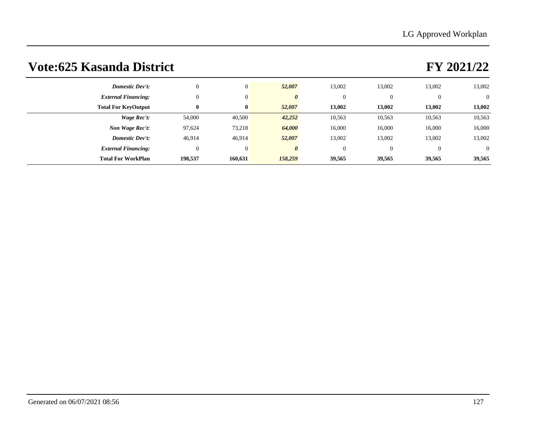| <b>Domestic Dev't:</b>     | $\mathbf{0}$ | $\overline{0}$ | 52,007  | 13,002   | 13,002   | 13,002   | 13,002         |
|----------------------------|--------------|----------------|---------|----------|----------|----------|----------------|
| <b>External Financing:</b> | $\mathbf{0}$ | $\overline{0}$ | 0       | $\Omega$ | $\theta$ | $\theta$ | $\overline{0}$ |
| <b>Total For KeyOutput</b> | $\bf{0}$     | $\bf{0}$       | 52,007  | 13,002   | 13,002   | 13,002   | 13,002         |
| Wage Rec't:                | 54,000       | 40,500         | 42,252  | 10,563   | 10,563   | 10,563   | 10,563         |
| Non Wage Rec't:            | 97,624       | 73,218         | 64,000  | 16,000   | 16,000   | 16,000   | 16,000         |
| <b>Domestic Dev't:</b>     | 46,914       | 46,914         | 52,007  | 13,002   | 13,002   | 13,002   | 13,002         |
| <b>External Financing:</b> | $\mathbf{0}$ | $\overline{0}$ | 0       | $\Omega$ | $\theta$ | $\theta$ | $\overline{0}$ |
| <b>Total For WorkPlan</b>  | 198,537      | 160,631        | 158,259 | 39,565   | 39,565   | 39,565   | 39,565         |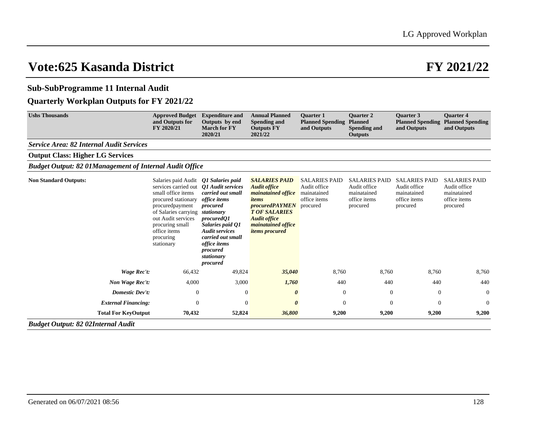### **Sub-SubProgramme 11 Internal Audit**

### **Quarterly Workplan Outputs for FY 2021/22**

| <b>Ushs Thousands</b>                                          | <b>Approved Budget</b><br>and Outputs for<br>FY 2020/21                                                                                                                                                                 | <b>Expenditure and</b><br>Outputs by end<br><b>March for FY</b><br>2020/21                                                                                                                                                                        | <b>Annual Planned</b><br><b>Spending and</b><br><b>Outputs FY</b><br>2021/22                                                                                                                                    | <b>Ouarter 1</b><br><b>Planned Spending</b><br>and Outputs                      | <b>Ouarter 2</b><br><b>Planned</b><br><b>Spending and</b><br><b>Outputs</b>     | <b>Ouarter 3</b><br><b>Planned Spending</b><br>and Outputs                      | <b>Ouarter 4</b><br><b>Planned Spending</b><br>and Outputs                      |
|----------------------------------------------------------------|-------------------------------------------------------------------------------------------------------------------------------------------------------------------------------------------------------------------------|---------------------------------------------------------------------------------------------------------------------------------------------------------------------------------------------------------------------------------------------------|-----------------------------------------------------------------------------------------------------------------------------------------------------------------------------------------------------------------|---------------------------------------------------------------------------------|---------------------------------------------------------------------------------|---------------------------------------------------------------------------------|---------------------------------------------------------------------------------|
| <b>Service Area: 82 Internal Audit Services</b>                |                                                                                                                                                                                                                         |                                                                                                                                                                                                                                                   |                                                                                                                                                                                                                 |                                                                                 |                                                                                 |                                                                                 |                                                                                 |
| <b>Output Class: Higher LG Services</b>                        |                                                                                                                                                                                                                         |                                                                                                                                                                                                                                                   |                                                                                                                                                                                                                 |                                                                                 |                                                                                 |                                                                                 |                                                                                 |
| <b>Budget Output: 82 01Management of Internal Audit Office</b> |                                                                                                                                                                                                                         |                                                                                                                                                                                                                                                   |                                                                                                                                                                                                                 |                                                                                 |                                                                                 |                                                                                 |                                                                                 |
| <b>Non Standard Outputs:</b>                                   | Salaries paid Audit<br>services carried out<br>small office items<br>procured stationary<br>procuredpayment<br>of Salaries carrying<br>out Audit services<br>procuring small<br>office items<br>procuring<br>stationary | Q1 Salaries paid<br><b>O1</b> Audit services<br>carried out small<br>office items<br>procured<br>stationary<br>procuredO1<br>Salaries paid Q1<br><b>Audit services</b><br>carried out small<br>office items<br>procured<br>stationary<br>procured | <b>SALARIES PAID</b><br><b>Audit office</b><br><i>mainatained office</i><br>items<br><i>procuredPAYMEN</i><br><b>T OF SALARIES</b><br><b>Audit office</b><br><i>mainatained office</i><br><i>items procured</i> | <b>SALARIES PAID</b><br>Audit office<br>mainatained<br>office items<br>procured | <b>SALARIES PAID</b><br>Audit office<br>mainatained<br>office items<br>procured | <b>SALARIES PAID</b><br>Audit office<br>mainatained<br>office items<br>procured | <b>SALARIES PAID</b><br>Audit office<br>mainatained<br>office items<br>procured |
| Wage Rec't:                                                    | 66,432                                                                                                                                                                                                                  | 49,824                                                                                                                                                                                                                                            | 35,040                                                                                                                                                                                                          | 8,760                                                                           | 8,760                                                                           | 8,760                                                                           | 8,760                                                                           |
| Non Wage Rec't:                                                | 4,000                                                                                                                                                                                                                   | 3,000                                                                                                                                                                                                                                             | 1,760                                                                                                                                                                                                           | 440                                                                             | 440                                                                             | 440                                                                             | 440                                                                             |
| Domestic Dev't:                                                | $\theta$                                                                                                                                                                                                                | $\mathbf 0$                                                                                                                                                                                                                                       | 0                                                                                                                                                                                                               | 0                                                                               | $\overline{0}$                                                                  | $\bf{0}$                                                                        | $\mathbf{0}$                                                                    |
| <b>External Financing:</b>                                     | $\mathbf{0}$                                                                                                                                                                                                            | $\Omega$                                                                                                                                                                                                                                          | 0                                                                                                                                                                                                               | $\theta$                                                                        | $\overline{0}$                                                                  | $\theta$                                                                        | $\overline{0}$                                                                  |
| <b>Total For KeyOutput</b>                                     | 70,432                                                                                                                                                                                                                  | 52,824                                                                                                                                                                                                                                            | 36,800                                                                                                                                                                                                          | 9,200                                                                           | 9,200                                                                           | 9,200                                                                           | 9,200                                                                           |
| <b>Budget Output: 82 02Internal Audit</b>                      |                                                                                                                                                                                                                         |                                                                                                                                                                                                                                                   |                                                                                                                                                                                                                 |                                                                                 |                                                                                 |                                                                                 |                                                                                 |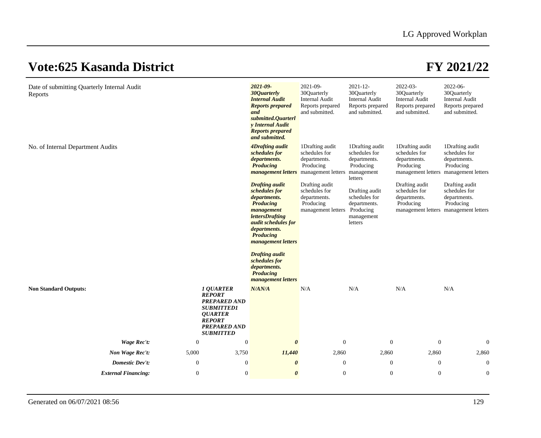| Date of submitting Quarterly Internal Audit<br>Reports |                  |                                                                                                                                                             | 2021-09-<br>30 <i>Quarterly</i><br><b>Internal Audit</b><br><b>Reports prepared</b><br>and<br>submitted.Quarterl<br>y Internal Audit<br><b>Reports prepared</b><br>and submitted.                                                                                                                              | 2021-09-<br>30Quarterly<br><b>Internal Audit</b><br>Reports prepared<br>and submitted. | $2021 - 12$<br>30Quarterly<br><b>Internal Audit</b><br>Reports prepared<br>and submitted. | 2022-03-<br>30Quarterly<br><b>Internal Audit</b><br>Reports prepared<br>and submitted.                 | 2022-06-<br>30Quarterly<br><b>Internal Audit</b><br>Reports prepared<br>and submitted. |
|--------------------------------------------------------|------------------|-------------------------------------------------------------------------------------------------------------------------------------------------------------|----------------------------------------------------------------------------------------------------------------------------------------------------------------------------------------------------------------------------------------------------------------------------------------------------------------|----------------------------------------------------------------------------------------|-------------------------------------------------------------------------------------------|--------------------------------------------------------------------------------------------------------|----------------------------------------------------------------------------------------|
| No. of Internal Department Audits                      |                  |                                                                                                                                                             | 4Drafting audit<br>schedules for<br>departments.<br><b>Producing</b><br><b>management letters</b> management letters management                                                                                                                                                                                | 1Drafting audit<br>schedules for<br>departments.<br>Producing                          | 1Drafting audit<br>schedules for<br>departments.<br>Producing<br>letters                  | 1Drafting audit<br>schedules for<br>departments.<br>Producing<br>management letters management letters | 1Drafting audit<br>schedules for<br>departments.<br>Producing                          |
|                                                        |                  |                                                                                                                                                             | <b>Drafting audit</b><br>schedules for<br>departments.<br><b>Producing</b><br>management<br><i>lettersDrafting</i><br>audit schedules for<br>departments.<br><b>Producing</b><br><i>management letters</i><br><b>Drafting audit</b><br>schedules for<br>departments.<br><b>Producing</b><br>management letters | Drafting audit<br>schedules for<br>departments.<br>Producing<br>management letters     | Drafting audit<br>schedules for<br>departments.<br>Producing<br>management<br>letters     | Drafting audit<br>schedules for<br>departments.<br>Producing<br>management letters management letters  | Drafting audit<br>schedules for<br>departments.<br>Producing                           |
| <b>Non Standard Outputs:</b>                           |                  | <b>1 QUARTER</b><br><b>REPORT</b><br><b>PREPARED AND</b><br><b>SUBMITTED1</b><br><b>QUARTER</b><br><b>REPORT</b><br><b>PREPARED AND</b><br><b>SUBMITTED</b> | N/AN/A                                                                                                                                                                                                                                                                                                         | N/A                                                                                    | N/A                                                                                       | N/A                                                                                                    | N/A                                                                                    |
| Wage Rec't:                                            | $\boldsymbol{0}$ | $\boldsymbol{0}$                                                                                                                                            | $\boldsymbol{\theta}$                                                                                                                                                                                                                                                                                          | $\boldsymbol{0}$                                                                       | $\mathbf{0}$                                                                              | $\mathbf{0}$                                                                                           | $\mathbf{0}$                                                                           |
| Non Wage Rec't:                                        | 5,000            | 3,750                                                                                                                                                       | 11,440                                                                                                                                                                                                                                                                                                         | 2,860                                                                                  | 2,860                                                                                     | 2,860                                                                                                  | 2,860                                                                                  |
| Domestic Dev't:                                        | $\boldsymbol{0}$ | $\boldsymbol{0}$                                                                                                                                            | $\boldsymbol{\theta}$                                                                                                                                                                                                                                                                                          | $\boldsymbol{0}$                                                                       | $\mathbf{0}$                                                                              | $\boldsymbol{0}$                                                                                       | $\mathbf{0}$                                                                           |
| <b>External Financing:</b>                             | $\mathbf{0}$     | $\mathbf{0}$                                                                                                                                                | $\boldsymbol{\theta}$                                                                                                                                                                                                                                                                                          | $\boldsymbol{0}$                                                                       | $\mathbf{0}$                                                                              | $\mathbf{0}$                                                                                           | $\mathbf{0}$                                                                           |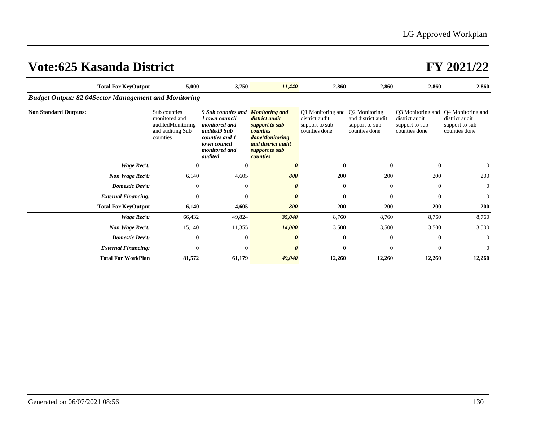|                                                             | <b>Total For KeyOutput</b> | 5,000                                                                              | 3,750                                                                                                                                      | 11,440                                                                                                                                      | 2,860                                                                  | 2,860                                                                  | 2,860                                                                  | 2,860                                                                  |
|-------------------------------------------------------------|----------------------------|------------------------------------------------------------------------------------|--------------------------------------------------------------------------------------------------------------------------------------------|---------------------------------------------------------------------------------------------------------------------------------------------|------------------------------------------------------------------------|------------------------------------------------------------------------|------------------------------------------------------------------------|------------------------------------------------------------------------|
| <b>Budget Output: 82 04Sector Management and Monitoring</b> |                            |                                                                                    |                                                                                                                                            |                                                                                                                                             |                                                                        |                                                                        |                                                                        |                                                                        |
| <b>Non Standard Outputs:</b>                                |                            | Sub counties<br>monitored and<br>auditedMonitoring<br>and auditing Sub<br>counties | 9 Sub counties and<br><i>l</i> town council<br>monitored and<br>audited9 Sub<br>counties and 1<br>town council<br>monitored and<br>audited | <b>Monitoring and</b><br>district audit<br>support to sub<br>counties<br>doneMonitoring<br>and district audit<br>support to sub<br>counties | Q1 Monitoring and<br>district audit<br>support to sub<br>counties done | Q2 Monitoring<br>and district audit<br>support to sub<br>counties done | Q3 Monitoring and<br>district audit<br>support to sub<br>counties done | Q4 Monitoring and<br>district audit<br>support to sub<br>counties done |
|                                                             | Wage Rec't:                | $\mathbf{0}$                                                                       | $\Omega$                                                                                                                                   |                                                                                                                                             | $\theta$                                                               | $\theta$                                                               | $\boldsymbol{0}$                                                       | $\theta$                                                               |
|                                                             | Non Wage Rec't:            | 6,140                                                                              | 4,605                                                                                                                                      | 800                                                                                                                                         | 200                                                                    | 200                                                                    | 200                                                                    | 200                                                                    |
|                                                             | <b>Domestic Dev't:</b>     | $\mathbf{0}$                                                                       | $\theta$                                                                                                                                   | $\theta$                                                                                                                                    | $\theta$                                                               | $\theta$                                                               | $\mathbf{0}$                                                           | $\mathbf{0}$                                                           |
|                                                             | <b>External Financing:</b> | $\boldsymbol{0}$                                                                   | $\theta$                                                                                                                                   | 0                                                                                                                                           | $\boldsymbol{0}$                                                       | $\mathbf{0}$                                                           | $\mathbf{0}$                                                           | $\mathbf{0}$                                                           |
|                                                             | <b>Total For KeyOutput</b> | 6,140                                                                              | 4,605                                                                                                                                      | 800                                                                                                                                         | 200                                                                    | 200                                                                    | 200                                                                    | 200                                                                    |
|                                                             | Wage Rec't:                | 66,432                                                                             | 49,824                                                                                                                                     | 35,040                                                                                                                                      | 8,760                                                                  | 8,760                                                                  | 8,760                                                                  | 8,760                                                                  |
|                                                             | Non Wage Rec't:            | 15,140                                                                             | 11,355                                                                                                                                     | 14,000                                                                                                                                      | 3,500                                                                  | 3,500                                                                  | 3,500                                                                  | 3,500                                                                  |
|                                                             | Domestic Dev't:            | $\mathbf{0}$                                                                       | $\overline{0}$                                                                                                                             | $\theta$                                                                                                                                    | $\overline{0}$                                                         | $\theta$                                                               | $\overline{0}$                                                         | $\overline{0}$                                                         |
|                                                             | <b>External Financing:</b> | $\mathbf{0}$                                                                       | $\Omega$                                                                                                                                   |                                                                                                                                             | $\Omega$                                                               | $\theta$                                                               | $\theta$                                                               | $\overline{0}$                                                         |
|                                                             | <b>Total For WorkPlan</b>  | 81,572                                                                             | 61,179                                                                                                                                     | 49,040                                                                                                                                      | 12,260                                                                 | 12,260                                                                 | 12,260                                                                 | 12,260                                                                 |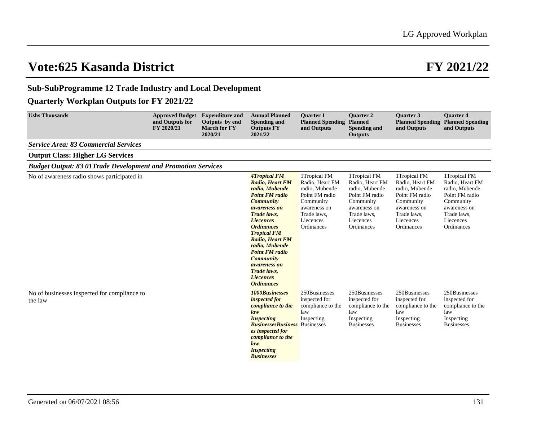### **Sub-SubProgramme 12 Trade Industry and Local Development**

### **Quarterly Workplan Outputs for FY 2021/22**

| <b>Ushs Thousands</b>                                               | <b>Approved Budget</b><br>and Outputs for<br>FY 2020/21 | <b>Expenditure and</b><br>Outputs by end<br><b>March for FY</b><br>2020/21 | <b>Annual Planned</b><br><b>Spending and</b><br><b>Outputs FY</b><br>2021/22                                                                                                                                                                                                                                                                                                | <b>Ouarter 1</b><br><b>Planned Spending</b><br>and Outputs                                                                                 | <b>Ouarter 2</b><br><b>Planned</b><br><b>Spending and</b><br><b>Outputs</b>                                                                | <b>Ouarter 3</b><br>and Outputs                                                                                                            | <b>Ouarter 4</b><br><b>Planned Spending Planned Spending</b><br>and Outputs                                                                |
|---------------------------------------------------------------------|---------------------------------------------------------|----------------------------------------------------------------------------|-----------------------------------------------------------------------------------------------------------------------------------------------------------------------------------------------------------------------------------------------------------------------------------------------------------------------------------------------------------------------------|--------------------------------------------------------------------------------------------------------------------------------------------|--------------------------------------------------------------------------------------------------------------------------------------------|--------------------------------------------------------------------------------------------------------------------------------------------|--------------------------------------------------------------------------------------------------------------------------------------------|
| <b>Service Area: 83 Commercial Services</b>                         |                                                         |                                                                            |                                                                                                                                                                                                                                                                                                                                                                             |                                                                                                                                            |                                                                                                                                            |                                                                                                                                            |                                                                                                                                            |
| <b>Output Class: Higher LG Services</b>                             |                                                         |                                                                            |                                                                                                                                                                                                                                                                                                                                                                             |                                                                                                                                            |                                                                                                                                            |                                                                                                                                            |                                                                                                                                            |
| <b>Budget Output: 83 01Trade Development and Promotion Services</b> |                                                         |                                                                            |                                                                                                                                                                                                                                                                                                                                                                             |                                                                                                                                            |                                                                                                                                            |                                                                                                                                            |                                                                                                                                            |
| No of awareness radio shows participated in                         |                                                         |                                                                            | <b>4Tropical FM</b><br><b>Radio, Heart FM</b><br>radio, Mubende<br><b>Point FM radio</b><br><b>Community</b><br>awareness on<br>Trade laws,<br><i>Liecences</i><br><b>Ordinances</b><br><b>Tropical FM</b><br>Radio, Heart FM<br>radio, Mubende<br><b>Point FM radio</b><br><b>Community</b><br><i>awareness on</i><br>Trade laws,<br><i>Liecences</i><br><b>Ordinances</b> | 1Tropical FM<br>Radio, Heart FM<br>radio, Mubende<br>Point FM radio<br>Community<br>awareness on<br>Trade laws,<br>Liecences<br>Ordinances | 1Tropical FM<br>Radio, Heart FM<br>radio, Mubende<br>Point FM radio<br>Community<br>awareness on<br>Trade laws,<br>Liecences<br>Ordinances | 1Tropical FM<br>Radio, Heart FM<br>radio, Mubende<br>Point FM radio<br>Community<br>awareness on<br>Trade laws,<br>Liecences<br>Ordinances | 1Tropical FM<br>Radio, Heart FM<br>radio, Mubende<br>Point FM radio<br>Community<br>awareness on<br>Trade laws.<br>Liecences<br>Ordinances |
| No of businesses inspected for compliance to<br>the law             |                                                         |                                                                            | <b>1000Businesses</b><br><i>inspected for</i><br>compliance to the<br>law<br><b>Inspecting</b><br><b>Businesses Business</b> Businesses<br>es inspected for<br>compliance to the<br>law<br><b>Inspecting</b><br><b>Businesses</b>                                                                                                                                           | 250Businesses<br>inspected for<br>compliance to the<br>law<br>Inspecting                                                                   | 250Businesses<br>inspected for<br>compliance to the<br>law<br>Inspecting<br><b>Businesses</b>                                              | 250Businesses<br>inspected for<br>compliance to the<br>law<br>Inspecting<br><b>Businesses</b>                                              | 250Businesses<br>inspected for<br>compliance to the<br>law<br>Inspecting<br><b>Businesses</b>                                              |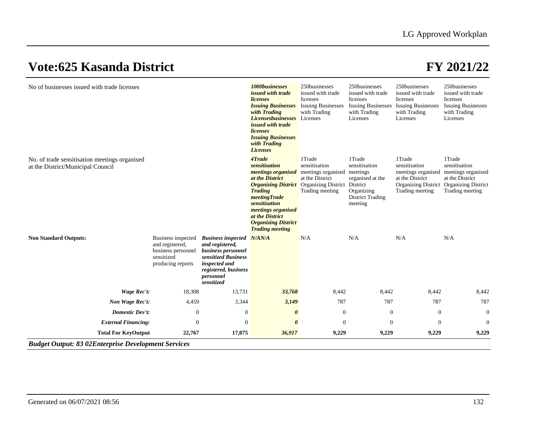| No of businesses issued with trade licenses                                        |                                                                                                |                                                                                                                                                                      | 1000businesses<br>issued with trade<br>licenses<br><b>Issuing Businesses</b><br>with Trading<br><b>Licensesbusinesses</b><br>issued with trade<br>licenses<br><b>Issuing Businesses</b><br>with Trading<br><b>Licenses</b>                                                    | 250businesses<br>issued with trade<br>licenses<br><b>Issuing Businesses</b><br>with Trading<br>Licenses | 250businesses<br>issued with trade<br>licenses<br>with Trading<br>Licenses                                              | 250businesses<br>issued with trade<br>licenses<br>Issuing Businesses Issuing Businesses<br>with Trading<br>Licenses | 250businesses<br>issued with trade<br>licenses<br><b>Issuing Businesses</b><br>with Trading<br>Licenses                        |
|------------------------------------------------------------------------------------|------------------------------------------------------------------------------------------------|----------------------------------------------------------------------------------------------------------------------------------------------------------------------|-------------------------------------------------------------------------------------------------------------------------------------------------------------------------------------------------------------------------------------------------------------------------------|---------------------------------------------------------------------------------------------------------|-------------------------------------------------------------------------------------------------------------------------|---------------------------------------------------------------------------------------------------------------------|--------------------------------------------------------------------------------------------------------------------------------|
| No. of trade sensitisation meetings organised<br>at the District/Municipal Council |                                                                                                |                                                                                                                                                                      | 4Trade<br>sensitisation<br><i>meetings organised</i><br>at the District<br><b>Organizing District</b> Organizing District<br><b>Trading</b><br>meetingTrade<br>sensitisation<br>meetings organised<br>at the District<br><b>Organizing District</b><br><b>Trading meeting</b> | 1Trade<br>sensitisation<br>meetings organised<br>at the District<br>Trading meeting                     | 1Trade<br>sensitisation<br>meetings<br>organised at the<br>District<br>Organizing<br><b>District Trading</b><br>meeting | 1Trade<br>sensitisation<br>meetings organised<br>at the District<br>Trading meeting                                 | 1Trade<br>sensitisation<br>meetings organised<br>at the District<br>Organizing District Organizing District<br>Trading meeting |
| <b>Non Standard Outputs:</b>                                                       | Business inspected<br>and registered,<br>business personnel<br>sensitized<br>producing reports | <b>Business inspected N/AN/A</b><br>and registered,<br>business personnel<br>sensitized Business<br>inspected and<br>registered, business<br>personnel<br>sensitized |                                                                                                                                                                                                                                                                               | N/A                                                                                                     | N/A                                                                                                                     | N/A                                                                                                                 | N/A                                                                                                                            |
| Wage Rec't:                                                                        | 18,308                                                                                         | 13,731                                                                                                                                                               | 33,768                                                                                                                                                                                                                                                                        | 8,442                                                                                                   | 8,442                                                                                                                   | 8,442                                                                                                               | 8,442                                                                                                                          |
| Non Wage Rec't:                                                                    | 4,459                                                                                          | 3,344                                                                                                                                                                | 3,149                                                                                                                                                                                                                                                                         | 787                                                                                                     | 787                                                                                                                     | 787                                                                                                                 | 787                                                                                                                            |
| Domestic Dev't:                                                                    | $\boldsymbol{0}$                                                                               | $\boldsymbol{0}$                                                                                                                                                     | $\boldsymbol{\theta}$                                                                                                                                                                                                                                                         | $\mathbf{0}$                                                                                            | $\boldsymbol{0}$                                                                                                        | $\boldsymbol{0}$                                                                                                    | $\theta$                                                                                                                       |
| <b>External Financing:</b>                                                         | $\mathbf{0}$                                                                                   | $\overline{0}$                                                                                                                                                       | $\boldsymbol{\theta}$                                                                                                                                                                                                                                                         | $\overline{0}$                                                                                          | $\theta$                                                                                                                | $\mathbf{0}$                                                                                                        | $\theta$                                                                                                                       |
| <b>Total For KeyOutput</b>                                                         | 22,767                                                                                         | 17,075                                                                                                                                                               | 36,917                                                                                                                                                                                                                                                                        | 9,229                                                                                                   | 9,229                                                                                                                   | 9,229                                                                                                               | 9,229                                                                                                                          |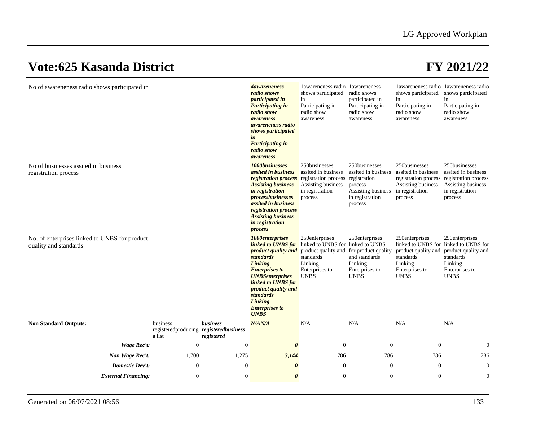| No of awareneness radio shows participated in                          |                                                              |                        | <i><b>A</b> d</i> <sub><i>aw areneness</i></sub><br>radio shows<br><i>participated in</i><br><b>Participating in</b><br>radio show<br>awareness<br><i>awareneness radio</i><br>shows participated<br>in<br><b>Participating in</b><br>radio show<br>awareness                                 | lawareneness radio lawareneness<br>shows participated<br>in<br>Participating in<br>radio show<br>awareness | radio shows<br>participated in<br>Participating in<br>radio show<br>awareness                                       | shows participated<br>in<br>Participating in<br>radio show<br>awareness                        | lawareneness radio lawareneness radio<br>shows participated<br>in<br>Participating in<br>radio show<br>awareness                        |
|------------------------------------------------------------------------|--------------------------------------------------------------|------------------------|-----------------------------------------------------------------------------------------------------------------------------------------------------------------------------------------------------------------------------------------------------------------------------------------------|------------------------------------------------------------------------------------------------------------|---------------------------------------------------------------------------------------------------------------------|------------------------------------------------------------------------------------------------|-----------------------------------------------------------------------------------------------------------------------------------------|
| No of businesses assited in business<br>registration process           |                                                              |                        | 1000businesses<br><i>assited in business</i><br><b>registration process</b> registration process<br><b>Assisting business</b><br>in registration<br><i>processbusinesses</i><br><i>assited in business</i><br>registration process<br><b>Assisting business</b><br>in registration<br>process | 250businesses<br>assited in business<br>Assisting business<br>in registration<br>process                   | 250businesses<br>assited in business<br>registration<br>process<br>Assisting business<br>in registration<br>process | 250businesses<br>assited in business<br>Assisting business<br>in registration<br>process       | 250businesses<br>assited in business<br>registration process registration process<br>Assisting business<br>in registration<br>process   |
| No. of enterprises linked to UNBS for product<br>quality and standards |                                                              |                        | 1000enterprises<br><b>linked to UNBS for</b> linked to UNBS for linked to UNBS<br>product quality and<br>standards<br>Linking<br><b>Enterprises to</b><br><b>UNBSenterprises</b><br>linked to UNBS for<br>product quality and<br>standards<br>Linking<br><b>Enterprises to</b><br><b>UNBS</b> | 250enterprises<br>product quality and<br>standards<br>Linking<br>Enterprises to<br><b>UNBS</b>             | 250enterprises<br>for product quality<br>and standards<br>Linking<br>Enterprises to<br><b>UNBS</b>                  | 250enterprises<br>product quality and<br>standards<br>Linking<br>Enterprises to<br><b>UNBS</b> | 250enterprises<br>linked to UNBS for linked to UNBS for<br>product quality and<br>standards<br>Linking<br>Enterprises to<br><b>UNBS</b> |
| <b>Non Standard Outputs:</b>                                           | business<br>registeredproducing registeredbusiness<br>a list | business<br>registered | N/AN/A                                                                                                                                                                                                                                                                                        | N/A                                                                                                        | N/A                                                                                                                 | N/A                                                                                            | N/A                                                                                                                                     |
| Wage Rec't:                                                            | $\mathbf{0}$                                                 | $\boldsymbol{0}$       | $\boldsymbol{\theta}$                                                                                                                                                                                                                                                                         | $\theta$                                                                                                   | $\overline{0}$                                                                                                      | $\Omega$                                                                                       | $\overline{0}$                                                                                                                          |
| Non Wage Rec't:                                                        | 1,700                                                        | 1,275                  | 3,144                                                                                                                                                                                                                                                                                         | 786                                                                                                        | 786                                                                                                                 | 786                                                                                            | 786                                                                                                                                     |
| <b>Domestic Dev't:</b>                                                 | $\mathbf{0}$                                                 | $\theta$               | $\boldsymbol{\theta}$                                                                                                                                                                                                                                                                         | $\overline{0}$                                                                                             | $\overline{0}$                                                                                                      | $\theta$                                                                                       | $\overline{0}$                                                                                                                          |
| <b>External Financing:</b>                                             | $\mathbf{0}$                                                 | $\mathbf{0}$           | 0                                                                                                                                                                                                                                                                                             | $\mathbf{0}$                                                                                               | $\overline{0}$                                                                                                      | $\overline{0}$                                                                                 | $\overline{0}$                                                                                                                          |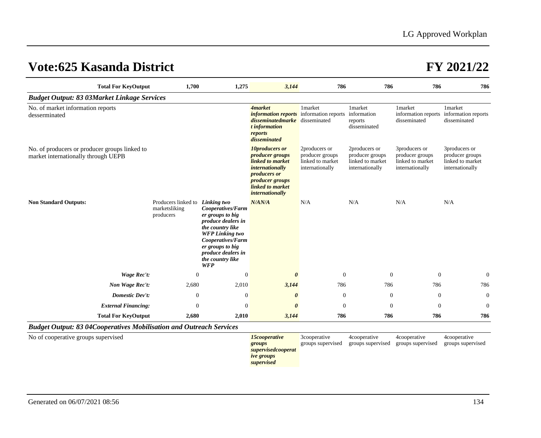| <b>Total For KeyOutput</b>                                                           | 1,700                                                                | 1,275                                                                                                                                                                                                             | 3,144                                                                                                                                                                          | 786                                                                     | 786                                                                     | 786                                                                     | 786                                                                     |
|--------------------------------------------------------------------------------------|----------------------------------------------------------------------|-------------------------------------------------------------------------------------------------------------------------------------------------------------------------------------------------------------------|--------------------------------------------------------------------------------------------------------------------------------------------------------------------------------|-------------------------------------------------------------------------|-------------------------------------------------------------------------|-------------------------------------------------------------------------|-------------------------------------------------------------------------|
| <b>Budget Output: 83 03Market Linkage Services</b>                                   |                                                                      |                                                                                                                                                                                                                   |                                                                                                                                                                                |                                                                         |                                                                         |                                                                         |                                                                         |
| No. of market information reports<br>desserminated                                   |                                                                      |                                                                                                                                                                                                                   | <b>4market</b><br><i>information reports</i> information reports<br><i>disseminatedmarke</i> disseminated<br>t information<br>reports<br>disseminated                          | 1market                                                                 | 1market<br>information<br>reports<br>disseminated                       | 1market<br>information reports information reports<br>disseminated      | 1market<br>disseminated                                                 |
| No. of producers or producer groups linked to<br>market internationally through UEPB |                                                                      |                                                                                                                                                                                                                   | 10producers or<br><i>producer groups</i><br>linked to market<br><i>internationally</i><br><i>producers or</i><br><i>producer groups</i><br>linked to market<br>internationally | 2producers or<br>producer groups<br>linked to market<br>internationally | 2producers or<br>producer groups<br>linked to market<br>internationally | 3producers or<br>producer groups<br>linked to market<br>internationally | 3producers or<br>producer groups<br>linked to market<br>internationally |
| <b>Non Standard Outputs:</b>                                                         | Producers linked to <i>Linking two</i><br>marketsliking<br>producers | Cooperatives/Farm<br>er groups to big<br><i>produce dealers in</i><br>the country like<br><b>WFP</b> Linking two<br>Cooperatives/Farm<br>er groups to big<br>produce dealers in<br>the country like<br><b>WFP</b> | N/AN/A                                                                                                                                                                         | N/A                                                                     | N/A                                                                     | N/A                                                                     | N/A                                                                     |
| Wage Rec't:                                                                          | $\boldsymbol{0}$                                                     | $\theta$                                                                                                                                                                                                          | $\theta$                                                                                                                                                                       | $\overline{0}$                                                          | $\Omega$                                                                | $\theta$                                                                | $\boldsymbol{0}$                                                        |
| Non Wage Rec't:                                                                      | 2,680                                                                | 2,010                                                                                                                                                                                                             | 3,144                                                                                                                                                                          | 786                                                                     | 786                                                                     | 786                                                                     | 786                                                                     |
| <b>Domestic Dev't:</b>                                                               | $\mathbf{0}$                                                         | $\theta$                                                                                                                                                                                                          | $\boldsymbol{\theta}$                                                                                                                                                          | $\overline{0}$                                                          | $\theta$                                                                | $\theta$                                                                | $\theta$                                                                |
| <b>External Financing:</b>                                                           | $\mathbf{0}$                                                         | $\theta$                                                                                                                                                                                                          | $\theta$                                                                                                                                                                       | $\overline{0}$                                                          | $\Omega$                                                                | $\mathbf{0}$                                                            | $\boldsymbol{0}$                                                        |
| <b>Total For KeyOutput</b>                                                           | 2,680                                                                | 2,010                                                                                                                                                                                                             | 3,144                                                                                                                                                                          | 786                                                                     | 786                                                                     | 786                                                                     | 786                                                                     |
| <b>Budget Output: 83 04Cooperatives Mobilisation and Outreach Services</b>           |                                                                      |                                                                                                                                                                                                                   |                                                                                                                                                                                |                                                                         |                                                                         |                                                                         |                                                                         |

No of cooperative groups supervised **15cooperative 15cooperative** 

*groups supervisedcooperat ive groups supervised* 3cooperative groups supervised

4cooperative

groups supervised groups supervised groups supervised 4cooperative

4cooperative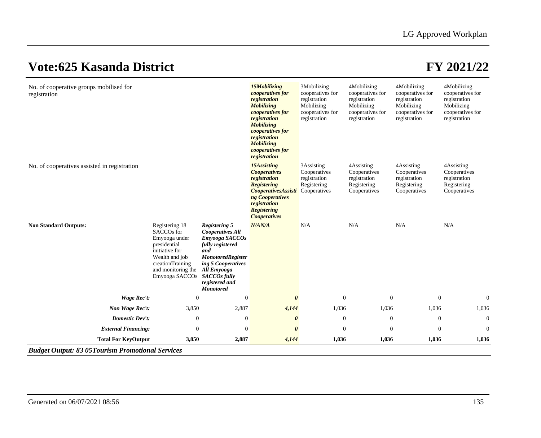|                                              |                                                                                                                                                                                        |                                                                                                                                                                                                     | <b>Mobilizing</b><br><i>cooperatives for</i><br>registration<br><b>Mobilizing</b><br><i>cooperatives for</i><br>registration<br><b>Mobilizing</b><br><i>cooperatives for</i><br>registration        | Mobilizing<br>cooperatives for<br>registration            | Mobilizing<br>cooperatives for<br>registration                            | registration<br>Mobilizing<br>cooperatives for<br>registration            | registration<br>Mobilizing<br>cooperatives for<br>registration            |
|----------------------------------------------|----------------------------------------------------------------------------------------------------------------------------------------------------------------------------------------|-----------------------------------------------------------------------------------------------------------------------------------------------------------------------------------------------------|-----------------------------------------------------------------------------------------------------------------------------------------------------------------------------------------------------|-----------------------------------------------------------|---------------------------------------------------------------------------|---------------------------------------------------------------------------|---------------------------------------------------------------------------|
| No. of cooperatives assisted in registration |                                                                                                                                                                                        |                                                                                                                                                                                                     | 15Assisting<br><b>Cooperatives</b><br>registration<br><b>Registering</b><br><b>CooperativesAssisti</b> Cooperatives<br>ng Cooperatives<br>registration<br><b>Registering</b><br><b>Cooperatives</b> | 3Assisting<br>Cooperatives<br>registration<br>Registering | 4Assisting<br>Cooperatives<br>registration<br>Registering<br>Cooperatives | 4Assisting<br>Cooperatives<br>registration<br>Registering<br>Cooperatives | 4Assisting<br>Cooperatives<br>registration<br>Registering<br>Cooperatives |
| <b>Non Standard Outputs:</b>                 | Registering 18<br>SACCO <sub>s</sub> for<br>Emyooga under<br>presidential<br>initiative for<br>Wealth and job<br>creationTraining<br>and monitoring the<br>Emyooga SACCOs SACCOs fully | <b>Registering 5</b><br><b>Cooperatives All</b><br>Emyooga SACCOs<br>fully registered<br>and<br><b>MonotoredRegister</b><br>ing 5 Cooperatives<br>All Emyooga<br>registered and<br><b>Monotored</b> | N/AN/A                                                                                                                                                                                              | N/A                                                       | N/A                                                                       | N/A                                                                       | N/A                                                                       |
| Wage Rec't:                                  | $\boldsymbol{0}$                                                                                                                                                                       | $\boldsymbol{0}$                                                                                                                                                                                    | $\boldsymbol{\theta}$                                                                                                                                                                               | $\boldsymbol{0}$                                          | $\mathbf{0}$                                                              | $\mathbf{0}$                                                              | $\overline{0}$                                                            |
| Non Wage Rec't:                              | 3,850                                                                                                                                                                                  | 2,887                                                                                                                                                                                               | 4,144                                                                                                                                                                                               | 1,036                                                     | 1,036                                                                     | 1,036                                                                     | 1,036                                                                     |
| Domestic Dev't:                              | $\boldsymbol{0}$                                                                                                                                                                       | $\mathbf{0}$                                                                                                                                                                                        | $\boldsymbol{\theta}$                                                                                                                                                                               | $\boldsymbol{0}$                                          | $\mathbf{0}$                                                              | $\boldsymbol{0}$                                                          | $\mathbf{0}$                                                              |
| <b>External Financing:</b>                   | $\mathbf{0}$                                                                                                                                                                           | $\overline{0}$                                                                                                                                                                                      | $\theta$                                                                                                                                                                                            | $\mathbf{0}$                                              | $\overline{0}$                                                            | $\boldsymbol{0}$                                                          | $\mathbf{0}$                                                              |
| <b>Total For KeyOutput</b>                   | 3,850                                                                                                                                                                                  | 2,887                                                                                                                                                                                               | 4,144                                                                                                                                                                                               | 1,036                                                     | 1,036                                                                     | 1,036                                                                     | 1,036                                                                     |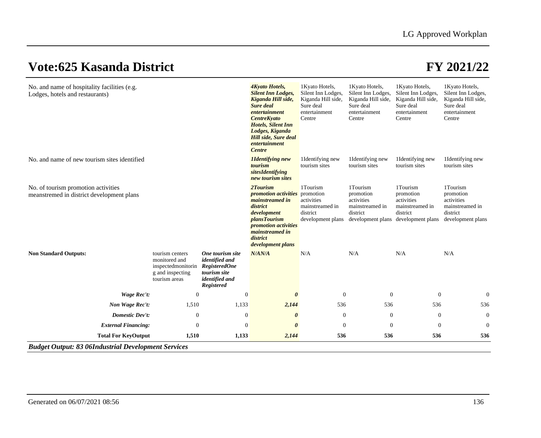| No. and name of hospitality facilities (e.g.<br>Lodges, hotels and restaurants)  |                                                                                             |                                                                                                            | 4Kyato Hotels,<br><b>Silent Inn Lodges,</b>                                                                                                                                                     | 1 Kyato Hotels,<br>Silent Inn Lodges,                                                   | 1 Kyato Hotels,<br>Silent Inn Lodges,                                                   | 1 Kyato Hotels,<br>Silent Inn Lodges,                                                   | 1 Kyato Hotels,<br>Silent Inn Lodges,                                                   |
|----------------------------------------------------------------------------------|---------------------------------------------------------------------------------------------|------------------------------------------------------------------------------------------------------------|-------------------------------------------------------------------------------------------------------------------------------------------------------------------------------------------------|-----------------------------------------------------------------------------------------|-----------------------------------------------------------------------------------------|-----------------------------------------------------------------------------------------|-----------------------------------------------------------------------------------------|
|                                                                                  |                                                                                             |                                                                                                            | Kiganda Hill side,<br><b>Sure deal</b><br>entertainment<br><b>CentreKyato</b><br><b>Hotels, Silent Inn</b><br>Lodges, Kiganda<br><b>Hill side, Sure deal</b><br>entertainment<br><b>Centre</b>  | Kiganda Hill side,<br>Sure deal<br>entertainment<br>Centre                              | Kiganda Hill side,<br>Sure deal<br>entertainment<br>Centre                              | Kiganda Hill side,<br>Sure deal<br>entertainment<br>Centre                              | Kiganda Hill side,<br>Sure deal<br>entertainment<br>Centre                              |
| No. and name of new tourism sites identified                                     |                                                                                             |                                                                                                            | <b>H</b> dentifying new<br>tourism<br>sitesIdentifying<br>new tourism sites                                                                                                                     | 1Identifying new<br>tourism sites                                                       | 1Identifying new<br>tourism sites                                                       | 1Identifying new<br>tourism sites                                                       | 1Identifying new<br>tourism sites                                                       |
| No. of tourism promotion activities<br>meanstremed in district development plans |                                                                                             |                                                                                                            | 2Tourism<br><i>promotion activities</i><br>mainstreamed in<br>district<br>development<br><i>plansTourism</i><br><i>promotion activities</i><br>mainstreamed in<br>district<br>development plans | 1Tourism<br>promotion<br>activities<br>mainstreamed in<br>district<br>development plans | 1Tourism<br>promotion<br>activities<br>mainstreamed in<br>district<br>development plans | 1Tourism<br>promotion<br>activities<br>mainstreamed in<br>district<br>development plans | 1Tourism<br>promotion<br>activities<br>mainstreamed in<br>district<br>development plans |
| <b>Non Standard Outputs:</b>                                                     | tourism centers<br>monitored and<br>inspectedmonitorin<br>g and inspecting<br>tourism areas | One tourism site<br>identified and<br><b>RegisteredOne</b><br>tourism site<br>identified and<br>Registered | N/AN/A                                                                                                                                                                                          | N/A                                                                                     | N/A                                                                                     | N/A                                                                                     | N/A                                                                                     |
| Wage Rec't:                                                                      | $\mathbf{0}$                                                                                | $\overline{0}$                                                                                             | $\boldsymbol{\theta}$                                                                                                                                                                           | $\overline{0}$                                                                          | $\overline{0}$                                                                          | $\theta$                                                                                | $\theta$                                                                                |
| Non Wage Rec't:                                                                  | 1,510                                                                                       | 1,133                                                                                                      | 2,144                                                                                                                                                                                           | 536                                                                                     | 536                                                                                     | 536                                                                                     | 536                                                                                     |
| <b>Domestic Dev't:</b>                                                           | $\mathbf{0}$                                                                                | $\boldsymbol{0}$                                                                                           | $\boldsymbol{\theta}$                                                                                                                                                                           | $\overline{0}$                                                                          | $\mathbf{0}$                                                                            | $\boldsymbol{0}$                                                                        | $\theta$                                                                                |
| <b>External Financing:</b>                                                       | $\mathbf{0}$                                                                                | $\overline{0}$                                                                                             | $\boldsymbol{\theta}$                                                                                                                                                                           | $\overline{0}$                                                                          | $\theta$                                                                                | $\mathbf{0}$                                                                            | $\boldsymbol{0}$                                                                        |
| <b>Total For KeyOutput</b>                                                       | 1,510                                                                                       | 1,133                                                                                                      | 2,144                                                                                                                                                                                           | 536                                                                                     | 536                                                                                     | 536                                                                                     | 536                                                                                     |
| <b>Budget Output: 83 06Industrial Development Services</b>                       |                                                                                             |                                                                                                            |                                                                                                                                                                                                 |                                                                                         |                                                                                         |                                                                                         |                                                                                         |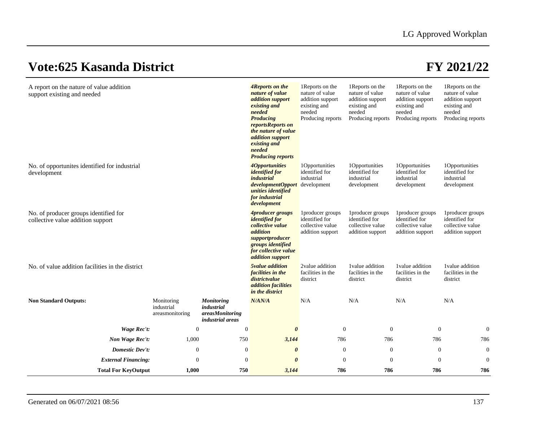| A report on the nature of value addition<br>support existing and needed    |                                             |                                                                               | 4Reports on the<br>nature of value<br><i>addition</i> support<br>existing and<br>needed<br><b>Producing</b><br>reportsReports on<br>the nature of value<br>addition support<br>existing and<br>needed<br><b>Producing reports</b> | 1 Reports on the<br>nature of value<br>addition support<br>existing and<br>needed<br>Producing reports | 1 Reports on the<br>nature of value<br>addition support<br>existing and<br>needed<br>Producing reports | 1 Reports on the<br>nature of value<br>addition support<br>existing and<br>needed<br>Producing reports | 1 Reports on the<br>nature of value<br>addition support<br>existing and<br>needed<br>Producing reports |
|----------------------------------------------------------------------------|---------------------------------------------|-------------------------------------------------------------------------------|-----------------------------------------------------------------------------------------------------------------------------------------------------------------------------------------------------------------------------------|--------------------------------------------------------------------------------------------------------|--------------------------------------------------------------------------------------------------------|--------------------------------------------------------------------------------------------------------|--------------------------------------------------------------------------------------------------------|
| No. of opportunities identified for industrial<br>development              |                                             |                                                                               | <i><u><b>AOpportunities</b></u></i><br><i>identified for</i><br>industrial<br>developmentOpport<br>unities identified<br>for industrial<br>development                                                                            | 1Opportunities<br>identified for<br>industrial<br>development                                          | 1Opportunities<br>identified for<br>industrial<br>development                                          | 1Opportunities<br>identified for<br>industrial<br>development                                          | 1Opportunities<br>identified for<br>industrial<br>development                                          |
| No. of producer groups identified for<br>collective value addition support |                                             |                                                                               | <i><b>4producer groups</b></i><br><i>identified for</i><br>collective value<br>addition<br>supportproducer<br>groups identified<br>for collective value<br><i>addition</i> support                                                | 1producer groups<br>identified for<br>collective value<br>addition support                             | 1producer groups<br>identified for<br>collective value<br>addition support                             | 1producer groups<br>identified for<br>collective value<br>addition support                             | 1producer groups<br>identified for<br>collective value<br>addition support                             |
| No. of value addition facilities in the district                           |                                             |                                                                               | <b><i>Svalue</i></b> addition<br>facilities in the<br>districtvalue<br>addition facilities<br>in the district                                                                                                                     | 2value addition<br>facilities in the<br>district                                                       | 1 value addition<br>facilities in the<br>district                                                      | 1 value addition<br>facilities in the<br>district                                                      | 1value addition<br>facilities in the<br>district                                                       |
| <b>Non Standard Outputs:</b>                                               | Monitoring<br>industrial<br>areasmonitoring | <b>Monitoring</b><br>industrial<br><i>areasMonitoring</i><br>industrial areas | N/AN/A                                                                                                                                                                                                                            | N/A                                                                                                    | N/A                                                                                                    | N/A                                                                                                    | N/A                                                                                                    |
| Wage Rec't:                                                                | $\mathbf{0}$                                | $\boldsymbol{0}$                                                              | $\boldsymbol{\theta}$                                                                                                                                                                                                             | $\boldsymbol{0}$                                                                                       | $\boldsymbol{0}$                                                                                       | $\boldsymbol{0}$                                                                                       | $\mathbf{0}$                                                                                           |
| Non Wage Rec't:                                                            | 1,000                                       | 750                                                                           | 3,144                                                                                                                                                                                                                             | 786                                                                                                    | 786                                                                                                    | 786                                                                                                    | 786                                                                                                    |
| Domestic Dev't:                                                            | $\mathbf{0}$                                | $\boldsymbol{0}$                                                              | $\boldsymbol{\theta}$                                                                                                                                                                                                             | $\theta$                                                                                               | $\boldsymbol{0}$                                                                                       | $\boldsymbol{0}$                                                                                       | $\boldsymbol{0}$                                                                                       |
| <b>External Financing:</b>                                                 | $\mathbf{0}$                                | $\boldsymbol{0}$                                                              | $\boldsymbol{\theta}$                                                                                                                                                                                                             | $\boldsymbol{0}$                                                                                       | $\boldsymbol{0}$                                                                                       | $\boldsymbol{0}$                                                                                       | $\mathbf{0}$                                                                                           |
| <b>Total For KeyOutput</b>                                                 | 1,000                                       | 750                                                                           | 3,144                                                                                                                                                                                                                             | 786                                                                                                    | 786                                                                                                    | 786                                                                                                    | 786                                                                                                    |